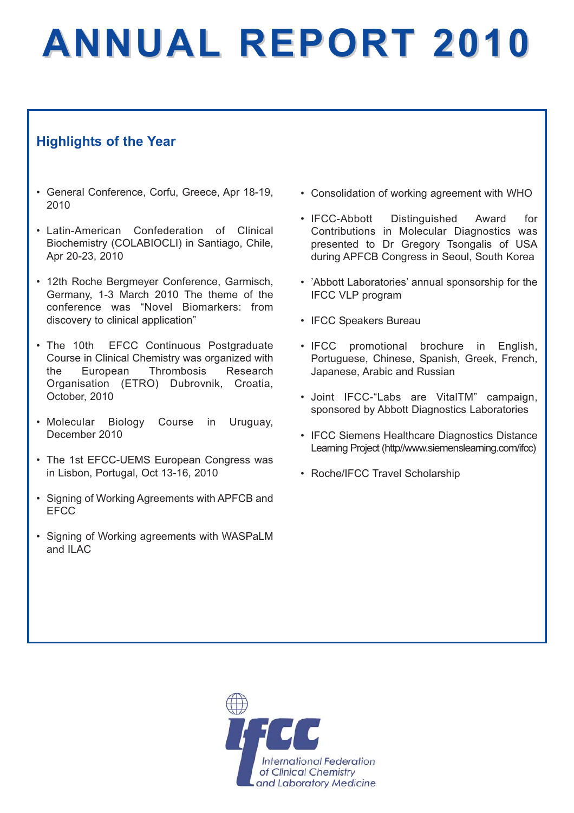# **ANNUAL REPORT 2010**

# **Highlights of the Year**

- General Conference, Corfu, Greece, Apr 18-19, 2010
- Latin-American Confederation of Clinical Biochemistry (COLABIOCLI) in Santiago, Chile, Apr 20-23, 2010
- 12th Roche Bergmeyer Conference, Garmisch, Germany, 1-3 March 2010 The theme of the conference was "Novel Biomarkers: from discovery to clinical application"
- The 10th EFCC Continuous Postgraduate Course in Clinical Chemistry was organized with the European Thrombosis Research Organisation (ETRO) Dubrovnik, Croatia, October, 2010
- Molecular Biology Course in Uruguay, December 2010
- The 1st EFCC-UEMS European Congress was in Lisbon, Portugal, Oct 13-16, 2010
- Signing of Working Agreements with APFCB and **EFCC**
- Signing of Working agreements with WASPaLM and ILAC
- Consolidation of working agreement with WHO
- IFCC-Abbott Distinguished Award for Contributions in Molecular Diagnostics was presented to Dr Gregory Tsongalis of USA during APFCB Congress in Seoul, South Korea
- 'Abbott Laboratories' annual sponsorship for the IFCC VLP program
- IFCC Speakers Bureau
- IFCC promotional brochure in English, Portuguese, Chinese, Spanish, Greek, French, Japanese, Arabic and Russian
- Joint IFCC-"Labs are VitalTM" campaign, sponsored by Abbott Diagnostics Laboratories
- IFCC Siemens Healthcare Diagnostics Distance Learning Project (http//www.siemenslearning.com/ifcc)
- Roche/IFCC Travel Scholarship

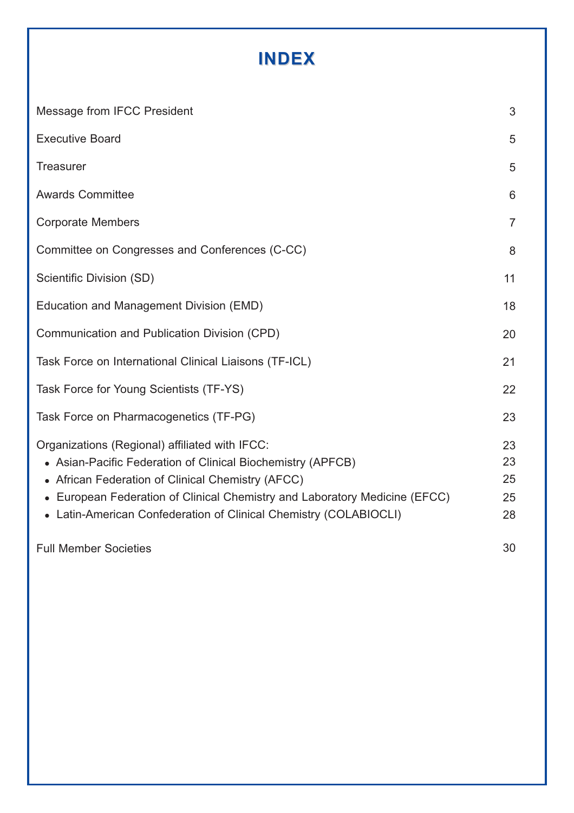# **INDEX**

| Message from IFCC President                                                                                                                                                                                                                                                                                           | 3                          |
|-----------------------------------------------------------------------------------------------------------------------------------------------------------------------------------------------------------------------------------------------------------------------------------------------------------------------|----------------------------|
| <b>Executive Board</b>                                                                                                                                                                                                                                                                                                | 5                          |
| <b>Treasurer</b>                                                                                                                                                                                                                                                                                                      | 5                          |
| <b>Awards Committee</b>                                                                                                                                                                                                                                                                                               | 6                          |
| <b>Corporate Members</b>                                                                                                                                                                                                                                                                                              | $\overline{7}$             |
| Committee on Congresses and Conferences (C-CC)                                                                                                                                                                                                                                                                        | 8                          |
| Scientific Division (SD)                                                                                                                                                                                                                                                                                              | 11                         |
| Education and Management Division (EMD)                                                                                                                                                                                                                                                                               | 18                         |
| Communication and Publication Division (CPD)                                                                                                                                                                                                                                                                          | 20                         |
| Task Force on International Clinical Liaisons (TF-ICL)                                                                                                                                                                                                                                                                | 21                         |
| Task Force for Young Scientists (TF-YS)                                                                                                                                                                                                                                                                               | 22                         |
| Task Force on Pharmacogenetics (TF-PG)                                                                                                                                                                                                                                                                                | 23                         |
| Organizations (Regional) affiliated with IFCC:<br>• Asian-Pacific Federation of Clinical Biochemistry (APFCB)<br>• African Federation of Clinical Chemistry (AFCC)<br>• European Federation of Clinical Chemistry and Laboratory Medicine (EFCC)<br>• Latin-American Confederation of Clinical Chemistry (COLABIOCLI) | 23<br>23<br>25<br>25<br>28 |
| <b>Full Member Societies</b>                                                                                                                                                                                                                                                                                          | 30                         |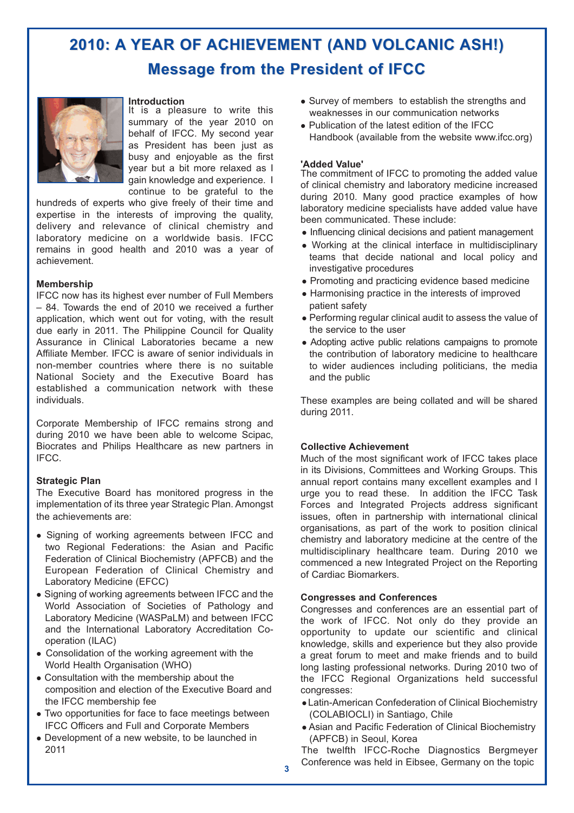# **2010: A YEAR OF ACHIEVEMENT (AND VOLCANIC ASH!) 2010: A YEAR OF ACHIEVEMENT (AND VOLCANIC ASH!) Message from the President of IFCC**



**Introduction**

It is a pleasure to write this summary of the year 2010 on behalf of IFCC. My second year as President has been just as busy and enjoyable as the first year but a bit more relaxed as I gain knowledge and experience. I continue to be grateful to the

hundreds of experts who give freely of their time and expertise in the interests of improving the quality, delivery and relevance of clinical chemistry and laboratory medicine on a worldwide basis. IFCC remains in good health and 2010 was a year of achievement.

#### **Membership**

IFCC now has its highest ever number of Full Members – 84. Towards the end of 2010 we received a further application, which went out for voting, with the result due early in 2011. The Philippine Council for Quality Assurance in Clinical Laboratories became a new Affiliate Member. IFCC is aware of senior individuals in non-member countries where there is no suitable National Society and the Executive Board has established a communication network with these individuals.

Corporate Membership of IFCC remains strong and during 2010 we have been able to welcome Scipac, Biocrates and Philips Healthcare as new partners in IFCC.

#### **Strategic Plan**

The Executive Board has monitored progress in the implementation of its three year Strategic Plan. Amongst the achievements are:

- Signing of working agreements between IFCC and two Regional Federations: the Asian and Pacific Federation of Clinical Biochemistry (APFCB) and the European Federation of Clinical Chemistry and Laboratory Medicine (EFCC)
- Signing of working agreements between IFCC and the World Association of Societies of Pathology and Laboratory Medicine (WASPaLM) and between IFCC and the International Laboratory Accreditation Cooperation (ILAC)
- Consolidation of the working agreement with the World Health Organisation (WHO)
- Consultation with the membership about the composition and election of the Executive Board and the IFCC membership fee
- Two opportunities for face to face meetings between IFCC Officers and Full and Corporate Members
- Development of a new website, to be launched in 2011
- Survey of members to establish the strengths and weaknesses in our communication networks
- Publication of the latest edition of the IFCC Handbook (available from the website www.ifcc.org)

#### **'Added Value'**

The commitment of IFCC to promoting the added value of clinical chemistry and laboratory medicine increased during 2010. Many good practice examples of how laboratory medicine specialists have added value have been communicated. These include:

- Influencing clinical decisions and patient management
- Working at the clinical interface in multidisciplinary teams that decide national and local policy and investigative procedures
- Promoting and practicing evidence based medicine
- Harmonising practice in the interests of improved patient safety
- Performing regular clinical audit to assess the value of the service to the user
- Adopting active public relations campaigns to promote the contribution of laboratory medicine to healthcare to wider audiences including politicians, the media and the public

These examples are being collated and will be shared during 2011.

#### **Collective Achievement**

Much of the most significant work of IFCC takes place in its Divisions, Committees and Working Groups. This annual report contains many excellent examples and I urge you to read these. In addition the IFCC Task Forces and Integrated Projects address significant issues, often in partnership with international clinical organisations, as part of the work to position clinical chemistry and laboratory medicine at the centre of the multidisciplinary healthcare team. During 2010 we commenced a new Integrated Project on the Reporting of Cardiac Biomarkers.

#### **Congresses and Conferences**

Congresses and conferences are an essential part of the work of IFCC. Not only do they provide an opportunity to update our scientific and clinical knowledge, skills and experience but they also provide a great forum to meet and make friends and to build long lasting professional networks. During 2010 two of the IFCC Regional Organizations held successful congresses:

- Latin-American Confederation of Clinical Biochemistry (COLABIOCLI) in Santiago, Chile
- Asian and Pacific Federation of Clinical Biochemistry (APFCB) in Seoul, Korea

The twelfth IFCC-Roche Diagnostics Bergmeyer Conference was held in Eibsee, Germany on the topic **<sup>3</sup>**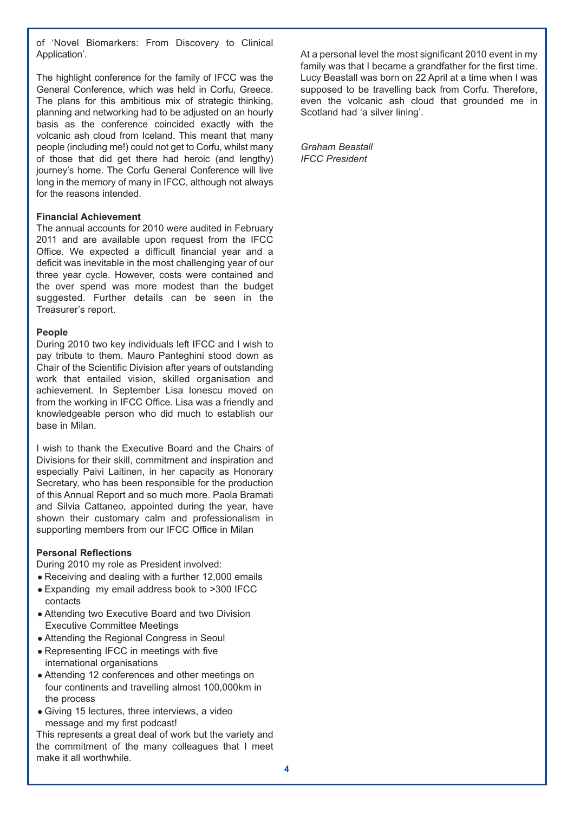of 'Novel Biomarkers: From Discovery to Clinical Application'.

The highlight conference for the family of IFCC was the General Conference, which was held in Corfu, Greece. The plans for this ambitious mix of strategic thinking, planning and networking had to be adjusted on an hourly basis as the conference coincided exactly with the volcanic ash cloud from Iceland. This meant that many people (including me!) could not get to Corfu, whilst many of those that did get there had heroic (and lengthy) journey's home. The Corfu General Conference will live long in the memory of many in IFCC, although not always for the reasons intended.

#### **Financial Achievement**

The annual accounts for 2010 were audited in February 2011 and are available upon request from the IFCC Office. We expected a difficult financial year and a deficit was inevitable in the most challenging year of our three year cycle. However, costs were contained and the over spend was more modest than the budget suggested. Further details can be seen in the Treasurer's report.

#### **People**

During 2010 two key individuals left IFCC and I wish to pay tribute to them. Mauro Panteghini stood down as Chair of the Scientific Division after years of outstanding work that entailed vision, skilled organisation and achievement. In September Lisa Ionescu moved on from the working in IFCC Office. Lisa was a friendly and knowledgeable person who did much to establish our base in Milan.

I wish to thank the Executive Board and the Chairs of Divisions for their skill, commitment and inspiration and especially Paivi Laitinen, in her capacity as Honorary Secretary, who has been responsible for the production of this Annual Report and so much more. Paola Bramati and Silvia Cattaneo, appointed during the year, have shown their customary calm and professionalism in supporting members from our IFCC Office in Milan

#### **Personal Reflections**

During 2010 my role as President involved:

- Receiving and dealing with a further 12,000 emails
- Expanding my email address book to >300 IFCC contacts
- Attending two Executive Board and two Division Executive Committee Meetings
- Attending the Regional Congress in Seoul
- Representing IFCC in meetings with five international organisations
- Attending 12 conferences and other meetings on four continents and travelling almost 100,000km in the process
- Giving 15 lectures, three interviews, a video message and my first podcast!

This represents a great deal of work but the variety and the commitment of the many colleagues that I meet make it all worthwhile.

At a personal level the most significant 2010 event in my family was that I became a grandfather for the first time. Lucy Beastall was born on 22 April at a time when I was supposed to be travelling back from Corfu. Therefore, even the volcanic ash cloud that grounded me in Scotland had 'a silver lining'.

*Graham Beastall IFCC President*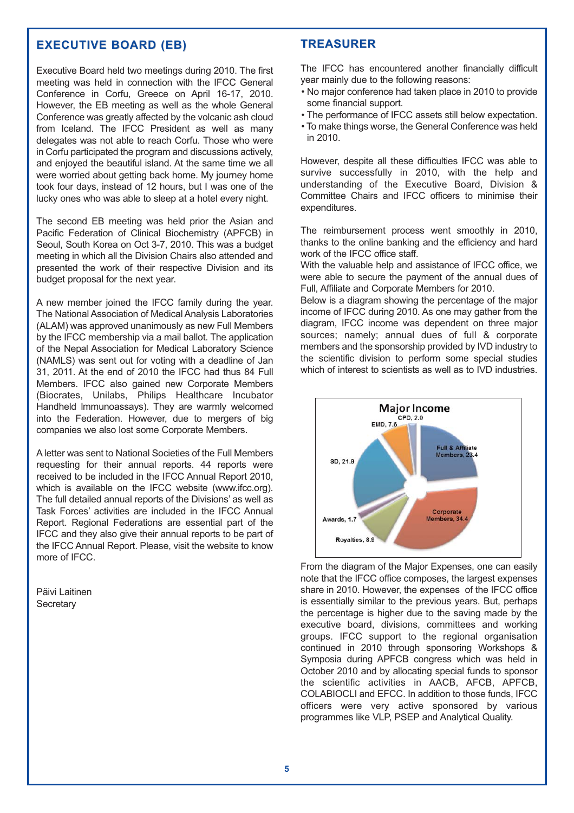#### **EXECUTIVE BOARD (EB) EXECUTIVE BOARD (EB)**

Executive Board held two meetings during 2010. The first meeting was held in connection with the IFCC General Conference in Corfu, Greece on April 16-17, 2010. However, the EB meeting as well as the whole General Conference was greatly affected by the volcanic ash cloud from Iceland. The IFCC President as well as many delegates was not able to reach Corfu. Those who were in Corfu participated the program and discussions actively, and enjoyed the beautiful island. At the same time we all were worried about getting back home. My journey home took four days, instead of 12 hours, but I was one of the lucky ones who was able to sleep at a hotel every night.

The second EB meeting was held prior the Asian and Pacific Federation of Clinical Biochemistry (APFCB) in Seoul, South Korea on Oct 3-7, 2010. This was a budget meeting in which all the Division Chairs also attended and presented the work of their respective Division and its budget proposal for the next year.

A new member joined the IFCC family during the year. The National Association of Medical Analysis Laboratories (ALAM) was approved unanimously as new Full Members by the IFCC membership via a mail ballot. The application of the Nepal Association for Medical Laboratory Science (NAMLS) was sent out for voting with a deadline of Jan 31, 2011. At the end of 2010 the IFCC had thus 84 Full Members. IFCC also gained new Corporate Members (Biocrates, Unilabs, Philips Healthcare Incubator Handheld lmmunoassays). They are warmly welcomed into the Federation. However, due to mergers of big companies we also lost some Corporate Members.

A letter was sent to National Societies of the Full Members requesting for their annual reports. 44 reports were received to be included in the IFCC Annual Report 2010, which is available on the IFCC website (www.ifcc.org). The full detailed annual reports of the Divisions' as well as Task Forces' activities are included in the IFCC Annual Report. Regional Federations are essential part of the IFCC and they also give their annual reports to be part of the IFCC Annual Report. Please, visit the website to know more of IFCC.

Päivi Laitinen **Secretary** 

#### **TREASURER**

The IFCC has encountered another financially difficult year mainly due to the following reasons:

- No major conference had taken place in 2010 to provide some financial support.
- The performance of IFCC assets still below expectation.
- To make things worse, the General Conference was held in 2010.

However, despite all these difficulties IFCC was able to survive successfully in 2010, with the help and understanding of the Executive Board, Division & Committee Chairs and IFCC officers to minimise their expenditures.

The reimbursement process went smoothly in 2010, thanks to the online banking and the efficiency and hard work of the IFCC office staff.

With the valuable help and assistance of IFCC office, we were able to secure the payment of the annual dues of Full, Affiliate and Corporate Members for 2010.

Below is a diagram showing the percentage of the major income of IFCC during 2010. As one may gather from the diagram, IFCC income was dependent on three major sources; namely; annual dues of full & corporate members and the sponsorship provided by IVD industry to the scientific division to perform some special studies which of interest to scientists as well as to IVD industries.



From the diagram of the Major Expenses, one can easily note that the IFCC office composes, the largest expenses share in 2010. However, the expenses of the IFCC office is essentially similar to the previous years. But, perhaps the percentage is higher due to the saving made by the executive board, divisions, committees and working groups. IFCC support to the regional organisation continued in 2010 through sponsoring Workshops & Symposia during APFCB congress which was held in October 2010 and by allocating special funds to sponsor the scientific activities in AACB, AFCB, APFCB, COLABIOCLI and EFCC. In addition to those funds, IFCC officers were very active sponsored by various programmes like VLP, PSEP and Analytical Quality.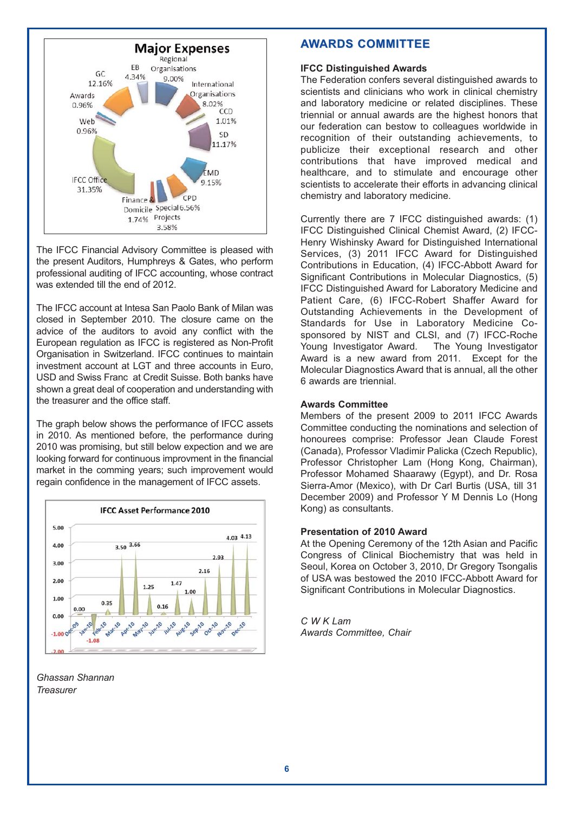

The IFCC Financial Advisory Committee is pleased with the present Auditors, Humphreys & Gates, who perform professional auditing of IFCC accounting, whose contract was extended till the end of 2012.

The IFCC account at Intesa San Paolo Bank of Milan was closed in September 2010. The closure came on the advice of the auditors to avoid any conflict with the European regulation as IFCC is registered as Non-Profit Organisation in Switzerland. IFCC continues to maintain investment account at LGT and three accounts in Euro, USD and Swiss Franc at Credit Suisse. Both banks have shown a great deal of cooperation and understanding with the treasurer and the office staff.

The graph below shows the performance of IFCC assets in 2010. As mentioned before, the performance during 2010 was promising, but still below expection and we are looking forward for continuous improvment in the financial market in the comming years; such improvement would regain confidence in the management of IFCC assets.



*Ghassan Shannan Treasurer* 

#### **AWARDS COMMITTEE**

#### **IFCC Distinguished Awards**

The Federation confers several distinguished awards to scientists and clinicians who work in clinical chemistry and laboratory medicine or related disciplines. These triennial or annual awards are the highest honors that our federation can bestow to colleagues worldwide in recognition of their outstanding achievements, to publicize their exceptional research and other contributions that have improved medical and healthcare, and to stimulate and encourage other scientists to accelerate their efforts in advancing clinical chemistry and laboratory medicine.

Currently there are 7 IFCC distinguished awards: (1) IFCC Distinguished Clinical Chemist Award, (2) IFCC-Henry Wishinsky Award for Distinguished International Services, (3) 2011 IFCC Award for Distinguished Contributions in Education, (4) IFCC-Abbott Award for Significant Contributions in Molecular Diagnostics, (5) IFCC Distinguished Award for Laboratory Medicine and Patient Care, (6) IFCC-Robert Shaffer Award for Outstanding Achievements in the Development of Standards for Use in Laboratory Medicine Cosponsored by NIST and CLSI, and (7) IFCC-Roche Young Investigator Award. The Young Investigator Award is a new award from 2011. Except for the Molecular Diagnostics Award that is annual, all the other 6 awards are triennial.

#### **Awards Committee**

Members of the present 2009 to 2011 IFCC Awards Committee conducting the nominations and selection of honourees comprise: Professor Jean Claude Forest (Canada), Professor Vladimir Palicka (Czech Republic), Professor Christopher Lam (Hong Kong, Chairman), Professor Mohamed Shaarawy (Egypt), and Dr. Rosa Sierra-Amor (Mexico), with Dr Carl Burtis (USA, till 31 December 2009) and Professor Y M Dennis Lo (Hong Kong) as consultants.

#### **Presentation of 2010 Award**

At the Opening Ceremony of the 12th Asian and Pacific Congress of Clinical Biochemistry that was held in Seoul, Korea on October 3, 2010, Dr Gregory Tsongalis of USA was bestowed the 2010 IFCC-Abbott Award for Significant Contributions in Molecular Diagnostics.

*C W K Lam Awards Committee, Chair*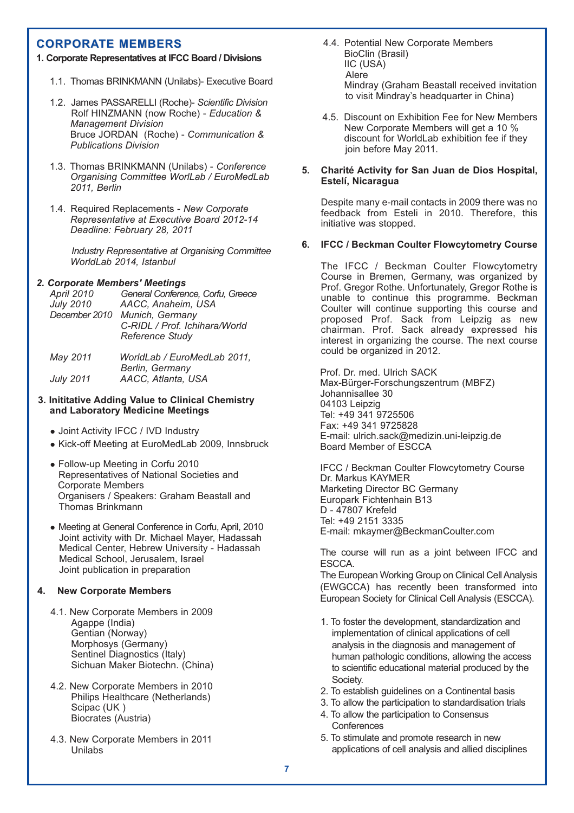#### **CORPORATE MEMBERS**

#### **1. Corporate Representatives at IFCC Board / Divisions**

- 1.1. Thomas BRINKMANN (Unilabs)- Executive Board
- 1.2. James PASSARELLI (Roche)- *Scientific Division* Rolf HINZMANN (now Roche) - *Education & Management Division* Bruce JORDAN (Roche) - *Communication & Publications Division*
- 1.3. Thomas BRINKMANN (Unilabs) *Conference Organising Committee WorlLab / EuroMedLab 2011, Berlin*
- 1.4. Required Replacements *New Corporate Representative at Executive Board 2012-14 Deadline: February 28, 2011*

*Industry Representative at Organising Committee WorldLab 2014, Istanbul*

#### *2. Corporate Members' Meetings*

| <b>April 2010</b> | General Conference, Corfu, Greece |
|-------------------|-----------------------------------|
| <b>July 2010</b>  | AACC, Anaheim, USA                |
| December 2010     | Munich, Germany                   |
|                   | C-RIDL / Prof. Ichihara/World     |
|                   | Reference Study                   |
|                   |                                   |

| May 2011         | WorldLab / EuroMedLab 2011. |
|------------------|-----------------------------|
|                  | Berlin, Germany             |
| <b>July 2011</b> | AACC, Atlanta, USA          |

#### **3. Inititative Adding Value to Clinical Chemistry and Laboratory Medicine Meetings**

- Joint Activity IFCC / IVD Industry
- Kick-off Meeting at EuroMedLab 2009, Innsbruck
- Follow-up Meeting in Corfu 2010 Representatives of National Societies and Corporate Members Organisers / Speakers: Graham Beastall and Thomas Brinkmann
- Meeting at General Conference in Corfu, April, 2010 Joint activity with Dr. Michael Mayer, Hadassah Medical Center, Hebrew University - Hadassah Medical School, Jerusalem, Israel Joint publication in preparation

#### **4. New Corporate Members**

- 4.1. New Corporate Members in 2009 Agappe (India) Gentian (Norway) Morphosys (Germany) Sentinel Diagnostics (Italy) Sichuan Maker Biotechn. (China)
- 4.2. New Corporate Members in 2010 Philips Healthcare (Netherlands) Scipac (UK ) Biocrates (Austria)
- 4.3. New Corporate Members in 2011 Unilabs
- 4.4. Potential New Corporate Members BioClin (Brasil) IIC (USA) Alere Mindray (Graham Beastall received invitation to visit Mindray's headquarter in China)
- 4.5. Discount on Exhibition Fee for New Members New Corporate Members will get a 10 % discount for WorldLab exhibition fee if they join before May 2011.

#### **5. Charité Activity for San Juan de Dios Hospital, Estelí, Nicaragua**

Despite many e-mail contacts in 2009 there was no feedback from Esteli in 2010. Therefore, this initiative was stopped.

#### **6. IFCC / Beckman Coulter Flowcytometry Course**

The IFCC / Beckman Coulter Flowcytometry Course in Bremen, Germany, was organized by Prof. Gregor Rothe. Unfortunately, Gregor Rothe is unable to continue this programme. Beckman Coulter will continue supporting this course and proposed Prof. Sack from Leipzig as new chairman. Prof. Sack already expressed his interest in organizing the course. The next course could be organized in 2012.

Prof. Dr. med. Ulrich SACK Max-Bürger-Forschungszentrum (MBFZ) Johannisallee 30 04103 Leipzig Tel: +49 341 9725506 Fax: +49 341 9725828 E-mail: ulrich.sack@medizin.uni-leipzig.de Board Member of ESCCA

IFCC / Beckman Coulter Flowcytometry Course Dr. Markus KAYMER Marketing Director BC Germany Europark Fichtenhain B13 D - 47807 Krefeld Tel: +49 2151 3335 E-mail: mkaymer@BeckmanCoulter.com

The course will run as a joint between IFCC and ESCCA.

The European Working Group on Clinical Cell Analysis (EWGCCA) has recently been transformed into European Society for Clinical Cell Analysis (ESCCA).

- 1. To foster the development, standardization and implementation of clinical applications of cell analysis in the diagnosis and management of human pathologic conditions, allowing the access to scientific educational material produced by the Society.
- 2. To establish guidelines on a Continental basis
- 3. To allow the participation to standardisation trials
- 4. To allow the participation to Consensus **Conferences**
- 5. To stimulate and promote research in new applications of cell analysis and allied disciplines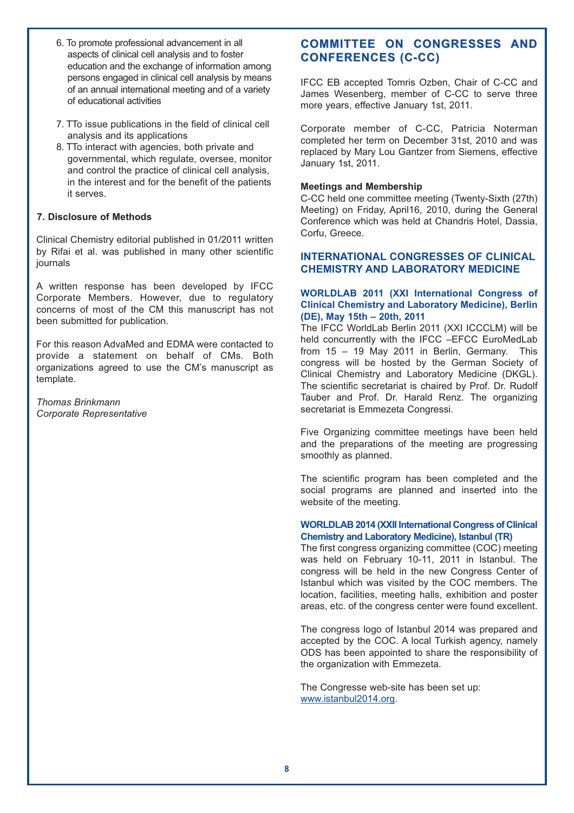- 6. To promote professional advancement in all aspects of clinical cell analysis and to foster education and the exchange of information among persons engaged in clinical cell analysis by means of an annual international meeting and of a variety of educational activities
- 7. TTo issue publications in the field of clinical cell analysis and its applications
- 8. TTo interact with agencies, both private and governmental, which regulate, oversee, monitor and control the practice of clinical cell analysis, in the interest and for the benefit of the patients it serves.

#### **7. Disclosure of Methods**

Clinical Chemistry editorial published in 01/2011 written by Rifai et al. was published in many other scientific journals

A written response has been developed by IFCC Corporate Members. However, due to regulatory concerns of most of the CM this manuscript has not been submitted for publication.

For this reason AdvaMed and EDMA were contacted to provide a statement on behalf of CMs. Both organizations agreed to use the CM's manuscript as template.

*Thomas Brinkmann Corporate Representative*

## **COMMITTEE ON CONGRESSES AND CONFERENCES (C-CC)**

IFCC EB accepted Tomris Ozben, Chair of C-CC and James Wesenberg, member of C-CC to serve three more years, effective January 1st, 2011.

Corporate member of C-CC, Patricia Noterman completed her term on December 31st, 2010 and was replaced by Mary Lou Gantzer from Siemens, effective January 1st, 2011.

#### **Meetings and Membership**

C-CC held one committee meeting (Twenty-Sixth (27th) Meeting) on Friday, April16, 2010, during the General Conference which was held at Chandris Hotel, Dassia, Corfu, Greece.

#### **INTERNATIONAL CONGRESSES OF CLINICAL CHEMISTRY AND LABORATORY MEDICINE**

#### **WORLDLAB 2011 (XXI International Congress of Clinical Chemistry and Laboratory Medicine), Berlin (DE), May 15th – 20th, 2011**

The IFCC WorldLab Berlin 2011 (XXI ICCCLM) will be held concurrently with the IFCC –EFCC EuroMedLab from 15 – 19 May 2011 in Berlin, Germany. This congress will be hosted by the German Society of Clinical Chemistry and Laboratory Medicine (DKGL). The scientific secretariat is chaired by Prof. Dr. Rudolf Tauber and Prof. Dr. Harald Renz. The organizing secretariat is Emmezeta Congressi.

Five Organizing committee meetings have been held and the preparations of the meeting are progressing smoothly as planned.

The scientific program has been completed and the social programs are planned and inserted into the website of the meeting.

#### **WORLDLAB 2014 (XXII International Congress of Clinical Chemistry and Laboratory Medicine), Istanbul (TR)**

The first congress organizing committee (COC) meeting was held on February 10-11, 2011 in Istanbul. The congress will be held in the new Congress Center of Istanbul which was visited by the COC members. The location, facilities, meeting halls, exhibition and poster areas, etc. of the congress center were found excellent.

The congress logo of Istanbul 2014 was prepared and accepted by the COC. A local Turkish agency, namely ODS has been appointed to share the responsibility of the organization with Emmezeta.

The Congresse web-site has been set up: www.istanbul2014.org.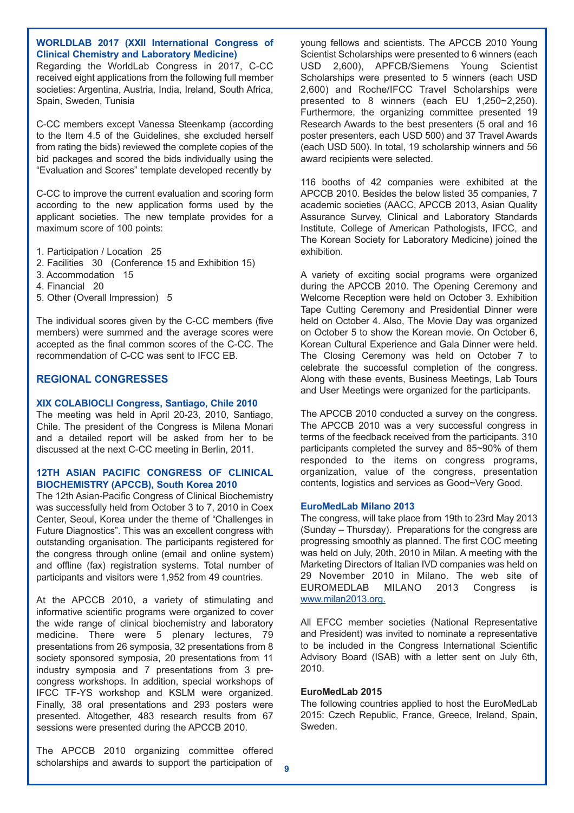#### **WORLDLAB 2017 (XXII International Congress of Clinical Chemistry and Laboratory Medicine)**

Regarding the WorldLab Congress in 2017, C-CC received eight applications from the following full member societies: Argentina, Austria, India, Ireland, South Africa, Spain, Sweden, Tunisia

C-CC members except Vanessa Steenkamp (according to the Item 4.5 of the Guidelines, she excluded herself from rating the bids) reviewed the complete copies of the bid packages and scored the bids individually using the "Evaluation and Scores" template developed recently by

C-CC to improve the current evaluation and scoring form according to the new application forms used by the applicant societies. The new template provides for a maximum score of 100 points:

- 1. Participation / Location 25
- 2. Facilities 30 (Conference 15 and Exhibition 15)
- 3. Accommodation 15
- 4. Financial 20
- 5. Other (Overall Impression) 5

The individual scores given by the C-CC members (five members) were summed and the average scores were accepted as the final common scores of the C-CC. The recommendation of C-CC was sent to IFCC EB.

#### **REGIONAL CONGRESSES**

#### **XIX COLABIOCLI Congress, Santiago, Chile 2010**

The meeting was held in April 20-23, 2010, Santiago, Chile. The president of the Congress is Milena Monari and a detailed report will be asked from her to be discussed at the next C-CC meeting in Berlin, 2011.

#### **12TH ASIAN PACIFIC CONGRESS OF CLINICAL BIOCHEMISTRY (APCCB), South Korea 2010**

The 12th Asian-Pacific Congress of Clinical Biochemistry was successfully held from October 3 to 7, 2010 in Coex Center, Seoul, Korea under the theme of "Challenges in Future Diagnostics". This was an excellent congress with outstanding organisation. The participants registered for the congress through online (email and online system) and offline (fax) registration systems. Total number of participants and visitors were 1,952 from 49 countries.

At the APCCB 2010, a variety of stimulating and informative scientific programs were organized to cover the wide range of clinical biochemistry and laboratory medicine. There were 5 plenary lectures, 79 presentations from 26 symposia, 32 presentations from 8 society sponsored symposia, 20 presentations from 11 industry symposia and 7 presentations from 3 precongress workshops. In addition, special workshops of IFCC TF-YS workshop and KSLM were organized. Finally, 38 oral presentations and 293 posters were presented. Altogether, 483 research results from 67 sessions were presented during the APCCB 2010.

The APCCB 2010 organizing committee offered scholarships and awards to support the participation of young fellows and scientists. The APCCB 2010 Young Scientist Scholarships were presented to 6 winners (each USD 2,600), APFCB/Siemens Young Scientist Scholarships were presented to 5 winners (each USD 2,600) and Roche/IFCC Travel Scholarships were presented to 8 winners (each EU 1,250~2,250). Furthermore, the organizing committee presented 19 Research Awards to the best presenters (5 oral and 16 poster presenters, each USD 500) and 37 Travel Awards (each USD 500). In total, 19 scholarship winners and 56 award recipients were selected.

116 booths of 42 companies were exhibited at the APCCB 2010. Besides the below listed 35 companies, 7 academic societies (AACC, APCCB 2013, Asian Quality Assurance Survey, Clinical and Laboratory Standards Institute, College of American Pathologists, IFCC, and The Korean Society for Laboratory Medicine) joined the exhibition.

A variety of exciting social programs were organized during the APCCB 2010. The Opening Ceremony and Welcome Reception were held on October 3. Exhibition Tape Cutting Ceremony and Presidential Dinner were held on October 4. Also, The Movie Day was organized on October 5 to show the Korean movie. On October 6, Korean Cultural Experience and Gala Dinner were held. The Closing Ceremony was held on October 7 to celebrate the successful completion of the congress. Along with these events, Business Meetings, Lab Tours and User Meetings were organized for the participants.

The APCCB 2010 conducted a survey on the congress. The APCCB 2010 was a very successful congress in terms of the feedback received from the participants. 310 participants completed the survey and 85~90% of them responded to the items on congress programs, organization, value of the congress, presentation contents, logistics and services as Good~Very Good.

#### **EuroMedLab Milano 2013**

The congress, will take place from 19th to 23rd May 2013 (Sunday – Thursday). Preparations for the congress are progressing smoothly as planned. The first COC meeting was held on July, 20th, 2010 in Milan. A meeting with the Marketing Directors of Italian IVD companies was held on 29 November 2010 in Milano. The web site of EUROMEDLAB MILANO 2013 Congress is www.milan2013.org.

All EFCC member societies (National Representative and President) was invited to nominate a representative to be included in the Congress International Scientific Advisory Board (ISAB) with a letter sent on July 6th, 2010.

#### **EuroMedLab 2015**

The following countries applied to host the EuroMedLab 2015: Czech Republic, France, Greece, Ireland, Spain, Sweden.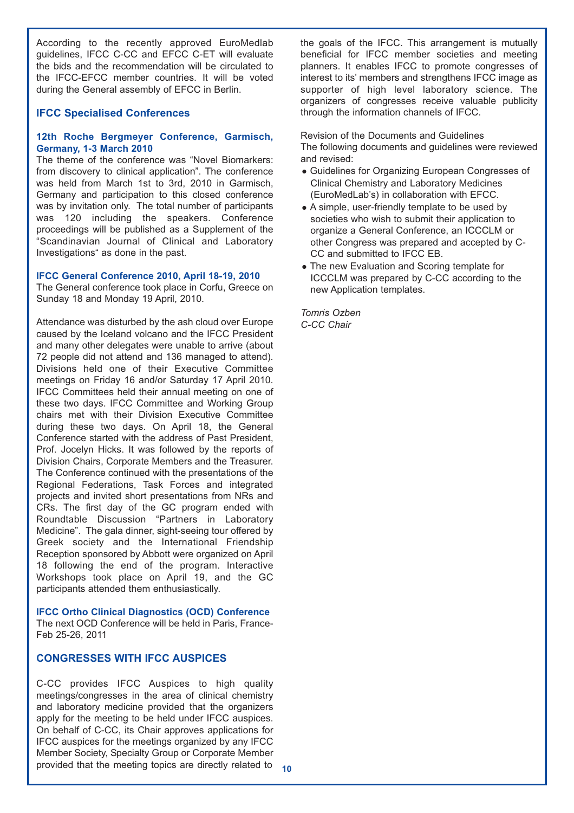According to the recently approved EuroMedlab guidelines, IFCC C-CC and EFCC C-ET will evaluate the bids and the recommendation will be circulated to the IFCC-EFCC member countries. It will be voted during the General assembly of EFCC in Berlin.

#### **IFCC Specialised Conferences**

#### **12th Roche Bergmeyer Conference, Garmisch, Germany, 1-3 March 2010**

The theme of the conference was "Novel Biomarkers: from discovery to clinical application". The conference was held from March 1st to 3rd, 2010 in Garmisch, Germany and participation to this closed conference was by invitation only. The total number of participants was 120 including the speakers. Conference proceedings will be published as a Supplement of the "Scandinavian Journal of Clinical and Laboratory Investigations" as done in the past.

#### **IFCC General Conference 2010, April 18-19, 2010**

The General conference took place in Corfu, Greece on Sunday 18 and Monday 19 April, 2010.

Attendance was disturbed by the ash cloud over Europe caused by the Iceland volcano and the IFCC President and many other delegates were unable to arrive (about 72 people did not attend and 136 managed to attend). Divisions held one of their Executive Committee meetings on Friday 16 and/or Saturday 17 April 2010. IFCC Committees held their annual meeting on one of these two days. IFCC Committee and Working Group chairs met with their Division Executive Committee during these two days. On April 18, the General Conference started with the address of Past President, Prof. Jocelyn Hicks. It was followed by the reports of Division Chairs, Corporate Members and the Treasurer. The Conference continued with the presentations of the Regional Federations, Task Forces and integrated projects and invited short presentations from NRs and CRs. The first day of the GC program ended with Roundtable Discussion "Partners in Laboratory Medicine". The gala dinner, sight-seeing tour offered by Greek society and the International Friendship Reception sponsored by Abbott were organized on April 18 following the end of the program. Interactive Workshops took place on April 19, and the GC participants attended them enthusiastically.

**IFCC Ortho Clinical Diagnostics (OCD) Conference**

The next OCD Conference will be held in Paris, France-Feb 25-26, 2011

#### **CONGRESSES WITH IFCC AUSPICES**

C-CC provides IFCC Auspices to high quality meetings/congresses in the area of clinical chemistry and laboratory medicine provided that the organizers apply for the meeting to be held under IFCC auspices. On behalf of C-CC, its Chair approves applications for IFCC auspices for the meetings organized by any IFCC Member Society, Specialty Group or Corporate Member provided that the meeting topics are directly related to

the goals of the IFCC. This arrangement is mutually beneficial for IFCC member societies and meeting planners. It enables IFCC to promote congresses of interest to its' members and strengthens IFCC image as supporter of high level laboratory science. The organizers of congresses receive valuable publicity through the information channels of IFCC.

Revision of the Documents and Guidelines The following documents and guidelines were reviewed and revised:

- Guidelines for Organizing European Congresses of Clinical Chemistry and Laboratory Medicines (EuroMedLab's) in collaboration with EFCC.
- A simple, user-friendly template to be used by societies who wish to submit their application to organize a General Conference, an ICCCLM or other Congress was prepared and accepted by C-CC and submitted to IFCC EB.
- The new Evaluation and Scoring template for ICCCLM was prepared by C-CC according to the new Application templates.

*Tomris Ozben C-CC Chair*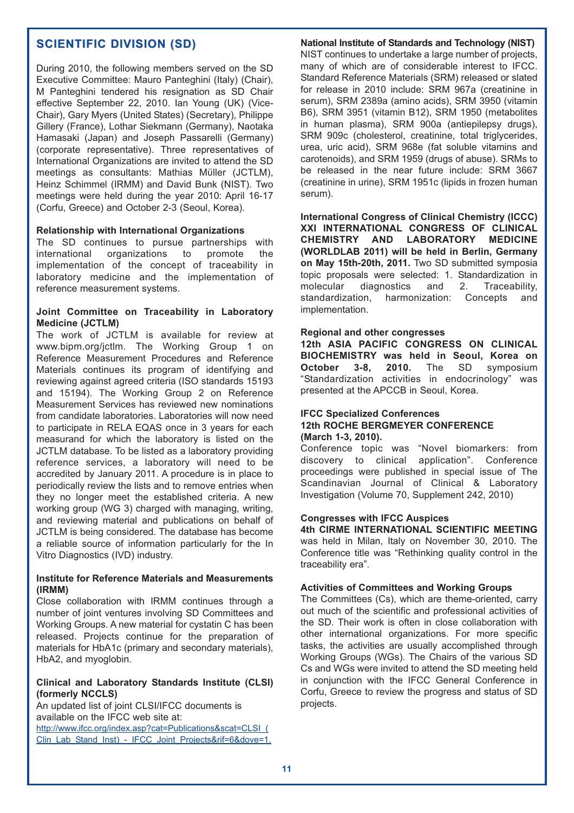#### **SCIENTIFIC DIVISION (SD) SCIENTIFIC DIVISION (SD)**

During 2010, the following members served on the SD Executive Committee: Mauro Panteghini (Italy) (Chair), M Panteghini tendered his resignation as SD Chair effective September 22, 2010. Ian Young (UK) (Vice-Chair), Gary Myers (United States) (Secretary), Philippe Gillery (France), Lothar Siekmann (Germany), Naotaka Hamasaki (Japan) and Joseph Passarelli (Germany) (corporate representative). Three representatives of International Organizations are invited to attend the SD meetings as consultants: Mathias Mϋller (JCTLM), Heinz Schimmel (IRMM) and David Bunk (NIST). Two meetings were held during the year 2010: April 16-17 (Corfu, Greece) and October 2-3 (Seoul, Korea).

#### **Relationship with International Organizations**

The SD continues to pursue partnerships with international organizations to promote the implementation of the concept of traceability in laboratory medicine and the implementation of reference measurement systems.

#### **Joint Committee on Traceability in Laboratory Medicine (JCTLM)**

The work of JCTLM is available for review at www.bipm.org/jctlm. The Working Group 1 on Reference Measurement Procedures and Reference Materials continues its program of identifying and reviewing against agreed criteria (ISO standards 15193 and 15194). The Working Group 2 on Reference Measurement Services has reviewed new nominations from candidate laboratories. Laboratories will now need to participate in RELA EQAS once in 3 years for each measurand for which the laboratory is listed on the JCTLM database. To be listed as a laboratory providing reference services, a laboratory will need to be accredited by January 2011. A procedure is in place to periodically review the lists and to remove entries when they no longer meet the established criteria. A new working group (WG 3) charged with managing, writing, and reviewing material and publications on behalf of JCTLM is being considered. The database has become a reliable source of information particularly for the In Vitro Diagnostics (IVD) industry.

#### **Institute for Reference Materials and Measurements (IRMM)**

Close collaboration with IRMM continues through a number of joint ventures involving SD Committees and Working Groups. A new material for cystatin C has been released. Projects continue for the preparation of materials for HbA1c (primary and secondary materials), HbA2, and myoalobin.

#### **Clinical and Laboratory Standards Institute (CLSI) (formerly NCCLS)**

An updated list of joint CLSI/IFCC documents is available on the IFCC web site at: http://www.ifcc.org/index.asp?cat=Publications&scat=CLSI\_( Clin\_Lab\_Stand\_Inst) - IFCC\_Joint\_Projects&rif=6&dove=1.

#### **National Institute of Standards and Technology (NIST)**

NIST continues to undertake a large number of projects, many of which are of considerable interest to IFCC. Standard Reference Materials (SRM) released or slated for release in 2010 include: SRM 967a (creatinine in serum), SRM 2389a (amino acids), SRM 3950 (vitamin B6), SRM 3951 (vitamin B12), SRM 1950 (metabolites in human plasma), SRM 900a (antiepilepsy drugs), SRM 909c (cholesterol, creatinine, total triglycerides, urea, uric acid), SRM 968e (fat soluble vitamins and carotenoids), and SRM 1959 (drugs of abuse). SRMs to be released in the near future include: SRM 3667 (creatinine in urine), SRM 1951c (lipids in frozen human serum).

**International Congress of Clinical Chemistry (ICCC) XXI INTERNATIONAL CONGRESS OF CLINICAL CHEMISTRY AND LABORATORY MEDICINE (WORLDLAB 2011) will be held in Berlin, Germany on May 15th-20th, 2011.** Two SD submitted symposia topic proposals were selected: 1. Standardization in molecular diagnostics and 2. Traceability, standardization, harmonization: Concepts and implementation.

#### **Regional and other congresses**

**12th ASIA PACIFIC CONGRESS ON CLINICAL BIOCHEMISTRY was held in Seoul, Korea on October 3-8, 2010.** The SD symposium "Standardization activities in endocrinology" was presented at the APCCB in Seoul, Korea.

#### **IFCC Specialized Conferences 12th ROCHE BERGMEYER CONFERENCE (March 1-3, 2010).**

Conference topic was "Novel biomarkers: from discovery to clinical application". Conference proceedings were published in special issue of The Scandinavian Journal of Clinical & Laboratory Investigation (Volume 70, Supplement 242, 2010)

#### **Congresses with IFCC Auspices**

**4th CIRME INTERNATIONAL SCIENTIFIC MEETING** was held in Milan, Italy on November 30, 2010. The Conference title was "Rethinking quality control in the traceability era".

#### **Activities of Committees and Working Groups**

The Committees (Cs), which are theme-oriented, carry out much of the scientific and professional activities of the SD. Their work is often in close collaboration with other international organizations. For more specific tasks, the activities are usually accomplished through Working Groups (WGs). The Chairs of the various SD Cs and WGs were invited to attend the SD meeting held in conjunction with the IFCC General Conference in Corfu, Greece to review the progress and status of SD projects.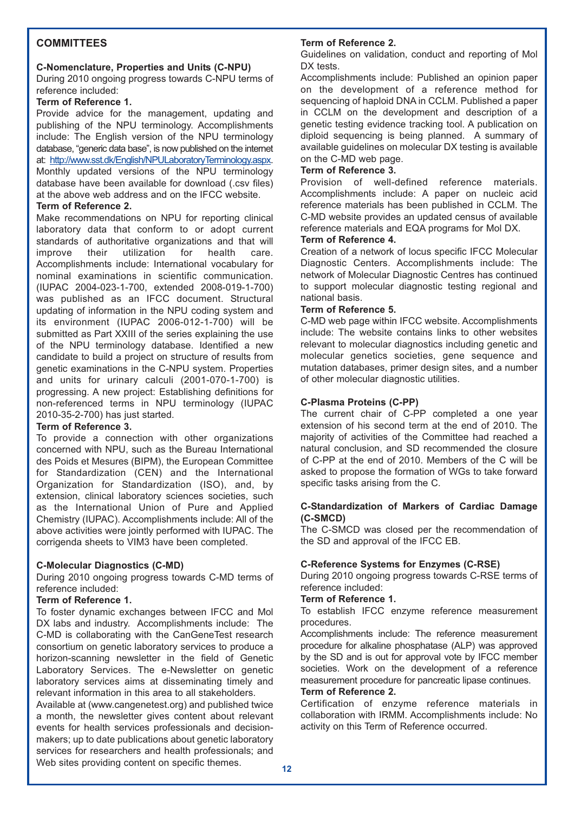#### **COMMITTEES**

#### **C-Nomenclature, Properties and Units (C-NPU)**

During 2010 ongoing progress towards C-NPU terms of reference included:

#### **Term of Reference 1.**

Provide advice for the management, updating and publishing of the NPU terminology. Accomplishments include: The English version of the NPU terminology database, "generic data base", is now published on the internet at: http://www.sst.dk/English/NPULaboratoryTerminology.aspx. Monthly updated versions of the NPU terminology database have been available for download (.csv files) at the above web address and on the IFCC website.

#### **Term of Reference 2.**

Make recommendations on NPU for reporting clinical laboratory data that conform to or adopt current standards of authoritative organizations and that will improve their utilization for health care. Accomplishments include: International vocabulary for nominal examinations in scientific communication. (IUPAC 2004-023-1-700, extended 2008-019-1-700) was published as an IFCC document. Structural updating of information in the NPU coding system and its environment (IUPAC 2006-012-1-700) will be submitted as Part XXIII of the series explaining the use of the NPU terminology database. Identified a new candidate to build a project on structure of results from genetic examinations in the C-NPU system. Properties and units for urinary calculi (2001-070-1-700) is progressing. A new project: Establishing definitions for non-referenced terms in NPU terminology (IUPAC 2010-35-2-700) has just started.

#### **Term of Reference 3.**

To provide a connection with other organizations concerned with NPU, such as the Bureau International des Poids et Mesures (BIPM), the European Committee for Standardization (CEN) and the International Organization for Standardization (ISO), and, by extension, clinical laboratory sciences societies, such as the International Union of Pure and Applied Chemistry (IUPAC). Accomplishments include: All of the above activities were jointly performed with IUPAC. The corrigenda sheets to VIM3 have been completed.

## **C-Molecular Diagnostics (C-MD)**

During 2010 ongoing progress towards C-MD terms of reference included:

#### **Term of Reference 1.**

To foster dynamic exchanges between IFCC and Mol DX labs and industry. Accomplishments include: The C-MD is collaborating with the CanGeneTest research consortium on genetic laboratory services to produce a horizon-scanning newsletter in the field of Genetic Laboratory Services. The e-Newsletter on genetic laboratory services aims at disseminating timely and relevant information in this area to all stakeholders.

Available at (www.cangenetest.org) and published twice a month, the newsletter gives content about relevant events for health services professionals and decisionmakers; up to date publications about genetic laboratory services for researchers and health professionals; and Web sites providing content on specific themes.

## **Term of Reference 2.**

Guidelines on validation, conduct and reporting of Mol DX tests.

Accomplishments include: Published an opinion paper on the development of a reference method for sequencing of haploid DNA in CCLM. Published a paper in CCLM on the development and description of a genetic testing evidence tracking tool. A publication on diploid sequencing is being planned. A summary of available guidelines on molecular DX testing is available on the C-MD web page.

#### **Term of Reference 3.**

Provision of well-defined reference materials. Accomplishments include: A paper on nucleic acid reference materials has been published in CCLM. The C-MD website provides an updated census of available reference materials and EQA programs for Mol DX.

#### **Term of Reference 4.**

Creation of a network of locus specific IFCC Molecular Diagnostic Centers. Accomplishments include: The network of Molecular Diagnostic Centres has continued to support molecular diagnostic testing regional and national basis.

#### **Term of Reference 5.**

C-MD web page within IFCC website. Accomplishments include: The website contains links to other websites relevant to molecular diagnostics including genetic and molecular genetics societies, gene sequence and mutation databases, primer design sites, and a number of other molecular diagnostic utilities.

#### **C-Plasma Proteins (C-PP)**

The current chair of C-PP completed a one year extension of his second term at the end of 2010. The majority of activities of the Committee had reached a natural conclusion, and SD recommended the closure of C-PP at the end of 2010. Members of the C will be asked to propose the formation of WGs to take forward specific tasks arising from the C.

#### **C-Standardization of Markers of Cardiac Damage (C-SMCD)**

The C-SMCD was closed per the recommendation of the SD and approval of the IFCC EB.

#### **C-Reference Systems for Enzymes (C-RSE)**

During 2010 ongoing progress towards C-RSE terms of reference included:

#### **Term of Reference 1.**

To establish IFCC enzyme reference measurement procedures.

Accomplishments include: The reference measurement procedure for alkaline phosphatase (ALP) was approved by the SD and is out for approval vote by IFCC member societies. Work on the development of a reference measurement procedure for pancreatic lipase continues.

#### **Term of Reference 2.**

Certification of enzyme reference materials in collaboration with IRMM. Accomplishments include: No activity on this Term of Reference occurred.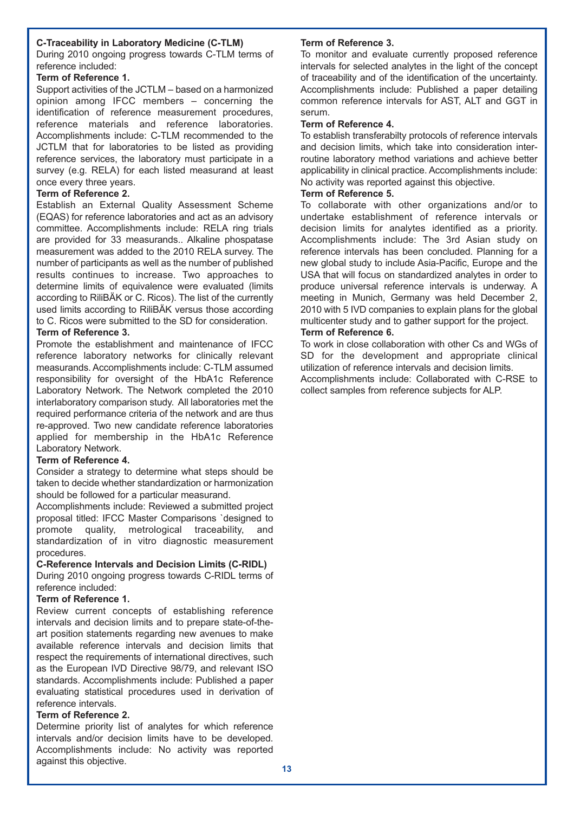#### **C-Traceability in Laboratory Medicine (C-TLM)**

During 2010 ongoing progress towards C-TLM terms of reference included:

#### **Term of Reference 1.**

Support activities of the JCTLM – based on a harmonized opinion among IFCC members – concerning the identification of reference measurement procedures, reference materials and reference laboratories. Accomplishments include: C-TLM recommended to the JCTLM that for laboratories to be listed as providing reference services, the laboratory must participate in a survey (e.g. RELA) for each listed measurand at least once every three years.

#### **Term of Reference 2.**

Establish an External Quality Assessment Scheme (EQAS) for reference laboratories and act as an advisory committee. Accomplishments include: RELA ring trials are provided for 33 measurands.. Alkaline phospatase measurement was added to the 2010 RELA survey. The number of participants as well as the number of published results continues to increase. Two approaches to determine limits of equivalence were evaluated (limits according to RiliBÄK or C. Ricos). The list of the currently used limits according to RiliBÄK versus those according to C. Ricos were submitted to the SD for consideration.

#### **Term of Reference 3.**

Promote the establishment and maintenance of IFCC reference laboratory networks for clinically relevant measurands. Accomplishments include: C-TLM assumed responsibility for oversight of the HbA1c Reference Laboratory Network. The Network completed the 2010 interlaboratory comparison study. All laboratories met the required performance criteria of the network and are thus re-approved. Two new candidate reference laboratories applied for membership in the HbA1c Reference Laboratory Network.

#### **Term of Reference 4.**

Consider a strategy to determine what steps should be taken to decide whether standardization or harmonization should be followed for a particular measurand.

Accomplishments include: Reviewed a submitted project proposal titled: IFCC Master Comparisons `designed to promote quality, metrological traceability, and standardization of in vitro diagnostic measurement procedures.

#### **C-Reference Intervals and Decision Limits (C-RIDL)**

During 2010 ongoing progress towards C-RIDL terms of reference included:

#### **Term of Reference 1.**

Review current concepts of establishing reference intervals and decision limits and to prepare state-of-theart position statements regarding new avenues to make available reference intervals and decision limits that respect the requirements of international directives, such as the European IVD Directive 98/79, and relevant ISO standards. Accomplishments include: Published a paper evaluating statistical procedures used in derivation of reference intervals.

#### **Term of Reference 2.**

Determine priority list of analytes for which reference intervals and/or decision limits have to be developed. Accomplishments include: No activity was reported against this objective.

#### **Term of Reference 3.**

To monitor and evaluate currently proposed reference intervals for selected analytes in the light of the concept of traceability and of the identification of the uncertainty. Accomplishments include: Published a paper detailing common reference intervals for AST, ALT and GGT in serum.

#### **Term of Reference 4.**

To establish transferabilty protocols of reference intervals and decision limits, which take into consideration interroutine laboratory method variations and achieve better applicability in clinical practice. Accomplishments include: No activity was reported against this objective.

#### **Term of Reference 5.**

To collaborate with other organizations and/or to undertake establishment of reference intervals or decision limits for analytes identified as a priority. Accomplishments include: The 3rd Asian study on reference intervals has been concluded. Planning for a new global study to include Asia-Pacific, Europe and the USA that will focus on standardized analytes in order to produce universal reference intervals is underway. A meeting in Munich, Germany was held December 2, 2010 with 5 IVD companies to explain plans for the global multicenter study and to gather support for the project. **Term of Reference 6.** 

To work in close collaboration with other Cs and WGs of SD for the development and appropriate clinical utilization of reference intervals and decision limits. Accomplishments include: Collaborated with C-RSE to collect samples from reference subjects for ALP.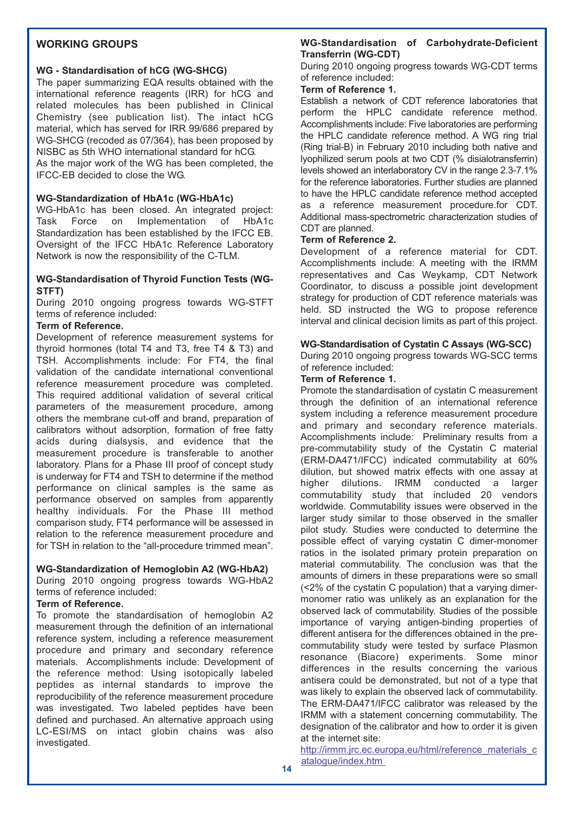#### **WORKING GROUPS**

#### **WG - Standardisation of hCG (WG-SHCG)**

The paper summarizing EQA results obtained with the international reference reagents (IRR) for hCG and related molecules has been published in Clinical Chemistry (see publication list). The intact hCG material, which has served for IRR 99/686 prepared by WG-SHCG (recoded as 07/364), has been proposed by NISBC as 5th WHO international standard for hCG. As the major work of the WG has been completed, the

IFCC-EB decided to close the WG.

#### **WG-Standardization of HbA1c (WG-HbA1c)**

WG-HbA1c has been closed. An integrated project: Task Force on Implementation of HbA1c Standardization has been established by the IFCC EB. Oversight of the IFCC HbA1c Reference Laboratory Network is now the responsibility of the C-TLM.

#### **WG-Standardisation of Thyroid Function Tests (WG-STFT)**

During 2010 ongoing progress towards WG-STFT terms of reference included:

#### **Term of Reference.**

Development of reference measurement systems for thyroid hormones (total T4 and T3, free T4 & T3) and TSH. Accomplishments include: For FT4, the final validation of the candidate international conventional reference measurement procedure was completed. This required additional validation of several critical parameters of the measurement procedure, among others the membrane cut-off and brand, preparation of calibrators without adsorption, formation of free fatty acids during dialsysis, and evidence that the measurement procedure is transferable to another laboratory. Plans for a Phase III proof of concept study is underway for FT4 and TSH to determine if the method performance on clinical samples is the same as performance observed on samples from apparently healthy individuals. For the Phase III method comparison study, FT4 performance will be assessed in relation to the reference measurement procedure and for TSH in relation to the "all-procedure trimmed mean".

#### **WG-Standardization of Hemoglobin A2 (WG-HbA2)**

During 2010 ongoing progress towards WG-HbA2 terms of reference included:

#### **Term of Reference.**

To promote the standardisation of hemoglobin A2 measurement through the definition of an international reference system, including a reference measurement procedure and primary and secondary reference materials. Accomplishments include: Development of the reference method: Using isotopically labeled peptides as internal standards to improve the reproducibility of the reference measurement procedure was investigated. Two labeled peptides have been defined and purchased. An alternative approach using LC-ESI/MS on intact globin chains was also investigated.

#### **WG-Standardisation of Carbohydrate-Deficient Transferrin (WG-CDT)**

During 2010 ongoing progress towards WG-CDT terms of reference included:

#### **Term of Reference 1.**

Establish a network of CDT reference laboratories that perform the HPLC candidate reference method. Accomplishments include: Five laboratories are performing the HPLC candidate reference method. A WG ring trial (Ring trial-B) in February 2010 including both native and lyophilized serum pools at two CDT (% disialotransferrin) levels showed an interlaboratory CV in the range 2.3-7.1% for the reference laboratories. Further studies are planned to have the HPLC candidate reference method accepted as a reference measurement procedure.for CDT. Additional mass-spectrometric characterization studies of CDT are planned.

#### **Term of Reference 2.**

Development of a reference material for CDT. Accomplishments include: A meeting with the IRMM representatives and Cas Weykamp, CDT Network Coordinator, to discuss a possible joint development strategy for production of CDT reference materials was held. SD instructed the WG to propose reference interval and clinical decision limits as part of this project.

#### **WG-Standardisation of Cystatin C Assays (WG-SCC)**

During 2010 ongoing progress towards WG-SCC terms of reference included:

#### **Term of Reference 1.**

Promote the standardisation of cystatin C measurement through the definition of an international reference system including a reference measurement procedure and primary and secondary reference materials. Accomplishments include: Preliminary results from a pre-commutability study of the Cystatin C material (ERM-DA471/IFCC) indicated commutability at 60% dilution, but showed matrix effects with one assay at higher dilutions. IRMM conducted a larger higher dilutions. IRMM conducted a larger commutability study that included 20 vendors worldwide. Commutability issues were observed in the larger study similar to those observed in the smaller pilot study. Studies were conducted to determine the possible effect of varying cystatin C dimer-monomer ratios in the isolated primary protein preparation on material commutability. The conclusion was that the amounts of dimers in these preparations were so small (<2% of the cystatin C population) that a varying dimermonomer ratio was unlikely as an explanation for the observed lack of commutability. Studies of the possible importance of varying antigen-binding properties of different antisera for the differences obtained in the precommutability study were tested by surface Plasmon resonance (Biacore) experiments. Some minor differences in the results concerning the various antisera could be demonstrated, but not of a type that was likely to explain the observed lack of commutability. The ERM-DA471/IFCC calibrator was released by the IRMM with a statement concerning commutability. The designation of the calibrator and how to order it is given at the internet site:

http://irmm.jrc.ec.europa.eu/html/reference\_materials\_c atalogue/index.htm **14**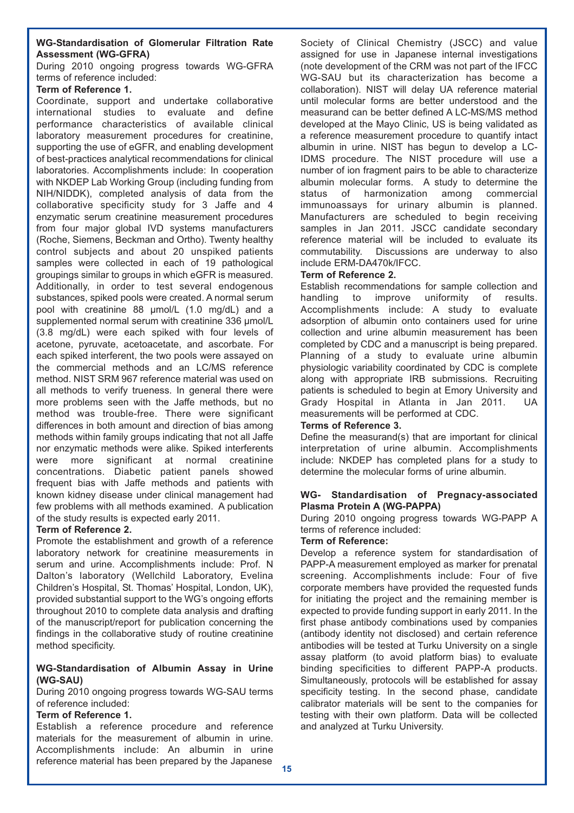#### **WG-Standardisation of Glomerular Filtration Rate Assessment (WG-GFRA)**

During 2010 ongoing progress towards WG-GFRA terms of reference included:

#### **Term of Reference 1.**

Coordinate, support and undertake collaborative international studies to evaluate and define performance characteristics of available clinical laboratory measurement procedures for creatinine, supporting the use of eGFR, and enabling development of best-practices analytical recommendations for clinical laboratories. Accomplishments include: In cooperation with NKDEP Lab Working Group (including funding from NIH/NIDDK), completed analysis of data from the collaborative specificity study for 3 Jaffe and 4 enzymatic serum creatinine measurement procedures from four major global IVD systems manufacturers (Roche, Siemens, Beckman and Ortho). Twenty healthy control subjects and about 20 unspiked patients samples were collected in each of 19 pathological groupings similar to groups in which eGFR is measured. Additionally, in order to test several endogenous substances, spiked pools were created. A normal serum pool with creatinine 88 μmol/L (1.0 mg/dL) and a supplemented normal serum with creatinine 336 μmol/L (3.8 mg/dL) were each spiked with four levels of acetone, pyruvate, acetoacetate, and ascorbate. For each spiked interferent, the two pools were assayed on the commercial methods and an LC/MS reference method. NIST SRM 967 reference material was used on all methods to verify trueness. In general there were more problems seen with the Jaffe methods, but no method was trouble-free. There were significant differences in both amount and direction of bias among methods within family groups indicating that not all Jaffe nor enzymatic methods were alike. Spiked interferents were more significant at normal creatinine concentrations. Diabetic patient panels showed frequent bias with Jaffe methods and patients with known kidney disease under clinical management had few problems with all methods examined. A publication of the study results is expected early 2011.

#### **Term of Reference 2.**

Promote the establishment and growth of a reference laboratory network for creatinine measurements in serum and urine. Accomplishments include: Prof. N Dalton's laboratory (Wellchild Laboratory, Evelina Children's Hospital, St. Thomas' Hospital, London, UK), provided substantial support to the WG's ongoing efforts throughout 2010 to complete data analysis and drafting of the manuscript/report for publication concerning the findings in the collaborative study of routine creatinine method specificity.

#### **WG-Standardisation of Albumin Assay in Urine (WG-SAU)**

During 2010 ongoing progress towards WG-SAU terms of reference included:

#### **Term of Reference 1.**

Establish a reference procedure and reference materials for the measurement of albumin in urine. Accomplishments include: An albumin in urine reference material has been prepared by the Japanese

Society of Clinical Chemistry (JSCC) and value assigned for use in Japanese internal investigations (note development of the CRM was not part of the IFCC WG-SAU but its characterization has become a collaboration). NIST will delay UA reference material until molecular forms are better understood and the measurand can be better defined A LC-MS/MS method developed at the Mayo Clinic, US is being validated as a reference measurement procedure to quantify intact albumin in urine. NIST has begun to develop a LC-IDMS procedure. The NIST procedure will use a number of ion fragment pairs to be able to characterize albumin molecular forms. A study to determine the status of harmonization among commercial immunoassays for urinary albumin is planned. Manufacturers are scheduled to begin receiving samples in Jan 2011. JSCC candidate secondary reference material will be included to evaluate its commutability. Discussions are underway to also include ERM-DA470k/IFCC.

#### **Term of Reference 2.**

Establish recommendations for sample collection and handling to improve uniformity of results. Accomplishments include: A study to evaluate adsorption of albumin onto containers used for urine collection and urine albumin measurement has been completed by CDC and a manuscript is being prepared. Planning of a study to evaluate urine albumin physiologic variability coordinated by CDC is complete along with appropriate IRB submissions. Recruiting patients is scheduled to begin at Emory University and Grady Hospital in Atlanta in Jan 2011. UA measurements will be performed at CDC.

#### **Terms of Reference 3.**

Define the measurand(s) that are important for clinical interpretation of urine albumin. Accomplishments include: NKDEP has completed plans for a study to determine the molecular forms of urine albumin.

#### **WG- Standardisation of Pregnacy-associated Plasma Protein A (WG-PAPPA)**

During 2010 ongoing progress towards WG-PAPP A terms of reference included:

#### **Term of Reference:**

Develop a reference system for standardisation of PAPP-A measurement employed as marker for prenatal screening. Accomplishments include: Four of five corporate members have provided the requested funds for initiating the project and the remaining member is expected to provide funding support in early 2011. In the first phase antibody combinations used by companies (antibody identity not disclosed) and certain reference antibodies will be tested at Turku University on a single assay platform (to avoid platform bias) to evaluate binding specificities to different PAPP-A products. Simultaneously, protocols will be established for assay specificity testing. In the second phase, candidate calibrator materials will be sent to the companies for testing with their own platform. Data will be collected and analyzed at Turku University.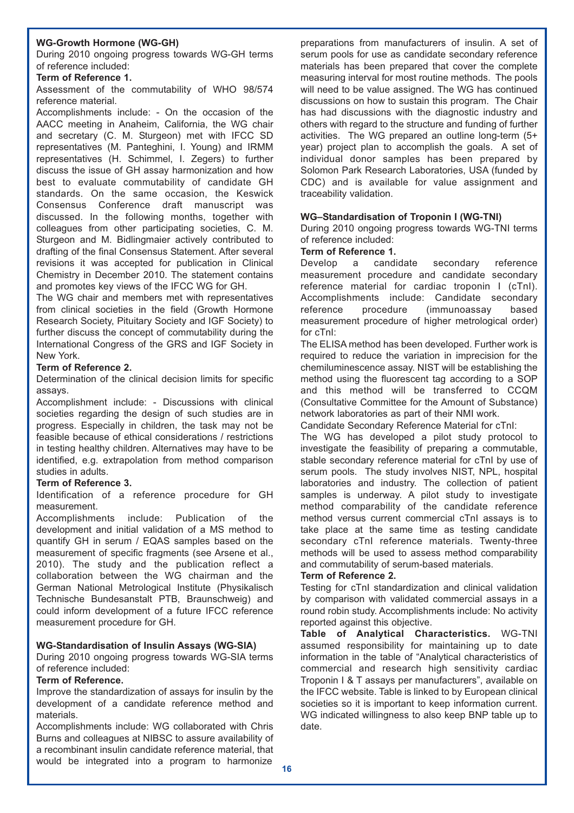#### **WG-Growth Hormone (WG-GH)**

During 2010 ongoing progress towards WG-GH terms of reference included:

#### **Term of Reference 1.**

Assessment of the commutability of WHO 98/574 reference material.

Accomplishments include: - On the occasion of the AACC meeting in Anaheim, California, the WG chair and secretary (C. M. Sturgeon) met with IFCC SD representatives (M. Panteghini, I. Young) and IRMM representatives (H. Schimmel, I. Zegers) to further discuss the issue of GH assay harmonization and how best to evaluate commutability of candidate GH standards. On the same occasion, the Keswick Consensus Conference draft manuscript was discussed. In the following months, together with colleagues from other participating societies, C. M. Sturgeon and M. Bidlingmaier actively contributed to drafting of the final Consensus Statement. After several revisions it was accepted for publication in Clinical Chemistry in December 2010. The statement contains and promotes key views of the IFCC WG for GH.

The WG chair and members met with representatives from clinical societies in the field (Growth Hormone Research Society, Pituitary Society and IGF Society) to further discuss the concept of commutability during the International Congress of the GRS and IGF Society in New York.

#### **Term of Reference 2.**

Determination of the clinical decision limits for specific assays.

Accomplishment include: - Discussions with clinical societies regarding the design of such studies are in progress. Especially in children, the task may not be feasible because of ethical considerations / restrictions in testing healthy children. Alternatives may have to be identified, e.g. extrapolation from method comparison studies in adults.

#### **Term of Reference 3.**

Identification of a reference procedure for GH measurement.

Accomplishments include: Publication of the development and initial validation of a MS method to quantify GH in serum / EQAS samples based on the measurement of specific fragments (see Arsene et al., 2010). The study and the publication reflect a collaboration between the WG chairman and the German National Metrological Institute (Physikalisch Technische Bundesanstalt PTB, Braunschweig) and could inform development of a future IFCC reference measurement procedure for GH.

#### **WG-Standardisation of Insulin Assays (WG-SIA)**

During 2010 ongoing progress towards WG-SIA terms of reference included:

#### **Term of Reference.**

Improve the standardization of assays for insulin by the development of a candidate reference method and materials.

Accomplishments include: WG collaborated with Chris Burns and colleagues at NIBSC to assure availability of a recombinant insulin candidate reference material, that would be integrated into a program to harmonize

preparations from manufacturers of insulin. A set of serum pools for use as candidate secondary reference materials has been prepared that cover the complete measuring interval for most routine methods. The pools will need to be value assigned. The WG has continued discussions on how to sustain this program. The Chair has had discussions with the diagnostic industry and others with regard to the structure and funding of further activities. The WG prepared an outline long-term (5+ year) project plan to accomplish the goals. A set of individual donor samples has been prepared by Solomon Park Research Laboratories, USA (funded by CDC) and is available for value assignment and traceability validation.

#### **WG–Standardisation of Troponin I (WG-TNI)**

During 2010 ongoing progress towards WG-TNI terms of reference included:

#### **Term of Reference 1.**

Develop a candidate secondary reference measurement procedure and candidate secondary reference material for cardiac troponin I (cTnI). Accomplishments include: Candidate secondary reference procedure (immunoassay based measurement procedure of higher metrological order) for cTnI:

The ELISA method has been developed. Further work is required to reduce the variation in imprecision for the chemiluminescence assay. NIST will be establishing the method using the fluorescent tag according to a SOP and this method will be transferred to CCQM (Consultative Committee for the Amount of Substance) network laboratories as part of their NMI work.

Candidate Secondary Reference Material for cTnI:

The WG has developed a pilot study protocol to investigate the feasibility of preparing a commutable, stable secondary reference material for cTnI by use of serum pools. The study involves NIST, NPL, hospital laboratories and industry. The collection of patient samples is underway. A pilot study to investigate method comparability of the candidate reference method versus current commercial cTnI assays is to take place at the same time as testing candidate secondary cTnI reference materials. Twenty-three methods will be used to assess method comparability and commutability of serum-based materials.

#### **Term of Reference 2.**

Testing for cTnI standardization and clinical validation by comparison with validated commercial assays in a round robin study. Accomplishments include: No activity reported against this objective.

**Table of Analytical Characteristics.** WG-TNI assumed responsibility for maintaining up to date information in the table of "Analytical characteristics of commercial and research high sensitivity cardiac Troponin I & T assays per manufacturers", available on the IFCC website. Table is linked to by European clinical societies so it is important to keep information current. WG indicated willingness to also keep BNP table up to date.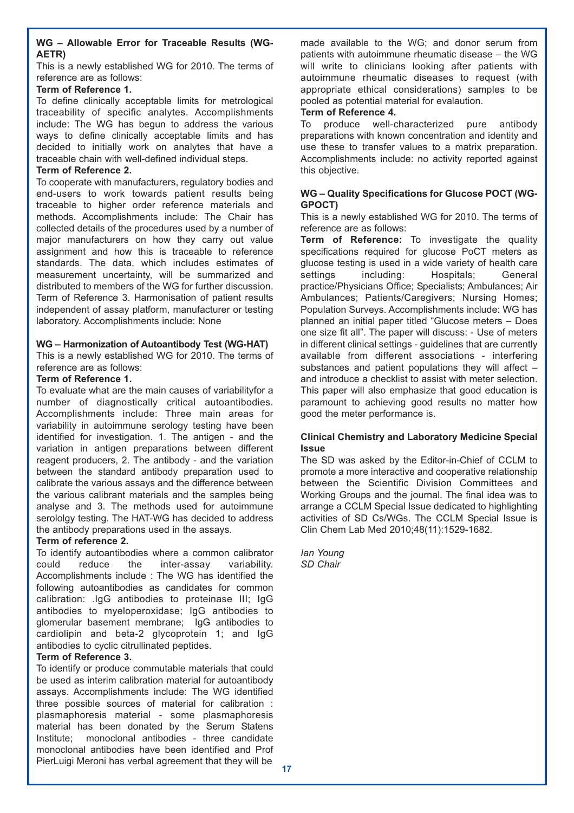#### **WG – Allowable Error for Traceable Results (WG-AETR)**

This is a newly established WG for 2010. The terms of reference are as follows:

#### **Term of Reference 1.**

To define clinically acceptable limits for metrological traceability of specific analytes. Accomplishments include: The WG has begun to address the various ways to define clinically acceptable limits and has decided to initially work on analytes that have a traceable chain with well-defined individual steps.

#### **Term of Reference 2.**

To cooperate with manufacturers, regulatory bodies and end-users to work towards patient results being traceable to higher order reference materials and methods. Accomplishments include: The Chair has collected details of the procedures used by a number of major manufacturers on how they carry out value assignment and how this is traceable to reference standards. The data, which includes estimates of measurement uncertainty, will be summarized and distributed to members of the WG for further discussion. Term of Reference 3. Harmonisation of patient results independent of assay platform, manufacturer or testing laboratory. Accomplishments include: None

#### **WG – Harmonization of Autoantibody Test (WG-HAT)**

This is a newly established WG for 2010. The terms of reference are as follows:

#### **Term of Reference 1.**

To evaluate what are the main causes of variabilityfor a number of diagnostically critical autoantibodies. Accomplishments include: Three main areas for variability in autoimmune serology testing have been identified for investigation. 1. The antigen - and the variation in antigen preparations between different reagent producers, 2. The antibody - and the variation between the standard antibody preparation used to calibrate the various assays and the difference between the various calibrant materials and the samples being analyse and 3. The methods used for autoimmune serololgy testing. The HAT-WG has decided to address the antibody preparations used in the assays.

#### **Term of reference 2.**

To identify autoantibodies where a common calibrator could reduce the inter-assay variability. Accomplishments include : The WG has identified the following autoantibodies as candidates for common calibration: .IgG antibodies to proteinase III; IgG antibodies to myeloperoxidase; IgG antibodies to glomerular basement membrane; IgG antibodies to cardiolipin and beta-2 glycoprotein 1; and IgG antibodies to cyclic citrullinated peptides.

#### **Term of Reference 3.**

To identify or produce commutable materials that could be used as interim calibration material for autoantibody assays. Accomplishments include: The WG identified three possible sources of material for calibration : plasmaphoresis material - some plasmaphoresis material has been donated by the Serum Statens Institute; monoclonal antibodies - three candidate monoclonal antibodies have been identified and Prof PierLuigi Meroni has verbal agreement that they will be

made available to the WG; and donor serum from patients with autoimmune rheumatic disease – the WG will write to clinicians looking after patients with autoimmune rheumatic diseases to request (with appropriate ethical considerations) samples to be pooled as potential material for evalaution.

#### **Term of Reference 4.**

To produce well-characterized pure antibody preparations with known concentration and identity and use these to transfer values to a matrix preparation. Accomplishments include: no activity reported against this objective.

#### **WG – Quality Specifications for Glucose POCT (WG-GPOCT)**

This is a newly established WG for 2010. The terms of reference are as follows:

**Term of Reference:** To investigate the quality specifications required for glucose PoCT meters as glucose testing is used in a wide variety of health care<br>settings including: Hospitals: General including: Hospitals; General practice/Physicians Office; Specialists; Ambulances; Air Ambulances; Patients/Caregivers; Nursing Homes; Population Surveys. Accomplishments include: WG has planned an initial paper titled "Glucose meters – Does one size fit all". The paper will discuss: - Use of meters in different clinical settings - guidelines that are currently available from different associations - interfering substances and patient populations they will affect – and introduce a checklist to assist with meter selection. This paper will also emphasize that good education is paramount to achieving good results no matter how good the meter performance is.

#### **Clinical Chemistry and Laboratory Medicine Special Issue**

The SD was asked by the Editor-in-Chief of CCLM to promote a more interactive and cooperative relationship between the Scientific Division Committees and Working Groups and the journal. The final idea was to arrange a CCLM Special Issue dedicated to highlighting activities of SD Cs/WGs. The CCLM Special Issue is Clin Chem Lab Med 2010;48(11):1529-1682.

*Ian Young SD Chair*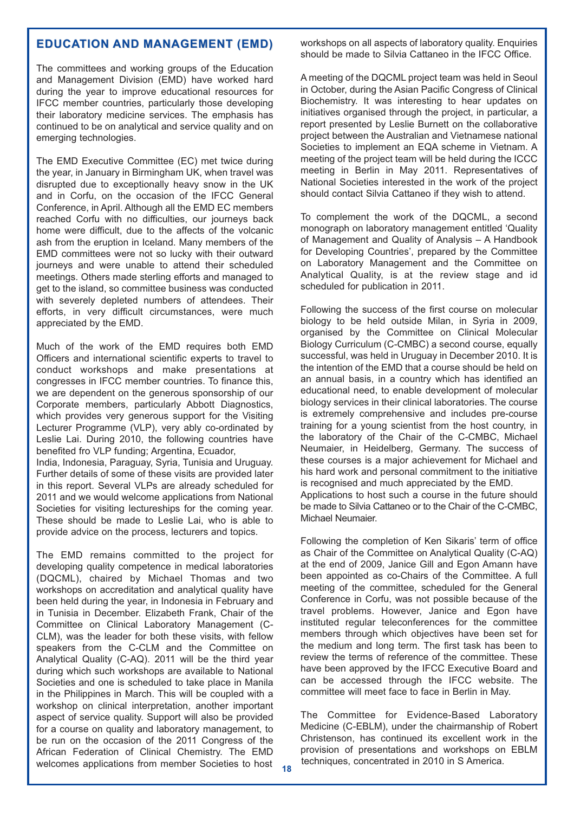#### **EDUCATION AND MANAGEMENT (EMD) EDUCATION AND MANAGEMENT (EMD)**

The committees and working groups of the Education and Management Division (EMD) have worked hard during the year to improve educational resources for IFCC member countries, particularly those developing their laboratory medicine services. The emphasis has continued to be on analytical and service quality and on emerging technologies.

The EMD Executive Committee (EC) met twice during the year, in January in Birmingham UK, when travel was disrupted due to exceptionally heavy snow in the UK and in Corfu, on the occasion of the IFCC General Conference, in April. Although all the EMD EC members reached Corfu with no difficulties, our journeys back home were difficult, due to the affects of the volcanic ash from the eruption in Iceland. Many members of the EMD committees were not so lucky with their outward journeys and were unable to attend their scheduled meetings. Others made sterling efforts and managed to get to the island, so committee business was conducted with severely depleted numbers of attendees. Their efforts, in very difficult circumstances, were much appreciated by the EMD.

Much of the work of the EMD requires both EMD Officers and international scientific experts to travel to conduct workshops and make presentations at congresses in IFCC member countries. To finance this, we are dependent on the generous sponsorship of our Corporate members, particularly Abbott Diagnostics, which provides very generous support for the Visiting Lecturer Programme (VLP), very ably co-ordinated by Leslie Lai. During 2010, the following countries have benefited fro VLP funding; Argentina, Ecuador,

India, Indonesia, Paraguay, Syria, Tunisia and Uruguay. Further details of some of these visits are provided later in this report. Several VLPs are already scheduled for 2011 and we would welcome applications from National Societies for visiting lectureships for the coming year. These should be made to Leslie Lai, who is able to provide advice on the process, lecturers and topics.

The EMD remains committed to the project for developing quality competence in medical laboratories (DQCML), chaired by Michael Thomas and two workshops on accreditation and analytical quality have been held during the year, in Indonesia in February and in Tunisia in December. Elizabeth Frank, Chair of the Committee on Clinical Laboratory Management (C-CLM), was the leader for both these visits, with fellow speakers from the C-CLM and the Committee on Analytical Quality (C-AQ). 2011 will be the third year during which such workshops are available to National Societies and one is scheduled to take place in Manila in the Philippines in March. This will be coupled with a workshop on clinical interpretation, another important aspect of service quality. Support will also be provided for a course on quality and laboratory management, to be run on the occasion of the 2011 Congress of the African Federation of Clinical Chemistry. The EMD welcomes applications from member Societies to host workshops on all aspects of laboratory quality. Enquiries should be made to Silvia Cattaneo in the IFCC Office.

A meeting of the DQCML project team was held in Seoul in October, during the Asian Pacific Congress of Clinical Biochemistry. It was interesting to hear updates on initiatives organised through the project, in particular, a report presented by Leslie Burnett on the collaborative project between the Australian and Vietnamese national Societies to implement an EQA scheme in Vietnam. A meeting of the project team will be held during the ICCC meeting in Berlin in May 2011. Representatives of National Societies interested in the work of the project should contact Silvia Cattaneo if they wish to attend.

To complement the work of the DQCML, a second monograph on laboratory management entitled 'Quality of Management and Quality of Analysis – A Handbook for Developing Countries', prepared by the Committee on Laboratory Management and the Committee on Analytical Quality, is at the review stage and id scheduled for publication in 2011.

Following the success of the first course on molecular biology to be held outside Milan, in Syria in 2009, organised by the Committee on Clinical Molecular Biology Curriculum (C-CMBC) a second course, equally successful, was held in Uruguay in December 2010. It is the intention of the EMD that a course should be held on an annual basis, in a country which has identified an educational need, to enable development of molecular biology services in their clinical laboratories. The course is extremely comprehensive and includes pre-course training for a young scientist from the host country, in the laboratory of the Chair of the C-CMBC, Michael Neumaier, in Heidelberg, Germany. The success of these courses is a major achievement for Michael and his hard work and personal commitment to the initiative is recognised and much appreciated by the EMD. Applications to host such a course in the future should be made to Silvia Cattaneo or to the Chair of the C-CMBC, Michael Neumaier.

Following the completion of Ken Sikaris' term of office as Chair of the Committee on Analytical Quality (C-AQ) at the end of 2009, Janice Gill and Egon Amann have been appointed as co-Chairs of the Committee. A full meeting of the committee, scheduled for the General Conference in Corfu, was not possible because of the travel problems. However, Janice and Egon have instituted regular teleconferences for the committee members through which objectives have been set for the medium and long term. The first task has been to review the terms of reference of the committee. These have been approved by the IFCC Executive Board and can be accessed through the IFCC website. The committee will meet face to face in Berlin in May.

The Committee for Evidence-Based Laboratory Medicine (C-EBLM), under the chairmanship of Robert Christenson, has continued its excellent work in the provision of presentations and workshops on EBLM techniques, concentrated in 2010 in S America. **18**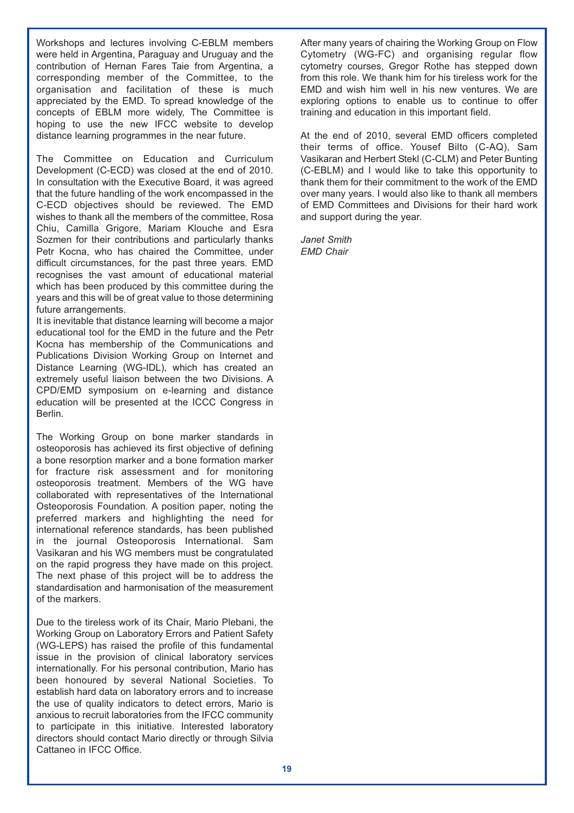Workshops and lectures involving C-EBLM members were held in Argentina, Paraguay and Uruguay and the contribution of Hernan Fares Taie from Argentina, a corresponding member of the Committee, to the organisation and facilitation of these is much appreciated by the EMD. To spread knowledge of the concepts of EBLM more widely, The Committee is hoping to use the new IFCC website to develop distance learning programmes in the near future.

The Committee on Education and Curriculum Development (C-ECD) was closed at the end of 2010. In consultation with the Executive Board, it was agreed that the future handling of the work encompassed in the C-ECD objectives should be reviewed. The EMD wishes to thank all the members of the committee, Rosa Chiu, Camilla Grigore, Mariam Klouche and Esra Sozmen for their contributions and particularly thanks Petr Kocna, who has chaired the Committee, under difficult circumstances, for the past three years. EMD recognises the vast amount of educational material which has been produced by this committee during the years and this will be of great value to those determining future arrangements.

It is inevitable that distance learning will become a major educational tool for the EMD in the future and the Petr Kocna has membership of the Communications and Publications Division Working Group on Internet and Distance Learning (WG-IDL), which has created an extremely useful liaison between the two Divisions. A CPD/EMD symposium on e-learning and distance education will be presented at the ICCC Congress in Berlin.

The Working Group on bone marker standards in osteoporosis has achieved its first objective of defining a bone resorption marker and a bone formation marker for fracture risk assessment and for monitoring osteoporosis treatment. Members of the WG have collaborated with representatives of the International Osteoporosis Foundation. A position paper, noting the preferred markers and highlighting the need for international reference standards, has been published in the journal Osteoporosis International. Sam Vasikaran and his WG members must be congratulated on the rapid progress they have made on this project. The next phase of this project will be to address the standardisation and harmonisation of the measurement of the markers.

Due to the tireless work of its Chair, Mario Plebani, the Working Group on Laboratory Errors and Patient Safety (WG-LEPS) has raised the profile of this fundamental issue in the provision of clinical laboratory services internationally. For his personal contribution, Mario has been honoured by several National Societies. To establish hard data on laboratory errors and to increase the use of quality indicators to detect errors, Mario is anxious to recruit laboratories from the IFCC community to participate in this initiative. Interested laboratory directors should contact Mario directly or through Silvia Cattaneo in IFCC Office.

After many years of chairing the Working Group on Flow Cytometry (WG-FC) and organising regular flow cytometry courses, Gregor Rothe has stepped down from this role. We thank him for his tireless work for the EMD and wish him well in his new ventures. We are exploring options to enable us to continue to offer training and education in this important field.

At the end of 2010, several EMD officers completed their terms of office. Yousef Bilto (C-AQ), Sam Vasikaran and Herbert Stekl (C-CLM) and Peter Bunting (C-EBLM) and I would like to take this opportunity to thank them for their commitment to the work of the EMD over many years. I would also like to thank all members of EMD Committees and Divisions for their hard work and support during the year.

*Janet Smith EMD Chair*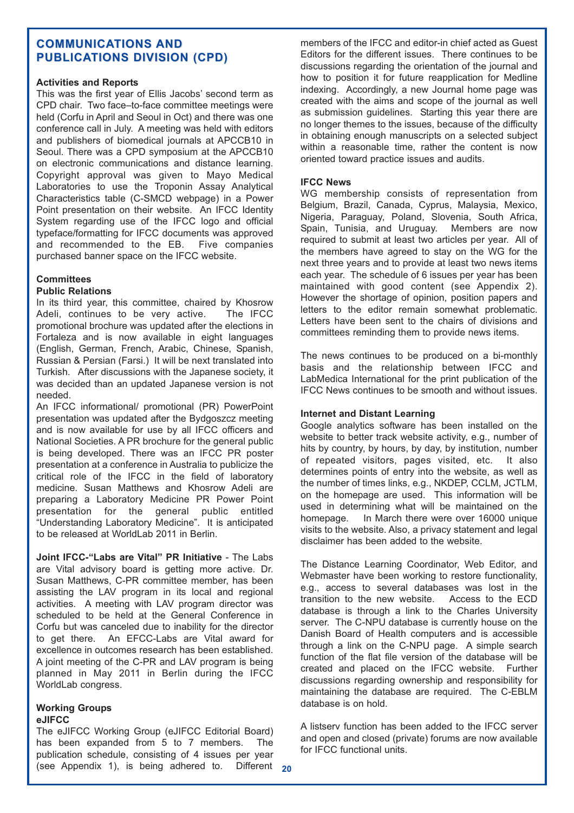#### **COMMUNICATIONS AND PUBLICATIONS DIVISION (CPD) PUBLICATIONS DIVISION (CPD)**

#### **Activities and Reports**

This was the first year of Ellis Jacobs' second term as CPD chair. Two face–to-face committee meetings were held (Corfu in April and Seoul in Oct) and there was one conference call in July. A meeting was held with editors and publishers of biomedical journals at APCCB10 in Seoul. There was a CPD symposium at the APCCB10 on electronic communications and distance learning. Copyright approval was given to Mayo Medical Laboratories to use the Troponin Assay Analytical Characteristics table (C-SMCD webpage) in a Power Point presentation on their website. An IFCC Identity System regarding use of the IFCC logo and official typeface/formatting for IFCC documents was approved and recommended to the EB. Five companies purchased banner space on the IFCC website.

#### **Committees**

#### **Public Relations**

In its third year, this committee, chaired by Khosrow Adeli, continues to be very active. The IFCC promotional brochure was updated after the elections in Fortaleza and is now available in eight languages (English, German, French, Arabic, Chinese, Spanish, Russian & Persian (Farsi.) It will be next translated into Turkish. After discussions with the Japanese society, it was decided than an updated Japanese version is not needed.

An IFCC informational/ promotional (PR) PowerPoint presentation was updated after the Bydgoszcz meeting and is now available for use by all IFCC officers and National Societies. A PR brochure for the general public is being developed. There was an IFCC PR poster presentation at a conference in Australia to publicize the critical role of the IFCC in the field of laboratory medicine. Susan Matthews and Khosrow Adeli are preparing a Laboratory Medicine PR Power Point presentation for the general public entitled "Understanding Laboratory Medicine". It is anticipated to be released at WorldLab 2011 in Berlin.

**Joint IFCC-"Labs are Vital" PR Initiative** - The Labs are Vital advisory board is getting more active. Dr. Susan Matthews, C-PR committee member, has been assisting the LAV program in its local and regional activities. A meeting with LAV program director was scheduled to be held at the General Conference in Corfu but was canceled due to inability for the director to get there. An EFCC-Labs are Vital award for excellence in outcomes research has been established. A joint meeting of the C-PR and LAV program is being planned in May 2011 in Berlin during the IFCC WorldLab congress.

#### **Working Groups eJIFCC**

The eJIFCC Working Group (eJIFCC Editorial Board) has been expanded from 5 to 7 members. The publication schedule, consisting of 4 issues per year (see Appendix 1), is being adhered to. Different **20** members of the IFCC and editor-in chief acted as Guest Editors for the different issues. There continues to be discussions regarding the orientation of the journal and how to position it for future reapplication for Medline indexing. Accordingly, a new Journal home page was created with the aims and scope of the journal as well as submission guidelines. Starting this year there are no longer themes to the issues, because of the difficulty in obtaining enough manuscripts on a selected subject within a reasonable time, rather the content is now oriented toward practice issues and audits.

#### **IFCC News**

WG membership consists of representation from Belgium, Brazil, Canada, Cyprus, Malaysia, Mexico, Nigeria, Paraguay, Poland, Slovenia, South Africa, Spain, Tunisia, and Uruguay. Members are now required to submit at least two articles per year. All of the members have agreed to stay on the WG for the next three years and to provide at least two news items each year. The schedule of 6 issues per year has been maintained with good content (see Appendix 2). However the shortage of opinion, position papers and letters to the editor remain somewhat problematic. Letters have been sent to the chairs of divisions and committees reminding them to provide news items.

The news continues to be produced on a bi-monthly basis and the relationship between IFCC and LabMedica International for the print publication of the IFCC News continues to be smooth and without issues.

#### **Internet and Distant Learning**

Google analytics software has been installed on the website to better track website activity, e.g., number of hits by country, by hours, by day, by institution, number of repeated visitors, pages visited, etc. It also determines points of entry into the website, as well as the number of times links, e.g., NKDEP, CCLM, JCTLM, on the homepage are used. This information will be used in determining what will be maintained on the homepage. In March there were over 16000 unique visits to the website. Also, a privacy statement and legal disclaimer has been added to the website.

The Distance Learning Coordinator, Web Editor, and Webmaster have been working to restore functionality, e.g., access to several databases was lost in the transition to the new website. Access to the ECD database is through a link to the Charles University server. The C-NPU database is currently house on the Danish Board of Health computers and is accessible through a link on the C-NPU page. A simple search function of the flat file version of the database will be created and placed on the IFCC website. Further discussions regarding ownership and responsibility for maintaining the database are required. The C-EBLM database is on hold.

A listserv function has been added to the IFCC server and open and closed (private) forums are now available for IFCC functional units.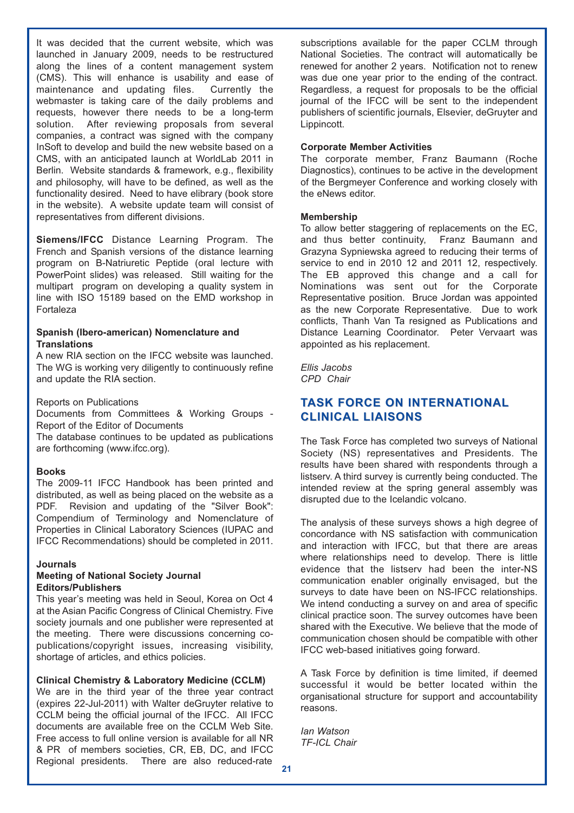It was decided that the current website, which was launched in January 2009, needs to be restructured along the lines of a content management system (CMS). This will enhance is usability and ease of maintenance and updating files. Currently the webmaster is taking care of the daily problems and requests, however there needs to be a long-term solution. After reviewing proposals from several companies, a contract was signed with the company InSoft to develop and build the new website based on a CMS, with an anticipated launch at WorldLab 2011 in Berlin. Website standards & framework, e.g., flexibility and philosophy, will have to be defined, as well as the functionality desired. Need to have elibrary (book store in the website). A website update team will consist of representatives from different divisions.

**Siemens/IFCC** Distance Learning Program. The French and Spanish versions of the distance learning program on B-Natriuretic Peptide (oral lecture with PowerPoint slides) was released. Still waiting for the multipart program on developing a quality system in line with ISO 15189 based on the EMD workshop in Fortaleza

#### **Spanish (Ibero-american) Nomenclature and Translations**

A new RIA section on the IFCC website was launched. The WG is working very diligently to continuously refine and update the RIA section.

#### Reports on Publications

Documents from Committees & Working Groups - Report of the Editor of Documents

The database continues to be updated as publications are forthcoming (www.ifcc.org).

#### **Books**

The 2009-11 IFCC Handbook has been printed and distributed, as well as being placed on the website as a PDF. Revision and updating of the "Silver Book": Compendium of Terminology and Nomenclature of Properties in Clinical Laboratory Sciences (IUPAC and IFCC Recommendations) should be completed in 2011.

#### **Journals**

#### **Meeting of National Society Journal Editors/Publishers**

This year's meeting was held in Seoul, Korea on Oct 4 at the Asian Pacific Congress of Clinical Chemistry. Five society journals and one publisher were represented at the meeting. There were discussions concerning copublications/copyright issues, increasing visibility, shortage of articles, and ethics policies.

#### **Clinical Chemistry & Laboratory Medicine (CCLM)**

We are in the third year of the three year contract (expires 22-Jul-2011) with Walter deGruyter relative to CCLM being the official journal of the IFCC. All IFCC documents are available free on the CCLM Web Site. Free access to full online version is available for all NR & PR of members societies, CR, EB, DC, and IFCC Regional presidents. There are also reduced-rate

subscriptions available for the paper CCLM through National Societies. The contract will automatically be renewed for another 2 years. Notification not to renew was due one year prior to the ending of the contract. Regardless, a request for proposals to be the official journal of the IFCC will be sent to the independent publishers of scientific journals, Elsevier, deGruyter and Lippincott.

#### **Corporate Member Activities**

The corporate member, Franz Baumann (Roche Diagnostics), continues to be active in the development of the Bergmeyer Conference and working closely with the eNews editor.

#### **Membership**

To allow better staggering of replacements on the EC, and thus better continuity, Franz Baumann and and thus better continuity, Grazyna Sypniewska agreed to reducing their terms of service to end in 2010 12 and 2011 12, respectively. The EB approved this change and a call for Nominations was sent out for the Corporate Representative position. Bruce Jordan was appointed as the new Corporate Representative. Due to work conflicts, Thanh Van Ta resigned as Publications and Distance Learning Coordinator. Peter Vervaart was appointed as his replacement.

*Ellis Jacobs CPD Chair*

#### **TASK FORCE ON INTERNATIONAL TASK FORCE ON INTERNATIONAL CLINICAL LIAISONS**

The Task Force has completed two surveys of National Society (NS) representatives and Presidents. The results have been shared with respondents through a listserv. A third survey is currently being conducted. The intended review at the spring general assembly was disrupted due to the Icelandic volcano.

The analysis of these surveys shows a high degree of concordance with NS satisfaction with communication and interaction with IFCC, but that there are areas where relationships need to develop. There is little evidence that the listserv had been the inter-NS communication enabler originally envisaged, but the surveys to date have been on NS-IFCC relationships. We intend conducting a survey on and area of specific clinical practice soon. The survey outcomes have been shared with the Executive. We believe that the mode of communication chosen should be compatible with other IFCC web-based initiatives going forward.

A Task Force by definition is time limited, if deemed successful it would be better located within the organisational structure for support and accountability reasons.

*Ian Watson TF-ICL Chair*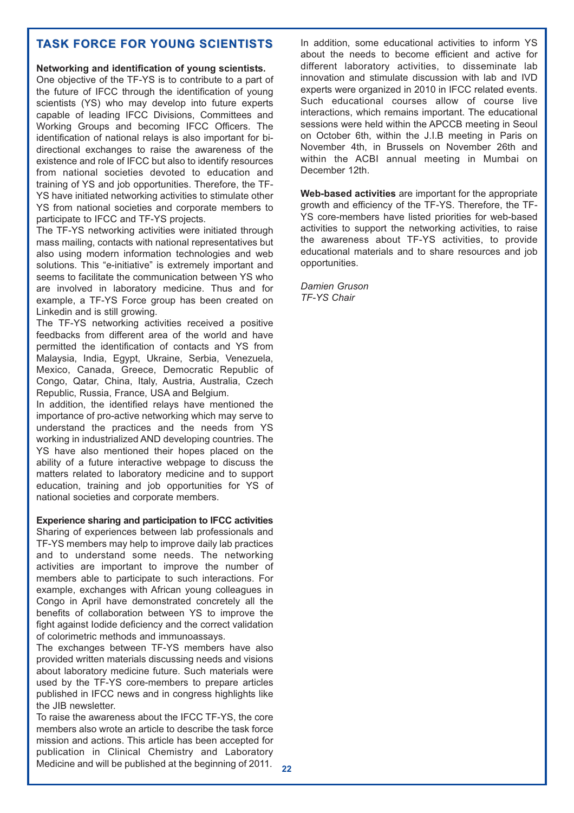# **TASK FORCE FOR YOUNG SCIENTISTS**

#### **Networking and identification of young scientists.**

One objective of the TF-YS is to contribute to a part of the future of IFCC through the identification of young scientists (YS) who may develop into future experts capable of leading IFCC Divisions, Committees and Working Groups and becoming IFCC Officers. The identification of national relays is also important for bidirectional exchanges to raise the awareness of the existence and role of IFCC but also to identify resources from national societies devoted to education and training of YS and job opportunities. Therefore, the TF-YS have initiated networking activities to stimulate other YS from national societies and corporate members to participate to IFCC and TF-YS projects.

The TF-YS networking activities were initiated through mass mailing, contacts with national representatives but also using modern information technologies and web solutions. This "e-initiative" is extremely important and seems to facilitate the communication between YS who are involved in laboratory medicine. Thus and for example, a TF-YS Force group has been created on Linkedin and is still growing.

The TF-YS networking activities received a positive feedbacks from different area of the world and have permitted the identification of contacts and YS from Malaysia, India, Egypt, Ukraine, Serbia, Venezuela, Mexico, Canada, Greece, Democratic Republic of Congo, Qatar, China, Italy, Austria, Australia, Czech Republic, Russia, France, USA and Belgium.

In addition, the identified relays have mentioned the importance of pro-active networking which may serve to understand the practices and the needs from YS working in industrialized AND developing countries. The YS have also mentioned their hopes placed on the ability of a future interactive webpage to discuss the matters related to laboratory medicine and to support education, training and job opportunities for YS of national societies and corporate members.

#### **Experience sharing and participation to IFCC activities**

Sharing of experiences between lab professionals and TF-YS members may help to improve daily lab practices and to understand some needs. The networking activities are important to improve the number of members able to participate to such interactions. For example, exchanges with African young colleagues in Congo in April have demonstrated concretely all the benefits of collaboration between YS to improve the fight against Iodide deficiency and the correct validation of colorimetric methods and immunoassays.

The exchanges between TF-YS members have also provided written materials discussing needs and visions about laboratory medicine future. Such materials were used by the TF-YS core-members to prepare articles published in IFCC news and in congress highlights like the JIB newsletter.

To raise the awareness about the IFCC TF-YS, the core members also wrote an article to describe the task force mission and actions. This article has been accepted for publication in Clinical Chemistry and Laboratory Medicine and will be published at the beginning of 2011. In addition, some educational activities to inform YS about the needs to become efficient and active for different laboratory activities, to disseminate lab innovation and stimulate discussion with lab and IVD experts were organized in 2010 in IFCC related events. Such educational courses allow of course live interactions, which remains important. The educational sessions were held within the APCCB meeting in Seoul on October 6th, within the J.I.B meeting in Paris on November 4th, in Brussels on November 26th and within the ACBI annual meeting in Mumbai on December 12th.

**Web-based activities** are important for the appropriate growth and efficiency of the TF-YS. Therefore, the TF-YS core-members have listed priorities for web-based activities to support the networking activities, to raise the awareness about TF-YS activities, to provide educational materials and to share resources and job opportunities.

*Damien Gruson TF-YS Chair*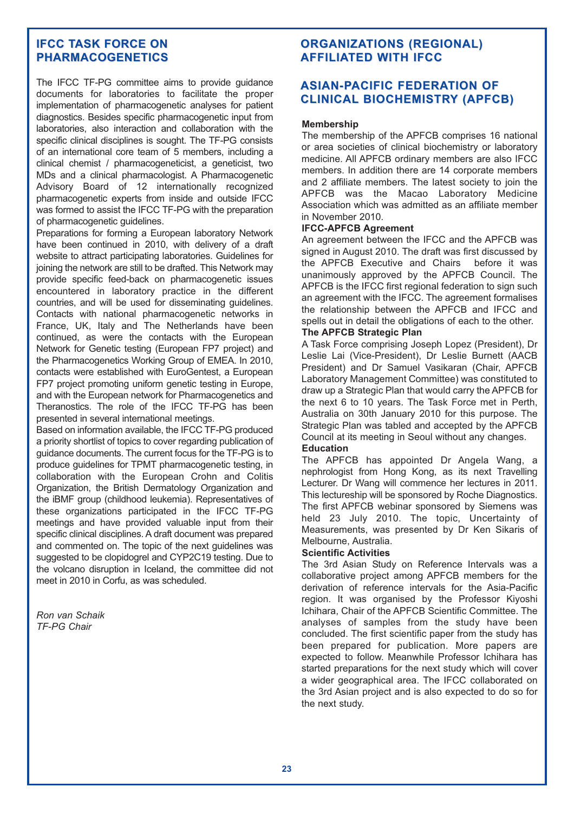#### **IFCC TASK FORCE ON PHARMACOGENETICS**

The IFCC TF-PG committee aims to provide guidance documents for laboratories to facilitate the proper implementation of pharmacogenetic analyses for patient diagnostics. Besides specific pharmacogenetic input from laboratories, also interaction and collaboration with the specific clinical disciplines is sought. The TF-PG consists of an international core team of 5 members, including a clinical chemist / pharmacogeneticist, a geneticist, two MDs and a clinical pharmacologist. A Pharmacogenetic Advisory Board of 12 internationally recognized pharmacogenetic experts from inside and outside IFCC was formed to assist the IFCC TF-PG with the preparation of pharmacogenetic guidelines.

Preparations for forming a European laboratory Network have been continued in 2010, with delivery of a draft website to attract participating laboratories. Guidelines for joining the network are still to be drafted. This Network may provide specific feed-back on pharmacogenetic issues encountered in laboratory practice in the different countries, and will be used for disseminating guidelines. Contacts with national pharmacogenetic networks in France, UK, Italy and The Netherlands have been continued, as were the contacts with the European Network for Genetic testing (European FP7 project) and the Pharmacogenetics Working Group of EMEA. In 2010, contacts were established with EuroGentest, a European FP7 project promoting uniform genetic testing in Europe, and with the European network for Pharmacogenetics and Theranostics. The role of the IFCC TF-PG has been presented in several international meetings.

Based on information available, the IFCC TF-PG produced a priority shortlist of topics to cover regarding publication of guidance documents. The current focus for the TF-PG is to produce guidelines for TPMT pharmacogenetic testing, in collaboration with the European Crohn and Colitis Organization, the British Dermatology Organization and the iBMF group (childhood leukemia). Representatives of these organizations participated in the IFCC TF-PG meetings and have provided valuable input from their specific clinical disciplines. A draft document was prepared and commented on. The topic of the next guidelines was suggested to be clopidogrel and CYP2C19 testing. Due to the volcano disruption in Iceland, the committee did not meet in 2010 in Corfu, as was scheduled.

*Ron van Schaik TF-PG Chair*

# **ORGANIZATIONS (REGIONAL) ORGANIZATIONS (REGIONAL) AFFILIATED WITH IFCC**

### **ASIAN-PACIFIC FEDERATION OF ASIAN-PACIFIC FEDERATION OF CLINICAL BIOCHEMISTRY (APFCB) BIOCHEMISTRY (APFCB)**

#### **Membership**

The membership of the APFCB comprises 16 national or area societies of clinical biochemistry or laboratory medicine. All APFCB ordinary members are also IFCC members. In addition there are 14 corporate members and 2 affiliate members. The latest society to join the APFCB was the Macao Laboratory Medicine Association which was admitted as an affiliate member in November 2010.

#### **IFCC-APFCB Agreement**

An agreement between the IFCC and the APFCB was signed in August 2010. The draft was first discussed by the APFCB Executive and Chairs before it was unanimously approved by the APFCB Council. The APFCB is the IFCC first regional federation to sign such an agreement with the IFCC. The agreement formalises the relationship between the APFCB and IFCC and spells out in detail the obligations of each to the other.

#### **The APFCB Strategic Plan**

A Task Force comprising Joseph Lopez (President), Dr Leslie Lai (Vice-President), Dr Leslie Burnett (AACB President) and Dr Samuel Vasikaran (Chair, APFCB Laboratory Management Committee) was constituted to draw up a Strategic Plan that would carry the APFCB for the next 6 to 10 years. The Task Force met in Perth, Australia on 30th January 2010 for this purpose. The Strategic Plan was tabled and accepted by the APFCB Council at its meeting in Seoul without any changes.

#### **Education**

The APFCB has appointed Dr Angela Wang, a nephrologist from Hong Kong, as its next Travelling Lecturer. Dr Wang will commence her lectures in 2011. This lectureship will be sponsored by Roche Diagnostics. The first APFCB webinar sponsored by Siemens was held 23 July 2010. The topic, Uncertainty of Measurements, was presented by Dr Ken Sikaris of Melbourne, Australia.

#### **Scientific Activities**

The 3rd Asian Study on Reference Intervals was a collaborative project among APFCB members for the derivation of reference intervals for the Asia-Pacific region. It was organised by the Professor Kiyoshi Ichihara, Chair of the APFCB Scientific Committee. The analyses of samples from the study have been concluded. The first scientific paper from the study has been prepared for publication. More papers are expected to follow. Meanwhile Professor Ichihara has started preparations for the next study which will cover a wider geographical area. The IFCC collaborated on the 3rd Asian project and is also expected to do so for the next study.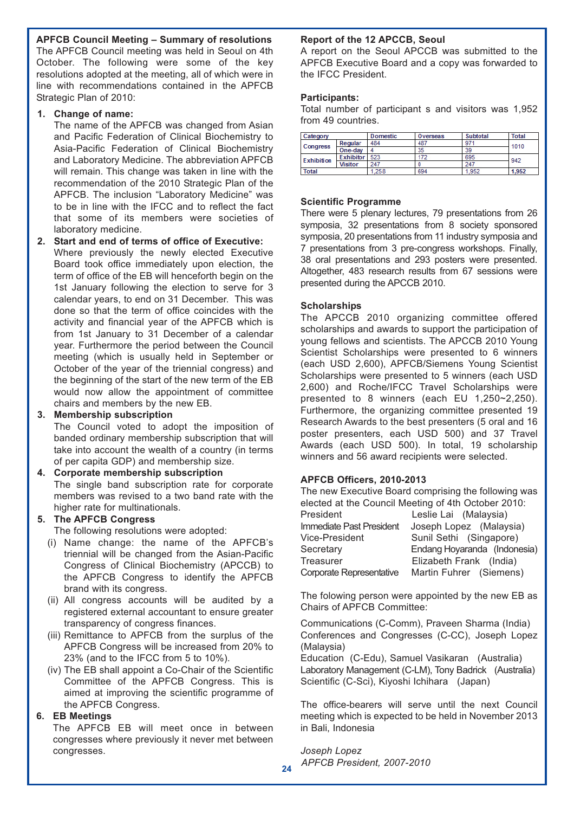**APFCB Council Meeting – Summary of resolutions**

The APFCB Council meeting was held in Seoul on 4th October. The following were some of the key resolutions adopted at the meeting, all of which were in line with recommendations contained in the APFCB Strategic Plan of 2010:

#### **1. Change of name:**

The name of the APFCB was changed from Asian and Pacific Federation of Clinical Biochemistry to Asia-Pacific Federation of Clinical Biochemistry and Laboratory Medicine. The abbreviation APFCB will remain. This change was taken in line with the recommendation of the 2010 Strategic Plan of the APFCB. The inclusion "Laboratory Medicine" was to be in line with the IFCC and to reflect the fact that some of its members were societies of laboratory medicine.

#### **2. Start and end of terms of office of Executive:**

Where previously the newly elected Executive Board took office immediately upon election, the term of office of the EB will henceforth begin on the 1st January following the election to serve for 3 calendar years, to end on 31 December. This was done so that the term of office coincides with the activity and financial year of the APFCB which is from 1st January to 31 December of a calendar year. Furthermore the period between the Council meeting (which is usually held in September or October of the year of the triennial congress) and the beginning of the start of the new term of the EB would now allow the appointment of committee chairs and members by the new EB.

#### **3. Membership subscription**

The Council voted to adopt the imposition of banded ordinary membership subscription that will take into account the wealth of a country (in terms of per capita GDP) and membership size.

#### **4. Corporate membership subscription**

The single band subscription rate for corporate members was revised to a two band rate with the higher rate for multinationals.

#### **5. The APFCB Congress**

The following resolutions were adopted:

- (i) Name change: the name of the APFCB's triennial will be changed from the Asian-Pacific Congress of Clinical Biochemistry (APCCB) to the APFCB Congress to identify the APFCB brand with its congress.
- (ii) All congress accounts will be audited by a registered external accountant to ensure greater transparency of congress finances.
- (iii) Remittance to APFCB from the surplus of the APFCB Congress will be increased from 20% to 23% (and to the IFCC from 5 to 10%).
- (iv) The EB shall appoint a Co-Chair of the Scientific Committee of the APFCB Congress. This is aimed at improving the scientific programme of the APFCB Congress.

#### **6. EB Meetings**

The APFCB EB will meet once in between congresses where previously it never met between congresses.

#### **Report of the 12 APCCB, Seoul**

A report on the Seoul APCCB was submitted to the APFCB Executive Board and a copy was forwarded to the IFCC President.

#### **Participants:**

Total number of participant s and visitors was 1,952 from 49 countries.

| Category          |                  | Domestic | Overseas | Subtotal | Total |
|-------------------|------------------|----------|----------|----------|-------|
| <b>Congress</b>   | Regular          | 484      | 487      | 97'      | 1010  |
|                   | One-day          |          | 35       | 39       |       |
| <b>Exhibition</b> | <b>Exhibitor</b> | 523      | 172      | 695      | 942   |
|                   | Visitor          | 247      |          | 247      |       |
| Total             |                  | .258     | 694      | 1.952    | 1.952 |

#### **Scientific Programme**

There were 5 plenary lectures, 79 presentations from 26 symposia, 32 presentations from 8 society sponsored symposia, 20 presentations from 11 industry symposia and 7 presentations from 3 pre-congress workshops. Finally, 38 oral presentations and 293 posters were presented. Altogether, 483 research results from 67 sessions were presented during the APCCB 2010.

#### **Scholarships**

The APCCB 2010 organizing committee offered scholarships and awards to support the participation of young fellows and scientists. The APCCB 2010 Young Scientist Scholarships were presented to 6 winners (each USD 2,600), APFCB/Siemens Young Scientist Scholarships were presented to 5 winners (each USD 2,600) and Roche/IFCC Travel Scholarships were presented to 8 winners (each EU 1,250~2,250). Furthermore, the organizing committee presented 19 Research Awards to the best presenters (5 oral and 16 poster presenters, each USD 500) and 37 Travel Awards (each USD 500). In total, 19 scholarship winners and 56 award recipients were selected.

#### **APFCB Officers, 2010-2013**

The new Executive Board comprising the following was elected at the Council Meeting of 4th October 2010:

| President                | Leslie Lai (Malaysia)        |
|--------------------------|------------------------------|
| Immediate Past President | Joseph Lopez (Malaysia)      |
| Vice-President           | Sunil Sethi (Singapore)      |
| Secretary                | Endang Hoyaranda (Indonesia) |
| Treasurer                | Elizabeth Frank (India)      |
| Corporate Representative | Martin Fuhrer (Siemens)      |

The folowing person were appointed by the new EB as Chairs of APFCB Committee:

Communications (C-Comm), Praveen Sharma (India) Conferences and Congresses (C-CC), Joseph Lopez (Malaysia)

Education (C-Edu), Samuel Vasikaran (Australia) Laboratory Management (C-LM), Tony Badrick (Australia) Scientific (C-Sci), Kiyoshi Ichihara (Japan)

The office-bearers will serve until the next Council meeting which is expected to be held in November 2013 in Bali, Indonesia

*Joseph Lopez APFCB President, 2007-2010* **<sup>24</sup>**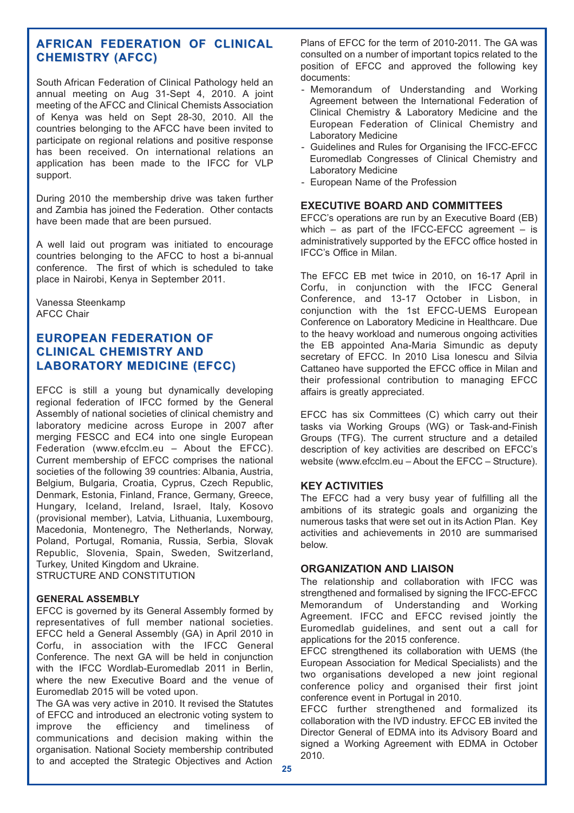#### **AFRICAN FEDERATION OF CLINICAL AFRICAN FEDERATION OF CLINICAL CHEMISTRY (AFCC) CHEMISTRY (AFCC)**

South African Federation of Clinical Pathology held an annual meeting on Aug 31-Sept 4, 2010. A joint meeting of the AFCC and Clinical Chemists Association of Kenya was held on Sept 28-30, 2010. All the countries belonging to the AFCC have been invited to participate on regional relations and positive response has been received. On international relations an application has been made to the IFCC for VLP support.

During 2010 the membership drive was taken further and Zambia has joined the Federation. Other contacts have been made that are been pursued.

A well laid out program was initiated to encourage countries belonging to the AFCC to host a bi-annual conference. The first of which is scheduled to take place in Nairobi, Kenya in September 2011.

Vanessa Steenkamp AFCC Chair

#### **EUROPEAN FEDERATION OF CLINICAL CHEMISTRY AND LABORATORY MEDICINE (EFCC)**

EFCC is still a young but dynamically developing regional federation of IFCC formed by the General Assembly of national societies of clinical chemistry and laboratory medicine across Europe in 2007 after merging FESCC and EC4 into one single European Federation (www.efcclm.eu – About the EFCC). Current membership of EFCC comprises the national societies of the following 39 countries: Albania, Austria, Belgium, Bulgaria, Croatia, Cyprus, Czech Republic, Denmark, Estonia, Finland, France, Germany, Greece, Hungary, Iceland, Ireland, Israel, Italy, Kosovo (provisional member), Latvia, Lithuania, Luxembourg, Macedonia, Montenegro, The Netherlands, Norway, Poland, Portugal, Romania, Russia, Serbia, Slovak Republic, Slovenia, Spain, Sweden, Switzerland, Turkey, United Kingdom and Ukraine. STRUCTURE AND CONSTITUTION

#### **GENERAL ASSEMBLY**

EFCC is governed by its General Assembly formed by representatives of full member national societies. EFCC held a General Assembly (GA) in April 2010 in Corfu, in association with the IFCC General Conference. The next GA will be held in conjunction with the IFCC Wordlab-Euromedlab 2011 in Berlin, where the new Executive Board and the venue of Euromedlab 2015 will be voted upon.

The GA was very active in 2010. It revised the Statutes of EFCC and introduced an electronic voting system to improve the efficiency and timeliness of communications and decision making within the organisation. National Society membership contributed to and accepted the Strategic Objectives and Action Plans of EFCC for the term of 2010-2011. The GA was consulted on a number of important topics related to the position of EFCC and approved the following key documents:

- Memorandum of Understanding and Working Agreement between the International Federation of Clinical Chemistry & Laboratory Medicine and the European Federation of Clinical Chemistry and Laboratory Medicine
- Guidelines and Rules for Organising the IFCC-EFCC Euromedlab Congresses of Clinical Chemistry and Laboratory Medicine
- European Name of the Profession

#### **EXECUTIVE BOARD AND COMMITTEES**

EFCC's operations are run by an Executive Board (EB) which – as part of the IFCC-EFCC agreement – is administratively supported by the EFCC office hosted in IFCC's Office in Milan.

The EFCC EB met twice in 2010, on 16-17 April in Corfu, in conjunction with the IFCC General Conference, and 13-17 October in Lisbon, in conjunction with the 1st EFCC-UEMS European Conference on Laboratory Medicine in Healthcare. Due to the heavy workload and numerous ongoing activities the EB appointed Ana-Maria Simundic as deputy secretary of EFCC. In 2010 Lisa Ionescu and Silvia Cattaneo have supported the EFCC office in Milan and their professional contribution to managing EFCC affairs is greatly appreciated.

EFCC has six Committees (C) which carry out their tasks via Working Groups (WG) or Task-and-Finish Groups (TFG). The current structure and a detailed description of key activities are described on EFCC's website (www.efcclm.eu – About the EFCC – Structure).

#### **KEY ACTIVITIES**

The EFCC had a very busy year of fulfilling all the ambitions of its strategic goals and organizing the numerous tasks that were set out in its Action Plan. Key activities and achievements in 2010 are summarised below.

#### **ORGANIZATION AND LIAISON**

The relationship and collaboration with IFCC was strengthened and formalised by signing the IFCC-EFCC Memorandum of Understanding and Working Agreement. IFCC and EFCC revised jointly the Euromedlab guidelines, and sent out a call for applications for the 2015 conference.

EFCC strengthened its collaboration with UEMS (the European Association for Medical Specialists) and the two organisations developed a new joint regional conference policy and organised their first joint conference event in Portugal in 2010.

EFCC further strengthened and formalized its collaboration with the IVD industry. EFCC EB invited the Director General of EDMA into its Advisory Board and signed a Working Agreement with EDMA in October 2010.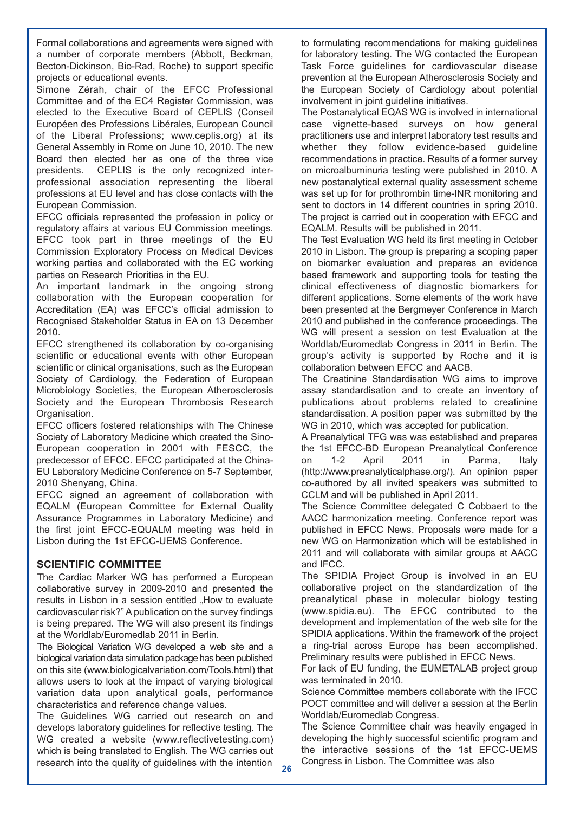Formal collaborations and agreements were signed with a number of corporate members (Abbott, Beckman, Becton-Dickinson, Bio-Rad, Roche) to support specific projects or educational events.

Simone Zérah, chair of the EFCC Professional Committee and of the EC4 Register Commission, was elected to the Executive Board of CEPLIS (Conseil Européen des Professions Libérales, European Council of the Liberal Professions; www.ceplis.org) at its General Assembly in Rome on June 10, 2010. The new Board then elected her as one of the three vice presidents. CEPLIS is the only recognized interprofessional association representing the liberal professions at EU level and has close contacts with the European Commission.

EFCC officials represented the profession in policy or regulatory affairs at various EU Commission meetings. EFCC took part in three meetings of the EU Commission Exploratory Process on Medical Devices working parties and collaborated with the EC working parties on Research Priorities in the EU.

An important landmark in the ongoing strong collaboration with the European cooperation for Accreditation (EA) was EFCC's official admission to Recognised Stakeholder Status in EA on 13 December 2010.

EFCC strengthened its collaboration by co-organising scientific or educational events with other European scientific or clinical organisations, such as the European Society of Cardiology, the Federation of European Microbiology Societies, the European Atherosclerosis Society and the European Thrombosis Research Organisation.

EFCC officers fostered relationships with The Chinese Society of Laboratory Medicine which created the Sino-European cooperation in 2001 with FESCC, the predecessor of EFCC. EFCC participated at the China-EU Laboratory Medicine Conference on 5-7 September, 2010 Shenyang, China.

EFCC signed an agreement of collaboration with EQALM (European Committee for External Quality Assurance Programmes in Laboratory Medicine) and the first joint EFCC-EQUALM meeting was held in Lisbon during the 1st EFCC-UEMS Conference.

#### **SCIENTIFIC COMMITTEE**

The Cardiac Marker WG has performed a European collaborative survey in 2009-2010 and presented the results in Lisbon in a session entitled "How to evaluate cardiovascular risk?" A publication on the survey findings is being prepared. The WG will also present its findings at the Worldlab/Euromedlab 2011 in Berlin.

The Biological Variation WG developed a web site and a biological variation data simulation package has been published on this site (www.biologicalvariation.com/Tools.html) that allows users to look at the impact of varying biological variation data upon analytical goals, performance characteristics and reference change values.

The Guidelines WG carried out research on and develops laboratory guidelines for reflective testing. The WG created a website (www.reflectivetesting.com) which is being translated to English. The WG carries out research into the quality of guidelines with the intention

to formulating recommendations for making guidelines for laboratory testing. The WG contacted the European Task Force guidelines for cardiovascular disease prevention at the European Atherosclerosis Society and the European Society of Cardiology about potential involvement in joint guideline initiatives.

The Postanalytical EQAS WG is involved in international case vignette-based surveys on how general practitioners use and interpret laboratory test results and whether they follow evidence-based guideline recommendations in practice. Results of a former survey on microalbuminuria testing were published in 2010. A new postanalytical external quality assessment scheme was set up for for prothrombin time-INR monitoring and sent to doctors in 14 different countries in spring 2010. The project is carried out in cooperation with EFCC and EQALM. Results will be published in 2011.

The Test Evaluation WG held its first meeting in October 2010 in Lisbon. The group is preparing a scoping paper on biomarker evaluation and prepares an evidence based framework and supporting tools for testing the clinical effectiveness of diagnostic biomarkers for different applications. Some elements of the work have been presented at the Bergmeyer Conference in March 2010 and published in the conference proceedings. The WG will present a session on test Evaluation at the Worldlab/Euromedlab Congress in 2011 in Berlin. The group's activity is supported by Roche and it is collaboration between EFCC and AACB.

The Creatinine Standardisation WG aims to improve assay standardisation and to create an inventory of publications about problems related to creatinine standardisation. A position paper was submitted by the WG in 2010, which was accepted for publication.

A Preanalytical TFG was was established and prepares the 1st EFCC-BD European Preanalytical Conference on 1-2 April 2011 in Parma, Italy (http://www.preanalyticalphase.org/). An opinion paper co-authored by all invited speakers was submitted to CCLM and will be published in April 2011.

The Science Committee delegated C Cobbaert to the AACC harmonization meeting. Conference report was published in EFCC News. Proposals were made for a new WG on Harmonization which will be established in 2011 and will collaborate with similar groups at AACC and IFCC.

The SPIDIA Project Group is involved in an EU collaborative project on the standardization of the preanalytical phase in molecular biology testing (www.spidia.eu). The EFCC contributed to the development and implementation of the web site for the SPIDIA applications. Within the framework of the project a ring-trial across Europe has been accomplished. Preliminary results were published in EFCC News.

For lack of EU funding, the EUMETALAB project group was terminated in 2010.

Science Committee members collaborate with the IFCC POCT committee and will deliver a session at the Berlin Worldlab/Euromedlab Congress.

The Science Committee chair was heavily engaged in developing the highly successful scientific program and the interactive sessions of the 1st EFCC-UEMS Congress in Lisbon. The Committee was also **26**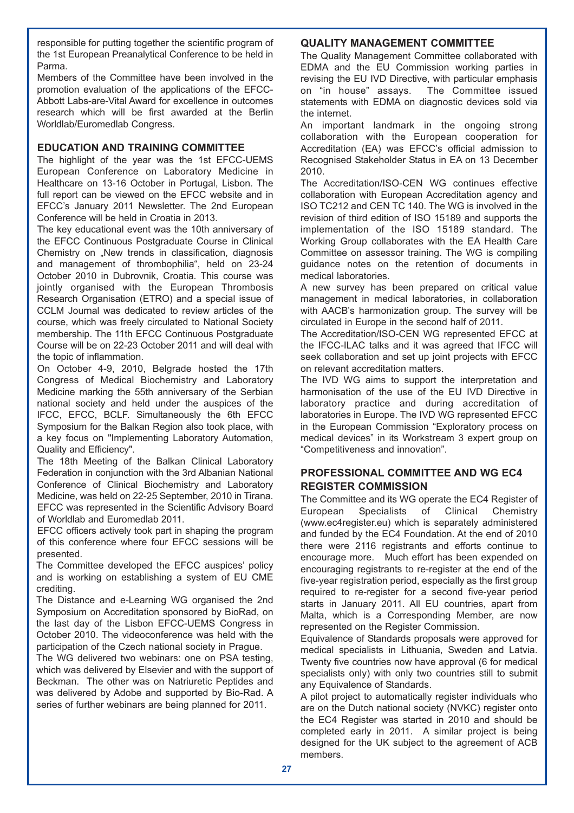responsible for putting together the scientific program of the 1st European Preanalytical Conference to be held in Parma.

Members of the Committee have been involved in the promotion evaluation of the applications of the EFCC-Abbott Labs-are-Vital Award for excellence in outcomes research which will be first awarded at the Berlin Worldlab/Euromedlab Congress.

#### **EDUCATION AND TRAINING COMMITTEE**

The highlight of the year was the 1st EFCC-UEMS European Conference on Laboratory Medicine in Healthcare on 13-16 October in Portugal, Lisbon. The full report can be viewed on the EFCC website and in EFCC's January 2011 Newsletter. The 2nd European Conference will be held in Croatia in 2013.

The key educational event was the 10th anniversary of the EFCC Continuous Postgraduate Course in Clinical Chemistry on "New trends in classification, diagnosis and management of thrombophilia", held on 23-24 October 2010 in Dubrovnik, Croatia. This course was jointly organised with the European Thrombosis Research Organisation (ETRO) and a special issue of CCLM Journal was dedicated to review articles of the course, which was freely circulated to National Society membership. The 11th EFCC Continuous Postgraduate Course will be on 22-23 October 2011 and will deal with the topic of inflammation.

On October 4-9, 2010, Belgrade hosted the 17th Congress of Medical Biochemistry and Laboratory Medicine marking the 55th anniversary of the Serbian national society and held under the auspices of the IFCC, EFCC, BCLF. Simultaneously the 6th EFCC Symposium for the Balkan Region also took place, with a key focus on "Implementing Laboratory Automation, Quality and Efficiency".

The 18th Meeting of the Balkan Clinical Laboratory Federation in conjunction with the 3rd Albanian National Conference of Clinical Biochemistry and Laboratory Medicine, was held on 22-25 September, 2010 in Tirana. EFCC was represented in the Scientific Advisory Board of Worldlab and Euromedlab 2011.

EFCC officers actively took part in shaping the program of this conference where four EFCC sessions will be presented.

The Committee developed the EFCC auspices' policy and is working on establishing a system of EU CME crediting.

The Distance and e-Learning WG organised the 2nd Symposium on Accreditation sponsored by BioRad, on the last day of the Lisbon EFCC-UEMS Congress in October 2010. The videoconference was held with the participation of the Czech national society in Prague.

The WG delivered two webinars: one on PSA testing, which was delivered by Elsevier and with the support of Beckman. The other was on Natriuretic Peptides and was delivered by Adobe and supported by Bio-Rad. A series of further webinars are being planned for 2011.

#### **QUALITY MANAGEMENT COMMITTEE**

The Quality Management Committee collaborated with EDMA and the EU Commission working parties in revising the EU IVD Directive, with particular emphasis on "in house" assays. The Committee issued statements with EDMA on diagnostic devices sold via the internet.

An important landmark in the ongoing strong collaboration with the European cooperation for Accreditation (EA) was EFCC's official admission to Recognised Stakeholder Status in EA on 13 December 2010.

The Accreditation/ISO-CEN WG continues effective collaboration with European Accreditation agency and ISO TC212 and CEN TC 140. The WG is involved in the revision of third edition of ISO 15189 and supports the implementation of the ISO 15189 standard. The Working Group collaborates with the EA Health Care Committee on assessor training. The WG is compiling guidance notes on the retention of documents in medical laboratories.

A new survey has been prepared on critical value management in medical laboratories, in collaboration with AACB's harmonization group. The survey will be circulated in Europe in the second half of 2011.

The Accreditation/ISO-CEN WG represented EFCC at the IFCC-ILAC talks and it was agreed that IFCC will seek collaboration and set up joint projects with EFCC on relevant accreditation matters.

The IVD WG aims to support the interpretation and harmonisation of the use of the EU IVD Directive in laboratory practice and during accreditation of laboratories in Europe. The IVD WG represented EFCC in the European Commission "Exploratory process on medical devices" in its Workstream 3 expert group on "Competitiveness and innovation".

#### **PROFESSIONAL COMMITTEE AND WG EC4 REGISTER COMMISSION**

The Committee and its WG operate the EC4 Register of European Specialists of Clinical Chemistry (www.ec4register.eu) which is separately administered and funded by the EC4 Foundation. At the end of 2010 there were 2116 registrants and efforts continue to encourage more. Much effort has been expended on encouraging registrants to re-register at the end of the five-year registration period, especially as the first group required to re-register for a second five-year period starts in January 2011. All EU countries, apart from Malta, which is a Corresponding Member, are now represented on the Register Commission.

Equivalence of Standards proposals were approved for medical specialists in Lithuania, Sweden and Latvia. Twenty five countries now have approval (6 for medical specialists only) with only two countries still to submit any Equivalence of Standards.

A pilot project to automatically register individuals who are on the Dutch national society (NVKC) register onto the EC4 Register was started in 2010 and should be completed early in 2011. A similar project is being designed for the UK subject to the agreement of ACB members.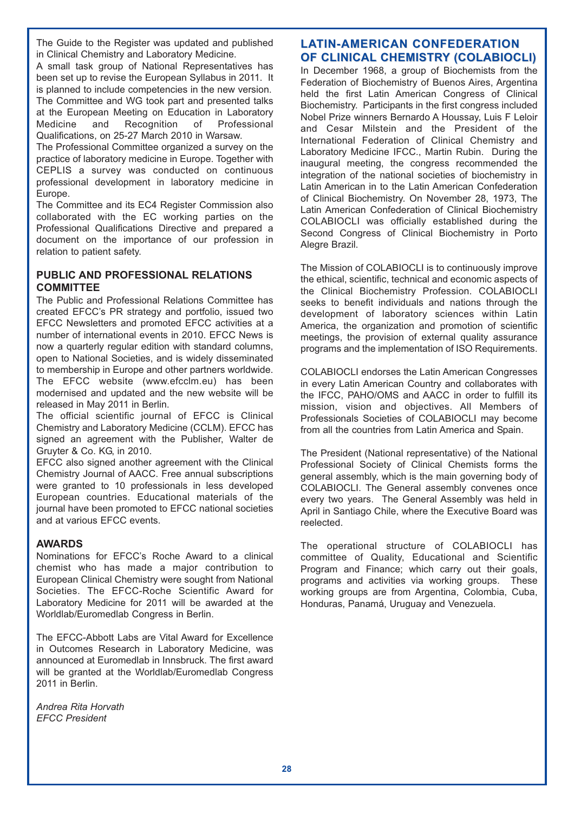The Guide to the Register was updated and published in Clinical Chemistry and Laboratory Medicine.

A small task group of National Representatives has been set up to revise the European Syllabus in 2011. It is planned to include competencies in the new version. The Committee and WG took part and presented talks at the European Meeting on Education in Laboratory Medicine and Recognition of Professional Qualifications, on 25-27 March 2010 in Warsaw.

The Professional Committee organized a survey on the practice of laboratory medicine in Europe. Together with CEPLIS a survey was conducted on continuous professional development in laboratory medicine in Europe.

The Committee and its EC4 Register Commission also collaborated with the EC working parties on the Professional Qualifications Directive and prepared a document on the importance of our profession in relation to patient safety.

#### **PUBLIC AND PROFESSIONAL RELATIONS COMMITTEE**

The Public and Professional Relations Committee has created EFCC's PR strategy and portfolio, issued two EFCC Newsletters and promoted EFCC activities at a number of international events in 2010. EFCC News is now a quarterly regular edition with standard columns, open to National Societies, and is widely disseminated to membership in Europe and other partners worldwide. The EFCC website (www.efcclm.eu) has been modernised and updated and the new website will be released in May 2011 in Berlin.

The official scientific journal of EFCC is Clinical Chemistry and Laboratory Medicine (CCLM). EFCC has signed an agreement with the Publisher. Walter de Gruyter & Co. KG, in 2010.

EFCC also signed another agreement with the Clinical Chemistry Journal of AACC. Free annual subscriptions were granted to 10 professionals in less developed European countries. Educational materials of the journal have been promoted to EFCC national societies and at various EFCC events.

#### **AWARDS**

Nominations for EFCC's Roche Award to a clinical chemist who has made a major contribution to European Clinical Chemistry were sought from National Societies. The EFCC-Roche Scientific Award for Laboratory Medicine for 2011 will be awarded at the Worldlab/Euromedlab Congress in Berlin.

The EFCC-Abbott Labs are Vital Award for Excellence in Outcomes Research in Laboratory Medicine, was announced at Euromedlab in Innsbruck. The first award will be granted at the Worldlab/Euromedlab Congress 2011 in Berlin.

*Andrea Rita Horvath EFCC President* 

#### **LATIN-AMERICAN CONFEDERATION OF CLINICAL CHEMISTRY (COLABIOCLI)**

In December 1968, a group of Biochemists from the Federation of Biochemistry of Buenos Aires, Argentina held the first Latin American Congress of Clinical Biochemistry. Participants in the first congress included Nobel Prize winners Bernardo A Houssay, Luis F Leloir and Cesar Milstein and the President of the International Federation of Clinical Chemistry and Laboratory Medicine IFCC., Martin Rubin. During the inaugural meeting, the congress recommended the integration of the national societies of biochemistry in Latin American in to the Latin American Confederation of Clinical Biochemistry. On November 28, 1973, The Latin American Confederation of Clinical Biochemistry COLABIOCLI was officially established during the Second Congress of Clinical Biochemistry in Porto Alegre Brazil.

The Mission of COLABIOCLI is to continuously improve the ethical, scientific, technical and economic aspects of the Clinical Biochemistry Profession. COLABIOCLI seeks to benefit individuals and nations through the development of laboratory sciences within Latin America, the organization and promotion of scientific meetings, the provision of external quality assurance programs and the implementation of ISO Requirements.

COLABIOCLI endorses the Latin American Congresses in every Latin American Country and collaborates with the IFCC, PAHO/OMS and AACC in order to fulfill its mission, vision and objectives. All Members of Professionals Societies of COLABIOCLI may become from all the countries from Latin America and Spain.

The President (National representative) of the National Professional Society of Clinical Chemists forms the general assembly, which is the main governing body of COLABIOCLI. The General assembly convenes once every two years. The General Assembly was held in April in Santiago Chile, where the Executive Board was reelected.

The operational structure of COLABIOCLI has committee of Quality, Educational and Scientific Program and Finance; which carry out their goals, programs and activities via working groups. These working groups are from Argentina, Colombia, Cuba, Honduras, Panamá, Uruguay and Venezuela.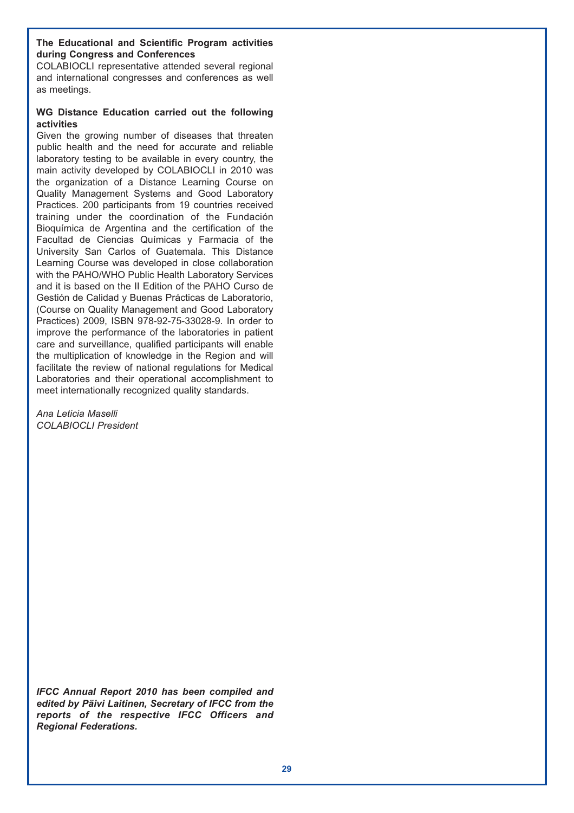#### **The Educational and Scientific Program activities during Congress and Conferences**

COLABIOCLI representative attended several regional and international congresses and conferences as well as meetings.

#### **WG Distance Education carried out the following activities**

Given the growing number of diseases that threaten public health and the need for accurate and reliable laboratory testing to be available in every country, the main activity developed by COLABIOCLI in 2010 was the organization of a Distance Learning Course on Quality Management Systems and Good Laboratory Practices. 200 participants from 19 countries received training under the coordination of the Fundación Bioquímica de Argentina and the certification of the Facultad de Ciencias Químicas y Farmacia of the University San Carlos of Guatemala. This Distance Learning Course was developed in close collaboration with the PAHO/WHO Public Health Laboratory Services and it is based on the II Edition of the PAHO Curso de Gestión de Calidad y Buenas Prácticas de Laboratorio, (Course on Quality Management and Good Laboratory Practices) 2009, ISBN 978-92-75-33028-9. In order to improve the performance of the laboratories in patient care and surveillance, qualified participants will enable the multiplication of knowledge in the Region and will facilitate the review of national regulations for Medical Laboratories and their operational accomplishment to meet internationally recognized quality standards.

*Ana Leticia Maselli COLABIOCLI President*

*IFCC Annual Report 2010 has been compiled and edited by Päivi Laitinen, Secretary of IFCC from the reports of the respective IFCC Officers and Regional Federations.*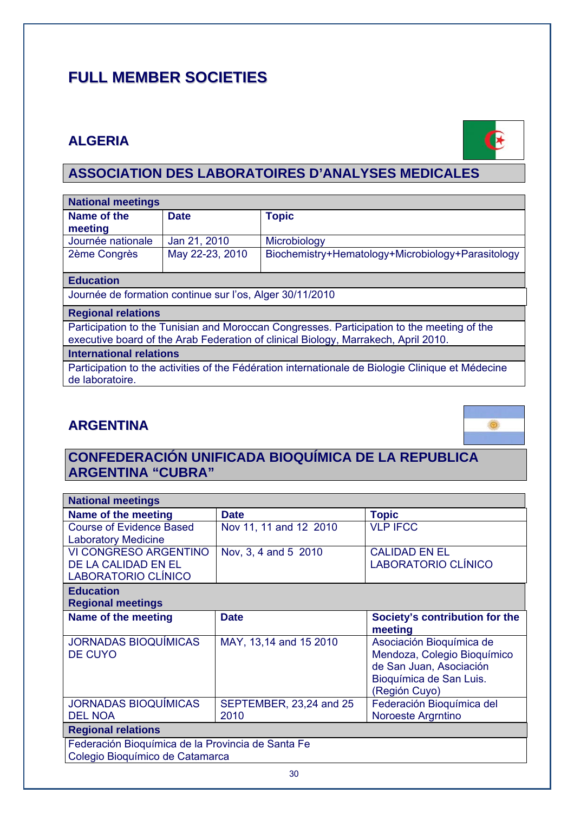# **FULL MEMBER SOCIETIES**

# **ALGERIA**



# **ASSOCIATION DES LABORATOIRES D'ANALYSES MEDICALES**

| <b>National meetings</b>                                                                                                                                                         |                 |                                                   |  |
|----------------------------------------------------------------------------------------------------------------------------------------------------------------------------------|-----------------|---------------------------------------------------|--|
| Name of the                                                                                                                                                                      | <b>Date</b>     | <b>Topic</b>                                      |  |
| meeting                                                                                                                                                                          |                 |                                                   |  |
| Journée nationale                                                                                                                                                                | Jan 21, 2010    | Microbiology                                      |  |
| 2ème Congrès                                                                                                                                                                     | May 22-23, 2010 | Biochemistry+Hematology+Microbiology+Parasitology |  |
|                                                                                                                                                                                  |                 |                                                   |  |
| <b>Education</b>                                                                                                                                                                 |                 |                                                   |  |
| Journée de formation continue sur l'os, Alger 30/11/2010                                                                                                                         |                 |                                                   |  |
| <b>Regional relations</b>                                                                                                                                                        |                 |                                                   |  |
| Participation to the Tunisian and Moroccan Congresses. Participation to the meeting of the<br>executive board of the Arab Federation of clinical Biology, Marrakech, April 2010. |                 |                                                   |  |

#### **International relations**

Participation to the activities of the Fédération internationale de Biologie Clinique et Médecine de laboratoire.

# **ARGENTINA**



# **CONFEDERACIÓN UNIFICADA BIOQUÍMICA DE LA REPUBLICA ARGENTINA "CUBRA"**

| <b>National meetings</b>                          |                         |                                |  |
|---------------------------------------------------|-------------------------|--------------------------------|--|
| Name of the meeting                               | <b>Date</b>             | <b>Topic</b>                   |  |
| <b>Course of Evidence Based</b>                   | Nov 11, 11 and 12 2010  | <b>VLP IFCC</b>                |  |
| <b>Laboratory Medicine</b>                        |                         |                                |  |
| VI CONGRESO ARGENTINO                             | Nov, 3, 4 and 5 2010    | <b>CALIDAD EN EL</b>           |  |
| DE LA CALIDAD EN EL                               |                         | LABORATORIO CLÍNICO            |  |
| LABORATORIO CLÍNICO                               |                         |                                |  |
| <b>Education</b>                                  |                         |                                |  |
| <b>Regional meetings</b>                          |                         |                                |  |
| Name of the meeting                               | <b>Date</b>             | Society's contribution for the |  |
|                                                   |                         | meeting                        |  |
| <b>JORNADAS BIOQUÍMICAS</b>                       | MAY, 13,14 and 15 2010  | Asociación Bioquímica de       |  |
| <b>DE CUYO</b>                                    |                         | Mendoza, Colegio Bioquímico    |  |
|                                                   |                         | de San Juan, Asociación        |  |
|                                                   |                         | Bioquímica de San Luis.        |  |
|                                                   |                         | (Región Cuyo)                  |  |
| <b>JORNADAS BIOQUÍMICAS</b>                       | SEPTEMBER, 23,24 and 25 | Federación Bioquímica del      |  |
| <b>DEL NOA</b>                                    | 2010                    | Noroeste Argrntino             |  |
| <b>Regional relations</b>                         |                         |                                |  |
| Federación Bioquímica de la Provincia de Santa Fe |                         |                                |  |
| Colegio Bioquímico de Catamarca                   |                         |                                |  |
|                                                   |                         |                                |  |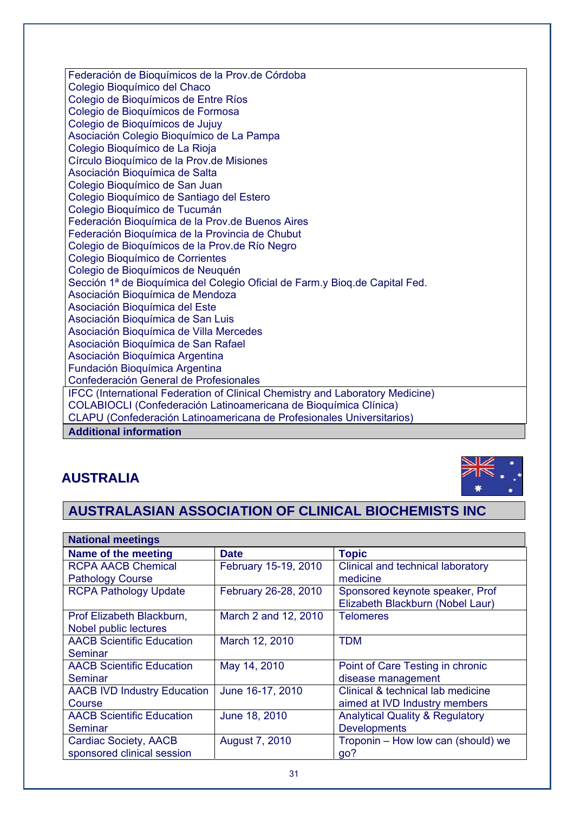Federación de Bioquímicos de la Prov.de Córdoba Colegio Bioquímico del Chaco Colegio de Bioquímicos de Entre Ríos Colegio de Bioquímicos de Formosa Colegio de Bioquímicos de Jujuy Asociación Colegio Bioquímico de La Pampa Colegio Bioquímico de La Rioja Círculo Bioquímico de la Prov.de Misiones Asociación Bioquímica de Salta Colegio Bioquímico de San Juan Colegio Bioquímico de Santiago del Estero Colegio Bioquímico de Tucumán Federación Bioquímica de la Prov.de Buenos Aires Federación Bioquímica de la Provincia de Chubut Colegio de Bioquímicos de la Prov.de Río Negro Colegio Bioquímico de Corrientes Colegio de Bioquímicos de Neuquén Sección 1ª de Bioquímica del Colegio Oficial de Farm.y Bioq.de Capital Fed. Asociación Bioquímica de Mendoza Asociación Bioquímica del Este Asociación Bioquímica de San Luis Asociación Bioquímica de Villa Mercedes Asociación Bioquímica de San Rafael Asociación Bioquímica Argentina Fundación Bioquímica Argentina Confederación General de Profesionales IFCC (International Federation of Clinical Chemistry and Laboratory Medicine) COLABIOCLI (Confederación Latinoamericana de Bioquímica Clínica) CLAPU (Confederación Latinoamericana de Profesionales Universitarios) **Additional information**

# **AUSTRALIA**



# **AUSTRALASIAN ASSOCIATION OF CLINICAL BIOCHEMISTS INC**

| <b>National meetings</b>           |                       |                                            |
|------------------------------------|-----------------------|--------------------------------------------|
| Name of the meeting                | <b>Date</b>           | <b>Topic</b>                               |
| <b>RCPA AACB Chemical</b>          | February 15-19, 2010  | Clinical and technical laboratory          |
| <b>Pathology Course</b>            |                       | medicine                                   |
| <b>RCPA Pathology Update</b>       | February 26-28, 2010  | Sponsored keynote speaker, Prof            |
|                                    |                       | Elizabeth Blackburn (Nobel Laur)           |
| Prof Elizabeth Blackburn,          | March 2 and 12, 2010  | <b>Telomeres</b>                           |
| Nobel public lectures              |                       |                                            |
| <b>AACB Scientific Education</b>   | March 12, 2010        | <b>TDM</b>                                 |
| Seminar                            |                       |                                            |
| <b>AACB Scientific Education</b>   | May 14, 2010          | Point of Care Testing in chronic           |
| Seminar                            |                       | disease management                         |
| <b>AACB IVD Industry Education</b> | June 16-17, 2010      | Clinical & technical lab medicine          |
| Course                             |                       | aimed at IVD Industry members              |
| <b>AACB Scientific Education</b>   | June 18, 2010         | <b>Analytical Quality &amp; Regulatory</b> |
| Seminar                            |                       | <b>Developments</b>                        |
| Cardiac Society, AACB              | <b>August 7, 2010</b> | Troponin - How low can (should) we         |
| sponsored clinical session         |                       | go?                                        |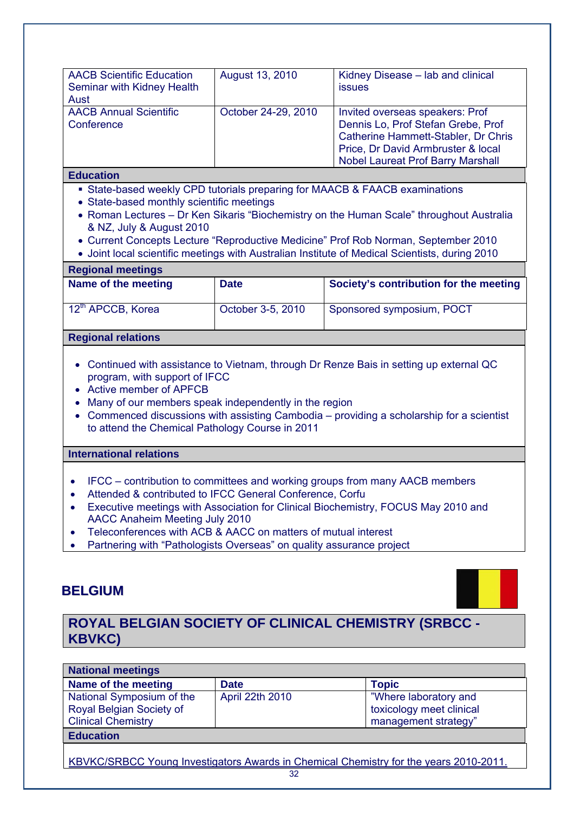| <b>AACB Scientific Education</b><br>Seminar with Kidney Health<br>Aust | August 13, 2010     | Kidney Disease - lab and clinical<br><i>issues</i>                                                                                                                                             |
|------------------------------------------------------------------------|---------------------|------------------------------------------------------------------------------------------------------------------------------------------------------------------------------------------------|
| <b>AACB Annual Scientific</b><br>Conference                            | October 24-29, 2010 | Invited overseas speakers: Prof<br>Dennis Lo, Prof Stefan Grebe, Prof<br>Catherine Hammett-Stabler, Dr Chris<br>Price, Dr David Armbruster & local<br><b>Nobel Laureat Prof Barry Marshall</b> |

#### **Education**

- State-based weekly CPD tutorials preparing for MAACB & FAACB examinations
- State-based monthly scientific meetings
- Roman Lectures Dr Ken Sikaris "Biochemistry on the Human Scale" throughout Australia & NZ, July & August 2010
- Current Concepts Lecture "Reproductive Medicine" Prof Rob Norman, September 2010
- Joint local scientific meetings with Australian Institute of Medical Scientists, during 2010

#### **Regional meetings**

| Name of the meeting           | <b>Date</b>       | Society's contribution for the meeting |
|-------------------------------|-------------------|----------------------------------------|
| 12 <sup>th</sup> APCCB, Korea | October 3-5, 2010 | Sponsored symposium, POCT              |

#### **Regional relations**

- Continued with assistance to Vietnam, through Dr Renze Bais in setting up external QC program, with support of IFCC
- Active member of APFCB
- Many of our members speak independently in the region
- Commenced discussions with assisting Cambodia providing a scholarship for a scientist to attend the Chemical Pathology Course in 2011

#### **International relations**

- IFCC contribution to committees and working groups from many AACB members
- Attended & contributed to IFCC General Conference, Corfu
- Executive meetings with Association for Clinical Biochemistry, FOCUS May 2010 and AACC Anaheim Meeting July 2010
- Teleconferences with ACB & AACC on matters of mutual interest
- Partnering with "Pathologists Overseas" on quality assurance project

# **BELGIUM**

# **ROYAL BELGIAN SOCIETY OF CLINICAL CHEMISTRY (SRBCC - KBVKC)**

| <b>National meetings</b>                                                              |                 |                          |  |
|---------------------------------------------------------------------------------------|-----------------|--------------------------|--|
| Name of the meeting                                                                   | <b>Date</b>     | <b>Topic</b>             |  |
| National Symposium of the                                                             | April 22th 2010 | "Where laboratory and    |  |
| Royal Belgian Society of                                                              |                 | toxicology meet clinical |  |
| <b>Clinical Chemistry</b>                                                             |                 | management strategy"     |  |
| <b>Education</b>                                                                      |                 |                          |  |
|                                                                                       |                 |                          |  |
| KBVKC/SRBCC Young Investigators Awards in Chemical Chemistry for the years 2010-2011. |                 |                          |  |
| 32                                                                                    |                 |                          |  |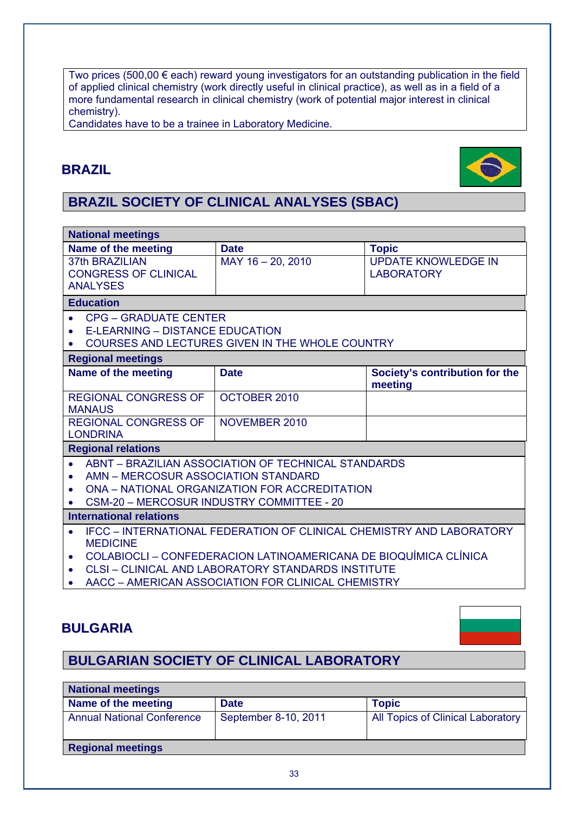Two prices (500,00  $\epsilon$  each) reward young investigators for an outstanding publication in the field of applied clinical chemistry (work directly useful in clinical practice), as well as in a field of a more fundamental research in clinical chemistry (work of potential major interest in clinical chemistry).

Candidates have to be a trainee in Laboratory Medicine.

# **BRAZIL**



# **BRAZIL SOCIETY OF CLINICAL ANALYSES (SBAC)**

| <b>National meetings</b>                                                                             |                                                                                                                                        |                                           |  |
|------------------------------------------------------------------------------------------------------|----------------------------------------------------------------------------------------------------------------------------------------|-------------------------------------------|--|
| Name of the meeting                                                                                  | <b>Date</b>                                                                                                                            | <b>Topic</b>                              |  |
| <b>37th BRAZILIAN</b>                                                                                | MAY 16 - 20, 2010                                                                                                                      | <b>UPDATE KNOWLEDGE IN</b>                |  |
| <b>CONGRESS OF CLINICAL</b>                                                                          |                                                                                                                                        | <b>LABORATORY</b>                         |  |
| <b>ANALYSES</b>                                                                                      |                                                                                                                                        |                                           |  |
| <b>Education</b>                                                                                     |                                                                                                                                        |                                           |  |
| <b>CPG - GRADUATE CENTER</b>                                                                         |                                                                                                                                        |                                           |  |
| E-LEARNING - DISTANCE EDUCATION<br>$\bullet$                                                         |                                                                                                                                        |                                           |  |
|                                                                                                      | COURSES AND LECTURES GIVEN IN THE WHOLE COUNTRY                                                                                        |                                           |  |
| <b>Regional meetings</b>                                                                             |                                                                                                                                        |                                           |  |
| Name of the meeting                                                                                  | <b>Date</b>                                                                                                                            | Society's contribution for the<br>meeting |  |
| <b>REGIONAL CONGRESS OF</b><br><b>MANAUS</b>                                                         | OCTOBER 2010                                                                                                                           |                                           |  |
| <b>REGIONAL CONGRESS OF</b><br><b>LONDRINA</b>                                                       | NOVEMBER 2010                                                                                                                          |                                           |  |
| <b>Regional relations</b>                                                                            |                                                                                                                                        |                                           |  |
| ABNT - BRAZILIAN ASSOCIATION OF TECHNICAL STANDARDS<br>$\bullet$                                     |                                                                                                                                        |                                           |  |
| AMN - MERCOSUR ASSOCIATION STANDARD                                                                  |                                                                                                                                        |                                           |  |
| ONA - NATIONAL ORGANIZATION FOR ACCREDITATION                                                        |                                                                                                                                        |                                           |  |
| CSM-20 - MERCOSUR INDUSTRY COMMITTEE - 20                                                            |                                                                                                                                        |                                           |  |
| <b>International relations</b>                                                                       |                                                                                                                                        |                                           |  |
| IFCC - INTERNATIONAL FEDERATION OF CLINICAL CHEMISTRY AND LABORATORY<br>$\bullet$<br><b>MEDICINE</b> |                                                                                                                                        |                                           |  |
| $\bullet$                                                                                            | COLABIOCLI - CONFEDERACION LATINOAMERICANA DE BIOQUÍMICA CLÍNICA<br>$1111011$ $111011$ $100011$ $70011$ $0711101$ $001001$ $110717117$ |                                           |  |

- CLSI CLINICAL AND LABORATORY STANDARDS INSTITUTE
- AACC AMERICAN ASSOCIATION FOR CLINICAL CHEMISTRY

# **BULGARIA**

# **BULGARIAN SOCIETY OF CLINICAL LABORATORY**

| <b>National meetings</b>          |                      |                                   |
|-----------------------------------|----------------------|-----------------------------------|
| Name of the meeting               | <b>Date</b>          | <b>Topic</b>                      |
| <b>Annual National Conference</b> | September 8-10, 2011 | All Topics of Clinical Laboratory |
| <b>Regional meetings</b>          |                      |                                   |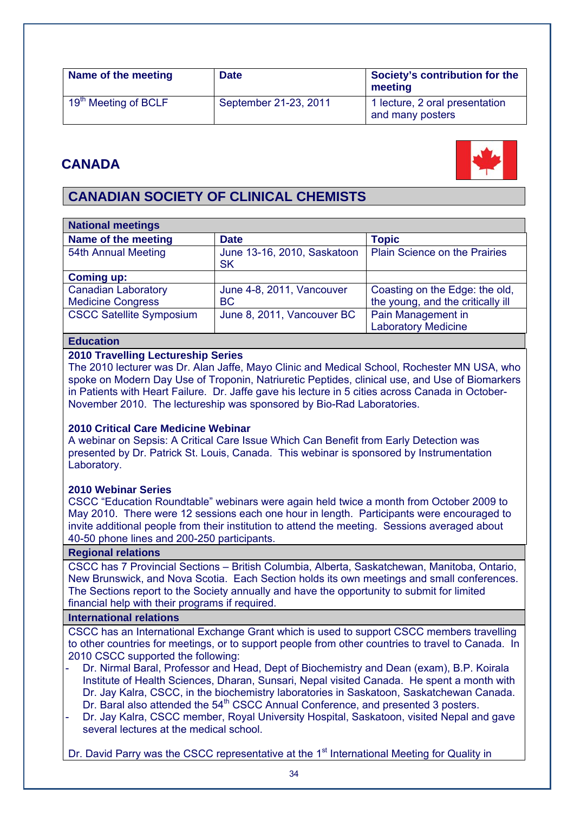| Name of the meeting              | <b>Date</b>           | Society's contribution for the<br>meeting          |
|----------------------------------|-----------------------|----------------------------------------------------|
| 19 <sup>th</sup> Meeting of BCLF | September 21-23, 2011 | 1 lecture, 2 oral presentation<br>and many posters |

# **CANADA**



# **CANADIAN SOCIETY OF CLINICAL CHEMISTS**

| <b>National meetings</b>        |                                          |                                      |
|---------------------------------|------------------------------------------|--------------------------------------|
| Name of the meeting             | <b>Date</b>                              | <b>Topic</b>                         |
| 54th Annual Meeting             | June 13-16, 2010, Saskatoon<br><b>SK</b> | <b>Plain Science on the Prairies</b> |
| <b>Coming up:</b>               |                                          |                                      |
| <b>Canadian Laboratory</b>      | June 4-8, 2011, Vancouver                | Coasting on the Edge: the old,       |
| <b>Medicine Congress</b>        | <b>BC</b>                                | the young, and the critically ill    |
| <b>CSCC Satellite Symposium</b> | June 8, 2011, Vancouver BC               | Pain Management in                   |
|                                 |                                          | <b>Laboratory Medicine</b>           |

#### **Education**

#### **2010 Travelling Lectureship Series**

The 2010 lecturer was Dr. Alan Jaffe, Mayo Clinic and Medical School, Rochester MN USA, who spoke on Modern Day Use of Troponin, Natriuretic Peptides, clinical use, and Use of Biomarkers in Patients with Heart Failure. Dr. Jaffe gave his lecture in 5 cities across Canada in October-November 2010. The lectureship was sponsored by Bio-Rad Laboratories.

#### **2010 Critical Care Medicine Webinar**

A webinar on Sepsis: A Critical Care Issue Which Can Benefit from Early Detection was presented by Dr. Patrick St. Louis, Canada. This webinar is sponsored by Instrumentation Laboratory.

#### **2010 Webinar Series**

CSCC "Education Roundtable" webinars were again held twice a month from October 2009 to May 2010. There were 12 sessions each one hour in length. Participants were encouraged to invite additional people from their institution to attend the meeting. Sessions averaged about 40-50 phone lines and 200-250 participants.

#### **Regional relations**

CSCC has 7 Provincial Sections – British Columbia, Alberta, Saskatchewan, Manitoba, Ontario, New Brunswick, and Nova Scotia. Each Section holds its own meetings and small conferences. The Sections report to the Society annually and have the opportunity to submit for limited financial help with their programs if required.

#### **International relations**

CSCC has an International Exchange Grant which is used to support CSCC members travelling to other countries for meetings, or to support people from other countries to travel to Canada. In 2010 CSCC supported the following:

- Dr. Nirmal Baral, Professor and Head, Dept of Biochemistry and Dean (exam), B.P. Koirala Institute of Health Sciences, Dharan, Sunsari, Nepal visited Canada. He spent a month with Dr. Jay Kalra, CSCC, in the biochemistry laboratories in Saskatoon, Saskatchewan Canada.
	- Dr. Baral also attended the 54<sup>th</sup> CSCC Annual Conference, and presented 3 posters.
- Dr. Jay Kalra, CSCC member, Royal University Hospital, Saskatoon, visited Nepal and gave several lectures at the medical school.

Dr. David Parry was the CSCC representative at the 1<sup>st</sup> International Meeting for Quality in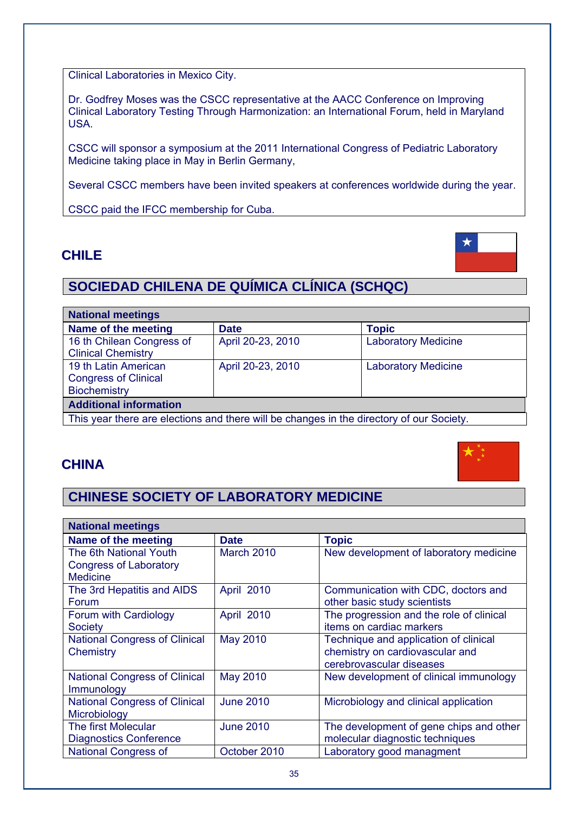Clinical Laboratories in Mexico City.

Dr. Godfrey Moses was the CSCC representative at the AACC Conference on Improving Clinical Laboratory Testing Through Harmonization: an International Forum, held in Maryland USA.

CSCC will sponsor a symposium at the 2011 International Congress of Pediatric Laboratory Medicine taking place in May in Berlin Germany,

Several CSCC members have been invited speakers at conferences worldwide during the year.

CSCC paid the IFCC membership for Cuba.

# **CHILE**

# **SOCIEDAD CHILENA DE QUÍMICA CLÍNICA (SCHQC)**

| <b>National meetings</b>                                                                 |                   |                            |
|------------------------------------------------------------------------------------------|-------------------|----------------------------|
| Name of the meeting                                                                      | <b>Date</b>       | <b>Topic</b>               |
| 16 th Chilean Congress of                                                                | April 20-23, 2010 | <b>Laboratory Medicine</b> |
| <b>Clinical Chemistry</b>                                                                |                   |                            |
| 19 th Latin American                                                                     | April 20-23, 2010 | <b>Laboratory Medicine</b> |
| <b>Congress of Clinical</b>                                                              |                   |                            |
| <b>Biochemistry</b>                                                                      |                   |                            |
| <b>Additional information</b>                                                            |                   |                            |
| This year there are elections and there will be changes in the directory of our Society. |                   |                            |

# **CHINA**

# **CHINESE SOCIETY OF LABORATORY MEDICINE**

| <b>National meetings</b>             |                  |                                          |
|--------------------------------------|------------------|------------------------------------------|
| Name of the meeting                  | <b>Date</b>      | <b>Topic</b>                             |
| The 6th National Youth               | March 2010       | New development of laboratory medicine   |
| <b>Congress of Laboratory</b>        |                  |                                          |
| <b>Medicine</b>                      |                  |                                          |
| The 3rd Hepatitis and AIDS           | April 2010       | Communication with CDC, doctors and      |
| Forum                                |                  | other basic study scientists             |
| Forum with Cardiology                | April 2010       | The progression and the role of clinical |
| Society                              |                  | items on cardiac markers                 |
| <b>National Congress of Clinical</b> | May 2010         | Technique and application of clinical    |
| Chemistry                            |                  | chemistry on cardiovascular and          |
|                                      |                  | cerebrovascular diseases                 |
| <b>National Congress of Clinical</b> | <b>May 2010</b>  | New development of clinical immunology   |
| Immunology                           |                  |                                          |
| <b>National Congress of Clinical</b> | <b>June 2010</b> | Microbiology and clinical application    |
| Microbiology                         |                  |                                          |
| The first Molecular                  | <b>June 2010</b> | The development of gene chips and other  |
| <b>Diagnostics Conference</b>        |                  | molecular diagnostic techniques          |
| <b>National Congress of</b>          | October 2010     | Laboratory good managment                |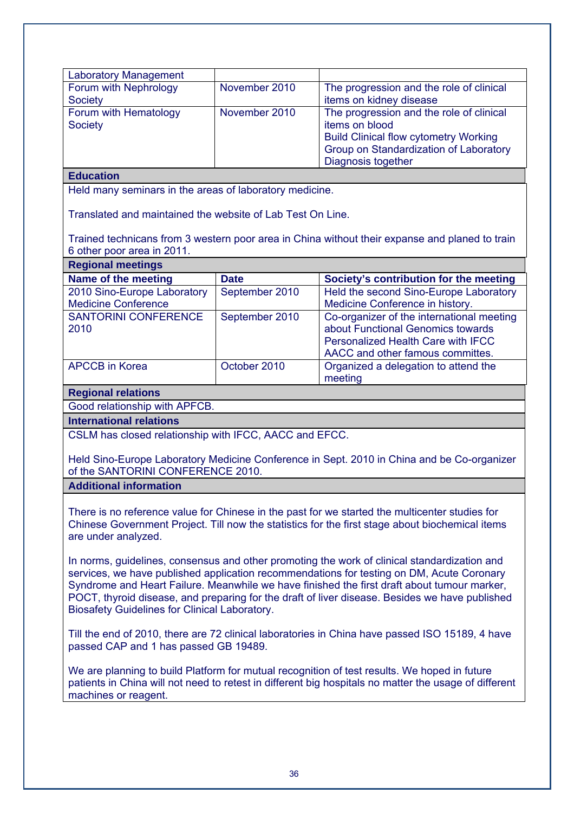| <b>Laboratory Management</b>                                                                                                                                                                                                                                                                                                                                                                                                                       |                |                                                                                                                                                                            |
|----------------------------------------------------------------------------------------------------------------------------------------------------------------------------------------------------------------------------------------------------------------------------------------------------------------------------------------------------------------------------------------------------------------------------------------------------|----------------|----------------------------------------------------------------------------------------------------------------------------------------------------------------------------|
| Forum with Nephrology<br><b>Society</b>                                                                                                                                                                                                                                                                                                                                                                                                            | November 2010  | The progression and the role of clinical<br>items on kidney disease                                                                                                        |
| Forum with Hematology<br><b>Society</b>                                                                                                                                                                                                                                                                                                                                                                                                            | November 2010  | The progression and the role of clinical<br>items on blood<br><b>Build Clinical flow cytometry Working</b><br>Group on Standardization of Laboratory<br>Diagnosis together |
| <b>Education</b>                                                                                                                                                                                                                                                                                                                                                                                                                                   |                |                                                                                                                                                                            |
| Held many seminars in the areas of laboratory medicine.                                                                                                                                                                                                                                                                                                                                                                                            |                |                                                                                                                                                                            |
| Translated and maintained the website of Lab Test On Line.                                                                                                                                                                                                                                                                                                                                                                                         |                |                                                                                                                                                                            |
| 6 other poor area in 2011.                                                                                                                                                                                                                                                                                                                                                                                                                         |                | Trained technicans from 3 western poor area in China without their expanse and planed to train                                                                             |
| <b>Regional meetings</b>                                                                                                                                                                                                                                                                                                                                                                                                                           |                |                                                                                                                                                                            |
| Name of the meeting                                                                                                                                                                                                                                                                                                                                                                                                                                | <b>Date</b>    | Society's contribution for the meeting                                                                                                                                     |
| 2010 Sino-Europe Laboratory<br><b>Medicine Conference</b>                                                                                                                                                                                                                                                                                                                                                                                          | September 2010 | Held the second Sino-Europe Laboratory<br>Medicine Conference in history.                                                                                                  |
| <b>SANTORINI CONFERENCE</b><br>2010                                                                                                                                                                                                                                                                                                                                                                                                                | September 2010 | Co-organizer of the international meeting<br>about Functional Genomics towards<br><b>Personalized Health Care with IFCC</b><br>AACC and other famous committes.            |
| <b>APCCB</b> in Korea                                                                                                                                                                                                                                                                                                                                                                                                                              | October 2010   | Organized a delegation to attend the<br>meeting                                                                                                                            |
| <b>Regional relations</b>                                                                                                                                                                                                                                                                                                                                                                                                                          |                |                                                                                                                                                                            |
| Good relationship with APFCB.                                                                                                                                                                                                                                                                                                                                                                                                                      |                |                                                                                                                                                                            |
| <b>International relations</b>                                                                                                                                                                                                                                                                                                                                                                                                                     |                |                                                                                                                                                                            |
| CSLM has closed relationship with IFCC, AACC and EFCC.                                                                                                                                                                                                                                                                                                                                                                                             |                |                                                                                                                                                                            |
| Held Sino-Europe Laboratory Medicine Conference in Sept. 2010 in China and be Co-organizer<br>of the SANTORINI CONFERENCE 2010.                                                                                                                                                                                                                                                                                                                    |                |                                                                                                                                                                            |
| <b>Additional information</b>                                                                                                                                                                                                                                                                                                                                                                                                                      |                |                                                                                                                                                                            |
| There is no reference value for Chinese in the past for we started the multicenter studies for<br>Chinese Government Project. Till now the statistics for the first stage about biochemical items<br>are under analyzed.                                                                                                                                                                                                                           |                |                                                                                                                                                                            |
| In norms, guidelines, consensus and other promoting the work of clinical standardization and<br>services, we have published application recommendations for testing on DM, Acute Coronary<br>Syndrome and Heart Failure. Meanwhile we have finished the first draft about tumour marker,<br>POCT, thyroid disease, and preparing for the draft of liver disease. Besides we have published<br><b>Biosafety Guidelines for Clinical Laboratory.</b> |                |                                                                                                                                                                            |
| Till the end of 2010, there are 72 clinical laboratories in China have passed ISO 15189, 4 have<br>passed CAP and 1 has passed GB 19489.                                                                                                                                                                                                                                                                                                           |                |                                                                                                                                                                            |
| We are planning to build Platform for mutual recognition of test results. We hoped in future<br>patients in China will not need to retest in different big hospitals no matter the usage of different<br>machines or reagent.                                                                                                                                                                                                                      |                |                                                                                                                                                                            |
|                                                                                                                                                                                                                                                                                                                                                                                                                                                    |                |                                                                                                                                                                            |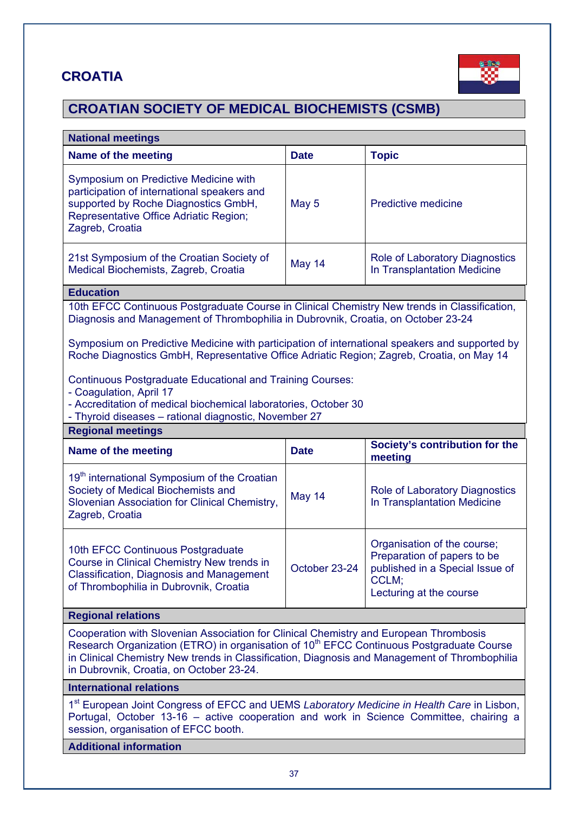## **CROATIA**



# **CROATIAN SOCIETY OF MEDICAL BIOCHEMISTS (CSMB)**

| <b>National meetings</b>                                                                                                                                                                                                                                                                                                                                                                                                                                                                                                                           |                                |                                                                                                                                   |  |  |
|----------------------------------------------------------------------------------------------------------------------------------------------------------------------------------------------------------------------------------------------------------------------------------------------------------------------------------------------------------------------------------------------------------------------------------------------------------------------------------------------------------------------------------------------------|--------------------------------|-----------------------------------------------------------------------------------------------------------------------------------|--|--|
| Name of the meeting                                                                                                                                                                                                                                                                                                                                                                                                                                                                                                                                | <b>Date</b>                    | <b>Topic</b>                                                                                                                      |  |  |
| Symposium on Predictive Medicine with<br>participation of international speakers and<br>supported by Roche Diagnostics GmbH,<br>Representative Office Adriatic Region;<br>Zagreb, Croatia                                                                                                                                                                                                                                                                                                                                                          | May 5                          | Predictive medicine                                                                                                               |  |  |
| 21st Symposium of the Croatian Society of<br>Medical Biochemists, Zagreb, Croatia                                                                                                                                                                                                                                                                                                                                                                                                                                                                  | May 14                         | Role of Laboratory Diagnostics<br>In Transplantation Medicine                                                                     |  |  |
| <b>Education</b>                                                                                                                                                                                                                                                                                                                                                                                                                                                                                                                                   |                                |                                                                                                                                   |  |  |
| 10th EFCC Continuous Postgraduate Course in Clinical Chemistry New trends in Classification,<br>Diagnosis and Management of Thrombophilia in Dubrovnik, Croatia, on October 23-24<br>Symposium on Predictive Medicine with participation of international speakers and supported by<br>Roche Diagnostics GmbH, Representative Office Adriatic Region; Zagreb, Croatia, on May 14<br><b>Continuous Postgraduate Educational and Training Courses:</b><br>- Coagulation, April 17<br>- Accreditation of medical biochemical laboratories, October 30 |                                |                                                                                                                                   |  |  |
| - Thyroid diseases - rational diagnostic, November 27<br><b>Regional meetings</b>                                                                                                                                                                                                                                                                                                                                                                                                                                                                  |                                |                                                                                                                                   |  |  |
| <b>Name of the meeting</b>                                                                                                                                                                                                                                                                                                                                                                                                                                                                                                                         | Society's contribution for the |                                                                                                                                   |  |  |
| 19 <sup>th</sup> international Symposium of the Croatian<br>Society of Medical Biochemists and<br>Slovenian Association for Clinical Chemistry,<br>Zagreb, Croatia                                                                                                                                                                                                                                                                                                                                                                                 | May 14                         | meeting<br>Role of Laboratory Diagnostics<br>In Transplantation Medicine                                                          |  |  |
| 10th EFCC Continuous Postgraduate<br>Course in Clinical Chemistry New trends in<br><b>Classification, Diagnosis and Management</b><br>of Thrombophilia in Dubrovnik, Croatia                                                                                                                                                                                                                                                                                                                                                                       | October 23-24                  | Organisation of the course;<br>Preparation of papers to be<br>published in a Special Issue of<br>CCLM;<br>Lecturing at the course |  |  |
| <b>Regional relations</b>                                                                                                                                                                                                                                                                                                                                                                                                                                                                                                                          |                                |                                                                                                                                   |  |  |
| Cooperation with Slovenian Association for Clinical Chemistry and European Thrombosis<br>Research Organization (ETRO) in organisation of 10 <sup>th</sup> EFCC Continuous Postgraduate Course<br>in Clinical Chemistry New trends in Classification, Diagnosis and Management of Thrombophilia<br>in Dubrovnik, Croatia, on October 23-24.                                                                                                                                                                                                         |                                |                                                                                                                                   |  |  |
| <b>International relations</b>                                                                                                                                                                                                                                                                                                                                                                                                                                                                                                                     |                                |                                                                                                                                   |  |  |
| 1 <sup>st</sup> European Joint Congress of EFCC and UEMS Laboratory Medicine in Health Care in Lisbon,<br>Portugal, October 13-16 - active cooperation and work in Science Committee, chairing a<br>session, organisation of EFCC booth.                                                                                                                                                                                                                                                                                                           |                                |                                                                                                                                   |  |  |
| <b>Additional information</b>                                                                                                                                                                                                                                                                                                                                                                                                                                                                                                                      |                                |                                                                                                                                   |  |  |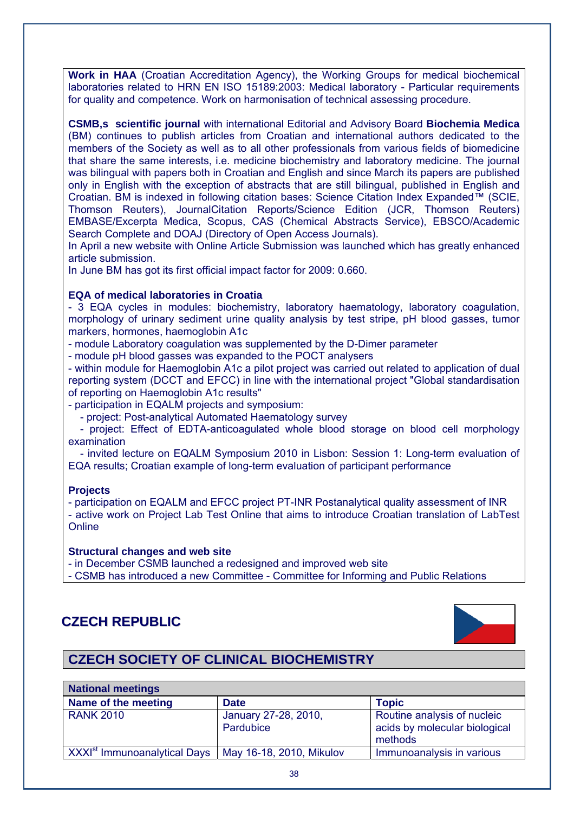**Work in HAA** (Croatian Accreditation Agency), the Working Groups for medical biochemical laboratories related to HRN EN ISO 15189:2003: Medical laboratory - Particular requirements for quality and competence. Work on harmonisation of technical assessing procedure.

**CSMB,s scientific journal** with international Editorial and Advisory Board **Biochemia Medica** (BM) continues to publish articles from Croatian and international authors dedicated to the members of the Society as well as to all other professionals from various fields of biomedicine that share the same interests, i.e. medicine biochemistry and laboratory medicine. The journal was bilingual with papers both in Croatian and English and since March its papers are published only in English with the exception of abstracts that are still bilingual, published in English and Croatian. BM is indexed in following citation bases: Science Citation Index Expanded™ (SCIE, Thomson Reuters), JournalCitation Reports/Science Edition (JCR, Thomson Reuters) EMBASE/Excerpta Medica, Scopus, CAS (Chemical Abstracts Service), EBSCO/Academic Search Complete and DOAJ (Directory of Open Access Journals).

In April a new website with Online Article Submission was launched which has greatly enhanced article submission.

In June BM has got its first official impact factor for 2009: 0.660.

#### **EQA of medical laboratories in Croatia**

- 3 EQA cycles in modules: biochemistry, laboratory haematology, laboratory coagulation, morphology of urinary sediment urine quality analysis by test stripe, pH blood gasses, tumor markers, hormones, haemoglobin A1c

- module Laboratory coagulation was supplemented by the D-Dimer parameter

- module pH blood gasses was expanded to the POCT analysers

- within module for Haemoglobin A1c a pilot project was carried out related to application of dual reporting system (DCCT and EFCC) in line with the international project "Global standardisation of reporting on Haemoglobin A1c results"

- participation in EQALM projects and symposium:

- project: Post-analytical Automated Haematology survey

 - project: Effect of EDTA-anticoagulated whole blood storage on blood cell morphology examination

 - invited lecture on EQALM Symposium 2010 in Lisbon: Session 1: Long-term evaluation of EQA results; Croatian example of long-term evaluation of participant performance

#### **Projects**

- participation on EQALM and EFCC project PT-INR Postanalytical quality assessment of INR - active work on Project Lab Test Online that aims to introduce Croatian translation of LabTest **Online** 

#### **Structural changes and web site**

- in December CSMB launched a redesigned and improved web site

- CSMB has introduced a new Committee - Committee for Informing and Public Relations

## **CZECH REPUBLIC**



## **CZECH SOCIETY OF CLINICAL BIOCHEMISTRY**

| <b>National meetings</b>                   |                                   |                                                                         |  |  |
|--------------------------------------------|-----------------------------------|-------------------------------------------------------------------------|--|--|
| Name of the meeting                        | <b>Date</b>                       | <b>Topic</b>                                                            |  |  |
| <b>RANK 2010</b>                           | January 27-28, 2010,<br>Pardubice | Routine analysis of nucleic<br>acids by molecular biological<br>methods |  |  |
| ∣ XXXI <sup>st</sup> Immunoanalytical Days | May 16-18, 2010, Mikulov          | Immunoanalysis in various                                               |  |  |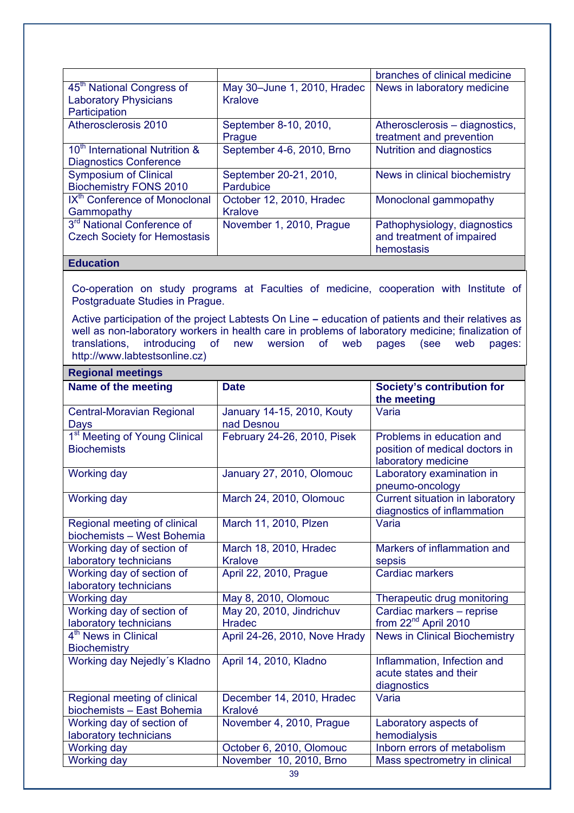|                                            |                             | branches of clinical medicine  |
|--------------------------------------------|-----------------------------|--------------------------------|
| 45 <sup>th</sup> National Congress of      | May 30-June 1, 2010, Hradec | News in laboratory medicine    |
| <b>Laboratory Physicians</b>               | <b>Kralove</b>              |                                |
| Participation                              |                             |                                |
| Atherosclerosis 2010                       | September 8-10, 2010,       | Atherosclerosis – diagnostics, |
|                                            | Prague                      | treatment and prevention       |
| 10 <sup>th</sup> International Nutrition & | September 4-6, 2010, Brno   | Nutrition and diagnostics      |
| <b>Diagnostics Conference</b>              |                             |                                |
| <b>Symposium of Clinical</b>               | September 20-21, 2010,      | News in clinical biochemistry  |
| <b>Biochemistry FONS 2010</b>              | Pardubice                   |                                |
| IX <sup>th</sup> Conference of Monoclonal  | October 12, 2010, Hradec    | Monoclonal gammopathy          |
| Gammopathy                                 | <b>Kralove</b>              |                                |
| 3 <sup>rd</sup> National Conference of     | November 1, 2010, Prague    | Pathophysiology, diagnostics   |
| <b>Czech Society for Hemostasis</b>        |                             | and treatment of impaired      |
|                                            |                             | hemostasis                     |

#### **Education**

Co-operation on study programs at Faculties of medicine, cooperation with Institute of Postgraduate Studies in Prague.

Active participation of the project Labtests On Line **–** education of patients and their relatives as well as non-laboratory workers in health care in problems of laboratory medicine; finalization of translations, introducing of new wersion of web pages (see web pages: http://www.labtestsonline.cz)

| <b>Regional meetings</b>                                        |                                           |                                                                                    |  |  |
|-----------------------------------------------------------------|-------------------------------------------|------------------------------------------------------------------------------------|--|--|
| Name of the meeting                                             | <b>Date</b>                               | <b>Society's contribution for</b><br>the meeting                                   |  |  |
| <b>Central-Moravian Regional</b><br><b>Days</b>                 | January 14-15, 2010, Kouty<br>nad Desnou  | Varia                                                                              |  |  |
| 1 <sup>st</sup> Meeting of Young Clinical<br><b>Biochemists</b> | February 24-26, 2010, Pisek               | Problems in education and<br>position of medical doctors in<br>laboratory medicine |  |  |
| Working day                                                     | January 27, 2010, Olomouc                 | Laboratory examination in<br>pneumo-oncology                                       |  |  |
| Working day                                                     | March 24, 2010, Olomouc                   | Current situation in laboratory<br>diagnostics of inflammation                     |  |  |
| Regional meeting of clinical<br>biochemists - West Bohemia      | March 11, 2010, Plzen                     | Varia                                                                              |  |  |
| Working day of section of<br>laboratory technicians             | March 18, 2010, Hradec<br><b>Kralove</b>  | Markers of inflammation and<br>sepsis                                              |  |  |
| Working day of section of<br>laboratory technicians             | April 22, 2010, Prague                    | <b>Cardiac markers</b>                                                             |  |  |
| <b>Working day</b>                                              | May 8, 2010, Olomouc                      | Therapeutic drug monitoring                                                        |  |  |
| Working day of section of<br>laboratory technicians             | May 20, 2010, Jindrichuv<br><b>Hradec</b> | Cardiac markers - reprise<br>from 22 <sup>nd</sup> April 2010                      |  |  |
| 4 <sup>th</sup> News in Clinical<br><b>Biochemistry</b>         | April 24-26, 2010, Nove Hrady             | <b>News in Clinical Biochemistry</b>                                               |  |  |
| Working day Nejedly's Kladno                                    | April 14, 2010, Kladno                    | Inflammation, Infection and<br>acute states and their<br>diagnostics               |  |  |
| Regional meeting of clinical<br>biochemists - East Bohemia      | December 14, 2010, Hradec<br>Kralové      | Varia                                                                              |  |  |
| Working day of section of<br>laboratory technicians             | November 4, 2010, Prague                  | Laboratory aspects of<br>hemodialysis                                              |  |  |
| <b>Working day</b>                                              | October 6, 2010, Olomouc                  | Inborn errors of metabolism                                                        |  |  |
| Working day                                                     | November 10, 2010, Brno                   | Mass spectrometry in clinical                                                      |  |  |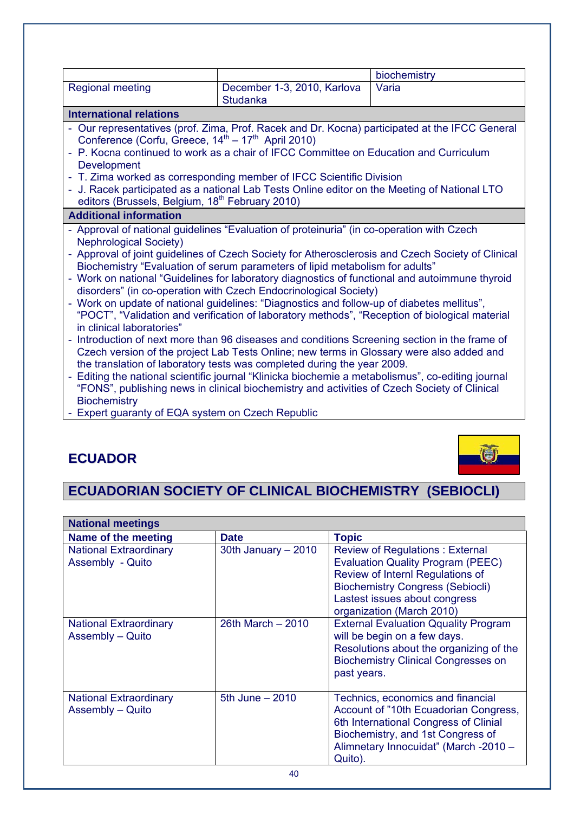|                                                                                                                                                                                                                                                                                                                                                                    |                                                                                                                                                                                                                                                                                                                                                                                                                                                                                                                                                                                                                                                                                                                                                                                                                                                                                                                                                                                                                    | biochemistry                                                                                    |  |
|--------------------------------------------------------------------------------------------------------------------------------------------------------------------------------------------------------------------------------------------------------------------------------------------------------------------------------------------------------------------|--------------------------------------------------------------------------------------------------------------------------------------------------------------------------------------------------------------------------------------------------------------------------------------------------------------------------------------------------------------------------------------------------------------------------------------------------------------------------------------------------------------------------------------------------------------------------------------------------------------------------------------------------------------------------------------------------------------------------------------------------------------------------------------------------------------------------------------------------------------------------------------------------------------------------------------------------------------------------------------------------------------------|-------------------------------------------------------------------------------------------------|--|
| <b>Regional meeting</b>                                                                                                                                                                                                                                                                                                                                            | December 1-3, 2010, Karlova<br><b>Studanka</b>                                                                                                                                                                                                                                                                                                                                                                                                                                                                                                                                                                                                                                                                                                                                                                                                                                                                                                                                                                     |                                                                                                 |  |
| <b>International relations</b>                                                                                                                                                                                                                                                                                                                                     |                                                                                                                                                                                                                                                                                                                                                                                                                                                                                                                                                                                                                                                                                                                                                                                                                                                                                                                                                                                                                    |                                                                                                 |  |
| Our representatives (prof. Zima, Prof. Racek and Dr. Kocna) participated at the IFCC General<br>Conference (Corfu, Greece, 14 <sup>th</sup> – 17 <sup>th</sup> April 2010)<br>P. Kocna continued to work as a chair of IFCC Committee on Education and Curriculum<br>Development<br>T. Zima worked as corresponding member of IFCC Scientific Division<br>$\equiv$ |                                                                                                                                                                                                                                                                                                                                                                                                                                                                                                                                                                                                                                                                                                                                                                                                                                                                                                                                                                                                                    |                                                                                                 |  |
| editors (Brussels, Belgium, 18 <sup>th</sup> February 2010)                                                                                                                                                                                                                                                                                                        | J. Racek participated as a national Lab Tests Online editor on the Meeting of National LTO                                                                                                                                                                                                                                                                                                                                                                                                                                                                                                                                                                                                                                                                                                                                                                                                                                                                                                                         |                                                                                                 |  |
| <b>Additional information</b>                                                                                                                                                                                                                                                                                                                                      |                                                                                                                                                                                                                                                                                                                                                                                                                                                                                                                                                                                                                                                                                                                                                                                                                                                                                                                                                                                                                    |                                                                                                 |  |
| <b>Nephrological Society)</b><br>in clinical laboratories"<br><b>Biochemistry</b>                                                                                                                                                                                                                                                                                  | Approval of national guidelines "Evaluation of proteinuria" (in co-operation with Czech<br>Biochemistry "Evaluation of serum parameters of lipid metabolism for adults"<br>Work on national "Guidelines for laboratory diagnostics of functional and autoimmune thyroid<br>disorders" (in co-operation with Czech Endocrinological Society)<br>Work on update of national guidelines: "Diagnostics and follow-up of diabetes mellitus",<br>"POCT", "Validation and verification of laboratory methods", "Reception of biological material<br>Introduction of next more than 96 diseases and conditions Screening section in the frame of<br>Czech version of the project Lab Tests Online; new terms in Glossary were also added and<br>the translation of laboratory tests was completed during the year 2009.<br>Editing the national scientific journal "Klinicka biochemie a metabolismus", co-editing journal<br>"FONS", publishing news in clinical biochemistry and activities of Czech Society of Clinical | Approval of joint guidelines of Czech Society for Atherosclerosis and Czech Society of Clinical |  |

- Expert guaranty of EQA system on Czech Republic

## **ECUADOR**



## **ECUADORIAN SOCIETY OF CLINICAL BIOCHEMISTRY (SEBIOCLI)**

| <b>National meetings</b>                          |                      |                                                                                                                                                                                                                                 |
|---------------------------------------------------|----------------------|---------------------------------------------------------------------------------------------------------------------------------------------------------------------------------------------------------------------------------|
| Name of the meeting                               | <b>Date</b>          | <b>Topic</b>                                                                                                                                                                                                                    |
| <b>National Extraordinary</b><br>Assembly - Quito | 30th January $-2010$ | <b>Review of Regulations: External</b><br><b>Evaluation Quality Program (PEEC)</b><br>Review of Internl Regulations of<br><b>Biochemistry Congress (Sebiocli)</b><br>Lastest issues about congress<br>organization (March 2010) |
| <b>National Extraordinary</b><br>Assembly - Quito | 26th March – 2010    | <b>External Evaluation Qquality Program</b><br>will be begin on a few days.<br>Resolutions about the organizing of the<br><b>Biochemistry Clinical Congresses on</b><br>past years.                                             |
| <b>National Extraordinary</b><br>Assembly - Quito | 5th June - 2010      | Technics, economics and financial<br>Account of "10th Ecuadorian Congress,<br>6th International Congress of Clinial<br>Biochemistry, and 1st Congress of<br>Alimnetary Innocuidat" (March -2010 -<br>Quito).                    |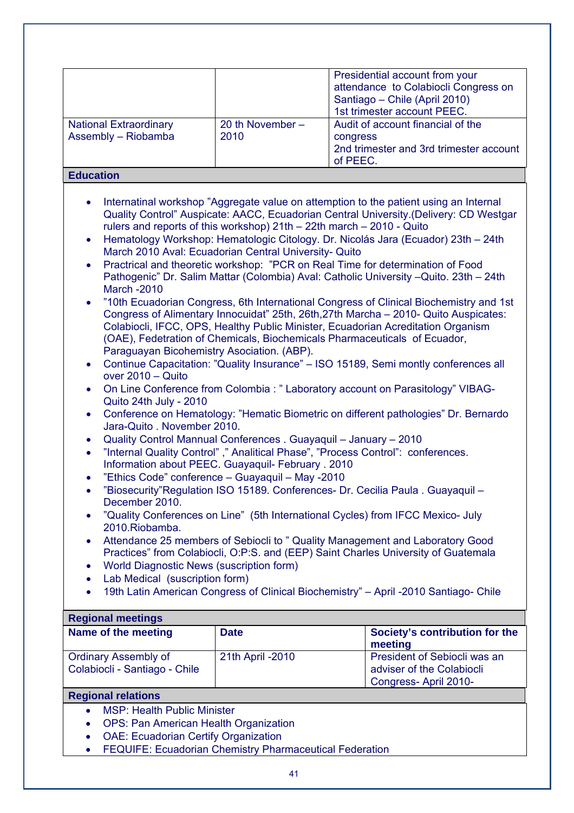| <b>National Extraordinary</b><br>Assembly - Riobamba | 20 th November -<br>2010 | Presidential account from your<br>attendance to Colabiocli Congress on<br>Santiago - Chile (April 2010)<br>1st trimester account PEEC.<br>Audit of account financial of the<br>congress<br>2nd trimester and 3rd trimester account<br>of PEEC. |
|------------------------------------------------------|--------------------------|------------------------------------------------------------------------------------------------------------------------------------------------------------------------------------------------------------------------------------------------|
|------------------------------------------------------|--------------------------|------------------------------------------------------------------------------------------------------------------------------------------------------------------------------------------------------------------------------------------------|

#### **Education**

- Internatinal workshop "Aggregate value on attemption to the patient using an Internal Quality Control" Auspicate: AACC, Ecuadorian Central University.(Delivery: CD Westgar rulers and reports of this workshop) 21th – 22th march – 2010 - Quito
- Hematology Workshop: Hematologic Citology. Dr. Nicolás Jara (Ecuador) 23th 24th March 2010 Aval: Ecuadorian Central University- Quito
- Practrical and theoretic workshop: "PCR on Real Time for determination of Food Pathogenic" Dr. Salim Mattar (Colombia) Aval: Catholic University –Quito. 23th – 24th March -2010
- "10th Ecuadorian Congress, 6th International Congress of Clinical Biochemistry and 1st Congress of Alimentary Innocuidat" 25th, 26th,27th Marcha – 2010- Quito Auspicates: Colabiocli, IFCC, OPS, Healthy Public Minister, Ecuadorian Acreditation Organism (OAE), Fedetration of Chemicals, Biochemicals Pharmaceuticals of Ecuador, Paraguayan Bicohemistry Asociation. (ABP).
- Continue Capacitation: "Quality Insurance" ISO 15189, Semi montly conferences all over 2010 – Quito
- On Line Conference from Colombia : " Laboratory account on Parasitology" VIBAG-Quito 24th July - 2010
- Conference on Hematology: "Hematic Biometric on different pathologies" Dr. Bernardo Jara-Quito . November 2010.
- Quality Control Mannual Conferences . Guayaquil January 2010
- "Internal Quality Control" ," Analitical Phase", "Process Control": conferences. Information about PEEC. Guayaquil- February . 2010
- "Ethics Code" conference Guayaquil May -2010
- "Biosecurity"Regulation ISO 15189. Conferences- Dr. Cecilia Paula . Guayaquil December 2010.
- "Quality Conferences on Line" (5th International Cycles) from IFCC Mexico- July 2010.Riobamba.
- Attendance 25 members of Sebiocli to " Quality Management and Laboratory Good Practices" from Colabiocli, O:P:S. and (EEP) Saint Charles University of Guatemala
- World Diagnostic News (suscription form)
- Lab Medical (suscription form)
- 19th Latin American Congress of Clinical Biochemistry" April -2010 Santiago- Chile

#### **Regional meetings**

| <b>INGUINITIAI INGGUINGO</b>                                 |                   |                                                                                   |  |  |
|--------------------------------------------------------------|-------------------|-----------------------------------------------------------------------------------|--|--|
| Name of the meeting                                          | <b>Date</b>       | Society's contribution for the<br>meeting                                         |  |  |
| <b>Ordinary Assembly of</b><br>Colabiocli - Santiago - Chile | 21th April - 2010 | President of Sebiocli was an<br>adviser of the Colabiocli<br>Congress-April 2010- |  |  |
|                                                              |                   |                                                                                   |  |  |

#### **Regional relations**

- MSP: Health Public Minister
- OPS: Pan American Health Organization
- OAE: Ecuadorian Certify Organization
- FEQUIFE: Ecuadorian Chemistry Pharmaceutical Federation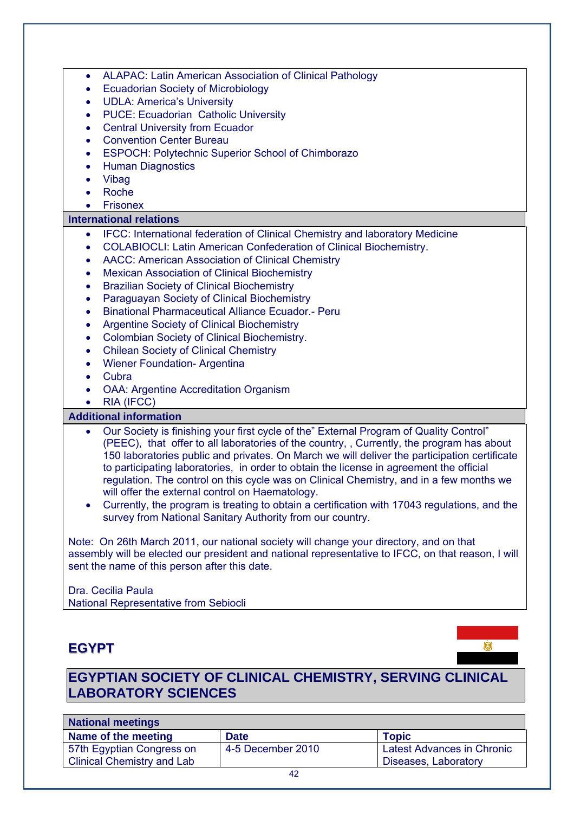| ٠                      | ALAPAC: Latin American Association of Clinical Pathology                                                                                                                                                                                                                                                                                                                                                                                                                                                                                                                                                                                                                                  |
|------------------------|-------------------------------------------------------------------------------------------------------------------------------------------------------------------------------------------------------------------------------------------------------------------------------------------------------------------------------------------------------------------------------------------------------------------------------------------------------------------------------------------------------------------------------------------------------------------------------------------------------------------------------------------------------------------------------------------|
| ٠                      | <b>Ecuadorian Society of Microbiology</b>                                                                                                                                                                                                                                                                                                                                                                                                                                                                                                                                                                                                                                                 |
| $\bullet$              | <b>UDLA: America's University</b>                                                                                                                                                                                                                                                                                                                                                                                                                                                                                                                                                                                                                                                         |
| $\bullet$              | <b>PUCE: Ecuadorian Catholic University</b>                                                                                                                                                                                                                                                                                                                                                                                                                                                                                                                                                                                                                                               |
| $\bullet$              | <b>Central University from Ecuador</b>                                                                                                                                                                                                                                                                                                                                                                                                                                                                                                                                                                                                                                                    |
| $\bullet$              | <b>Convention Center Bureau</b>                                                                                                                                                                                                                                                                                                                                                                                                                                                                                                                                                                                                                                                           |
| $\bullet$              | <b>ESPOCH: Polytechnic Superior School of Chimborazo</b>                                                                                                                                                                                                                                                                                                                                                                                                                                                                                                                                                                                                                                  |
| $\bullet$              | <b>Human Diagnostics</b>                                                                                                                                                                                                                                                                                                                                                                                                                                                                                                                                                                                                                                                                  |
| ٠                      | Vibag                                                                                                                                                                                                                                                                                                                                                                                                                                                                                                                                                                                                                                                                                     |
| $\bullet$              | Roche                                                                                                                                                                                                                                                                                                                                                                                                                                                                                                                                                                                                                                                                                     |
| $\bullet$              | <b>Frisonex</b>                                                                                                                                                                                                                                                                                                                                                                                                                                                                                                                                                                                                                                                                           |
|                        | <b>International relations</b>                                                                                                                                                                                                                                                                                                                                                                                                                                                                                                                                                                                                                                                            |
| $\bullet$              | IFCC: International federation of Clinical Chemistry and laboratory Medicine                                                                                                                                                                                                                                                                                                                                                                                                                                                                                                                                                                                                              |
| $\bullet$              | <b>COLABIOCLI: Latin American Confederation of Clinical Biochemistry.</b>                                                                                                                                                                                                                                                                                                                                                                                                                                                                                                                                                                                                                 |
| ٠                      | AACC: American Association of Clinical Chemistry                                                                                                                                                                                                                                                                                                                                                                                                                                                                                                                                                                                                                                          |
| ٠                      | <b>Mexican Association of Clinical Biochemistry</b>                                                                                                                                                                                                                                                                                                                                                                                                                                                                                                                                                                                                                                       |
| $\bullet$              | <b>Brazilian Society of Clinical Biochemistry</b>                                                                                                                                                                                                                                                                                                                                                                                                                                                                                                                                                                                                                                         |
| $\bullet$              | Paraguayan Society of Clinical Biochemistry                                                                                                                                                                                                                                                                                                                                                                                                                                                                                                                                                                                                                                               |
| $\bullet$              | <b>Binational Pharmaceutical Alliance Ecuador.- Peru</b>                                                                                                                                                                                                                                                                                                                                                                                                                                                                                                                                                                                                                                  |
| $\bullet$              | <b>Argentine Society of Clinical Biochemistry</b>                                                                                                                                                                                                                                                                                                                                                                                                                                                                                                                                                                                                                                         |
| $\bullet$              | Colombian Society of Clinical Biochemistry.                                                                                                                                                                                                                                                                                                                                                                                                                                                                                                                                                                                                                                               |
| $\bullet$              | <b>Chilean Society of Clinical Chemistry</b>                                                                                                                                                                                                                                                                                                                                                                                                                                                                                                                                                                                                                                              |
| $\bullet$              | <b>Wiener Foundation- Argentina</b>                                                                                                                                                                                                                                                                                                                                                                                                                                                                                                                                                                                                                                                       |
| $\bullet$              | Cubra                                                                                                                                                                                                                                                                                                                                                                                                                                                                                                                                                                                                                                                                                     |
| $\bullet$              | <b>OAA: Argentine Accreditation Organism</b>                                                                                                                                                                                                                                                                                                                                                                                                                                                                                                                                                                                                                                              |
| $\bullet$              | RIA (IFCC)                                                                                                                                                                                                                                                                                                                                                                                                                                                                                                                                                                                                                                                                                |
|                        | <b>Additional information</b>                                                                                                                                                                                                                                                                                                                                                                                                                                                                                                                                                                                                                                                             |
| $\bullet$<br>$\bullet$ | Our Society is finishing your first cycle of the" External Program of Quality Control"<br>(PEEC), that offer to all laboratories of the country, , Currently, the program has about<br>150 laboratories public and privates. On March we will deliver the participation certificate<br>to participating laboratories, in order to obtain the license in agreement the official<br>regulation. The control on this cycle was on Clinical Chemistry, and in a few months we<br>will offer the external control on Haematology.<br>Currently, the program is treating to obtain a certification with 17043 regulations, and the<br>survey from National Sanitary Authority from our country. |
|                        | Note: On 26th March 2011, our national society will change your directory, and on that<br>assembly will be elected our president and national representative to IFCC, on that reason, I will<br>sent the name of this person after this date.<br>Dra. Cecilia Paula                                                                                                                                                                                                                                                                                                                                                                                                                       |
|                        | National Representative from Sebiocli                                                                                                                                                                                                                                                                                                                                                                                                                                                                                                                                                                                                                                                     |

## **EGYPT**



## **EGYPTIAN SOCIETY OF CLINICAL CHEMISTRY, SERVING CLINICAL LABORATORY SCIENCES**

| <b>National meetings</b>          |                   |                                   |  |
|-----------------------------------|-------------------|-----------------------------------|--|
| Name of the meeting               | <b>Date</b>       | <b>Topic</b>                      |  |
| 57th Egyptian Congress on         | 4-5 December 2010 | <b>Latest Advances in Chronic</b> |  |
| <b>Clinical Chemistry and Lab</b> |                   | Diseases, Laboratory              |  |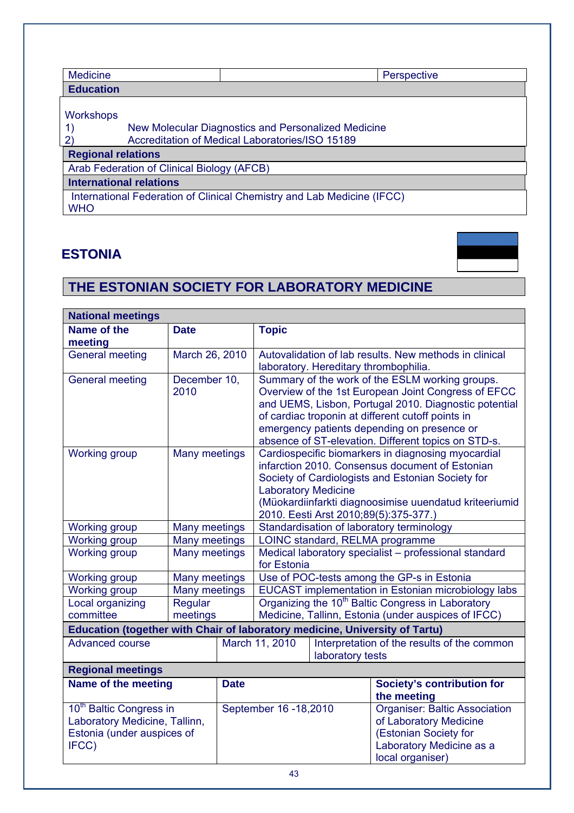| <b>Medicine</b>                            | <b>Perspective</b>                                                                                     |  |  |
|--------------------------------------------|--------------------------------------------------------------------------------------------------------|--|--|
| <b>Education</b>                           |                                                                                                        |  |  |
| Workshops                                  | New Molecular Diagnostics and Personalized Medicine<br>Accreditation of Medical Laboratories/ISO 15189 |  |  |
| <b>Regional relations</b>                  |                                                                                                        |  |  |
| Arab Federation of Clinical Biology (AFCB) |                                                                                                        |  |  |
| <b>International relations</b>             |                                                                                                        |  |  |
| <b>WHO</b>                                 | International Federation of Clinical Chemistry and Lab Medicine (IFCC)                                 |  |  |

## **ESTONIA**



## **THE ESTONIAN SOCIETY FOR LABORATORY MEDICINE**

| <b>National meetings</b>                                                    |                          |  |                                                                                                                      |                                                        |                                                                                                  |  |
|-----------------------------------------------------------------------------|--------------------------|--|----------------------------------------------------------------------------------------------------------------------|--------------------------------------------------------|--------------------------------------------------------------------------------------------------|--|
| Name of the<br>meeting                                                      | <b>Date</b>              |  | <b>Topic</b>                                                                                                         |                                                        |                                                                                                  |  |
| <b>General meeting</b>                                                      | March 26, 2010           |  |                                                                                                                      | Autovalidation of lab results. New methods in clinical |                                                                                                  |  |
|                                                                             |                          |  |                                                                                                                      |                                                        | laboratory. Hereditary thrombophilia.                                                            |  |
| <b>General meeting</b>                                                      | December 10,             |  |                                                                                                                      |                                                        | Summary of the work of the ESLM working groups.                                                  |  |
|                                                                             | 2010                     |  |                                                                                                                      |                                                        | Overview of the 1st European Joint Congress of EFCC                                              |  |
|                                                                             |                          |  |                                                                                                                      |                                                        | and UEMS, Lisbon, Portugal 2010. Diagnostic potential                                            |  |
|                                                                             |                          |  |                                                                                                                      |                                                        | of cardiac troponin at different cutoff points in<br>emergency patients depending on presence or |  |
|                                                                             |                          |  |                                                                                                                      |                                                        | absence of ST-elevation. Different topics on STD-s.                                              |  |
| <b>Working group</b>                                                        | <b>Many meetings</b>     |  |                                                                                                                      |                                                        | Cardiospecific biomarkers in diagnosing myocardial                                               |  |
|                                                                             |                          |  |                                                                                                                      |                                                        | infarction 2010. Consensus document of Estonian                                                  |  |
|                                                                             |                          |  |                                                                                                                      |                                                        | Society of Cardiologists and Estonian Society for                                                |  |
|                                                                             |                          |  | <b>Laboratory Medicine</b>                                                                                           |                                                        |                                                                                                  |  |
|                                                                             |                          |  |                                                                                                                      |                                                        | (Müokardiinfarkti diagnoosimise uuendatud kriteeriumid                                           |  |
|                                                                             |                          |  | 2010. Eesti Arst 2010;89(5):375-377.)                                                                                |                                                        |                                                                                                  |  |
| <b>Working group</b>                                                        | <b>Many meetings</b>     |  | Standardisation of laboratory terminology                                                                            |                                                        |                                                                                                  |  |
| <b>Working group</b>                                                        | <b>Many meetings</b>     |  | LOINC standard, RELMA programme                                                                                      |                                                        |                                                                                                  |  |
| <b>Working group</b>                                                        | Many meetings            |  | Medical laboratory specialist - professional standard                                                                |                                                        |                                                                                                  |  |
|                                                                             |                          |  | for Estonia                                                                                                          |                                                        |                                                                                                  |  |
| <b>Working group</b>                                                        | <b>Many meetings</b>     |  | Use of POC-tests among the GP-s in Estonia                                                                           |                                                        |                                                                                                  |  |
| <b>Working group</b><br>Local organizing                                    | Many meetings<br>Regular |  | EUCAST implementation in Estonian microbiology labs<br>Organizing the 10 <sup>th</sup> Baltic Congress in Laboratory |                                                        |                                                                                                  |  |
| committee                                                                   | meetings                 |  | Medicine, Tallinn, Estonia (under auspices of IFCC)                                                                  |                                                        |                                                                                                  |  |
| Education (together with Chair of laboratory medicine, University of Tartu) |                          |  |                                                                                                                      |                                                        |                                                                                                  |  |
| <b>Advanced course</b>                                                      |                          |  | March 11, 2010                                                                                                       |                                                        |                                                                                                  |  |
|                                                                             |                          |  | Interpretation of the results of the common<br>laboratory tests                                                      |                                                        |                                                                                                  |  |
| <b>Regional meetings</b>                                                    |                          |  |                                                                                                                      |                                                        |                                                                                                  |  |
| Name of the meeting<br><b>Date</b>                                          |                          |  |                                                                                                                      | <b>Society's contribution for</b>                      |                                                                                                  |  |
|                                                                             |                          |  |                                                                                                                      | the meeting                                            |                                                                                                  |  |
| 10 <sup>th</sup> Baltic Congress in                                         |                          |  | September 16 - 18, 2010                                                                                              |                                                        | <b>Organiser: Baltic Association</b>                                                             |  |
| Laboratory Medicine, Tallinn,                                               |                          |  |                                                                                                                      |                                                        | of Laboratory Medicine                                                                           |  |
| Estonia (under auspices of                                                  |                          |  |                                                                                                                      |                                                        | (Estonian Society for                                                                            |  |
| IFCC)                                                                       |                          |  |                                                                                                                      |                                                        | Laboratory Medicine as a                                                                         |  |
|                                                                             |                          |  |                                                                                                                      |                                                        | local organiser)                                                                                 |  |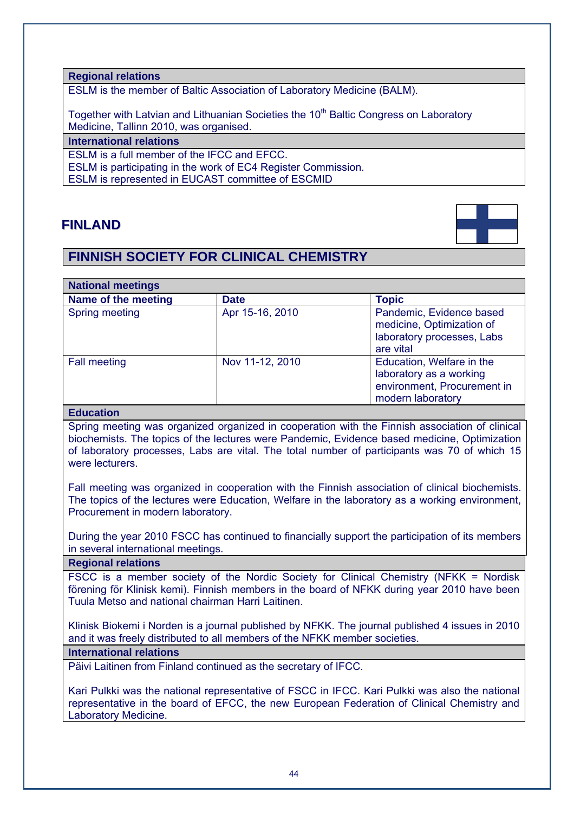#### **Regional relations**

ESLM is the member of Baltic Association of Laboratory Medicine (BALM).

Together with Latvian and Lithuanian Societies the 10<sup>th</sup> Baltic Congress on Laboratory Medicine, Tallinn 2010, was organised.

#### **International relations**

ESLM is a full member of the IFCC and EFCC.

ESLM is participating in the work of EC4 Register Commission.

ESLM is represented in EUCAST committee of ESCMID

## **FINLAND**

## **FINNISH SOCIETY FOR CLINICAL CHEMISTRY**



| <b>National meetings</b> |                 |                                                                                                          |
|--------------------------|-----------------|----------------------------------------------------------------------------------------------------------|
| Name of the meeting      | <b>Date</b>     | <b>Topic</b>                                                                                             |
| Spring meeting           | Apr 15-16, 2010 | Pandemic, Evidence based<br>medicine, Optimization of<br>laboratory processes, Labs<br>are vital         |
| <b>Fall meeting</b>      | Nov 11-12, 2010 | Education, Welfare in the<br>laboratory as a working<br>environment, Procurement in<br>modern laboratory |

#### **Education**

Spring meeting was organized organized in cooperation with the Finnish association of clinical biochemists. The topics of the lectures were Pandemic, Evidence based medicine, Optimization of laboratory processes, Labs are vital. The total number of participants was 70 of which 15 were lecturers.

Fall meeting was organized in cooperation with the Finnish association of clinical biochemists. The topics of the lectures were Education, Welfare in the laboratory as a working environment, Procurement in modern laboratory.

During the year 2010 FSCC has continued to financially support the participation of its members in several international meetings.

#### **Regional relations**

FSCC is a member society of the Nordic Society for Clinical Chemistry (NFKK = Nordisk förening för Klinisk kemi). Finnish members in the board of NFKK during year 2010 have been Tuula Metso and national chairman Harri Laitinen.

Klinisk Biokemi i Norden is a journal published by NFKK. The journal published 4 issues in 2010 and it was freely distributed to all members of the NFKK member societies.

#### **International relations**

Päivi Laitinen from Finland continued as the secretary of IFCC.

Kari Pulkki was the national representative of FSCC in IFCC. Kari Pulkki was also the national representative in the board of EFCC, the new European Federation of Clinical Chemistry and Laboratory Medicine.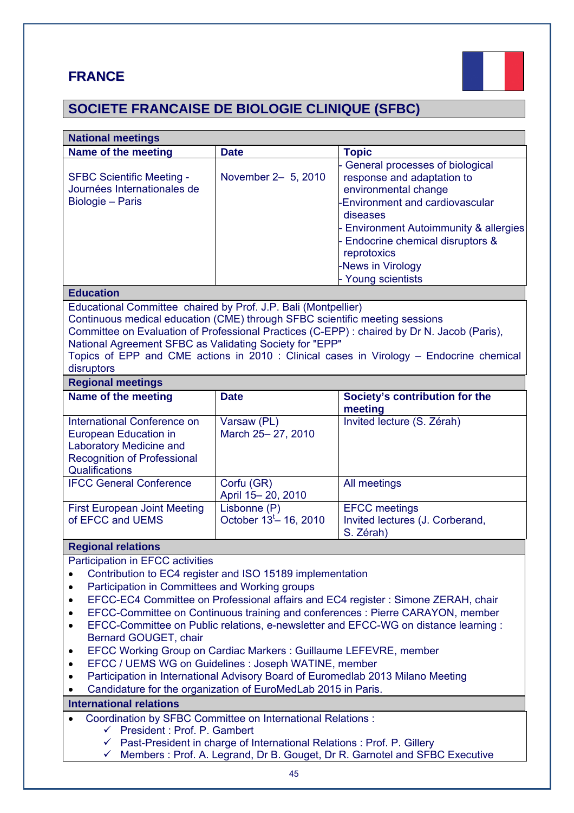## **FRANCE**



# **SOCIETE FRANCAISE DE BIOLOGIE CLINIQUE (SFBC)**

| <b>National meetings</b>                                                                                                                                                                                                                                                                                                                                                                                                                                                                                                                                                                                                                                                                                                   |                                            |                                                                                                                                                                                                                                                                              |  |
|----------------------------------------------------------------------------------------------------------------------------------------------------------------------------------------------------------------------------------------------------------------------------------------------------------------------------------------------------------------------------------------------------------------------------------------------------------------------------------------------------------------------------------------------------------------------------------------------------------------------------------------------------------------------------------------------------------------------------|--------------------------------------------|------------------------------------------------------------------------------------------------------------------------------------------------------------------------------------------------------------------------------------------------------------------------------|--|
| Name of the meeting                                                                                                                                                                                                                                                                                                                                                                                                                                                                                                                                                                                                                                                                                                        | <b>Date</b>                                | <b>Topic</b>                                                                                                                                                                                                                                                                 |  |
| <b>SFBC Scientific Meeting -</b><br>Journées Internationales de<br>Biologie - Paris                                                                                                                                                                                                                                                                                                                                                                                                                                                                                                                                                                                                                                        | November 2- 5, 2010                        | General processes of biological<br>response and adaptation to<br>environmental change<br><b>Environment and cardiovascular</b><br>diseases<br>Environment Autoimmunity & allergies<br>Endocrine chemical disruptors &<br>reprotoxics<br>News in Virology<br>Young scientists |  |
| <b>Education</b>                                                                                                                                                                                                                                                                                                                                                                                                                                                                                                                                                                                                                                                                                                           |                                            |                                                                                                                                                                                                                                                                              |  |
| Educational Committee chaired by Prof. J.P. Bali (Montpellier)<br>Continuous medical education (CME) through SFBC scientific meeting sessions<br>Committee on Evaluation of Professional Practices (C-EPP) : chaired by Dr N. Jacob (Paris),<br>National Agreement SFBC as Validating Society for "EPP"<br>Topics of EPP and CME actions in 2010 : Clinical cases in Virology - Endocrine chemical<br>disruptors                                                                                                                                                                                                                                                                                                           |                                            |                                                                                                                                                                                                                                                                              |  |
| <b>Regional meetings</b><br>Name of the meeting                                                                                                                                                                                                                                                                                                                                                                                                                                                                                                                                                                                                                                                                            | <b>Date</b>                                | Society's contribution for the                                                                                                                                                                                                                                               |  |
|                                                                                                                                                                                                                                                                                                                                                                                                                                                                                                                                                                                                                                                                                                                            |                                            | meeting                                                                                                                                                                                                                                                                      |  |
| International Conference on<br>European Education in<br><b>Laboratory Medicine and</b><br><b>Recognition of Professional</b><br>Qualifications                                                                                                                                                                                                                                                                                                                                                                                                                                                                                                                                                                             | Varsaw (PL)<br>March 25-27, 2010           | Invited lecture (S. Zérah)                                                                                                                                                                                                                                                   |  |
| <b>IFCC General Conference</b>                                                                                                                                                                                                                                                                                                                                                                                                                                                                                                                                                                                                                                                                                             | Corfu (GR)<br>April 15-20, 2010            | All meetings                                                                                                                                                                                                                                                                 |  |
| <b>First European Joint Meeting</b><br>of EFCC and UEMS                                                                                                                                                                                                                                                                                                                                                                                                                                                                                                                                                                                                                                                                    | Lisbonne (P)<br>October $13^t - 16$ , 2010 | <b>EFCC</b> meetings<br>Invited lectures (J. Corberand,<br>S. Zérah)                                                                                                                                                                                                         |  |
| <b>Regional relations</b>                                                                                                                                                                                                                                                                                                                                                                                                                                                                                                                                                                                                                                                                                                  |                                            |                                                                                                                                                                                                                                                                              |  |
| Participation in EFCC activities<br>Contribution to EC4 register and ISO 15189 implementation<br>Participation in Committees and Working groups<br>EFCC-EC4 Committee on Professional affairs and EC4 register: Simone ZERAH, chair<br>EFCC-Committee on Continuous training and conferences : Pierre CARAYON, member<br>EFCC-Committee on Public relations, e-newsletter and EFCC-WG on distance learning :<br>Bernard GOUGET, chair<br>EFCC Working Group on Cardiac Markers: Guillaume LEFEVRE, member<br>٠<br>EFCC / UEMS WG on Guidelines : Joseph WATINE, member<br>Participation in International Advisory Board of Euromedlab 2013 Milano Meeting<br>Candidature for the organization of EuroMedLab 2015 in Paris. |                                            |                                                                                                                                                                                                                                                                              |  |
| <b>International relations</b>                                                                                                                                                                                                                                                                                                                                                                                                                                                                                                                                                                                                                                                                                             |                                            |                                                                                                                                                                                                                                                                              |  |
| Coordination by SFBC Committee on International Relations :<br>← President : Prof. P. Gambert<br>← Past-President in charge of International Relations : Prof. P. Gillery<br>$\checkmark$ Members: Prof. A. Legrand, Dr B. Gouget, Dr R. Garnotel and SFBC Executive                                                                                                                                                                                                                                                                                                                                                                                                                                                       |                                            |                                                                                                                                                                                                                                                                              |  |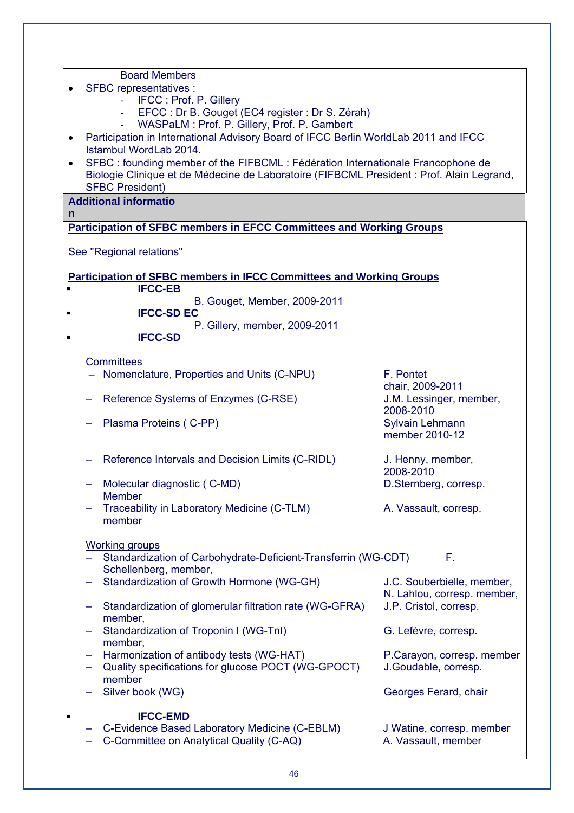| <b>Board Members</b>                                                                                                               |                                |  |  |  |
|------------------------------------------------------------------------------------------------------------------------------------|--------------------------------|--|--|--|
| SFBC representatives :                                                                                                             |                                |  |  |  |
|                                                                                                                                    | IFCC: Prof. P. Gillery         |  |  |  |
| EFCC : Dr B. Gouget (EC4 register : Dr S. Zérah)                                                                                   |                                |  |  |  |
| WASPaLM: Prof. P. Gillery, Prof. P. Gambert<br>Participation in International Advisory Board of IFCC Berlin WorldLab 2011 and IFCC |                                |  |  |  |
| $\bullet$<br>Istambul WordLab 2014.                                                                                                |                                |  |  |  |
| SFBC : founding member of the FIFBCML : Fédération Internationale Francophone de                                                   |                                |  |  |  |
| Biologie Clinique et de Médecine de Laboratoire (FIFBCML President : Prof. Alain Legrand,                                          |                                |  |  |  |
| <b>SFBC President)</b>                                                                                                             |                                |  |  |  |
| <b>Additional informatio</b>                                                                                                       |                                |  |  |  |
| n                                                                                                                                  |                                |  |  |  |
| <b>Participation of SFBC members in EFCC Committees and Working Groups</b>                                                         |                                |  |  |  |
| See "Regional relations"                                                                                                           |                                |  |  |  |
| <b>Participation of SFBC members in IFCC Committees and Working Groups</b>                                                         |                                |  |  |  |
| <b>IFCC-EB</b>                                                                                                                     |                                |  |  |  |
| B. Gouget, Member, 2009-2011<br><b>IFCC-SD EC</b>                                                                                  |                                |  |  |  |
| P. Gillery, member, 2009-2011                                                                                                      |                                |  |  |  |
| <b>IFCC-SD</b>                                                                                                                     |                                |  |  |  |
|                                                                                                                                    |                                |  |  |  |
| <b>Committees</b><br>- Nomenclature, Properties and Units (C-NPU)                                                                  | F. Pontet                      |  |  |  |
|                                                                                                                                    | chair, 2009-2011               |  |  |  |
| Reference Systems of Enzymes (C-RSE)                                                                                               | J.M. Lessinger, member,        |  |  |  |
|                                                                                                                                    | 2008-2010                      |  |  |  |
| Plasma Proteins (C-PP)                                                                                                             | Sylvain Lehmann                |  |  |  |
|                                                                                                                                    | member 2010-12                 |  |  |  |
|                                                                                                                                    |                                |  |  |  |
| Reference Intervals and Decision Limits (C-RIDL)                                                                                   | J. Henny, member,<br>2008-2010 |  |  |  |
| Molecular diagnostic (C-MD)                                                                                                        | D.Sternberg, corresp.          |  |  |  |
| <b>Member</b>                                                                                                                      |                                |  |  |  |
| Traceability in Laboratory Medicine (C-TLM)                                                                                        | A. Vassault, corresp.          |  |  |  |
| member                                                                                                                             |                                |  |  |  |
| <b>Working groups</b>                                                                                                              |                                |  |  |  |
| Standardization of Carbohydrate-Deficient-Transferrin (WG-CDT)                                                                     | F.                             |  |  |  |
| Schellenberg, member,                                                                                                              |                                |  |  |  |
| Standardization of Growth Hormone (WG-GH)                                                                                          | J.C. Souberbielle, member,     |  |  |  |
|                                                                                                                                    | N. Lahlou, corresp. member,    |  |  |  |
| Standardization of glomerular filtration rate (WG-GFRA)<br>-                                                                       | J.P. Cristol, corresp.         |  |  |  |
| member,                                                                                                                            |                                |  |  |  |
| Standardization of Troponin I (WG-TnI)                                                                                             | G. Lefèvre, corresp.           |  |  |  |
| member,<br>Harmonization of antibody tests (WG-HAT)                                                                                | P.Carayon, corresp. member     |  |  |  |
| Quality specifications for glucose POCT (WG-GPOCT)                                                                                 | J.Goudable, corresp.           |  |  |  |
| member                                                                                                                             |                                |  |  |  |
| Silver book (WG)                                                                                                                   | Georges Ferard, chair          |  |  |  |
| <b>IFCC-EMD</b><br>п                                                                                                               |                                |  |  |  |
| C-Evidence Based Laboratory Medicine (C-EBLM)                                                                                      | J Watine, corresp. member      |  |  |  |
| C-Committee on Analytical Quality (C-AQ)                                                                                           | A. Vassault, member            |  |  |  |
|                                                                                                                                    |                                |  |  |  |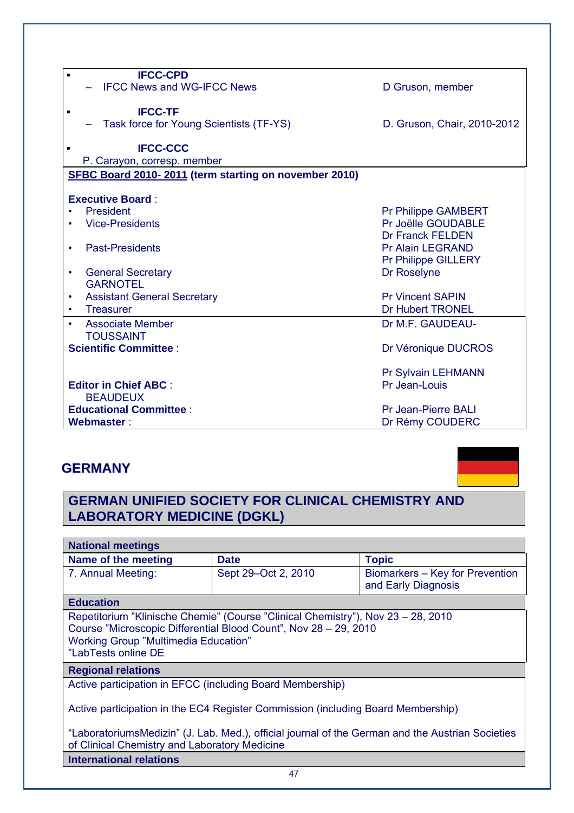| <b>IFCC-CPD</b><br>$\blacksquare$<br><b>IFCC News and WG-IFCC News</b> |                             |
|------------------------------------------------------------------------|-----------------------------|
|                                                                        | D Gruson, member            |
| <b>IFCC-TF</b>                                                         |                             |
| Task force for Young Scientists (TF-YS)                                | D. Gruson, Chair, 2010-2012 |
|                                                                        |                             |
| <b>IFCC-CCC</b>                                                        |                             |
| P. Carayon, corresp. member                                            |                             |
| SFBC Board 2010-2011 (term starting on november 2010)                  |                             |
|                                                                        |                             |
| <b>Executive Board:</b>                                                |                             |
| President                                                              | <b>Pr Philippe GAMBERT</b>  |
| <b>Vice-Presidents</b>                                                 | Pr Joëlle GOUDABLE          |
|                                                                        | <b>Dr Franck FELDEN</b>     |
| <b>Past-Presidents</b><br>$\bullet$                                    | <b>Pr Alain LEGRAND</b>     |
|                                                                        | <b>Pr Philippe GILLERY</b>  |
| <b>General Secretary</b><br>$\bullet$                                  | Dr Roselyne                 |
| <b>GARNOTEL</b>                                                        |                             |
|                                                                        |                             |
| <b>Assistant General Secretary</b><br>٠                                | <b>Pr Vincent SAPIN</b>     |
| <b>Treasurer</b>                                                       | <b>Dr Hubert TRONEL</b>     |
| Associate Member                                                       | Dr M.F. GAUDEAU-            |
| <b>TOUSSAINT</b>                                                       |                             |
| <b>Scientific Committee:</b>                                           | Dr Véronique DUCROS         |
|                                                                        |                             |
|                                                                        | Pr Sylvain LEHMANN          |
| <b>Editor in Chief ABC:</b>                                            | Pr Jean-Louis               |
| <b>BEAUDEUX</b>                                                        |                             |
| <b>Educational Committee:</b>                                          | <b>Pr Jean-Pierre BALI</b>  |
|                                                                        |                             |
| Webmaster:                                                             | Dr Rémy COUDERC             |

## **GERMANY**

## **GERMAN UNIFIED SOCIETY FOR CLINICAL CHEMISTRY AND LABORATORY MEDICINE (DGKL)**

| <b>National meetings</b>                                                                                                                                                                                                   |                     |                                                        |  |
|----------------------------------------------------------------------------------------------------------------------------------------------------------------------------------------------------------------------------|---------------------|--------------------------------------------------------|--|
| Name of the meeting                                                                                                                                                                                                        | <b>Date</b>         | <b>Topic</b>                                           |  |
| 7. Annual Meeting:                                                                                                                                                                                                         | Sept 29–Oct 2, 2010 | Biomarkers - Key for Prevention<br>and Early Diagnosis |  |
| <b>Education</b>                                                                                                                                                                                                           |                     |                                                        |  |
| Repetitorium "Klinische Chemie" (Course "Clinical Chemistry"), Nov 23 - 28, 2010<br>Course "Microscopic Differential Blood Count", Nov 28 - 29, 2010<br><b>Working Group "Multimedia Education"</b><br>"LabTests online DE |                     |                                                        |  |
| <b>Regional relations</b>                                                                                                                                                                                                  |                     |                                                        |  |
| Active participation in EFCC (including Board Membership)                                                                                                                                                                  |                     |                                                        |  |
| Active participation in the EC4 Register Commission (including Board Membership)                                                                                                                                           |                     |                                                        |  |
| "LaboratoriumsMedizin" (J. Lab. Med.), official journal of the German and the Austrian Societies<br>of Clinical Chemistry and Laboratory Medicine                                                                          |                     |                                                        |  |
| <b>International relations</b>                                                                                                                                                                                             |                     |                                                        |  |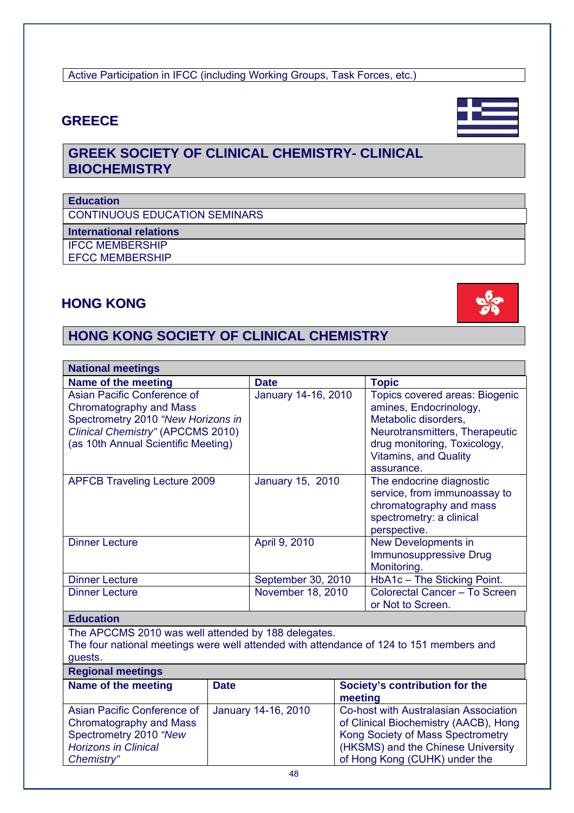| I<br>$\sim$ |
|-------------|

### Active Participation in IFCC (including Working Groups, Task Forces, etc.)

## **GREECE**

## **GREEK SOCIETY OF CLINICAL CHEMISTRY- CLINICAL BIOCHEMISTRY**

#### **Education**

CONTINUOUS EDUCATION SEMINARS

**International relations** 

IFCC MEMBERSHIP EFCC MEMBERSHIP

## **HONG KONG**

## **HONG KONG SOCIETY OF CLINICAL CHEMISTRY**

| <b>National meetings</b>                                                                           |             |                     |         |                                            |
|----------------------------------------------------------------------------------------------------|-------------|---------------------|---------|--------------------------------------------|
| Name of the meeting                                                                                |             | <b>Date</b>         |         | <b>Topic</b>                               |
| Asian Pacific Conference of                                                                        |             | January 14-16, 2010 |         | <b>Topics covered areas: Biogenic</b>      |
| <b>Chromatography and Mass</b>                                                                     |             |                     |         | amines, Endocrinology,                     |
| Spectrometry 2010 "New Horizons in                                                                 |             |                     |         | Metabolic disorders,                       |
| Clinical Chemistry" (APCCMS 2010)                                                                  |             |                     |         | Neurotransmitters, Therapeutic             |
| (as 10th Annual Scientific Meeting)                                                                |             |                     |         | drug monitoring, Toxicology,               |
|                                                                                                    |             |                     |         | <b>Vitamins, and Quality</b>               |
|                                                                                                    |             |                     |         | assurance.                                 |
| <b>APFCB Traveling Lecture 2009</b>                                                                |             | January 15, 2010    |         | The endocrine diagnostic                   |
|                                                                                                    |             |                     |         | service, from immunoassay to               |
|                                                                                                    |             |                     |         | chromatography and mass                    |
|                                                                                                    |             |                     |         | spectrometry: a clinical                   |
|                                                                                                    |             |                     |         | perspective.                               |
| <b>Dinner Lecture</b>                                                                              |             | April 9, 2010       |         | New Developments in                        |
|                                                                                                    |             |                     |         | <b>Immunosuppressive Drug</b>              |
|                                                                                                    |             | September 30, 2010  |         | Monitoring.<br>HbA1c - The Sticking Point. |
| <b>Dinner Lecture</b><br><b>Dinner Lecture</b>                                                     |             | November 18, 2010   |         | Colorectal Cancer - To Screen              |
|                                                                                                    |             |                     |         | or Not to Screen.                          |
|                                                                                                    |             |                     |         |                                            |
| <b>Education</b>                                                                                   |             |                     |         |                                            |
| The APCCMS 2010 was well attended by 188 delegates.                                                |             |                     |         |                                            |
| The four national meetings were well attended with attendance of 124 to 151 members and<br>guests. |             |                     |         |                                            |
| <b>Regional meetings</b>                                                                           |             |                     |         |                                            |
| Name of the meeting                                                                                | <b>Date</b> |                     |         | Society's contribution for the             |
|                                                                                                    |             |                     | meeting |                                            |
| Asian Pacific Conference of                                                                        |             | January 14-16, 2010 |         | Co-host with Australasian Association      |
| Chromatography and Mass                                                                            |             |                     |         | of Clinical Biochemistry (AACB), Hong      |
| Spectrometry 2010 "New                                                                             |             |                     |         | Kong Society of Mass Spectrometry          |
| <b>Horizons in Clinical</b>                                                                        |             |                     |         | (HKSMS) and the Chinese University         |
| Chemistry"                                                                                         |             |                     |         | of Hong Kong (CUHK) under the              |
|                                                                                                    |             | 48                  |         |                                            |



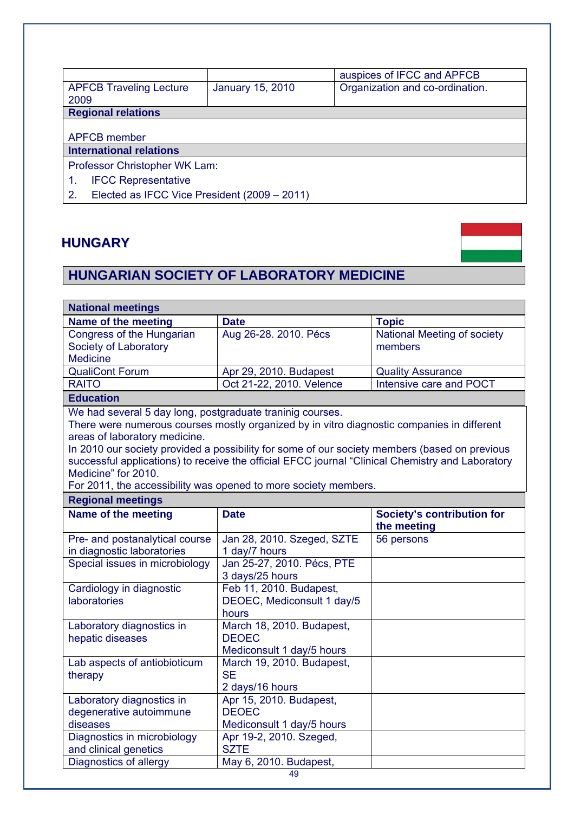|                                                       |                         | auspices of IFCC and APFCB      |  |
|-------------------------------------------------------|-------------------------|---------------------------------|--|
| <b>APFCB Traveling Lecture</b><br>2009                | <b>January 15, 2010</b> | Organization and co-ordination. |  |
| <b>Regional relations</b>                             |                         |                                 |  |
| <b>APFCB</b> member<br><b>International relations</b> |                         |                                 |  |
| Professor Christopher WK Lam:                         |                         |                                 |  |
| <b>IFCC Representative</b>                            |                         |                                 |  |
| 2.<br>Elected as IFCC Vice President (2009 - 2011)    |                         |                                 |  |

## **HUNGARY**



# **HUNGARIAN SOCIETY OF LABORATORY MEDICINE**

| <b>National meetings</b>                                  |                                                                                                  |                                   |  |
|-----------------------------------------------------------|--------------------------------------------------------------------------------------------------|-----------------------------------|--|
| Name of the meeting                                       | <b>Date</b>                                                                                      | <b>Topic</b>                      |  |
| Congress of the Hungarian                                 | Aug 26-28. 2010. Pécs                                                                            | National Meeting of society       |  |
| Society of Laboratory                                     |                                                                                                  | members                           |  |
| <b>Medicine</b>                                           |                                                                                                  |                                   |  |
| <b>QualiCont Forum</b>                                    | Apr 29, 2010. Budapest                                                                           | <b>Quality Assurance</b>          |  |
| <b>RAITO</b>                                              | Oct 21-22, 2010. Velence                                                                         | Intensive care and POCT           |  |
| <b>Education</b>                                          |                                                                                                  |                                   |  |
| We had several 5 day long, postgraduate traninig courses. |                                                                                                  |                                   |  |
|                                                           | There were numerous courses mostly organized by in vitro diagnostic companies in different       |                                   |  |
| areas of laboratory medicine.                             |                                                                                                  |                                   |  |
|                                                           | In 2010 our society provided a possibility for some of our society members (based on previous    |                                   |  |
|                                                           | successful applications) to receive the official EFCC journal "Clinical Chemistry and Laboratory |                                   |  |
| Medicine" for 2010.                                       |                                                                                                  |                                   |  |
|                                                           | For 2011, the accessibility was opened to more society members.                                  |                                   |  |
| <b>Regional meetings</b>                                  |                                                                                                  |                                   |  |
| Name of the meeting                                       | <b>Date</b>                                                                                      | <b>Society's contribution for</b> |  |
|                                                           |                                                                                                  | the meeting                       |  |
| Pre- and postanalytical course                            | Jan 28, 2010. Szeged, SZTE                                                                       | 56 persons                        |  |
| in diagnostic laboratories                                | 1 day/7 hours                                                                                    |                                   |  |
| Special issues in microbiology                            | Jan 25-27, 2010. Pécs, PTE<br>3 days/25 hours                                                    |                                   |  |
| Cardiology in diagnostic                                  | Feb 11, 2010. Budapest,                                                                          |                                   |  |
| <b>laboratories</b>                                       | DEOEC, Mediconsult 1 day/5                                                                       |                                   |  |
|                                                           | hours                                                                                            |                                   |  |
| Laboratory diagnostics in                                 | March 18, 2010. Budapest,                                                                        |                                   |  |
| hepatic diseases                                          | <b>DEOEC</b>                                                                                     |                                   |  |
|                                                           | Mediconsult 1 day/5 hours                                                                        |                                   |  |
| Lab aspects of antiobioticum                              | March 19, 2010. Budapest,                                                                        |                                   |  |
| therapy                                                   | <b>SE</b>                                                                                        |                                   |  |
|                                                           | 2 days/16 hours                                                                                  |                                   |  |
| Laboratory diagnostics in                                 | Apr 15, 2010. Budapest,                                                                          |                                   |  |
| degenerative autoimmune                                   | <b>DEOEC</b>                                                                                     |                                   |  |
| diseases                                                  | Mediconsult 1 day/5 hours                                                                        |                                   |  |
| Diagnostics in microbiology                               | Apr 19-2, 2010. Szeged,                                                                          |                                   |  |
| and clinical genetics                                     | <b>SZTE</b>                                                                                      |                                   |  |
| Diagnostics of allergy                                    | May 6, 2010. Budapest,                                                                           |                                   |  |
|                                                           | 49                                                                                               |                                   |  |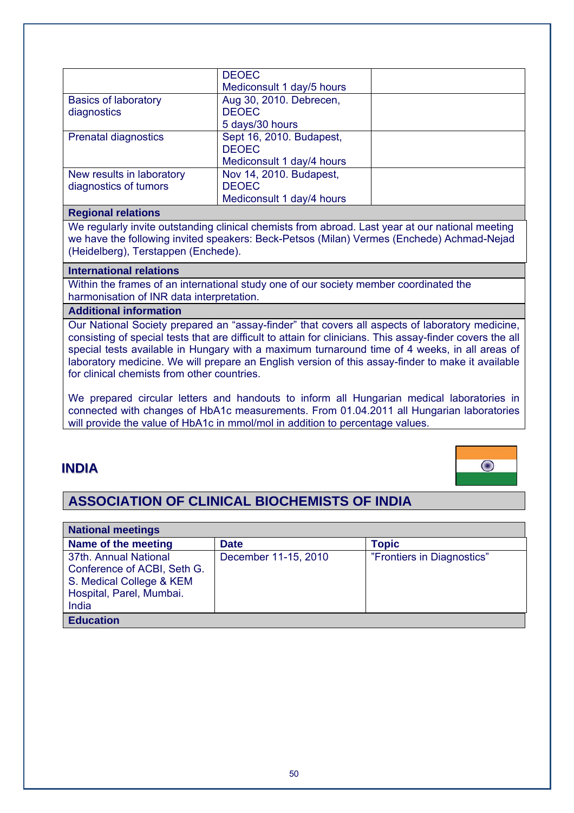|                                                    | <b>DEOEC</b><br>Mediconsult 1 day/5 hours                             |  |
|----------------------------------------------------|-----------------------------------------------------------------------|--|
| <b>Basics of laboratory</b><br>diagnostics         | Aug 30, 2010. Debrecen,<br><b>DEOEC</b><br>5 days/30 hours            |  |
| <b>Prenatal diagnostics</b>                        | Sept 16, 2010. Budapest,<br><b>DEOEC</b><br>Mediconsult 1 day/4 hours |  |
| New results in laboratory<br>diagnostics of tumors | Nov 14, 2010. Budapest,<br><b>DEOEC</b><br>Mediconsult 1 day/4 hours  |  |

#### **Regional relations**

We regularly invite outstanding clinical chemists from abroad. Last year at our national meeting we have the following invited speakers: Beck-Petsos (Milan) Vermes (Enchede) Achmad-Nejad (Heidelberg), Terstappen (Enchede).

#### **International relations**

Within the frames of an international study one of our society member coordinated the harmonisation of INR data interpretation.

#### **Additional information**

Our National Society prepared an "assay-finder" that covers all aspects of laboratory medicine, consisting of special tests that are difficult to attain for clinicians. This assay-finder covers the all special tests available in Hungary with a maximum turnaround time of 4 weeks, in all areas of laboratory medicine. We will prepare an English version of this assay-finder to make it available for clinical chemists from other countries.

We prepared circular letters and handouts to inform all Hungarian medical laboratories in connected with changes of HbA1c measurements. From 01.04.2011 all Hungarian laboratories will provide the value of HbA1c in mmol/mol in addition to percentage values.

#### **INDIA**



### **ASSOCIATION OF CLINICAL BIOCHEMISTS OF INDIA**

| <b>National meetings</b>                                                                                              |                      |                            |  |
|-----------------------------------------------------------------------------------------------------------------------|----------------------|----------------------------|--|
| Name of the meeting                                                                                                   | <b>Date</b>          | <b>Topic</b>               |  |
| 37th. Annual National<br>Conference of ACBI, Seth G.<br>S. Medical College & KEM<br>Hospital, Parel, Mumbai.<br>India | December 11-15, 2010 | "Frontiers in Diagnostics" |  |
| <b>Education</b>                                                                                                      |                      |                            |  |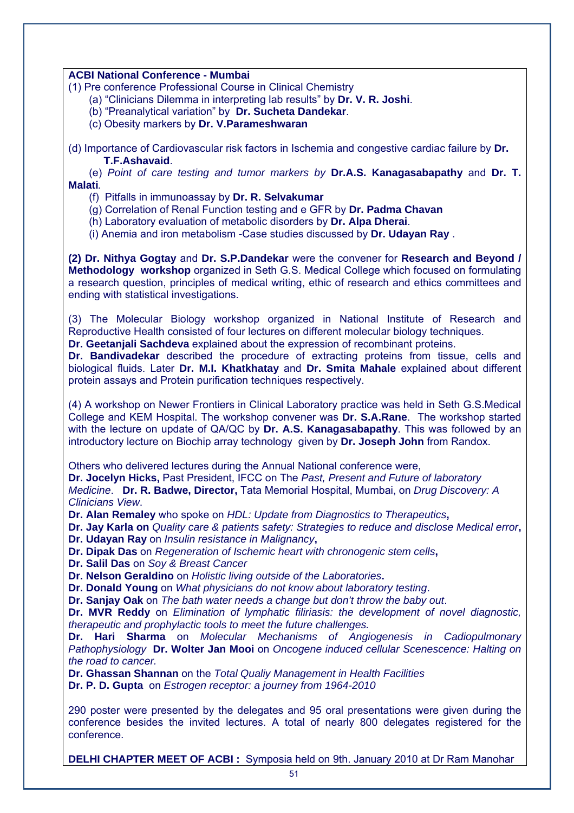#### **ACBI National Conference - Mumbai**

- (1) Pre conference Professional Course in Clinical Chemistry
	- (a) "Clinicians Dilemma in interpreting lab results" by **Dr. V. R. Joshi**.
	- (b) "Preanalytical variation" by **Dr. Sucheta Dandekar**.
	- (c) Obesity markers by **Dr. V.Parameshwaran**
- (d) Importance of Cardiovascular risk factors in Ischemia and congestive cardiac failure by **Dr. T.F.Ashavaid**.

 (e) *Point of care testing and tumor markers by* **Dr.A.S. Kanagasabapathy** and **Dr. T. Malati***.* 

- (f) Pitfalls in immunoassay by **Dr. R. Selvakumar**
- (g) Correlation of Renal Function testing and e GFR by **Dr. Padma Chavan**
- (h) Laboratory evaluation of metabolic disorders by **Dr. Alpa Dherai**.

(i) Anemia and iron metabolism -Case studies discussed by **Dr. Udayan Ray** .

**(2) Dr. Nithya Gogtay** and **Dr. S.P.Dandekar** were the convener for **Research and Beyond / Methodology workshop** organized in Seth G.S. Medical College which focused on formulating a research question, principles of medical writing, ethic of research and ethics committees and ending with statistical investigations.

(3) The Molecular Biology workshop organized in National Institute of Research and Reproductive Health consisted of four lectures on different molecular biology techniques.

**Dr. Geetanjali Sachdeva** explained about the expression of recombinant proteins.

**Dr. Bandivadekar** described the procedure of extracting proteins from tissue, cells and biological fluids. Later **Dr. M.I. Khatkhatay** and **Dr. Smita Mahale** explained about different protein assays and Protein purification techniques respectively.

(4) A workshop on Newer Frontiers in Clinical Laboratory practice was held in Seth G.S.Medical College and KEM Hospital. The workshop convener was **Dr. S.A.Rane**. The workshop started with the lecture on update of QA/QC by **Dr. A.S. Kanagasabapathy**. This was followed by an introductory lecture on Biochip array technology given by **Dr. Joseph John** from Randox.

Others who delivered lectures during the Annual National conference were,

**Dr. Jocelyn Hicks,** Past President, IFCC on The *Past, Present and Future of laboratory Medicine*. **Dr. R. Badwe, Director,** Tata Memorial Hospital, Mumbai, on *Drug Discovery: A Clinicians View*.

**Dr. Alan Remaley** who spoke on *HDL: Update from Diagnostics to Therapeutics***,** 

**Dr. Jay Karla on** *Quality care & patients safety: Strategies to reduce and disclose Medical error***, Dr. Udayan Ray** on *Insulin resistance in Malignancy***,** 

**Dr. Dipak Das** on *Regeneration of Ischemic heart with chronogenic stem cells***,** 

**Dr. Salil Das** on *Soy & Breast Cancer* 

**Dr. Nelson Geraldino** on *Holistic living outside of the Laboratories***.**

**Dr. Donald Young** on *What physicians do not know about laboratory testing*.

**Dr. Sanjay Oak** on *The bath water needs a change but don't throw the baby out*.

**Dr. MVR Reddy** on *Elimination of lymphatic filiriasis: the development of novel diagnostic, therapeutic and prophylactic tools to meet the future challenges.*

**Dr. Hari Sharma** on *Molecular Mechanisms of Angiogenesis in Cadiopulmonary Pathophysiology* **Dr. Wolter Jan Mooi** on *Oncogene induced cellular Scenescence: Halting on the road to cancer.* 

**Dr. Ghassan Shannan** on the *Total Qualiy Management in Health Facilities*

**Dr. P. D. Gupta** on *Estrogen receptor: a journey from 1964-2010*

290 poster were presented by the delegates and 95 oral presentations were given during the conference besides the invited lectures. A total of nearly 800 delegates registered for the conference.

**DELHI CHAPTER MEET OF ACBI :** Symposia held on 9th. January 2010 at Dr Ram Manohar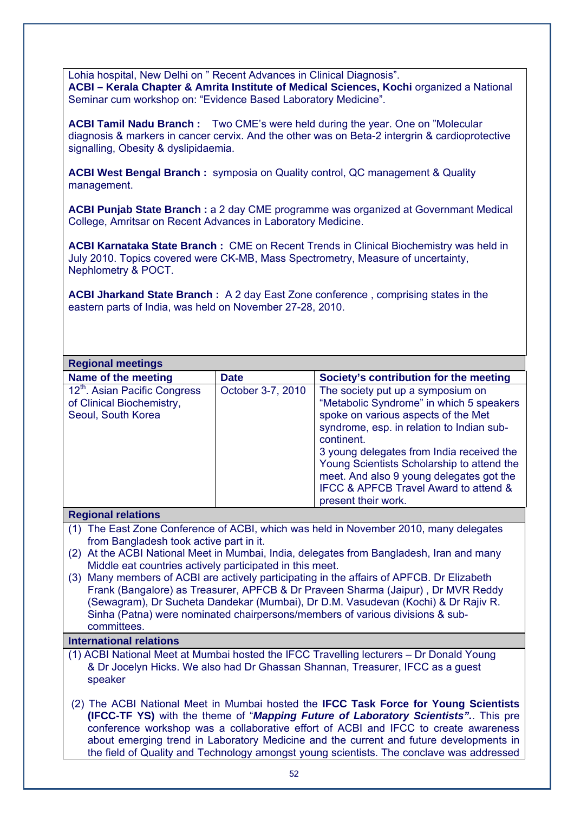Lohia hospital, New Delhi on " Recent Advances in Clinical Diagnosis". **ACBI – Kerala Chapter & Amrita Institute of Medical Sciences, Kochi organized a National** Seminar cum workshop on: "Evidence Based Laboratory Medicine".

**ACBI Tamil Nadu Branch :** Two CME's were held during the year. One on "Molecular diagnosis & markers in cancer cervix. And the other was on Beta-2 intergrin & cardioprotective signalling, Obesity & dyslipidaemia.

**ACBI West Bengal Branch :** symposia on Quality control, QC management & Quality management.

**ACBI Punjab State Branch :** a 2 day CME programme was organized at Governmant Medical College, Amritsar on Recent Advances in Laboratory Medicine.

**ACBI Karnataka State Branch :** CME on Recent Trends in Clinical Biochemistry was held in July 2010. Topics covered were CK-MB, Mass Spectrometry, Measure of uncertainty, Nephlometry & POCT.

**ACBI Jharkand State Branch :** A 2 day East Zone conference , comprising states in the eastern parts of India, was held on November 27-28, 2010.

| <b>Regional meetings</b>                                                                                                                                                                                                                                                                                                                                                                                                                                                                                                                                                                                                                                             |                   |                                                                                                                                                                                                                                                                                                                                                                                        |  |
|----------------------------------------------------------------------------------------------------------------------------------------------------------------------------------------------------------------------------------------------------------------------------------------------------------------------------------------------------------------------------------------------------------------------------------------------------------------------------------------------------------------------------------------------------------------------------------------------------------------------------------------------------------------------|-------------------|----------------------------------------------------------------------------------------------------------------------------------------------------------------------------------------------------------------------------------------------------------------------------------------------------------------------------------------------------------------------------------------|--|
| Name of the meeting                                                                                                                                                                                                                                                                                                                                                                                                                                                                                                                                                                                                                                                  | <b>Date</b>       | Society's contribution for the meeting                                                                                                                                                                                                                                                                                                                                                 |  |
| 12 <sup>th</sup> . Asian Pacific Congress<br>of Clinical Biochemistry,<br>Seoul, South Korea                                                                                                                                                                                                                                                                                                                                                                                                                                                                                                                                                                         | October 3-7, 2010 | The society put up a symposium on<br>"Metabolic Syndrome" in which 5 speakers<br>spoke on various aspects of the Met<br>syndrome, esp. in relation to Indian sub-<br>continent.<br>3 young delegates from India received the<br>Young Scientists Scholarship to attend the<br>meet. And also 9 young delegates got the<br>IFCC & APFCB Travel Award to attend &<br>present their work. |  |
| <b>Regional relations</b>                                                                                                                                                                                                                                                                                                                                                                                                                                                                                                                                                                                                                                            |                   |                                                                                                                                                                                                                                                                                                                                                                                        |  |
| (1) The East Zone Conference of ACBI, which was held in November 2010, many delegates<br>from Bangladesh took active part in it.<br>At the ACBI National Meet in Mumbai, India, delegates from Bangladesh, Iran and many<br>(2)<br>Middle eat countries actively participated in this meet.<br>Many members of ACBI are actively participating in the affairs of APFCB. Dr Elizabeth<br>(3)<br>Frank (Bangalore) as Treasurer, APFCB & Dr Praveen Sharma (Jaipur), Dr MVR Reddy<br>(Sewagram), Dr Sucheta Dandekar (Mumbai), Dr D.M. Vasudevan (Kochi) & Dr Rajiv R.<br>Sinha (Patna) were nominated chairpersons/members of various divisions & sub-<br>committees. |                   |                                                                                                                                                                                                                                                                                                                                                                                        |  |

#### **International relations**

- (1) ACBI National Meet at Mumbai hosted the IFCC Travelling lecturers Dr Donald Young & Dr Jocelyn Hicks. We also had Dr Ghassan Shannan, Treasurer, IFCC as a guest speaker
- (2) The ACBI National Meet in Mumbai hosted the **IFCC Task Force for Young Scientists (IFCC-TF YS)** with the theme of "*Mapping Future of Laboratory Scientists".*. This pre conference workshop was a collaborative effort of ACBI and IFCC to create awareness about emerging trend in Laboratory Medicine and the current and future developments in the field of Quality and Technology amongst young scientists. The conclave was addressed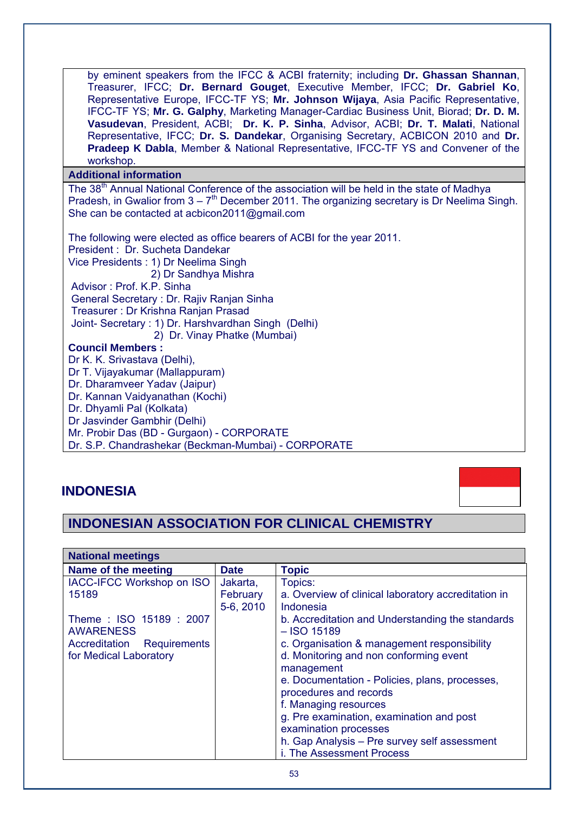by eminent speakers from the IFCC & ACBI fraternity; including **Dr. Ghassan Shannan**, Treasurer, IFCC; **Dr. Bernard Gouget**, Executive Member, IFCC; **Dr. Gabriel Ko**, Representative Europe, IFCC-TF YS; **Mr. Johnson Wijaya**, Asia Pacific Representative, IFCC-TF YS; **Mr. G. Galphy**, Marketing Manager-Cardiac Business Unit, Biorad; **Dr. D. M. Vasudevan**, President, ACBI; **Dr. K. P. Sinha**, Advisor, ACBI; **Dr. T. Malati**, National Representative, IFCC; **Dr. S. Dandekar**, Organising Secretary, ACBICON 2010 and **Dr. Pradeep K Dabla**, Member & National Representative, IFCC-TF YS and Convener of the workshop.

#### **Additional information**

The 38<sup>th</sup> Annual National Conference of the association will be held in the state of Madhya Pradesh, in Gwalior from  $3 - 7<sup>th</sup>$  December 2011. The organizing secretary is Dr Neelima Singh. She can be contacted at acbicon2011@gmail.com

The following were elected as office bearers of ACBI for the year 2011. President : Dr. Sucheta Dandekar Vice Presidents : 1) Dr Neelima Singh 2) Dr Sandhya Mishra Advisor : Prof. K.P. Sinha General Secretary : Dr. Rajiv Ranjan Sinha Treasurer : Dr Krishna Ranjan Prasad Joint- Secretary : 1) Dr. Harshvardhan Singh (Delhi) 2) Dr. Vinay Phatke (Mumbai) **Council Members :**  Dr K. K. Srivastava (Delhi), Dr T. Vijayakumar (Mallappuram) Dr. Dharamveer Yadav (Jaipur) Dr. Kannan Vaidyanathan (Kochi) Dr. Dhyamli Pal (Kolkata) Dr Jasvinder Gambhir (Delhi) Mr. Probir Das (BD - Gurgaon) - CORPORATE Dr. S.P. Chandrashekar (Beckman-Mumbai) - CORPORATE

## **INDONESIA**

## **INDONESIAN ASSOCIATION FOR CLINICAL CHEMISTRY**

| <b>National meetings</b>                   |             |                                                                   |
|--------------------------------------------|-------------|-------------------------------------------------------------------|
| Name of the meeting                        | <b>Date</b> | <b>Topic</b>                                                      |
| <b>IACC-IFCC Workshop on ISO</b>           | Jakarta,    | Topics:                                                           |
| 15189                                      | February    | a. Overview of clinical laboratory accreditation in               |
|                                            | 5-6, 2010   | Indonesia                                                         |
| Theme: ISO 15189: 2007<br><b>AWARENESS</b> |             | b. Accreditation and Understanding the standards<br>$-$ ISO 15189 |
| Accreditation Requirements                 |             | c. Organisation & management responsibility                       |
| for Medical Laboratory                     |             | d. Monitoring and non conforming event                            |
|                                            |             | management                                                        |
|                                            |             | e. Documentation - Policies, plans, processes,                    |
|                                            |             | procedures and records                                            |
|                                            |             | f. Managing resources                                             |
|                                            |             | g. Pre examination, examination and post                          |
|                                            |             | examination processes                                             |
|                                            |             | h. Gap Analysis - Pre survey self assessment                      |
|                                            |             | i. The Assessment Process                                         |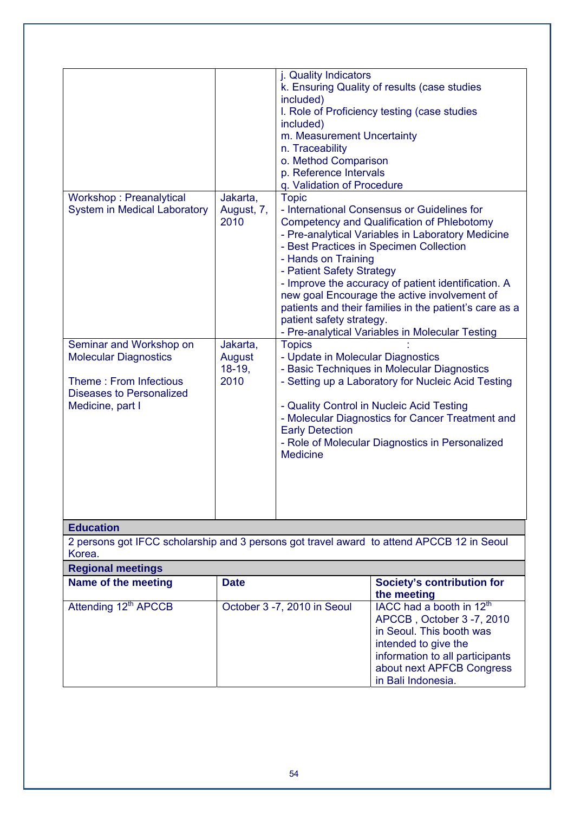| Workshop: Preanalytical<br><b>System in Medical Laboratory</b><br>Seminar and Workshop on<br><b>Molecular Diagnostics</b><br>Theme: From Infectious<br>Diseases to Personalized<br>Medicine, part I | Jakarta,<br>August, 7,<br>2010<br>Jakarta,<br>August<br>$18-19,$<br>2010 | j. Quality Indicators<br>included)<br>included)<br>m. Measurement Uncertainty<br>n. Traceability<br>o. Method Comparison<br>p. Reference Intervals<br>q. Validation of Procedure<br><b>Topic</b><br>- Hands on Training<br>- Patient Safety Strategy<br>patient safety strategy.<br><b>Topics</b><br>- Update in Molecular Diagnostics<br><b>Early Detection</b><br><b>Medicine</b> | k. Ensuring Quality of results (case studies<br>I. Role of Proficiency testing (case studies<br>- International Consensus or Guidelines for<br>Competency and Qualification of Phlebotomy<br>- Pre-analytical Variables in Laboratory Medicine<br>- Best Practices in Specimen Collection<br>- Improve the accuracy of patient identification. A<br>new goal Encourage the active involvement of<br>patients and their families in the patient's care as a<br>- Pre-analytical Variables in Molecular Testing<br>- Basic Techniques in Molecular Diagnostics<br>- Setting up a Laboratory for Nucleic Acid Testing<br>- Quality Control in Nucleic Acid Testing<br>- Molecular Diagnostics for Cancer Treatment and<br>- Role of Molecular Diagnostics in Personalized |  |
|-----------------------------------------------------------------------------------------------------------------------------------------------------------------------------------------------------|--------------------------------------------------------------------------|-------------------------------------------------------------------------------------------------------------------------------------------------------------------------------------------------------------------------------------------------------------------------------------------------------------------------------------------------------------------------------------|------------------------------------------------------------------------------------------------------------------------------------------------------------------------------------------------------------------------------------------------------------------------------------------------------------------------------------------------------------------------------------------------------------------------------------------------------------------------------------------------------------------------------------------------------------------------------------------------------------------------------------------------------------------------------------------------------------------------------------------------------------------------|--|
| <b>Education</b>                                                                                                                                                                                    |                                                                          |                                                                                                                                                                                                                                                                                                                                                                                     |                                                                                                                                                                                                                                                                                                                                                                                                                                                                                                                                                                                                                                                                                                                                                                        |  |
| 2 persons got IFCC scholarship and 3 persons got travel award to attend APCCB 12 in Seoul<br>Korea.                                                                                                 |                                                                          |                                                                                                                                                                                                                                                                                                                                                                                     |                                                                                                                                                                                                                                                                                                                                                                                                                                                                                                                                                                                                                                                                                                                                                                        |  |
| <b>Regional meetings</b>                                                                                                                                                                            |                                                                          |                                                                                                                                                                                                                                                                                                                                                                                     |                                                                                                                                                                                                                                                                                                                                                                                                                                                                                                                                                                                                                                                                                                                                                                        |  |
| Name of the meeting                                                                                                                                                                                 | <b>Date</b>                                                              |                                                                                                                                                                                                                                                                                                                                                                                     | <b>Society's contribution for</b><br>the meeting                                                                                                                                                                                                                                                                                                                                                                                                                                                                                                                                                                                                                                                                                                                       |  |
| Attending 12 <sup>th</sup> APCCB                                                                                                                                                                    | October 3 -7, 2010 in Seoul                                              |                                                                                                                                                                                                                                                                                                                                                                                     | IACC had a booth in 12 <sup>th</sup><br>APCCB, October 3-7, 2010<br>in Seoul. This booth was<br>intended to give the<br>information to all participants<br>about next APFCB Congress<br>in Bali Indonesia.                                                                                                                                                                                                                                                                                                                                                                                                                                                                                                                                                             |  |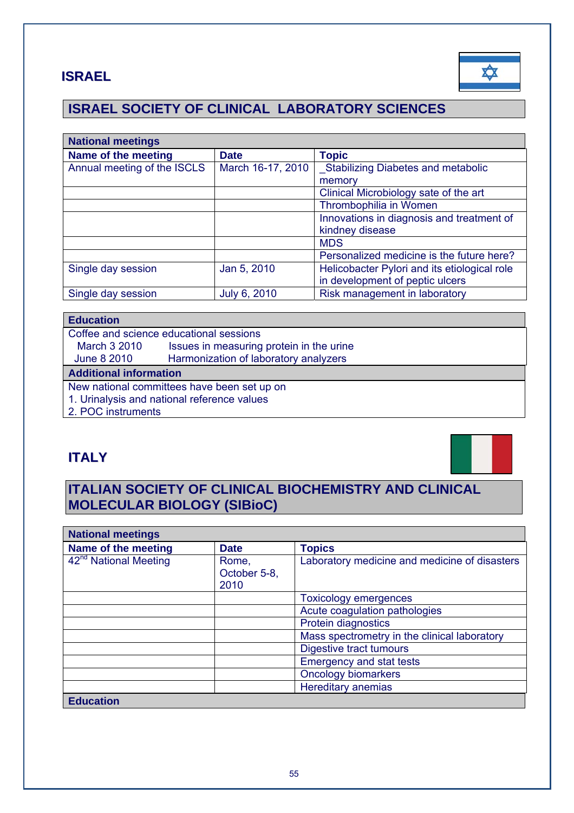## **ISRAEL**



## **ISRAEL SOCIETY OF CLINICAL LABORATORY SCIENCES**

| <b>National meetings</b>    |                   |                                              |
|-----------------------------|-------------------|----------------------------------------------|
| Name of the meeting         | <b>Date</b>       | <b>Topic</b>                                 |
| Annual meeting of the ISCLS | March 16-17, 2010 | _Stabilizing Diabetes and metabolic          |
|                             |                   | memory                                       |
|                             |                   | Clinical Microbiology sate of the art        |
|                             |                   | Thrombophilia in Women                       |
|                             |                   | Innovations in diagnosis and treatment of    |
|                             |                   | kindney disease                              |
|                             |                   | <b>MDS</b>                                   |
|                             |                   | Personalized medicine is the future here?    |
| Single day session          | Jan 5, 2010       | Helicobacter Pylori and its etiological role |
|                             |                   | in development of peptic ulcers              |
| Single day session          | July 6, 2010      | Risk management in laboratory                |

### **Education**

|                                             | Coffee and science educational sessions  |  |  |
|---------------------------------------------|------------------------------------------|--|--|
| <b>March 3 2010</b>                         | Issues in measuring protein in the urine |  |  |
| June 8 2010                                 | Harmonization of laboratory analyzers    |  |  |
| <b>Additional information</b>               |                                          |  |  |
| New national committees have been set up on |                                          |  |  |
| 1. Urinalysis and national reference values |                                          |  |  |
| 2. POC instruments                          |                                          |  |  |

## **ITALY**



## **ITALIAN SOCIETY OF CLINICAL BIOCHEMISTRY AND CLINICAL MOLECULAR BIOLOGY (SIBioC)**

| <b>National meetings</b>          |                               |                                               |
|-----------------------------------|-------------------------------|-----------------------------------------------|
| Name of the meeting               | <b>Date</b>                   | <b>Topics</b>                                 |
| 42 <sup>nd</sup> National Meeting | Rome,<br>October 5-8,<br>2010 | Laboratory medicine and medicine of disasters |
|                                   |                               | <b>Toxicology emergences</b>                  |
|                                   |                               | Acute coagulation pathologies                 |
|                                   |                               | Protein diagnostics                           |
|                                   |                               | Mass spectrometry in the clinical laboratory  |
|                                   |                               | Digestive tract tumours                       |
|                                   |                               | <b>Emergency and stat tests</b>               |
|                                   |                               | <b>Oncology biomarkers</b>                    |
|                                   |                               | <b>Hereditary anemias</b>                     |
| <b>Education</b>                  |                               |                                               |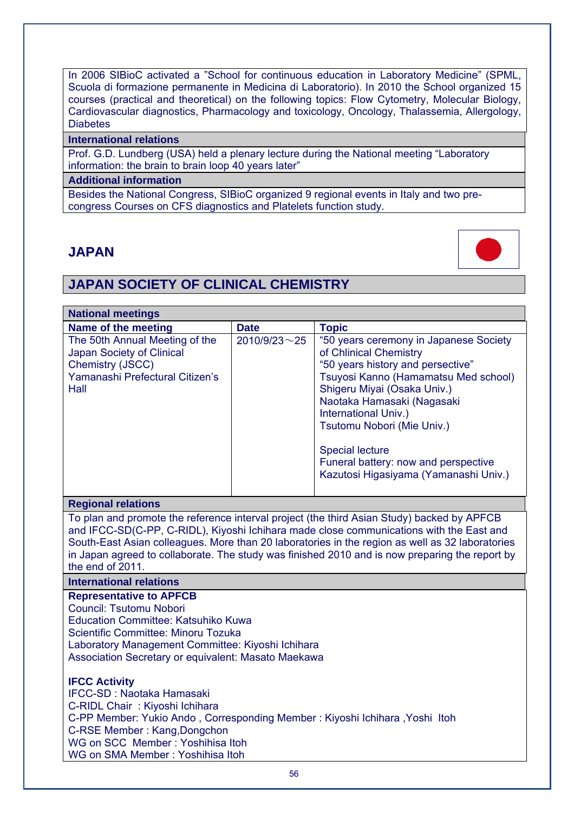In 2006 SIBioC activated a "School for continuous education in Laboratory Medicine" (SPML Scuola di formazione permanente in Medicina di Laboratorio). In 2010 the School organized 15 courses (practical and theoretical) on the following topics: Flow Cytometry, Molecular Biology, Cardiovascular diagnostics, Pharmacology and toxicology, Oncology, Thalassemia, Allergology, **Diabetes** 

#### **International relations**

Prof. G.D. Lundberg (USA) held a plenary lecture during the National meeting "Laboratory information: the brain to brain loop 40 years later"

#### **Additional information**

Besides the National Congress, SIBioC organized 9 regional events in Italy and two precongress Courses on CFS diagnostics and Platelets function study.

### **JAPAN**



## **JAPAN SOCIETY OF CLINICAL CHEMISTRY**

| <b>National meetings</b>                                                                                                   |                     |                                                                                                                                                                                                                                                                                                                                                                             |
|----------------------------------------------------------------------------------------------------------------------------|---------------------|-----------------------------------------------------------------------------------------------------------------------------------------------------------------------------------------------------------------------------------------------------------------------------------------------------------------------------------------------------------------------------|
| Name of the meeting                                                                                                        | <b>Date</b>         | <b>Topic</b>                                                                                                                                                                                                                                                                                                                                                                |
| The 50th Annual Meeting of the<br>Japan Society of Clinical<br>Chemistry (JSCC)<br>Yamanashi Prefectural Citizen's<br>Hall | $2010/9/23 \sim 25$ | "50 years ceremony in Japanese Society<br>of Chlinical Chemistry<br>"50 years history and persective"<br>Tsuyosi Kanno (Hamamatsu Med school)<br>Shigeru Miyai (Osaka Univ.)<br>Naotaka Hamasaki (Nagasaki<br>International Univ.)<br>Tsutomu Nobori (Mie Univ.)<br><b>Special lecture</b><br>Funeral battery: now and perspective<br>Kazutosi Higasiyama (Yamanashi Univ.) |

#### **Regional relations**

To plan and promote the reference interval project (the third Asian Study) backed by APFCB and IFCC-SD(C-PP, C-RIDL), Kiyoshi Ichihara made close communications with the East and South-East Asian colleagues. More than 20 laboratories in the region as well as 32 laboratories in Japan agreed to collaborate. The study was finished 2010 and is now preparing the report by the end of 2011.

#### **International relations**

**Representative to APFCB** 

Council: Tsutomu Nobori

Education Committee: Katsuhiko Kuwa

Scientific Committee: Minoru Tozuka

Laboratory Management Committee: Kiyoshi Ichihara

Association Secretary or equivalent: Masato Maekawa

#### **IFCC Activity**

IFCC-SD : Naotaka Hamasaki C-RIDL Chair : Kiyoshi Ichihara C-PP Member: Yukio Ando , Corresponding Member : Kiyoshi Ichihara ,Yoshi Itoh C-RSE Member : Kang,Dongchon WG on SCC Member : Yoshihisa Itoh WG on SMA Member : Yoshihisa Itoh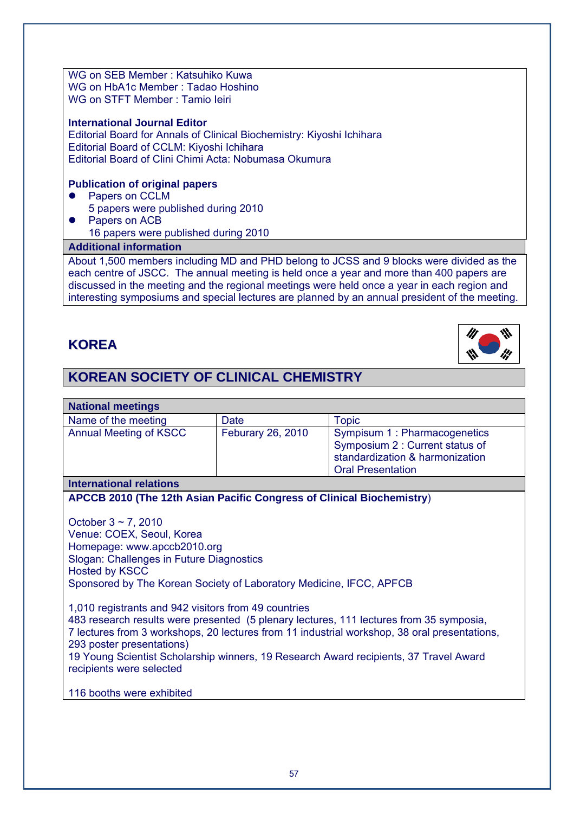WG on SEB Member : Katsuhiko Kuwa WG on HbA1c Member : Tadao Hoshino WG on STFT Member : Tamio Ieiri

#### **International Journal Editor**

Editorial Board for Annals of Clinical Biochemistry: Kiyoshi Ichihara Editorial Board of CCLM: Kiyoshi Ichihara Editorial Board of Clini Chimi Acta: Nobumasa Okumura

#### **Publication of original papers**

- Papers on CCLM 5 papers were published during 2010
- Papers on ACB 16 papers were published during 2010

### **Additional information**

About 1,500 members including MD and PHD belong to JCSS and 9 blocks were divided as the each centre of JSCC. The annual meeting is held once a year and more than 400 papers are discussed in the meeting and the regional meetings were held once a year in each region and interesting symposiums and special lectures are planned by an annual president of the meeting.

### **KOREA**



## **KOREAN SOCIETY OF CLINICAL CHEMISTRY**

| <b>National meetings</b>                                                                                                                                                                                                          |                   |                                                                                                                                 |  |  |
|-----------------------------------------------------------------------------------------------------------------------------------------------------------------------------------------------------------------------------------|-------------------|---------------------------------------------------------------------------------------------------------------------------------|--|--|
| Name of the meeting                                                                                                                                                                                                               | <b>Date</b>       | <b>Topic</b>                                                                                                                    |  |  |
| <b>Annual Meeting of KSCC</b>                                                                                                                                                                                                     | Feburary 26, 2010 | Sympisum 1 : Pharmacogenetics<br>Symposium 2 : Current status of<br>standardization & harmonization<br><b>Oral Presentation</b> |  |  |
| <b>International relations</b>                                                                                                                                                                                                    |                   |                                                                                                                                 |  |  |
| APCCB 2010 (The 12th Asian Pacific Congress of Clinical Biochemistry)                                                                                                                                                             |                   |                                                                                                                                 |  |  |
| October $3 \sim 7$ , 2010<br>Venue: COEX, Seoul, Korea<br>Homepage: www.apccb2010.org<br>Slogan: Challenges in Future Diagnostics<br><b>Hosted by KSCC</b><br>Sponsored by The Korean Society of Laboratory Medicine, IFCC, APFCB |                   |                                                                                                                                 |  |  |

1,010 registrants and 942 visitors from 49 countries 483 research results were presented (5 plenary lectures, 111 lectures from 35 symposia, 7 lectures from 3 workshops, 20 lectures from 11 industrial workshop, 38 oral presentations, 293 poster presentations) 19 Young Scientist Scholarship winners, 19 Research Award recipients, 37 Travel Award recipients were selected

116 booths were exhibited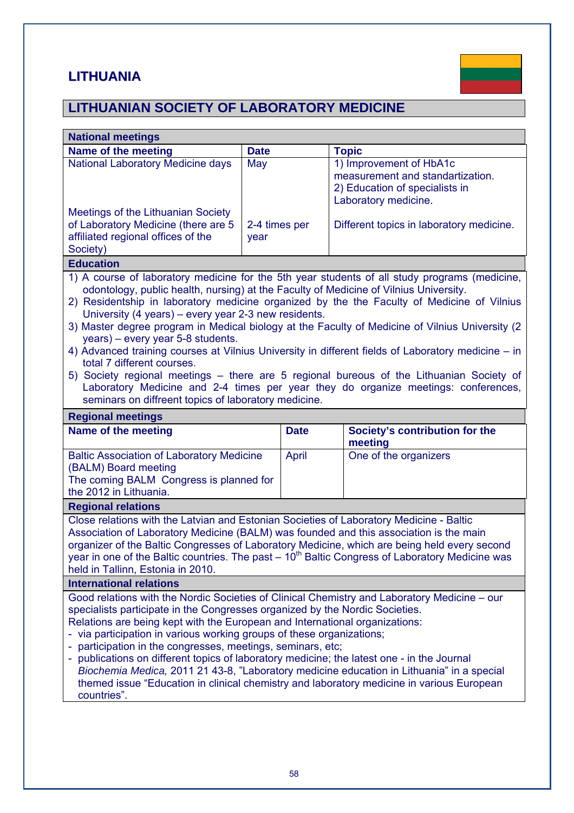## **LITHUANIA**



## **LITHUANIAN SOCIETY OF LABORATORY MEDICINE**

| <b>National meetings</b>                                                                                                                                                                                                                                                                                                                                                                                                                                                                                                                                                                                                                                                                                                                                                                                                                                            |                       |             |                       |                                                                                                                       |
|---------------------------------------------------------------------------------------------------------------------------------------------------------------------------------------------------------------------------------------------------------------------------------------------------------------------------------------------------------------------------------------------------------------------------------------------------------------------------------------------------------------------------------------------------------------------------------------------------------------------------------------------------------------------------------------------------------------------------------------------------------------------------------------------------------------------------------------------------------------------|-----------------------|-------------|-----------------------|-----------------------------------------------------------------------------------------------------------------------|
| Name of the meeting                                                                                                                                                                                                                                                                                                                                                                                                                                                                                                                                                                                                                                                                                                                                                                                                                                                 | <b>Date</b>           |             | <b>Topic</b>          |                                                                                                                       |
| National Laboratory Medicine days                                                                                                                                                                                                                                                                                                                                                                                                                                                                                                                                                                                                                                                                                                                                                                                                                                   | May                   |             |                       | 1) Improvement of HbA1c<br>measurement and standartization.<br>2) Education of specialists in<br>Laboratory medicine. |
| Meetings of the Lithuanian Society<br>of Laboratory Medicine (there are 5<br>affiliated regional offices of the<br>Society)                                                                                                                                                                                                                                                                                                                                                                                                                                                                                                                                                                                                                                                                                                                                         | 2-4 times per<br>year |             |                       | Different topics in laboratory medicine.                                                                              |
| <b>Education</b>                                                                                                                                                                                                                                                                                                                                                                                                                                                                                                                                                                                                                                                                                                                                                                                                                                                    |                       |             |                       |                                                                                                                       |
| 1) A course of laboratory medicine for the 5th year students of all study programs (medicine,<br>odontology, public health, nursing) at the Faculty of Medicine of Vilnius University.<br>2) Residentship in laboratory medicine organized by the the Faculty of Medicine of Vilnius<br>University (4 years) – every year 2-3 new residents.<br>3) Master degree program in Medical biology at the Faculty of Medicine of Vilnius University (2)<br>years) – every year 5-8 students.<br>4) Advanced training courses at Vilnius University in different fields of Laboratory medicine - in<br>total 7 different courses.<br>5) Society regional meetings - there are 5 regional bureous of the Lithuanian Society of<br>Laboratory Medicine and 2-4 times per year they do organize meetings: conferences,<br>seminars on diffreent topics of laboratory medicine. |                       |             |                       |                                                                                                                       |
| <b>Regional meetings</b>                                                                                                                                                                                                                                                                                                                                                                                                                                                                                                                                                                                                                                                                                                                                                                                                                                            |                       |             |                       |                                                                                                                       |
| Name of the meeting                                                                                                                                                                                                                                                                                                                                                                                                                                                                                                                                                                                                                                                                                                                                                                                                                                                 |                       | <b>Date</b> |                       | Society's contribution for the<br>meeting                                                                             |
| <b>Baltic Association of Laboratory Medicine</b><br>April<br>(BALM) Board meeting<br>The coming BALM Congress is planned for<br>the 2012 in Lithuania.                                                                                                                                                                                                                                                                                                                                                                                                                                                                                                                                                                                                                                                                                                              |                       |             | One of the organizers |                                                                                                                       |
| <b>Regional relations</b>                                                                                                                                                                                                                                                                                                                                                                                                                                                                                                                                                                                                                                                                                                                                                                                                                                           |                       |             |                       |                                                                                                                       |
| Close relations with the Latvian and Estonian Societies of Laboratory Medicine - Baltic<br>Association of Laboratory Medicine (BALM) was founded and this association is the main<br>organizer of the Baltic Congresses of Laboratory Medicine, which are being held every second<br>year in one of the Baltic countries. The past $-10th$ Baltic Congress of Laboratory Medicine was<br>held in Tallinn, Estonia in 2010.                                                                                                                                                                                                                                                                                                                                                                                                                                          |                       |             |                       |                                                                                                                       |
| <b>International relations</b>                                                                                                                                                                                                                                                                                                                                                                                                                                                                                                                                                                                                                                                                                                                                                                                                                                      |                       |             |                       |                                                                                                                       |
| Good relations with the Nordic Societies of Clinical Chemistry and Laboratory Medicine - our<br>specialists participate in the Congresses organized by the Nordic Societies.<br>Relations are being kept with the European and International organizations:<br>via participation in various working groups of these organizations;<br>participation in the congresses, meetings, seminars, etc;<br>publications on different topics of laboratory medicine; the latest one - in the Journal<br>Biochemia Medica, 2011 21 43-8, "Laboratory medicine education in Lithuania" in a special<br>themed issue "Education in clinical chemistry and laboratory medicine in various European<br>countries".                                                                                                                                                                |                       |             |                       |                                                                                                                       |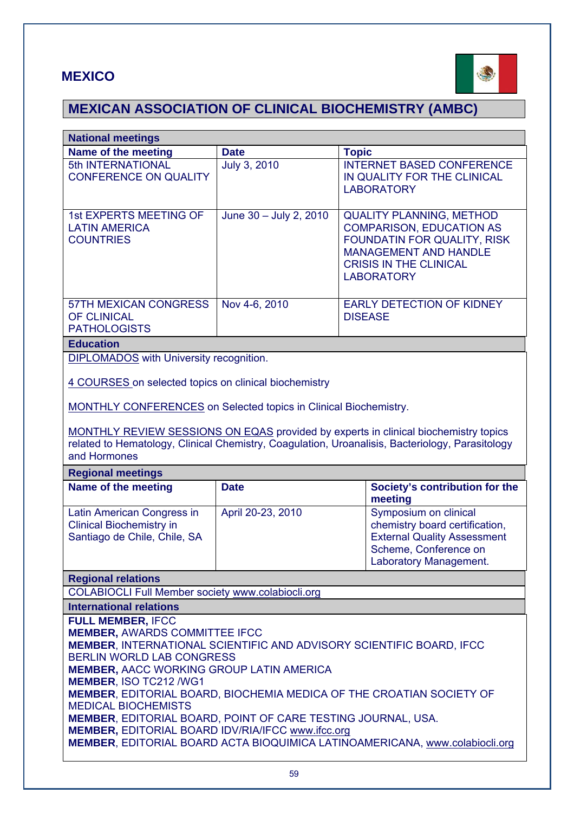## **MEXICO**



# **MEXICAN ASSOCIATION OF CLINICAL BIOCHEMISTRY (AMBC)**

| <b>National meetings</b>                                                                                                                                                                                                                                                                                                                                                                                                                                                                                                                                                                                      |                                                                                                                                                                                        |                                                                                                                                                                                         |  |  |  |
|---------------------------------------------------------------------------------------------------------------------------------------------------------------------------------------------------------------------------------------------------------------------------------------------------------------------------------------------------------------------------------------------------------------------------------------------------------------------------------------------------------------------------------------------------------------------------------------------------------------|----------------------------------------------------------------------------------------------------------------------------------------------------------------------------------------|-----------------------------------------------------------------------------------------------------------------------------------------------------------------------------------------|--|--|--|
| Name of the meeting                                                                                                                                                                                                                                                                                                                                                                                                                                                                                                                                                                                           | <b>Date</b>                                                                                                                                                                            | <b>Topic</b>                                                                                                                                                                            |  |  |  |
| 5th INTERNATIONAL<br><b>CONFERENCE ON QUALITY</b>                                                                                                                                                                                                                                                                                                                                                                                                                                                                                                                                                             | <b>July 3, 2010</b>                                                                                                                                                                    | <b>INTERNET BASED CONFERENCE</b><br>IN QUALITY FOR THE CLINICAL<br><b>LABORATORY</b>                                                                                                    |  |  |  |
| <b>1st EXPERTS MEETING OF</b><br><b>LATIN AMERICA</b><br><b>COUNTRIES</b>                                                                                                                                                                                                                                                                                                                                                                                                                                                                                                                                     | June 30 - July 2, 2010                                                                                                                                                                 | <b>QUALITY PLANNING, METHOD</b><br><b>COMPARISON, EDUCATION AS</b><br>FOUNDATIN FOR QUALITY, RISK<br><b>MANAGEMENT AND HANDLE</b><br><b>CRISIS IN THE CLINICAL</b><br><b>LABORATORY</b> |  |  |  |
| <b>57TH MEXICAN CONGRESS</b><br><b>OF CLINICAL</b><br><b>PATHOLOGISTS</b>                                                                                                                                                                                                                                                                                                                                                                                                                                                                                                                                     | Nov 4-6, 2010                                                                                                                                                                          | <b>EARLY DETECTION OF KIDNEY</b><br><b>DISEASE</b>                                                                                                                                      |  |  |  |
| <b>Education</b>                                                                                                                                                                                                                                                                                                                                                                                                                                                                                                                                                                                              |                                                                                                                                                                                        |                                                                                                                                                                                         |  |  |  |
| <b>DIPLOMADOS</b> with University recognition.                                                                                                                                                                                                                                                                                                                                                                                                                                                                                                                                                                |                                                                                                                                                                                        |                                                                                                                                                                                         |  |  |  |
| 4 COURSES on selected topics on clinical biochemistry                                                                                                                                                                                                                                                                                                                                                                                                                                                                                                                                                         |                                                                                                                                                                                        |                                                                                                                                                                                         |  |  |  |
| <b>MONTHLY CONFERENCES</b> on Selected topics in Clinical Biochemistry.                                                                                                                                                                                                                                                                                                                                                                                                                                                                                                                                       |                                                                                                                                                                                        |                                                                                                                                                                                         |  |  |  |
| and Hormones                                                                                                                                                                                                                                                                                                                                                                                                                                                                                                                                                                                                  | MONTHLY REVIEW SESSIONS ON EQAS provided by experts in clinical biochemistry topics<br>related to Hematology, Clinical Chemistry, Coagulation, Uroanalisis, Bacteriology, Parasitology |                                                                                                                                                                                         |  |  |  |
| <b>Regional meetings</b>                                                                                                                                                                                                                                                                                                                                                                                                                                                                                                                                                                                      |                                                                                                                                                                                        |                                                                                                                                                                                         |  |  |  |
| Name of the meeting                                                                                                                                                                                                                                                                                                                                                                                                                                                                                                                                                                                           | <b>Date</b>                                                                                                                                                                            | Society's contribution for the<br>meeting                                                                                                                                               |  |  |  |
| Latin American Congress in<br><b>Clinical Biochemistry in</b><br>Santiago de Chile, Chile, SA                                                                                                                                                                                                                                                                                                                                                                                                                                                                                                                 | April 20-23, 2010                                                                                                                                                                      | Symposium on clinical<br>chemistry board certification,<br><b>External Quality Assessment</b><br>Scheme, Conference on<br>Laboratory Management.                                        |  |  |  |
| <b>Regional relations</b>                                                                                                                                                                                                                                                                                                                                                                                                                                                                                                                                                                                     |                                                                                                                                                                                        |                                                                                                                                                                                         |  |  |  |
| <b>COLABIOCLI Full Member society www.colabiocli.org</b>                                                                                                                                                                                                                                                                                                                                                                                                                                                                                                                                                      |                                                                                                                                                                                        |                                                                                                                                                                                         |  |  |  |
| <b>International relations</b>                                                                                                                                                                                                                                                                                                                                                                                                                                                                                                                                                                                |                                                                                                                                                                                        |                                                                                                                                                                                         |  |  |  |
| <b>FULL MEMBER, IFCC</b><br><b>MEMBER, AWARDS COMMITTEE IFCC</b><br><b>MEMBER, INTERNATIONAL SCIENTIFIC AND ADVISORY SCIENTIFIC BOARD, IFCC</b><br><b>BERLIN WORLD LAB CONGRESS</b><br><b>MEMBER, AACC WORKING GROUP LATIN AMERICA</b><br><b>MEMBER, ISO TC212 /WG1</b><br><b>MEMBER, EDITORIAL BOARD, BIOCHEMIA MEDICA OF THE CROATIAN SOCIETY OF</b><br><b>MEDICAL BIOCHEMISTS</b><br><b>MEMBER, EDITORIAL BOARD, POINT OF CARE TESTING JOURNAL, USA.</b><br><b>MEMBER, EDITORIAL BOARD IDV/RIA/IFCC www.ifcc.org</b><br><b>MEMBER, EDITORIAL BOARD ACTA BIOQUIMICA LATINOAMERICANA, www.colabiocli.org</b> |                                                                                                                                                                                        |                                                                                                                                                                                         |  |  |  |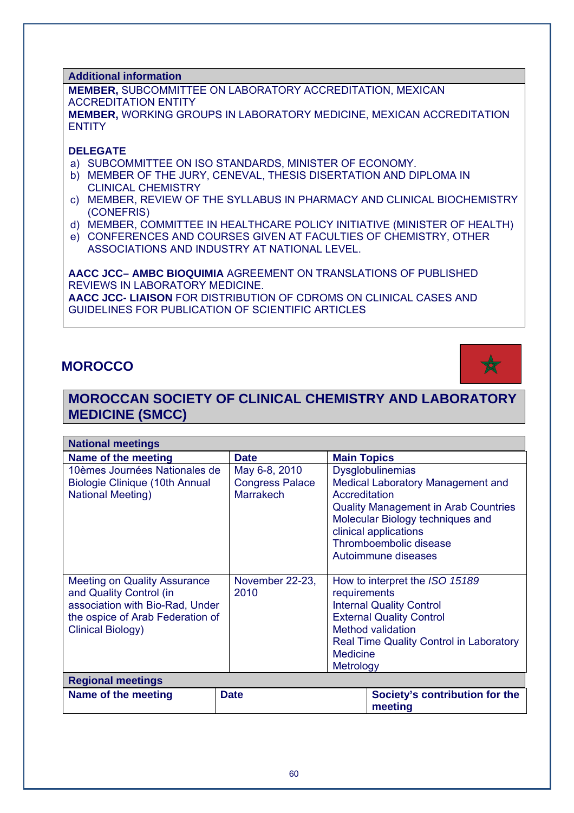**Additional information**

**MEMBER,** SUBCOMMITTEE ON LABORATORY ACCREDITATION, MEXICAN ACCREDITATION ENTITY **MEMBER,** WORKING GROUPS IN LABORATORY MEDICINE, MEXICAN ACCREDITATION **ENTITY** 

#### **DELEGATE**

- a) SUBCOMMITTEE ON ISO STANDARDS, MINISTER OF ECONOMY.
- b) MEMBER OF THE JURY, CENEVAL, THESIS DISERTATION AND DIPLOMA IN CLINICAL CHEMISTRY
- c) MEMBER, REVIEW OF THE SYLLABUS IN PHARMACY AND CLINICAL BIOCHEMISTRY (CONEFRIS)
- d) MEMBER, COMMITTEE IN HEALTHCARE POLICY INITIATIVE (MINISTER OF HEALTH)
- e) CONFERENCES AND COURSES GIVEN AT FACULTIES OF CHEMISTRY, OTHER ASSOCIATIONS AND INDUSTRY AT NATIONAL LEVEL.

**AACC JCC– AMBC BIOQUIMIA** AGREEMENT ON TRANSLATIONS OF PUBLISHED REVIEWS IN LABORATORY MEDICINE. **AACC JCC- LIAISON** FOR DISTRIBUTION OF CDROMS ON CLINICAL CASES AND GUIDELINES FOR PUBLICATION OF SCIENTIFIC ARTICLES

### **MOROCCO**



### **MOROCCAN SOCIETY OF CLINICAL CHEMISTRY AND LABORATORY MEDICINE (SMCC)**

| <b>National meetings</b>                                                                                                                                          |                                                             |                                              |                                                                                                                                                                                                                           |  |
|-------------------------------------------------------------------------------------------------------------------------------------------------------------------|-------------------------------------------------------------|----------------------------------------------|---------------------------------------------------------------------------------------------------------------------------------------------------------------------------------------------------------------------------|--|
| Name of the meeting                                                                                                                                               | <b>Date</b>                                                 | <b>Main Topics</b>                           |                                                                                                                                                                                                                           |  |
| 10èmes Journées Nationales de<br>Biologie Clinique (10th Annual<br><b>National Meeting)</b>                                                                       | May 6-8, 2010<br><b>Congress Palace</b><br><b>Marrakech</b> | Accreditation                                | <b>Dysglobulinemias</b><br>Medical Laboratory Management and<br><b>Quality Management in Arab Countries</b><br>Molecular Biology techniques and<br>clinical applications<br>Thromboembolic disease<br>Autoimmune diseases |  |
| <b>Meeting on Quality Assurance</b><br>and Quality Control (in<br>association with Bio-Rad, Under<br>the ospice of Arab Federation of<br><b>Clinical Biology)</b> | November 22-23,<br>2010                                     | requirements<br><b>Medicine</b><br>Metrology | How to interpret the ISO 15189<br><b>Internal Quality Control</b><br><b>External Quality Control</b><br><b>Method validation</b><br><b>Real Time Quality Control in Laboratory</b>                                        |  |
| <b>Regional meetings</b>                                                                                                                                          |                                                             |                                              |                                                                                                                                                                                                                           |  |
| Name of the meeting                                                                                                                                               | <b>Date</b>                                                 |                                              | Society's contribution for the<br>meeting                                                                                                                                                                                 |  |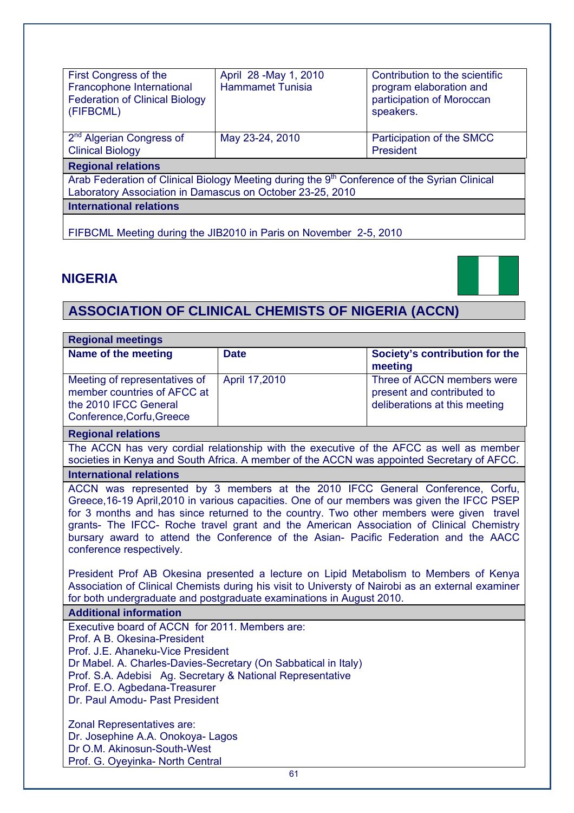| First Congress of the<br>Francophone International<br><b>Federation of Clinical Biology</b><br>(FIFBCML)                                                              | April 28 - May 1, 2010<br><b>Hammamet Tunisia</b> | Contribution to the scientific<br>program elaboration and<br>participation of Moroccan<br>speakers. |  |  |  |
|-----------------------------------------------------------------------------------------------------------------------------------------------------------------------|---------------------------------------------------|-----------------------------------------------------------------------------------------------------|--|--|--|
| 2 <sup>nd</sup> Algerian Congress of<br><b>Clinical Biology</b>                                                                                                       | May 23-24, 2010                                   | Participation of the SMCC<br>President                                                              |  |  |  |
| <b>Regional relations</b>                                                                                                                                             |                                                   |                                                                                                     |  |  |  |
| Arab Federation of Clinical Biology Meeting during the 9 <sup>th</sup> Conference of the Syrian Clinical<br>Laboratory Association in Damascus on October 23-25, 2010 |                                                   |                                                                                                     |  |  |  |
| <b>International relations</b>                                                                                                                                        |                                                   |                                                                                                     |  |  |  |
|                                                                                                                                                                       |                                                   |                                                                                                     |  |  |  |

FIFBCML Meeting during the JIB2010 in Paris on November 2-5, 2010

## **NIGERIA**



# **ASSOCIATION OF CLINICAL CHEMISTS OF NIGERIA (ACCN)**

| <b>Regional meetings</b>                                                                                                                                                                                                                                                                                                                                                                                                                                                                                                                                                                                                                                                                                                                                     |               |                                                                                            |  |  |  |
|--------------------------------------------------------------------------------------------------------------------------------------------------------------------------------------------------------------------------------------------------------------------------------------------------------------------------------------------------------------------------------------------------------------------------------------------------------------------------------------------------------------------------------------------------------------------------------------------------------------------------------------------------------------------------------------------------------------------------------------------------------------|---------------|--------------------------------------------------------------------------------------------|--|--|--|
| Name of the meeting                                                                                                                                                                                                                                                                                                                                                                                                                                                                                                                                                                                                                                                                                                                                          | <b>Date</b>   | Society's contribution for the<br>meeting                                                  |  |  |  |
| Meeting of representatives of                                                                                                                                                                                                                                                                                                                                                                                                                                                                                                                                                                                                                                                                                                                                | April 17,2010 | Three of ACCN members were                                                                 |  |  |  |
| member countries of AFCC at                                                                                                                                                                                                                                                                                                                                                                                                                                                                                                                                                                                                                                                                                                                                  |               | present and contributed to                                                                 |  |  |  |
| the 2010 IFCC General<br>Conference, Corfu, Greece                                                                                                                                                                                                                                                                                                                                                                                                                                                                                                                                                                                                                                                                                                           |               | deliberations at this meeting                                                              |  |  |  |
| <b>Regional relations</b>                                                                                                                                                                                                                                                                                                                                                                                                                                                                                                                                                                                                                                                                                                                                    |               |                                                                                            |  |  |  |
|                                                                                                                                                                                                                                                                                                                                                                                                                                                                                                                                                                                                                                                                                                                                                              |               | The ACCN has very cordial relationship with the executive of the AFCC as well as member    |  |  |  |
|                                                                                                                                                                                                                                                                                                                                                                                                                                                                                                                                                                                                                                                                                                                                                              |               | societies in Kenya and South Africa. A member of the ACCN was appointed Secretary of AFCC. |  |  |  |
| <b>International relations</b>                                                                                                                                                                                                                                                                                                                                                                                                                                                                                                                                                                                                                                                                                                                               |               |                                                                                            |  |  |  |
| ACCN was represented by 3 members at the 2010 IFCC General Conference, Corfu,<br>Greece, 16-19 April, 2010 in various capacities. One of our members was given the IFCC PSEP<br>for 3 months and has since returned to the country. Two other members were given travel<br>grants- The IFCC- Roche travel grant and the American Association of Clinical Chemistry<br>bursary award to attend the Conference of the Asian- Pacific Federation and the AACC<br>conference respectively.<br>President Prof AB Okesina presented a lecture on Lipid Metabolism to Members of Kenya<br>Association of Clinical Chemists during his visit to Universty of Nairobi as an external examiner<br>for both undergraduate and postgraduate examinations in August 2010. |               |                                                                                            |  |  |  |
| <b>Additional information</b>                                                                                                                                                                                                                                                                                                                                                                                                                                                                                                                                                                                                                                                                                                                                |               |                                                                                            |  |  |  |
| Executive board of ACCN for 2011. Members are:                                                                                                                                                                                                                                                                                                                                                                                                                                                                                                                                                                                                                                                                                                               |               |                                                                                            |  |  |  |
| Prof. A B. Okesina-President<br>Prof. J.E. Ahaneku-Vice President                                                                                                                                                                                                                                                                                                                                                                                                                                                                                                                                                                                                                                                                                            |               |                                                                                            |  |  |  |
| Dr Mabel. A. Charles-Davies-Secretary (On Sabbatical in Italy)                                                                                                                                                                                                                                                                                                                                                                                                                                                                                                                                                                                                                                                                                               |               |                                                                                            |  |  |  |
| Prof. S.A. Adebisi Ag. Secretary & National Representative                                                                                                                                                                                                                                                                                                                                                                                                                                                                                                                                                                                                                                                                                                   |               |                                                                                            |  |  |  |
| Prof. E.O. Agbedana-Treasurer                                                                                                                                                                                                                                                                                                                                                                                                                                                                                                                                                                                                                                                                                                                                |               |                                                                                            |  |  |  |
| Dr. Paul Amodu- Past President                                                                                                                                                                                                                                                                                                                                                                                                                                                                                                                                                                                                                                                                                                                               |               |                                                                                            |  |  |  |
| Zonal Representatives are:                                                                                                                                                                                                                                                                                                                                                                                                                                                                                                                                                                                                                                                                                                                                   |               |                                                                                            |  |  |  |
| Dr. Josephine A.A. Onokoya- Lagos                                                                                                                                                                                                                                                                                                                                                                                                                                                                                                                                                                                                                                                                                                                            |               |                                                                                            |  |  |  |
| Dr O.M. Akinosun-South-West                                                                                                                                                                                                                                                                                                                                                                                                                                                                                                                                                                                                                                                                                                                                  |               |                                                                                            |  |  |  |
| Prof. G. Oyeyinka- North Central                                                                                                                                                                                                                                                                                                                                                                                                                                                                                                                                                                                                                                                                                                                             | $\sim$ $\sim$ |                                                                                            |  |  |  |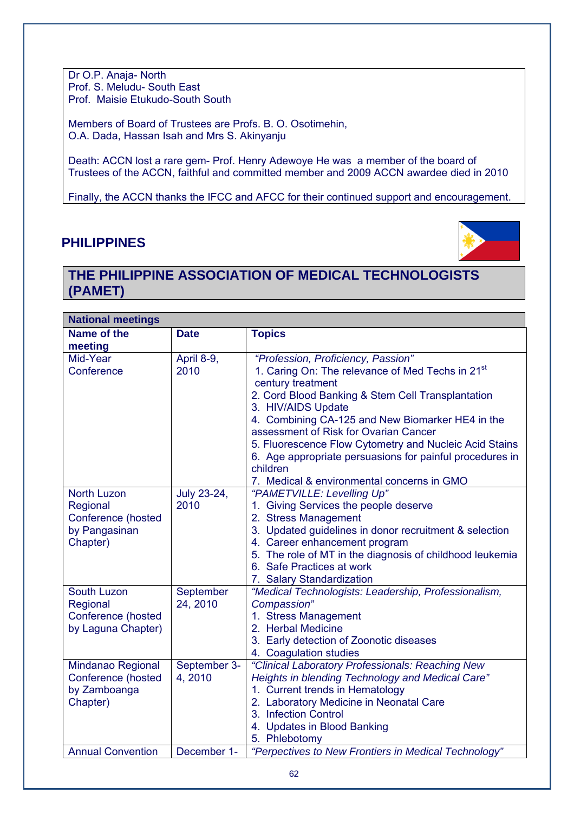Dr O.P. Anaja- North Prof. S. Meludu- South East Prof. Maisie Etukudo-South South

Members of Board of Trustees are Profs. B. O. Osotimehin, O.A. Dada, Hassan Isah and Mrs S. Akinyanju

Death: ACCN lost a rare gem- Prof. Henry Adewoye He was a member of the board of Trustees of the ACCN, faithful and committed member and 2009 ACCN awardee died in 2010

Finally, the ACCN thanks the IFCC and AFCC for their continued support and encouragement.

## **PHILIPPINES**



## **THE PHILIPPINE ASSOCIATION OF MEDICAL TECHNOLOGISTS (PAMET)**

| <b>National meetings</b> |                       |                                                                          |  |  |
|--------------------------|-----------------------|--------------------------------------------------------------------------|--|--|
| Name of the<br>meeting   | <b>Date</b>           | <b>Topics</b>                                                            |  |  |
| Mid-Year                 | April 8-9,            | "Profession, Proficiency, Passion"                                       |  |  |
| Conference               | 2010                  | 1. Caring On: The relevance of Med Techs in 21 <sup>st</sup>             |  |  |
|                          |                       | century treatment                                                        |  |  |
|                          |                       | 2. Cord Blood Banking & Stem Cell Transplantation<br>3. HIV/AIDS Update  |  |  |
|                          |                       | 4. Combining CA-125 and New Biomarker HE4 in the                         |  |  |
|                          |                       | assessment of Risk for Ovarian Cancer                                    |  |  |
|                          |                       | 5. Fluorescence Flow Cytometry and Nucleic Acid Stains                   |  |  |
|                          |                       | 6. Age appropriate persuasions for painful procedures in                 |  |  |
|                          |                       | children                                                                 |  |  |
| <b>North Luzon</b>       | July 23-24,           | 7. Medical & environmental concerns in GMO<br>"PAMETVILLE: Levelling Up" |  |  |
| Regional                 | 2010                  | 1. Giving Services the people deserve                                    |  |  |
| Conference (hosted       |                       | 2. Stress Management                                                     |  |  |
| by Pangasinan            |                       | 3. Updated guidelines in donor recruitment & selection                   |  |  |
| Chapter)                 |                       | 4. Career enhancement program                                            |  |  |
|                          |                       | 5. The role of MT in the diagnosis of childhood leukemia                 |  |  |
|                          |                       | 6. Safe Practices at work                                                |  |  |
|                          |                       | 7. Salary Standardization                                                |  |  |
| South Luzon<br>Regional  | September<br>24, 2010 | "Medical Technologists: Leadership, Professionalism,<br>Compassion"      |  |  |
| Conference (hosted       |                       | 1. Stress Management                                                     |  |  |
| by Laguna Chapter)       |                       | 2. Herbal Medicine                                                       |  |  |
|                          |                       | 3. Early detection of Zoonotic diseases                                  |  |  |
|                          |                       | 4. Coagulation studies                                                   |  |  |
| Mindanao Regional        | September 3-          | "Clinical Laboratory Professionals: Reaching New                         |  |  |
| Conference (hosted       | 4,2010                | Heights in blending Technology and Medical Care"                         |  |  |
| by Zamboanga             |                       | 1. Current trends in Hematology                                          |  |  |
| Chapter)                 |                       | 2. Laboratory Medicine in Neonatal Care<br>3. Infection Control          |  |  |
|                          |                       | 4. Updates in Blood Banking                                              |  |  |
|                          |                       | 5. Phlebotomy                                                            |  |  |
| <b>Annual Convention</b> | December 1-           | "Perpectives to New Frontiers in Medical Technology"                     |  |  |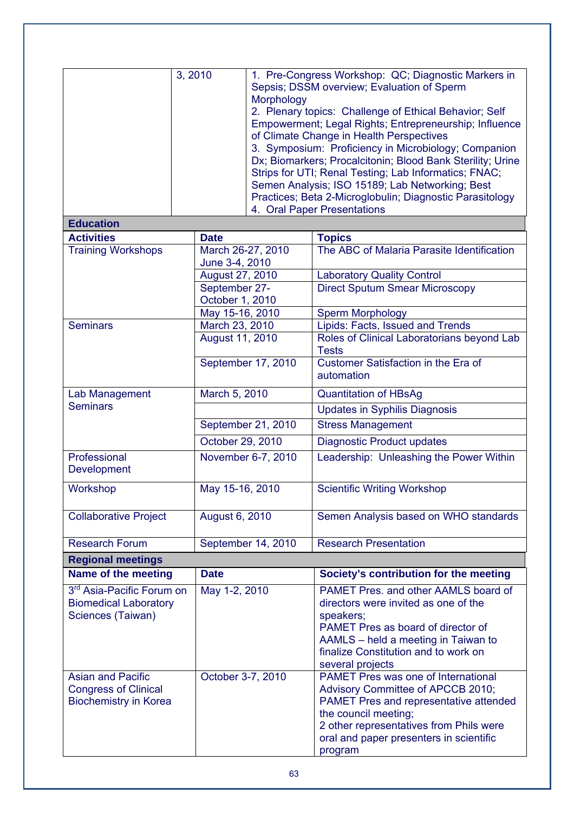|                                                                                            | 3, 2010           | Morphology         | 1. Pre-Congress Workshop: QC; Diagnostic Markers in<br>Sepsis; DSSM overview; Evaluation of Sperm<br>2. Plenary topics: Challenge of Ethical Behavior; Self<br>Empowerment; Legal Rights; Entrepreneurship; Influence<br>of Climate Change in Health Perspectives<br>3. Symposium: Proficiency in Microbiology; Companion<br>Dx; Biomarkers; Procalcitonin; Blood Bank Sterility; Urine<br>Strips for UTI; Renal Testing; Lab Informatics; FNAC;<br>Semen Analysis; ISO 15189; Lab Networking; Best<br>Practices; Beta 2-Microglobulin; Diagnostic Parasitology<br>4. Oral Paper Presentations |
|--------------------------------------------------------------------------------------------|-------------------|--------------------|------------------------------------------------------------------------------------------------------------------------------------------------------------------------------------------------------------------------------------------------------------------------------------------------------------------------------------------------------------------------------------------------------------------------------------------------------------------------------------------------------------------------------------------------------------------------------------------------|
| <b>Education</b>                                                                           |                   |                    |                                                                                                                                                                                                                                                                                                                                                                                                                                                                                                                                                                                                |
| <b>Activities</b>                                                                          | <b>Date</b>       |                    | <b>Topics</b>                                                                                                                                                                                                                                                                                                                                                                                                                                                                                                                                                                                  |
| <b>Training Workshops</b>                                                                  | June 3-4, 2010    | March 26-27, 2010  | The ABC of Malaria Parasite Identification                                                                                                                                                                                                                                                                                                                                                                                                                                                                                                                                                     |
|                                                                                            | August 27, 2010   |                    | <b>Laboratory Quality Control</b>                                                                                                                                                                                                                                                                                                                                                                                                                                                                                                                                                              |
|                                                                                            | September 27-     |                    | <b>Direct Sputum Smear Microscopy</b>                                                                                                                                                                                                                                                                                                                                                                                                                                                                                                                                                          |
|                                                                                            | October 1, 2010   |                    |                                                                                                                                                                                                                                                                                                                                                                                                                                                                                                                                                                                                |
|                                                                                            | May 15-16, 2010   |                    | <b>Sperm Morphology</b>                                                                                                                                                                                                                                                                                                                                                                                                                                                                                                                                                                        |
| <b>Seminars</b>                                                                            | March 23, 2010    |                    | Lipids: Facts, Issued and Trends                                                                                                                                                                                                                                                                                                                                                                                                                                                                                                                                                               |
|                                                                                            | August 11, 2010   |                    | Roles of Clinical Laboratorians beyond Lab<br><b>Tests</b>                                                                                                                                                                                                                                                                                                                                                                                                                                                                                                                                     |
|                                                                                            |                   | September 17, 2010 | Customer Satisfaction in the Era of<br>automation                                                                                                                                                                                                                                                                                                                                                                                                                                                                                                                                              |
| Lab Management                                                                             | March 5, 2010     |                    | <b>Quantitation of HBsAg</b>                                                                                                                                                                                                                                                                                                                                                                                                                                                                                                                                                                   |
| <b>Seminars</b>                                                                            |                   |                    | <b>Updates in Syphilis Diagnosis</b>                                                                                                                                                                                                                                                                                                                                                                                                                                                                                                                                                           |
|                                                                                            |                   | September 21, 2010 | <b>Stress Management</b>                                                                                                                                                                                                                                                                                                                                                                                                                                                                                                                                                                       |
|                                                                                            | October 29, 2010  |                    | <b>Diagnostic Product updates</b>                                                                                                                                                                                                                                                                                                                                                                                                                                                                                                                                                              |
| Professional<br>Development                                                                |                   | November 6-7, 2010 | Leadership: Unleashing the Power Within                                                                                                                                                                                                                                                                                                                                                                                                                                                                                                                                                        |
| Workshop                                                                                   | May 15-16, 2010   |                    | <b>Scientific Writing Workshop</b>                                                                                                                                                                                                                                                                                                                                                                                                                                                                                                                                                             |
| <b>Collaborative Project</b>                                                               | August 6, 2010    |                    | Semen Analysis based on WHO standards                                                                                                                                                                                                                                                                                                                                                                                                                                                                                                                                                          |
| <b>Research Forum</b>                                                                      |                   | September 14, 2010 | <b>Research Presentation</b>                                                                                                                                                                                                                                                                                                                                                                                                                                                                                                                                                                   |
| <b>Regional meetings</b>                                                                   |                   |                    |                                                                                                                                                                                                                                                                                                                                                                                                                                                                                                                                                                                                |
| Name of the meeting                                                                        | <b>Date</b>       |                    | Society's contribution for the meeting                                                                                                                                                                                                                                                                                                                                                                                                                                                                                                                                                         |
| 3 <sup>rd</sup> Asia-Pacific Forum on<br><b>Biomedical Laboratory</b><br>Sciences (Taiwan) | May 1-2, 2010     |                    | PAMET Pres. and other AAMLS board of<br>directors were invited as one of the<br>speakers;<br>PAMET Pres as board of director of<br>AAMLS - held a meeting in Taiwan to<br>finalize Constitution and to work on<br>several projects                                                                                                                                                                                                                                                                                                                                                             |
| <b>Asian and Pacific</b><br><b>Congress of Clinical</b><br><b>Biochemistry in Korea</b>    | October 3-7, 2010 |                    | <b>PAMET Pres was one of International</b><br>Advisory Committee of APCCB 2010;<br>PAMET Pres and representative attended<br>the council meeting;<br>2 other representatives from Phils were<br>oral and paper presenters in scientific<br>program                                                                                                                                                                                                                                                                                                                                             |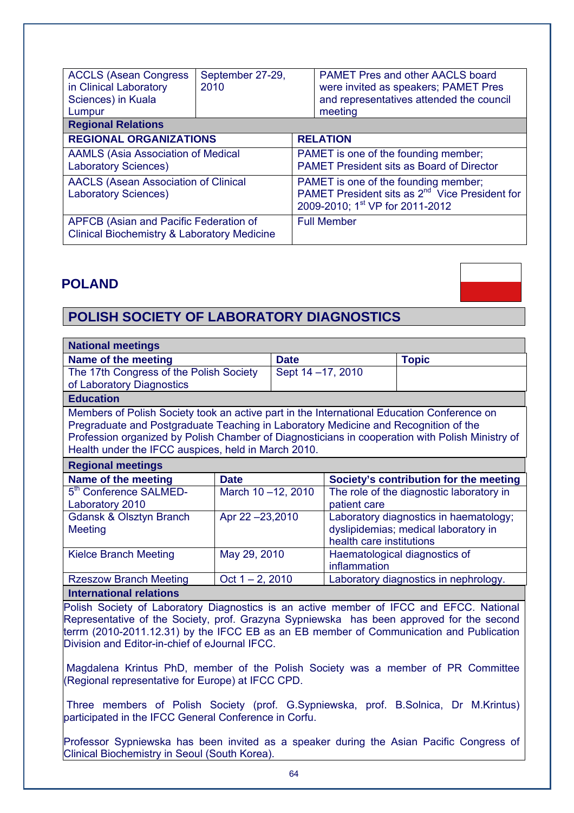| <b>ACCLS (Asean Congress)</b><br>in Clinical Laboratory<br>Sciences) in Kuala<br>Lumpur          | September 27-29,<br>2010 |                                                                                                                                                   | <b>PAMET Pres and other AACLS board</b><br>were invited as speakers; PAMET Pres<br>and representatives attended the council<br>meeting |  |
|--------------------------------------------------------------------------------------------------|--------------------------|---------------------------------------------------------------------------------------------------------------------------------------------------|----------------------------------------------------------------------------------------------------------------------------------------|--|
| <b>Regional Relations</b>                                                                        |                          |                                                                                                                                                   |                                                                                                                                        |  |
| <b>REGIONAL ORGANIZATIONS</b>                                                                    |                          | <b>RELATION</b>                                                                                                                                   |                                                                                                                                        |  |
| <b>AAMLS (Asia Association of Medical</b><br><b>Laboratory Sciences)</b>                         |                          | PAMET is one of the founding member;<br><b>PAMET President sits as Board of Director</b>                                                          |                                                                                                                                        |  |
| <b>AACLS (Asean Association of Clinical</b><br><b>Laboratory Sciences)</b>                       |                          | PAMET is one of the founding member;<br>PAMET President sits as 2 <sup>nd</sup> Vice President for<br>2009-2010; 1 <sup>st</sup> VP for 2011-2012 |                                                                                                                                        |  |
| APFCB (Asian and Pacific Federation of<br><b>Clinical Biochemistry &amp; Laboratory Medicine</b> |                          | <b>Full Member</b>                                                                                                                                |                                                                                                                                        |  |

### **POLAND**

## **POLISH SOCIETY OF LABORATORY DIAGNOSTICS**

| <b>National meetings</b>                                                                                                                                                                                                                                                                                                                    |                    |                    |                          |                                                                                |
|---------------------------------------------------------------------------------------------------------------------------------------------------------------------------------------------------------------------------------------------------------------------------------------------------------------------------------------------|--------------------|--------------------|--------------------------|--------------------------------------------------------------------------------|
| Name of the meeting                                                                                                                                                                                                                                                                                                                         |                    | <b>Date</b>        |                          | <b>Topic</b>                                                                   |
| The 17th Congress of the Polish Society                                                                                                                                                                                                                                                                                                     |                    | Sept 14 - 17, 2010 |                          |                                                                                |
| of Laboratory Diagnostics                                                                                                                                                                                                                                                                                                                   |                    |                    |                          |                                                                                |
| <b>Education</b>                                                                                                                                                                                                                                                                                                                            |                    |                    |                          |                                                                                |
| Members of Polish Society took an active part in the International Education Conference on<br>Pregraduate and Postgraduate Teaching in Laboratory Medicine and Recognition of the<br>Profession organized by Polish Chamber of Diagnosticians in cooperation with Polish Ministry of<br>Health under the IFCC auspices, held in March 2010. |                    |                    |                          |                                                                                |
| <b>Regional meetings</b>                                                                                                                                                                                                                                                                                                                    |                    |                    |                          |                                                                                |
|                                                                                                                                                                                                                                                                                                                                             |                    |                    |                          |                                                                                |
| Name of the meeting                                                                                                                                                                                                                                                                                                                         | <b>Date</b>        |                    |                          | Society's contribution for the meeting                                         |
| 5 <sup>th</sup> Conference SALMED-<br>Laboratory 2010                                                                                                                                                                                                                                                                                       | March 10-12, 2010  |                    | patient care             | The role of the diagnostic laboratory in                                       |
| <b>Gdansk &amp; Olsztyn Branch</b><br><b>Meeting</b>                                                                                                                                                                                                                                                                                        | Apr 22 -23,2010    |                    | health care institutions | Laboratory diagnostics in haematology;<br>dyslipidemias; medical laboratory in |
| <b>Kielce Branch Meeting</b>                                                                                                                                                                                                                                                                                                                | May 29, 2010       |                    | inflammation             | Haematological diagnostics of                                                  |
| <b>Rzeszow Branch Meeting</b>                                                                                                                                                                                                                                                                                                               | Oct $1 - 2$ , 2010 |                    |                          | Laboratory diagnostics in nephrology.                                          |
| <b>International relations</b>                                                                                                                                                                                                                                                                                                              |                    |                    |                          |                                                                                |

Polish Society of Laboratory Diagnostics is an active member of IFCC and EFCC. National Representative of the Society, prof. Grazyna Sypniewska has been approved for the second terrm (2010-2011.12.31) by the IFCC EB as an EB member of Communication and Publication Division and Editor-in-chief of eJournal IFCC.

 Magdalena Krintus PhD, member of the Polish Society was a member of PR Committee (Regional representative for Europe) at IFCC CPD.

 Three members of Polish Society (prof. G.Sypniewska, prof. B.Solnica, Dr M.Krintus) participated in the IFCC General Conference in Corfu.

Professor Sypniewska has been invited as a speaker during the Asian Pacific Congress of Clinical Biochemistry in Seoul (South Korea).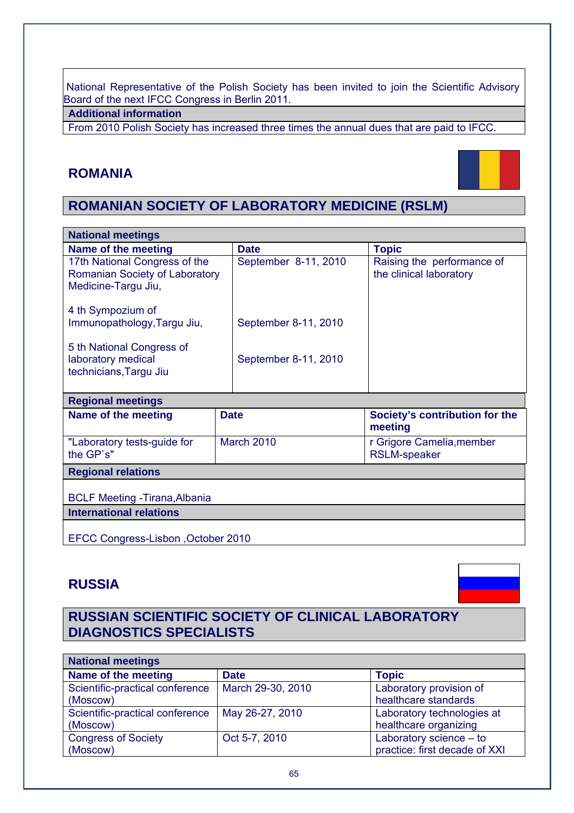National Representative of the Polish Society has been invited to join the Scientific Advisory Board of the next IFCC Congress in Berlin 2011.

**Additional information** 

From 2010 Polish Society has increased three times the annual dues that are paid to IFCC.

## **ROMANIA**



## **ROMANIAN SOCIETY OF LABORATORY MEDICINE (RSLM)**

| <b>National meetings</b>                                                               |                      |                                                       |  |  |
|----------------------------------------------------------------------------------------|----------------------|-------------------------------------------------------|--|--|
| Name of the meeting                                                                    | <b>Date</b>          | <b>Topic</b>                                          |  |  |
| 17th National Congress of the<br>Romanian Society of Laboratory<br>Medicine-Targu Jiu, | September 8-11, 2010 | Raising the performance of<br>the clinical laboratory |  |  |
| 4 th Sympozium of<br>Immunopathology, Targu Jiu,                                       | September 8-11, 2010 |                                                       |  |  |
| 5 th National Congress of<br>laboratory medical<br>technicians, Targu Jiu              | September 8-11, 2010 |                                                       |  |  |
| Financial concentration of the state of the                                            |                      |                                                       |  |  |

| <b>Regional incedition</b>               |                   |                                                  |  |  |
|------------------------------------------|-------------------|--------------------------------------------------|--|--|
| Name of the meeting                      | <b>Date</b>       | Society's contribution for the<br>meeting        |  |  |
| "Laboratory tests-guide for<br>the GP's" | <b>March 2010</b> | r Grigore Camelia, member<br><b>RSLM-speaker</b> |  |  |
| <b>Regional relations</b>                |                   |                                                  |  |  |

BCLF Meeting -Tirana,Albania

**International relations** 

EFCC Congress-Lisbon ,October 2010

## **RUSSIA**

## **RUSSIAN SCIENTIFIC SOCIETY OF CLINICAL LABORATORY DIAGNOSTICS SPECIALISTS**

| <b>National meetings</b>        |                   |                               |  |  |
|---------------------------------|-------------------|-------------------------------|--|--|
| Name of the meeting             | <b>Date</b>       | <b>Topic</b>                  |  |  |
| Scientific-practical conference | March 29-30, 2010 | Laboratory provision of       |  |  |
| (Moscow)                        |                   | healthcare standards          |  |  |
| Scientific-practical conference | May 26-27, 2010   | Laboratory technologies at    |  |  |
| (Moscow)                        |                   | healthcare organizing         |  |  |
| <b>Congress of Society</b>      | Oct 5-7, 2010     | Laboratory science $-$ to     |  |  |
| (Moscow)                        |                   | practice: first decade of XXI |  |  |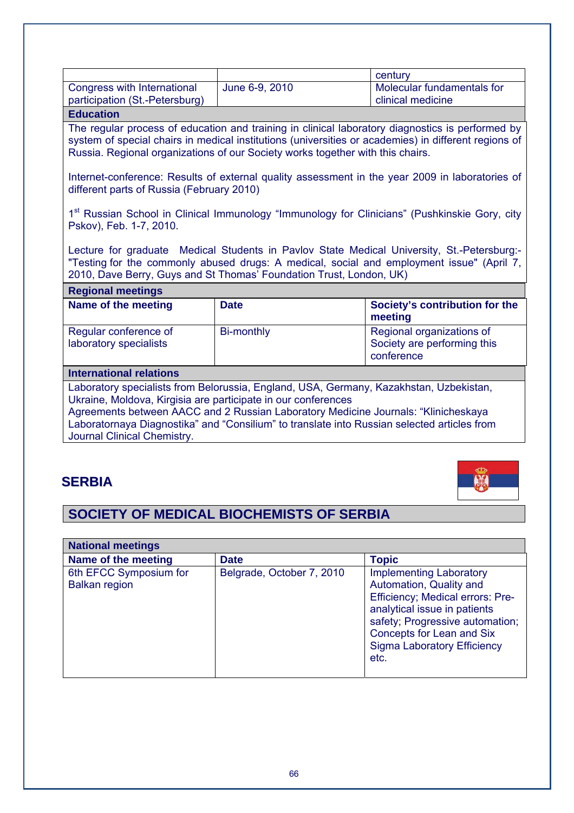|                                                               |                | century                                         |
|---------------------------------------------------------------|----------------|-------------------------------------------------|
| Congress with International<br>participation (St.-Petersburg) | June 6-9, 2010 | Molecular fundamentals for<br>clinical medicine |
| <b>Education</b>                                              |                |                                                 |

#### **Education**

The regular process of education and training in clinical laboratory diagnostics is performed by system of special chairs in medical institutions (universities or academies) in different regions of Russia. Regional organizations of our Society works together with this chairs.

Internet-conference: Results of external quality assessment in the year 2009 in laboratories of different parts of Russia (February 2010)

1<sup>st</sup> Russian School in Clinical Immunology "Immunology for Clinicians" (Pushkinskie Gory, city Pskov), Feb. 1-7, 2010.

Lecture for graduate Medical Students in Pavlov State Medical University, St.-Petersburg:- "Testing for the commonly abused drugs: A medical, social and employment issue" (April 7, 2010, Dave Berry, Guys and St Thomas' Foundation Trust, London, UK)

| <b>Regional meetings</b>                                                                                                                                 |                   |                                                                        |  |  |
|----------------------------------------------------------------------------------------------------------------------------------------------------------|-------------------|------------------------------------------------------------------------|--|--|
| Name of the meeting                                                                                                                                      | <b>Date</b>       | Society's contribution for the<br>meeting                              |  |  |
| Regular conference of<br>laboratory specialists                                                                                                          | <b>Bi-monthly</b> | Regional organizations of<br>Society are performing this<br>conference |  |  |
| <b>International relations</b>                                                                                                                           |                   |                                                                        |  |  |
| Laboratory specialists from Belorussia, England, USA, Germany, Kazakhstan, Uzbekistan,<br>Likraine, Moldova, Kirgisia are participate in our conferences |                   |                                                                        |  |  |

Ukraine, Moldova, Kirgisia are participate in our conferences Agreements between AACC and 2 Russian Laboratory Medicine Journals: "Klinicheskaya Laboratornaya Diagnostika" and "Consilium" to translate into Russian selected articles from Journal Clinical Chemistry.

## **SERBIA**



## **SOCIETY OF MEDICAL BIOCHEMISTS OF SERBIA**

| <b>National meetings</b>                       |                           |                                                                                                                                                                                                                                                    |  |  |
|------------------------------------------------|---------------------------|----------------------------------------------------------------------------------------------------------------------------------------------------------------------------------------------------------------------------------------------------|--|--|
| Name of the meeting                            | <b>Date</b>               | <b>Topic</b>                                                                                                                                                                                                                                       |  |  |
| 6th EFCC Symposium for<br><b>Balkan region</b> | Belgrade, October 7, 2010 | <b>Implementing Laboratory</b><br>Automation, Quality and<br>Efficiency; Medical errors: Pre-<br>analytical issue in patients<br>safety; Progressive automation;<br><b>Concepts for Lean and Six</b><br><b>Sigma Laboratory Efficiency</b><br>etc. |  |  |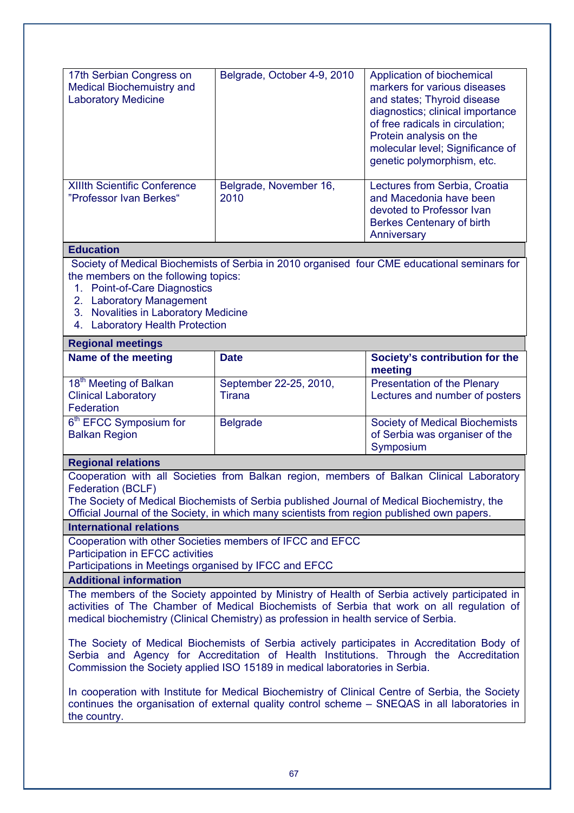| 17th Serbian Congress on<br><b>Medical Biochemuistry and</b><br><b>Laboratory Medicine</b><br><b>XIIIth Scientific Conference</b><br>"Professor Ivan Berkes"                                                                                                                                                                                                                                                                                                                                                                                              | Belgrade, October 4-9, 2010<br>Belgrade, November 16,<br>2010 | Application of biochemical<br>markers for various diseases<br>and states; Thyroid disease<br>diagnostics; clinical importance<br>of free radicals in circulation;<br>Protein analysis on the<br>molecular level; Significance of<br>genetic polymorphism, etc.<br>Lectures from Serbia, Croatia<br>and Macedonia have been<br>devoted to Professor Ivan<br>Berkes Centenary of birth<br>Anniversary |  |  |  |
|-----------------------------------------------------------------------------------------------------------------------------------------------------------------------------------------------------------------------------------------------------------------------------------------------------------------------------------------------------------------------------------------------------------------------------------------------------------------------------------------------------------------------------------------------------------|---------------------------------------------------------------|-----------------------------------------------------------------------------------------------------------------------------------------------------------------------------------------------------------------------------------------------------------------------------------------------------------------------------------------------------------------------------------------------------|--|--|--|
| <b>Education</b>                                                                                                                                                                                                                                                                                                                                                                                                                                                                                                                                          |                                                               |                                                                                                                                                                                                                                                                                                                                                                                                     |  |  |  |
| the members on the following topics:<br>1. Point-of-Care Diagnostics<br>2. Laboratory Management<br><b>Novalities in Laboratory Medicine</b><br>3.<br><b>Laboratory Health Protection</b><br>4.                                                                                                                                                                                                                                                                                                                                                           |                                                               | Society of Medical Biochemists of Serbia in 2010 organised four CME educational seminars for                                                                                                                                                                                                                                                                                                        |  |  |  |
| <b>Regional meetings</b>                                                                                                                                                                                                                                                                                                                                                                                                                                                                                                                                  |                                                               |                                                                                                                                                                                                                                                                                                                                                                                                     |  |  |  |
| Name of the meeting                                                                                                                                                                                                                                                                                                                                                                                                                                                                                                                                       | <b>Date</b>                                                   | Society's contribution for the<br>meeting                                                                                                                                                                                                                                                                                                                                                           |  |  |  |
| 18 <sup>th</sup> Meeting of Balkan<br><b>Clinical Laboratory</b><br>Federation                                                                                                                                                                                                                                                                                                                                                                                                                                                                            | September 22-25, 2010,<br><b>Tirana</b>                       | Presentation of the Plenary<br>Lectures and number of posters                                                                                                                                                                                                                                                                                                                                       |  |  |  |
| 6 <sup>th</sup> EFCC Symposium for<br><b>Balkan Region</b>                                                                                                                                                                                                                                                                                                                                                                                                                                                                                                | <b>Belgrade</b>                                               | <b>Society of Medical Biochemists</b><br>of Serbia was organiser of the<br>Symposium                                                                                                                                                                                                                                                                                                                |  |  |  |
| <b>Regional relations</b>                                                                                                                                                                                                                                                                                                                                                                                                                                                                                                                                 |                                                               |                                                                                                                                                                                                                                                                                                                                                                                                     |  |  |  |
| Cooperation with all Societies from Balkan region, members of Balkan Clinical Laboratory<br>Federation (BCLF)<br>The Society of Medical Biochemists of Serbia published Journal of Medical Biochemistry, the<br>Official Journal of the Society, in which many scientists from region published own papers.<br><b>International relations</b><br>Cooperation with other Societies members of IFCC and EFCC<br>Participation in EFCC activities<br>Participations in Meetings organised by IFCC and EFCC                                                   |                                                               |                                                                                                                                                                                                                                                                                                                                                                                                     |  |  |  |
| <b>Additional information</b>                                                                                                                                                                                                                                                                                                                                                                                                                                                                                                                             |                                                               |                                                                                                                                                                                                                                                                                                                                                                                                     |  |  |  |
| The members of the Society appointed by Ministry of Health of Serbia actively participated in<br>activities of The Chamber of Medical Biochemists of Serbia that work on all regulation of<br>medical biochemistry (Clinical Chemistry) as profession in health service of Serbia.<br>The Society of Medical Biochemists of Serbia actively participates in Accreditation Body of<br>Serbia and Agency for Accreditation of Health Institutions. Through the Accreditation<br>Commission the Society applied ISO 15189 in medical laboratories in Serbia. |                                                               |                                                                                                                                                                                                                                                                                                                                                                                                     |  |  |  |
| In cooperation with Institute for Medical Biochemistry of Clinical Centre of Serbia, the Society<br>continues the organisation of external quality control scheme - SNEQAS in all laboratories in<br>the country.                                                                                                                                                                                                                                                                                                                                         |                                                               |                                                                                                                                                                                                                                                                                                                                                                                                     |  |  |  |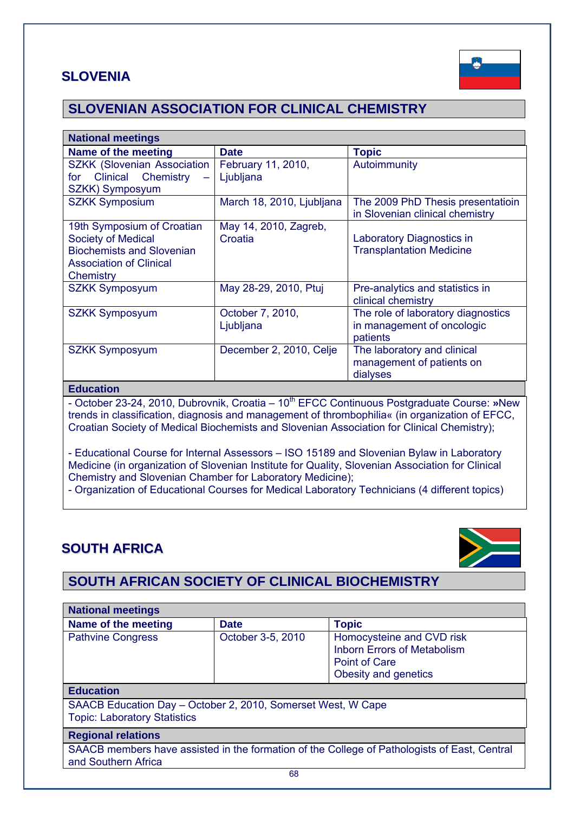## **SLOVENIA**



## **SLOVENIAN ASSOCIATION FOR CLINICAL CHEMISTRY**

| <b>National meetings</b>           |                           |                                                                      |  |  |
|------------------------------------|---------------------------|----------------------------------------------------------------------|--|--|
| Name of the meeting                | <b>Date</b>               | <b>Topic</b>                                                         |  |  |
| <b>SZKK (Slovenian Association</b> | February 11, 2010,        | Autoimmunity                                                         |  |  |
| Clinical Chemistry<br>for          | Ljubljana                 |                                                                      |  |  |
| SZKK) Symposyum                    |                           |                                                                      |  |  |
| <b>SZKK Symposium</b>              | March 18, 2010, Ljubljana | The 2009 PhD Thesis presentatioin<br>in Slovenian clinical chemistry |  |  |
| 19th Symposium of Croatian         | May 14, 2010, Zagreb,     |                                                                      |  |  |
| <b>Society of Medical</b>          | Croatia                   | Laboratory Diagnostics in                                            |  |  |
| <b>Biochemists and Slovenian</b>   |                           | <b>Transplantation Medicine</b>                                      |  |  |
| <b>Association of Clinical</b>     |                           |                                                                      |  |  |
| Chemistry                          |                           |                                                                      |  |  |
| <b>SZKK Symposyum</b>              | May 28-29, 2010, Ptuj     | Pre-analytics and statistics in                                      |  |  |
|                                    |                           | clinical chemistry                                                   |  |  |
| <b>SZKK Symposyum</b>              | October 7, 2010,          | The role of laboratory diagnostics                                   |  |  |
|                                    | Ljubljana                 | in management of oncologic                                           |  |  |
|                                    |                           | patients                                                             |  |  |
| <b>SZKK Symposyum</b>              | December 2, 2010, Celje   | The laboratory and clinical                                          |  |  |
|                                    |                           | management of patients on                                            |  |  |
|                                    |                           | dialyses                                                             |  |  |

#### **Education**

- October 23-24, 2010, Dubrovnik, Croatia – 10<sup>th</sup> EFCC Continuous Postgraduate Course: »New trends in classification, diagnosis and management of thrombophilia« (in organization of EFCC, Croatian Society of Medical Biochemists and Slovenian Association for Clinical Chemistry);

- Educational Course for Internal Assessors – ISO 15189 and Slovenian Bylaw in Laboratory Medicine (in organization of Slovenian Institute for Quality, Slovenian Association for Clinical Chemistry and Slovenian Chamber for Laboratory Medicine);

- Organization of Educational Courses for Medical Laboratory Technicians (4 different topics)

## **SOUTH AFRICA**



## **SOUTH AFRICAN SOCIETY OF CLINICAL BIOCHEMISTRY**

| <b>National meetings</b>                                                                                            |                   |                                                                                                                 |
|---------------------------------------------------------------------------------------------------------------------|-------------------|-----------------------------------------------------------------------------------------------------------------|
| Name of the meeting                                                                                                 | <b>Date</b>       | <b>Topic</b>                                                                                                    |
| <b>Pathvine Congress</b>                                                                                            | October 3-5, 2010 | Homocysteine and CVD risk<br><b>Inborn Errors of Metabolism</b><br><b>Point of Care</b><br>Obesity and genetics |
| <b>Education</b>                                                                                                    |                   |                                                                                                                 |
| SAACB Education Day - October 2, 2010, Somerset West, W Cape<br><b>Topic: Laboratory Statistics</b>                 |                   |                                                                                                                 |
| <b>Regional relations</b>                                                                                           |                   |                                                                                                                 |
| SAACB members have assisted in the formation of the College of Pathologists of East, Central<br>and Southern Africa |                   |                                                                                                                 |
| 68                                                                                                                  |                   |                                                                                                                 |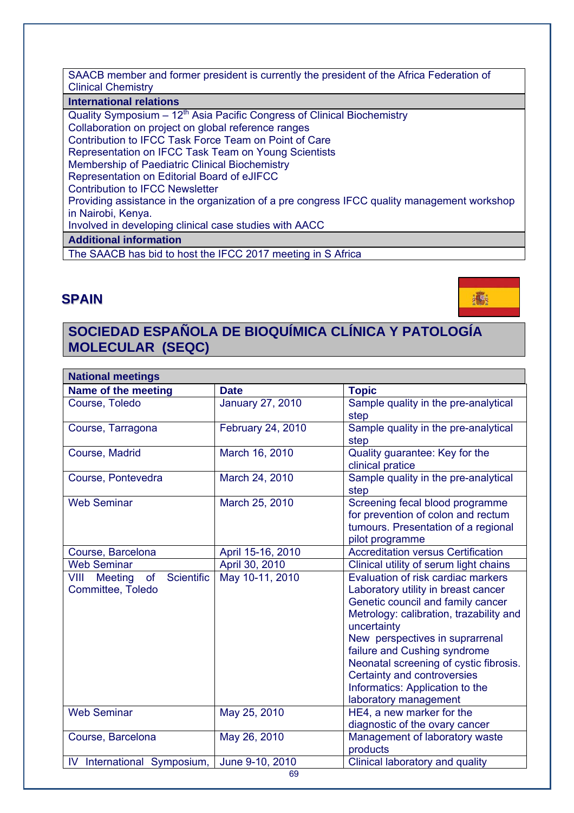SAACB member and former president is currently the president of the Africa Federation of Clinical Chemistry

#### **International relations**

Quality Symposium  $-12^{th}$  Asia Pacific Congress of Clinical Biochemistry Collaboration on project on global reference ranges Contribution to IFCC Task Force Team on Point of Care Representation on IFCC Task Team on Young Scientists Membership of Paediatric Clinical Biochemistry Representation on Editorial Board of eJIFCC Contribution to IFCC Newsletter Providing assistance in the organization of a pre congress IFCC quality management workshop in Nairobi, Kenya. Involved in developing clinical case studies with AACC **Additional information** The SAACB has bid to host the IFCC 2017 meeting in S Africa

### **SPAIN**



## **SOCIEDAD ESPAÑOLA DE BIOQUÍMICA CLÍNICA Y PATOLOGÍA MOLECULAR (SEQC)**

| <b>National meetings</b>                                                      |                         |                                                                                                                                                                                                                                                                                                                                                                                  |  |
|-------------------------------------------------------------------------------|-------------------------|----------------------------------------------------------------------------------------------------------------------------------------------------------------------------------------------------------------------------------------------------------------------------------------------------------------------------------------------------------------------------------|--|
| Name of the meeting                                                           | <b>Date</b>             | <b>Topic</b>                                                                                                                                                                                                                                                                                                                                                                     |  |
| Course, Toledo                                                                | <b>January 27, 2010</b> | Sample quality in the pre-analytical<br>step                                                                                                                                                                                                                                                                                                                                     |  |
| Course, Tarragona                                                             | February 24, 2010       | Sample quality in the pre-analytical<br>step                                                                                                                                                                                                                                                                                                                                     |  |
| Course, Madrid                                                                | March 16, 2010          | Quality guarantee: Key for the<br>clinical pratice                                                                                                                                                                                                                                                                                                                               |  |
| Course, Pontevedra                                                            | March 24, 2010          | Sample quality in the pre-analytical<br>step                                                                                                                                                                                                                                                                                                                                     |  |
| <b>Web Seminar</b>                                                            | March 25, 2010          | Screening fecal blood programme<br>for prevention of colon and rectum<br>tumours. Presentation of a regional<br>pilot programme                                                                                                                                                                                                                                                  |  |
| Course, Barcelona                                                             | April 15-16, 2010       | <b>Accreditation versus Certification</b>                                                                                                                                                                                                                                                                                                                                        |  |
| <b>Web Seminar</b>                                                            | April 30, 2010          | Clinical utility of serum light chains                                                                                                                                                                                                                                                                                                                                           |  |
| <b>Scientific</b><br>of<br><b>VIII</b><br><b>Meeting</b><br>Committee, Toledo | May 10-11, 2010         | Evaluation of risk cardiac markers<br>Laboratory utility in breast cancer<br>Genetic council and family cancer<br>Metrology: calibration, trazability and<br>uncertainty<br>New perspectives in suprarrenal<br>failure and Cushing syndrome<br>Neonatal screening of cystic fibrosis.<br>Certainty and controversies<br>Informatics: Application to the<br>laboratory management |  |
| <b>Web Seminar</b>                                                            | May 25, 2010            | HE4, a new marker for the<br>diagnostic of the ovary cancer                                                                                                                                                                                                                                                                                                                      |  |
| Course, Barcelona                                                             | May 26, 2010            | Management of laboratory waste<br>products                                                                                                                                                                                                                                                                                                                                       |  |
| International Symposium,<br>IV                                                | June 9-10, 2010         | Clinical laboratory and quality                                                                                                                                                                                                                                                                                                                                                  |  |
| 69                                                                            |                         |                                                                                                                                                                                                                                                                                                                                                                                  |  |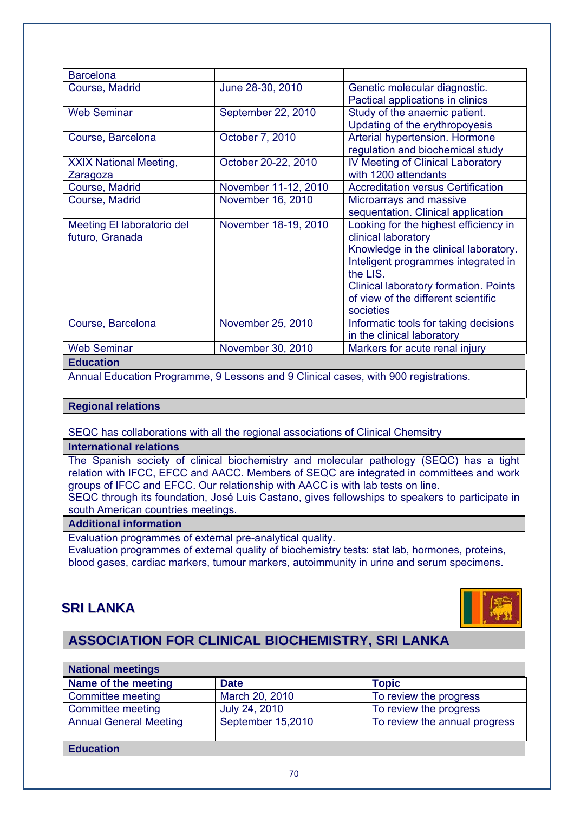| <b>Barcelona</b>                              |                      |                                                                                                                                                                                                                                                       |  |
|-----------------------------------------------|----------------------|-------------------------------------------------------------------------------------------------------------------------------------------------------------------------------------------------------------------------------------------------------|--|
| Course, Madrid                                | June 28-30, 2010     | Genetic molecular diagnostic.<br>Pactical applications in clinics                                                                                                                                                                                     |  |
| <b>Web Seminar</b>                            | September 22, 2010   | Study of the anaemic patient.<br>Updating of the erythropoyesis                                                                                                                                                                                       |  |
| Course, Barcelona                             | October 7, 2010      | Arterial hypertension. Hormone<br>regulation and biochemical study                                                                                                                                                                                    |  |
| <b>XXIX National Meeting,</b><br>Zaragoza     | October 20-22, 2010  | IV Meeting of Clinical Laboratory<br>with 1200 attendants                                                                                                                                                                                             |  |
| Course, Madrid                                | November 11-12, 2010 | <b>Accreditation versus Certification</b>                                                                                                                                                                                                             |  |
| Course, Madrid                                | November 16, 2010    | Microarrays and massive<br>sequentation. Clinical application                                                                                                                                                                                         |  |
| Meeting El laboratorio del<br>futuro, Granada | November 18-19, 2010 | Looking for the highest efficiency in<br>clinical laboratory<br>Knowledge in the clinical laboratory.<br>Inteligent programmes integrated in<br>the LIS.<br>Clinical laboratory formation. Points<br>of view of the different scientific<br>societies |  |
| Course, Barcelona                             | November 25, 2010    | Informatic tools for taking decisions<br>in the clinical laboratory                                                                                                                                                                                   |  |
| <b>Web Seminar</b>                            | November 30, 2010    | Markers for acute renal injury                                                                                                                                                                                                                        |  |
|                                               |                      |                                                                                                                                                                                                                                                       |  |

#### **Education**

Annual Education Programme, 9 Lessons and 9 Clinical cases, with 900 registrations.

#### **Regional relations**

SEQC has collaborations with all the regional associations of Clinical Chemsitry

**International relations** 

The Spanish society of clinical biochemistry and molecular pathology (SEQC) has a tight relation with IFCC, EFCC and AACC. Members of SEQC are integrated in committees and work groups of IFCC and EFCC. Our relationship with AACC is with lab tests on line.

SEQC through its foundation, José Luis Castano, gives fellowships to speakers to participate in south American countries meetings.

#### **Additional information**

Evaluation programmes of external pre-analytical quality.

Evaluation programmes of external quality of biochemistry tests: stat lab, hormones, proteins, blood gases, cardiac markers, tumour markers, autoimmunity in urine and serum specimens.

### **SRI LANKA**



## **ASSOCIATION FOR CLINICAL BIOCHEMISTRY, SRI LANKA**

| <b>National meetings</b>      |                   |                               |  |
|-------------------------------|-------------------|-------------------------------|--|
| Name of the meeting           | <b>Date</b>       | <b>Topic</b>                  |  |
| Committee meeting             | March 20, 2010    | To review the progress        |  |
| Committee meeting             | July 24, 2010     | To review the progress        |  |
| <b>Annual General Meeting</b> | September 15,2010 | To review the annual progress |  |
| <b>Education</b>              |                   |                               |  |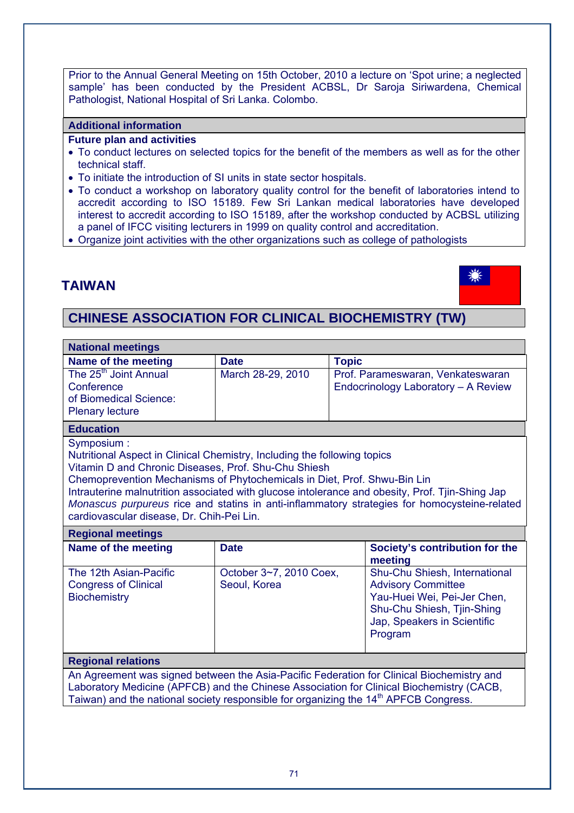Prior to the Annual General Meeting on 15th October, 2010 a lecture on 'Spot urine; a neglected sample' has been conducted by the President ACBSL, Dr Saroja Siriwardena, Chemical Pathologist, National Hospital of Sri Lanka. Colombo.

#### **Additional information**

#### **Future plan and activities**

- To conduct lectures on selected topics for the benefit of the members as well as for the other technical staff.
- To initiate the introduction of SI units in state sector hospitals.
- To conduct a workshop on laboratory quality control for the benefit of laboratories intend to accredit according to ISO 15189. Few Sri Lankan medical laboratories have developed interest to accredit according to ISO 15189, after the workshop conducted by ACBSL utilizing a panel of IFCC visiting lecturers in 1999 on quality control and accreditation.
- Organize joint activities with the other organizations such as college of pathologists

## **TAIWAN**



## **CHINESE ASSOCIATION FOR CLINICAL BIOCHEMISTRY (TW)**

| <b>National meetings</b>                                                                                                                                                                                                                                                                                                                                                                                                                                                   |                                         |                                                                          |                                                                                                                                                                   |
|----------------------------------------------------------------------------------------------------------------------------------------------------------------------------------------------------------------------------------------------------------------------------------------------------------------------------------------------------------------------------------------------------------------------------------------------------------------------------|-----------------------------------------|--------------------------------------------------------------------------|-------------------------------------------------------------------------------------------------------------------------------------------------------------------|
| Name of the meeting                                                                                                                                                                                                                                                                                                                                                                                                                                                        | <b>Date</b>                             | <b>Topic</b>                                                             |                                                                                                                                                                   |
| The 25 <sup>th</sup> Joint Annual<br>Conference<br>of Biomedical Science:<br><b>Plenary lecture</b>                                                                                                                                                                                                                                                                                                                                                                        | March 28-29, 2010                       | Prof. Parameswaran, Venkateswaran<br>Endocrinology Laboratory - A Review |                                                                                                                                                                   |
| <b>Education</b>                                                                                                                                                                                                                                                                                                                                                                                                                                                           |                                         |                                                                          |                                                                                                                                                                   |
| Symposium:<br>Nutritional Aspect in Clinical Chemistry, Including the following topics<br>Vitamin D and Chronic Diseases, Prof. Shu-Chu Shiesh<br>Chemoprevention Mechanisms of Phytochemicals in Diet, Prof. Shwu-Bin Lin<br>Intrauterine malnutrition associated with glucose intolerance and obesity, Prof. Tjin-Shing Jap<br>Monascus purpureus rice and statins in anti-inflammatory strategies for homocysteine-related<br>cardiovascular disease, Dr. Chih-Pei Lin. |                                         |                                                                          |                                                                                                                                                                   |
| <b>Regional meetings</b>                                                                                                                                                                                                                                                                                                                                                                                                                                                   |                                         |                                                                          |                                                                                                                                                                   |
| Name of the meeting                                                                                                                                                                                                                                                                                                                                                                                                                                                        | <b>Date</b>                             |                                                                          | Society's contribution for the<br>meeting                                                                                                                         |
| The 12th Asian-Pacific<br><b>Congress of Clinical</b><br><b>Biochemistry</b>                                                                                                                                                                                                                                                                                                                                                                                               | October 3~7, 2010 Coex,<br>Seoul, Korea |                                                                          | Shu-Chu Shiesh, International<br><b>Advisory Committee</b><br>Yau-Huei Wei, Pei-Jer Chen,<br>Shu-Chu Shiesh, Tjin-Shing<br>Jap, Speakers in Scientific<br>Program |
| <b>Regional relations</b>                                                                                                                                                                                                                                                                                                                                                                                                                                                  |                                         |                                                                          |                                                                                                                                                                   |
| An Agreement was signed between the Asia-Pacific Federation for Clinical Biochemistry and<br>Laboratory Medicine (APFCB) and the Chinese Association for Clinical Biochemistry (CACB,<br>Taiwan) and the national society responsible for organizing the 14 <sup>th</sup> APFCB Congress.                                                                                                                                                                                  |                                         |                                                                          |                                                                                                                                                                   |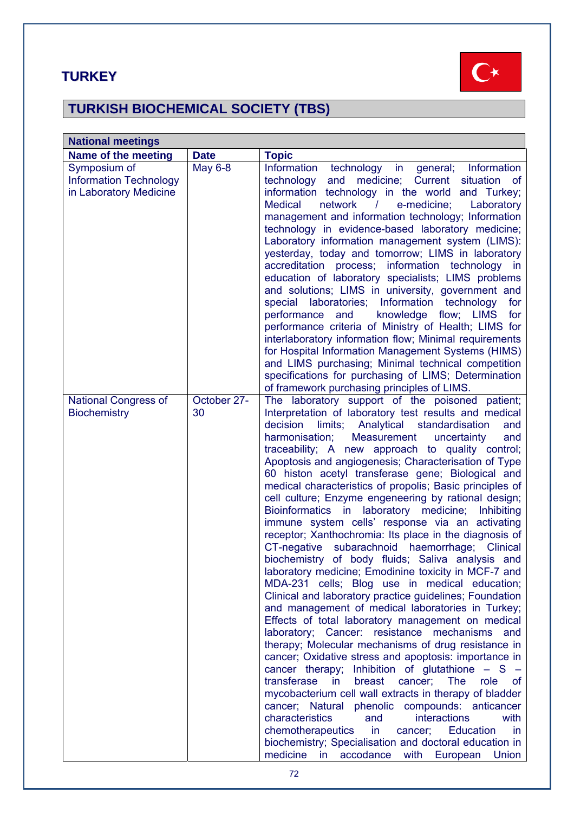## **TURKEY**



# **TURKISH BIOCHEMICAL SOCIETY (TBS)**

| <b>National meetings</b>                                                |                   |                                                                                                                                                                                                                                                                                                                                                                                                                                                                                                                                                                                                                                                                                                                                                                                                                                                                                                                                                                                                                                                                                                                                                                                                                                                                                                                                                                                                                                                                                                                                                                                                                                                                                                                                                               |  |
|-------------------------------------------------------------------------|-------------------|---------------------------------------------------------------------------------------------------------------------------------------------------------------------------------------------------------------------------------------------------------------------------------------------------------------------------------------------------------------------------------------------------------------------------------------------------------------------------------------------------------------------------------------------------------------------------------------------------------------------------------------------------------------------------------------------------------------------------------------------------------------------------------------------------------------------------------------------------------------------------------------------------------------------------------------------------------------------------------------------------------------------------------------------------------------------------------------------------------------------------------------------------------------------------------------------------------------------------------------------------------------------------------------------------------------------------------------------------------------------------------------------------------------------------------------------------------------------------------------------------------------------------------------------------------------------------------------------------------------------------------------------------------------------------------------------------------------------------------------------------------------|--|
| Name of the meeting                                                     | <b>Date</b>       | <b>Topic</b>                                                                                                                                                                                                                                                                                                                                                                                                                                                                                                                                                                                                                                                                                                                                                                                                                                                                                                                                                                                                                                                                                                                                                                                                                                                                                                                                                                                                                                                                                                                                                                                                                                                                                                                                                  |  |
| Symposium of<br><b>Information Technology</b><br>in Laboratory Medicine | <b>May 6-8</b>    | Information<br>technology in general; Information<br>technology<br>and medicine; Current<br>situation of<br>information technology in the world and Turkey;<br>network / e-medicine;<br><b>Medical</b><br>Laboratory<br>management and information technology; Information<br>technology in evidence-based laboratory medicine;<br>Laboratory information management system (LIMS):<br>yesterday, today and tomorrow; LIMS in laboratory<br>accreditation process; information technology in<br>education of laboratory specialists; LIMS problems<br>and solutions; LIMS in university, government and<br>special laboratories; Information technology<br>for<br>knowledge flow; LIMS<br>performance and<br>for<br>performance criteria of Ministry of Health; LIMS for<br>interlaboratory information flow; Minimal requirements<br>for Hospital Information Management Systems (HIMS)<br>and LIMS purchasing; Minimal technical competition<br>specifications for purchasing of LIMS; Determination                                                                                                                                                                                                                                                                                                                                                                                                                                                                                                                                                                                                                                                                                                                                                        |  |
| <b>National Congress of</b><br><b>Biochemistry</b>                      | October 27-<br>30 | of framework purchasing principles of LIMS.<br>The laboratory support of the poisoned patient;<br>Interpretation of laboratory test results and medical<br>limits; Analytical standardisation<br>decision<br>and<br>harmonisation;<br>Measurement<br>uncertainty<br>and<br>traceability; A new approach to quality control;<br>Apoptosis and angiogenesis; Characterisation of Type<br>60 histon acetyl transferase gene; Biological and<br>medical characteristics of propolis; Basic principles of<br>cell culture; Enzyme engeneering by rational design;<br>Bioinformatics in laboratory medicine;<br>Inhibiting<br>immune system cells' response via an activating<br>receptor; Xanthochromia: Its place in the diagnosis of<br>CT-negative subarachnoid haemorrhage; Clinical<br>biochemistry of body fluids; Saliva analysis and<br>laboratory medicine; Emodinine toxicity in MCF-7 and<br>MDA-231 cells; Blog use in medical education;<br>Clinical and laboratory practice guidelines; Foundation<br>and management of medical laboratories in Turkey;<br>Effects of total laboratory management on medical<br>laboratory; Cancer: resistance mechanisms<br>and<br>therapy; Molecular mechanisms of drug resistance in<br>cancer; Oxidative stress and apoptosis: importance in<br>cancer therapy; Inhibition of glutathione - S -<br>transferase<br>in<br>role<br>breast<br>cancer;<br><b>The</b><br>of<br>mycobacterium cell wall extracts in therapy of bladder<br>cancer; Natural phenolic compounds: anticancer<br>characteristics<br>interactions<br>and<br>with<br>chemotherapeutics<br>Education<br>in<br>cancer;<br>in.<br>biochemistry; Specialisation and doctoral education in<br>medicine in<br>with<br>accodance<br>European<br>Union |  |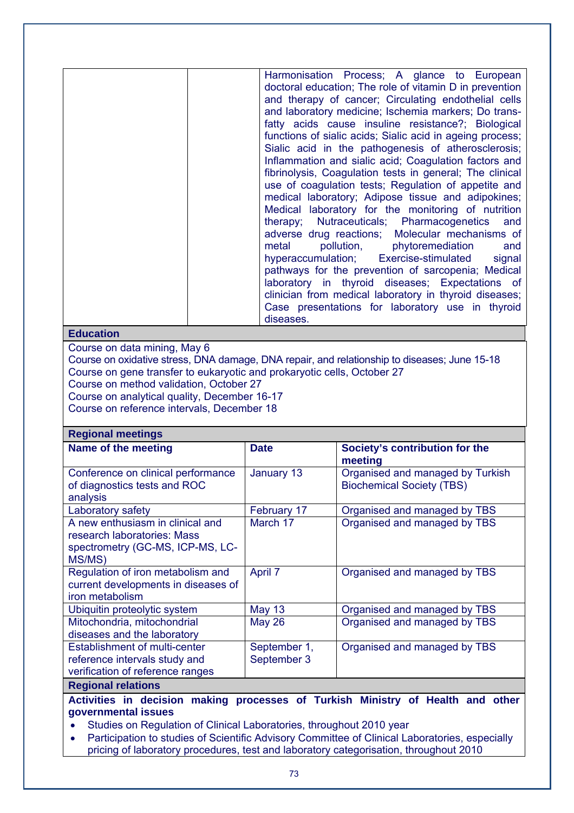Harmonisation Process; A glance to European doctoral education; The role of vitamin D in prevention and therapy of cancer; Circulating endothelial cells and laboratory medicine; Ischemia markers; Do transfatty acids cause insuline resistance?; Biological functions of sialic acids; Sialic acid in ageing process; Sialic acid in the pathogenesis of atherosclerosis; Inflammation and sialic acid; Coagulation factors and fibrinolysis, Coagulation tests in general; The clinical use of coagulation tests; Regulation of appetite and medical laboratory; Adipose tissue and adipokines; Medical laboratory for the monitoring of nutrition therapy; Nutraceuticals; Pharmacogenetics and adverse drug reactions; Molecular mechanisms of metal pollution, phytoremediation and hyperaccumulation; Exercise-stimulated signal pathways for the prevention of sarcopenia; Medical laboratory in thyroid diseases; Expectations of clinician from medical laboratory in thyroid diseases; Case presentations for laboratory use in thyroid diseases.

# **Education**

**Regional meetings** 

Course on data mining, May 6

Course on oxidative stress, DNA damage, DNA repair, and relationship to diseases; June 15-18 Course on gene transfer to eukaryotic and prokaryotic cells, October 27 Course on method validation, October 27

Course on analytical quality, December 16-17

Course on reference intervals, December 18

| negiunai meemigo                                                                             |               |                                           |  |  |
|----------------------------------------------------------------------------------------------|---------------|-------------------------------------------|--|--|
| Name of the meeting                                                                          | <b>Date</b>   | Society's contribution for the<br>meeting |  |  |
| Conference on clinical performance                                                           | January 13    | Organised and managed by Turkish          |  |  |
| of diagnostics tests and ROC                                                                 |               | <b>Biochemical Society (TBS)</b>          |  |  |
| analysis                                                                                     |               |                                           |  |  |
| Laboratory safety                                                                            | February 17   | Organised and managed by TBS              |  |  |
| A new enthusiasm in clinical and                                                             | March 17      | Organised and managed by TBS              |  |  |
| research laboratories: Mass                                                                  |               |                                           |  |  |
| spectrometry (GC-MS, ICP-MS, LC-                                                             |               |                                           |  |  |
| MS/MS)                                                                                       |               |                                           |  |  |
| Regulation of iron metabolism and                                                            | April 7       | Organised and managed by TBS              |  |  |
| current developments in diseases of                                                          |               |                                           |  |  |
| iron metabolism                                                                              |               |                                           |  |  |
| Ubiquitin proteolytic system                                                                 | <b>May 13</b> | Organised and managed by TBS              |  |  |
| Mitochondria, mitochondrial                                                                  | <b>May 26</b> | Organised and managed by TBS              |  |  |
| diseases and the laboratory                                                                  |               |                                           |  |  |
| <b>Establishment of multi-center</b>                                                         | September 1,  | Organised and managed by TBS              |  |  |
| reference intervals study and                                                                | September 3   |                                           |  |  |
| verification of reference ranges                                                             |               |                                           |  |  |
| <b>Regional relations</b>                                                                    |               |                                           |  |  |
| processes of Turkish Ministry of Health and other<br><b>Activities in decision</b><br>making |               |                                           |  |  |
| governmental issues                                                                          |               |                                           |  |  |

Studies on Regulation of Clinical Laboratories, throughout 2010 year

 Participation to studies of Scientific Advisory Committee of Clinical Laboratories, especially pricing of laboratory procedures, test and laboratory categorisation, throughout 2010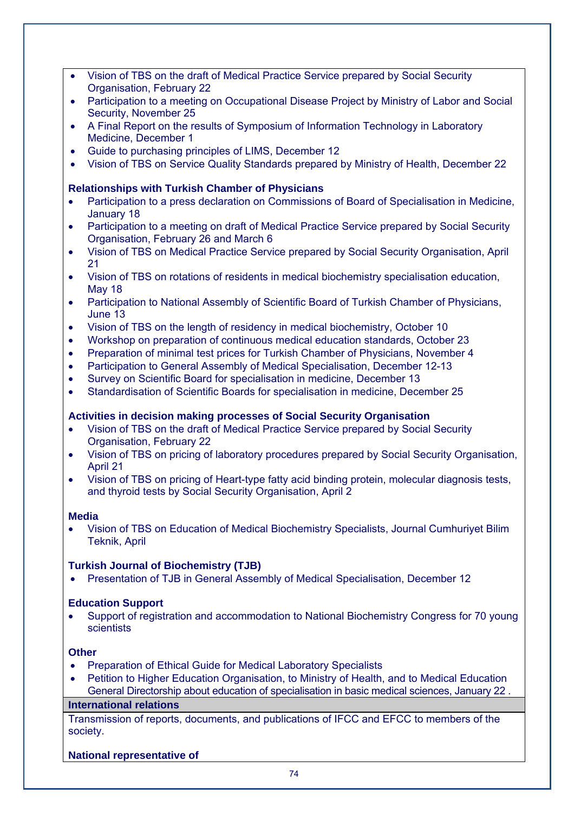- Vision of TBS on the draft of Medical Practice Service prepared by Social Security Organisation, February 22
- Participation to a meeting on Occupational Disease Project by Ministry of Labor and Social Security, November 25
- A Final Report on the results of Symposium of Information Technology in Laboratory Medicine, December 1
- Guide to purchasing principles of LIMS, December 12
- Vision of TBS on Service Quality Standards prepared by Ministry of Health, December 22

## **Relationships with Turkish Chamber of Physicians**

- Participation to a press declaration on Commissions of Board of Specialisation in Medicine, January 18
- Participation to a meeting on draft of Medical Practice Service prepared by Social Security Organisation, February 26 and March 6
- Vision of TBS on Medical Practice Service prepared by Social Security Organisation, April 21
- Vision of TBS on rotations of residents in medical biochemistry specialisation education, May 18
- Participation to National Assembly of Scientific Board of Turkish Chamber of Physicians, June 13
- Vision of TBS on the length of residency in medical biochemistry, October 10
- Workshop on preparation of continuous medical education standards, October 23
- Preparation of minimal test prices for Turkish Chamber of Physicians, November 4
- Participation to General Assembly of Medical Specialisation, December 12-13
- Survey on Scientific Board for specialisation in medicine, December 13
- Standardisation of Scientific Boards for specialisation in medicine, December 25

## **Activities in decision making processes of Social Security Organisation**

- Vision of TBS on the draft of Medical Practice Service prepared by Social Security Organisation, February 22
- Vision of TBS on pricing of laboratory procedures prepared by Social Security Organisation, April 21
- Vision of TBS on pricing of Heart-type fatty acid binding protein, molecular diagnosis tests, and thyroid tests by Social Security Organisation, April 2

## **Media**

 Vision of TBS on Education of Medical Biochemistry Specialists, Journal Cumhuriyet Bilim Teknik, April

## **Turkish Journal of Biochemistry (TJB)**

Presentation of TJB in General Assembly of Medical Specialisation, December 12

## **Education Support**

 Support of registration and accommodation to National Biochemistry Congress for 70 young scientists

## **Other**

- Preparation of Ethical Guide for Medical Laboratory Specialists
- Petition to Higher Education Organisation, to Ministry of Health, and to Medical Education General Directorship about education of specialisation in basic medical sciences, January 22 .

## **International relations**

Transmission of reports, documents, and publications of IFCC and EFCC to members of the society.

## **National representative of**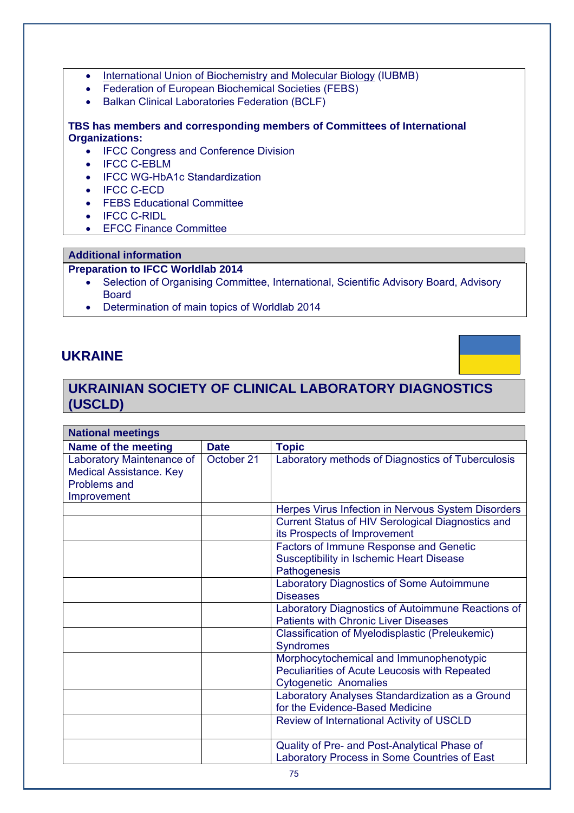- International Union of Biochemistry and Molecular Biology (IUBMB)
- Federation of European Biochemical Societies (FEBS)
- Balkan Clinical Laboratories Federation (BCLF)

## **TBS has members and corresponding members of Committees of International Organizations:**

- IFCC Congress and Conference Division
- IFCC C-EBLM
- IFCC WG-HbA1c Standardization
- IFCC C-ECD
- FEBS Educational Committee
- IFCC C-RIDL
- EFCC Finance Committee

#### **Additional information**

## **Preparation to IFCC Worldlab 2014**

- Selection of Organising Committee, International, Scientific Advisory Board, Advisory Board
- Determination of main topics of Worldlab 2014

# **UKRAINE**

# **UKRAINIAN SOCIETY OF CLINICAL LABORATORY DIAGNOSTICS (USCLD)**

| <b>National meetings</b>                                                                   |             |                                                                                                                          |  |
|--------------------------------------------------------------------------------------------|-------------|--------------------------------------------------------------------------------------------------------------------------|--|
| Name of the meeting                                                                        | <b>Date</b> | <b>Topic</b>                                                                                                             |  |
| Laboratory Maintenance of<br><b>Medical Assistance. Key</b><br>Problems and<br>Improvement | October 21  | Laboratory methods of Diagnostics of Tuberculosis                                                                        |  |
|                                                                                            |             | Herpes Virus Infection in Nervous System Disorders                                                                       |  |
|                                                                                            |             | <b>Current Status of HIV Serological Diagnostics and</b><br>its Prospects of Improvement                                 |  |
|                                                                                            |             | Factors of Immune Response and Genetic<br><b>Susceptibility in Ischemic Heart Disease</b><br>Pathogenesis                |  |
|                                                                                            |             | Laboratory Diagnostics of Some Autoimmune<br><b>Diseases</b>                                                             |  |
|                                                                                            |             | Laboratory Diagnostics of Autoimmune Reactions of<br><b>Patients with Chronic Liver Diseases</b>                         |  |
|                                                                                            |             | Classification of Myelodisplastic (Preleukemic)<br><b>Syndromes</b>                                                      |  |
|                                                                                            |             | Morphocytochemical and Immunophenotypic<br>Peculiarities of Acute Leucosis with Repeated<br><b>Cytogenetic Anomalies</b> |  |
|                                                                                            |             | Laboratory Analyses Standardization as a Ground<br>for the Evidence-Based Medicine                                       |  |
|                                                                                            |             | Review of International Activity of USCLD                                                                                |  |
|                                                                                            |             | Quality of Pre- and Post-Analytical Phase of<br>Laboratory Process in Some Countries of East                             |  |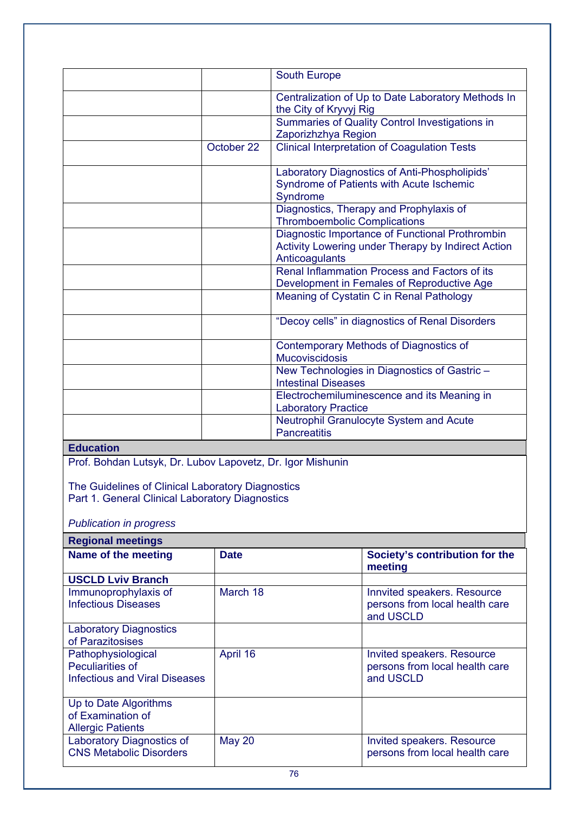|                                                                                     | <b>South Europe</b>                                                                                                     |
|-------------------------------------------------------------------------------------|-------------------------------------------------------------------------------------------------------------------------|
|                                                                                     | Centralization of Up to Date Laboratory Methods In<br>the City of Kryvyj Rig                                            |
|                                                                                     | Summaries of Quality Control Investigations in<br>Zaporizhzhya Region                                                   |
| October 22                                                                          | <b>Clinical Interpretation of Coagulation Tests</b>                                                                     |
|                                                                                     | Laboratory Diagnostics of Anti-Phospholipids'<br>Syndrome of Patients with Acute Ischemic<br>Syndrome                   |
|                                                                                     | Diagnostics, Therapy and Prophylaxis of<br><b>Thromboembolic Complications</b>                                          |
|                                                                                     | Diagnostic Importance of Functional Prothrombin<br>Activity Lowering under Therapy by Indirect Action<br>Anticoagulants |
|                                                                                     | Renal Inflammation Process and Factors of its<br>Development in Females of Reproductive Age                             |
|                                                                                     | Meaning of Cystatin C in Renal Pathology                                                                                |
|                                                                                     | "Decoy cells" in diagnostics of Renal Disorders                                                                         |
|                                                                                     | Contemporary Methods of Diagnostics of<br><b>Mucoviscidosis</b>                                                         |
|                                                                                     | New Technologies in Diagnostics of Gastric-<br><b>Intestinal Diseases</b>                                               |
|                                                                                     | Electrochemiluminescence and its Meaning in<br><b>Laboratory Practice</b>                                               |
|                                                                                     | Neutrophil Granulocyte System and Acute<br><b>Pancreatitis</b>                                                          |
| <b>Education</b><br><b>Drof</b> Bohdan Lutevk Dr. Luboy Langvotz, Dr. Jaer Michunin |                                                                                                                         |

Prof. Bohdan Lutsyk, Dr. Lubov Lapovetz, Dr. Igor Mishunin

The Guidelines of Clinical Laboratory Diagnostics Part 1. General Clinical Laboratory Diagnostics

*Publication in progress* 

| <b>Regional meetings</b>                                                       |               |                                                                            |
|--------------------------------------------------------------------------------|---------------|----------------------------------------------------------------------------|
| Name of the meeting                                                            | <b>Date</b>   | Society's contribution for the<br>meeting                                  |
| <b>USCLD Lviv Branch</b>                                                       |               |                                                                            |
| Immunoprophylaxis of<br><b>Infectious Diseases</b>                             | March 18      | Innvited speakers. Resource<br>persons from local health care<br>and USCLD |
| <b>Laboratory Diagnostics</b><br>of Parazitosises                              |               |                                                                            |
| Pathophysiological<br><b>Peculiarities of</b><br>Infectious and Viral Diseases | April 16      | Invited speakers. Resource<br>persons from local health care<br>and USCLD  |
| Up to Date Algorithms<br>of Examination of<br><b>Allergic Patients</b>         |               |                                                                            |
| <b>Laboratory Diagnostics of</b><br><b>CNS Metabolic Disorders</b>             | <b>May 20</b> | Invited speakers. Resource<br>persons from local health care               |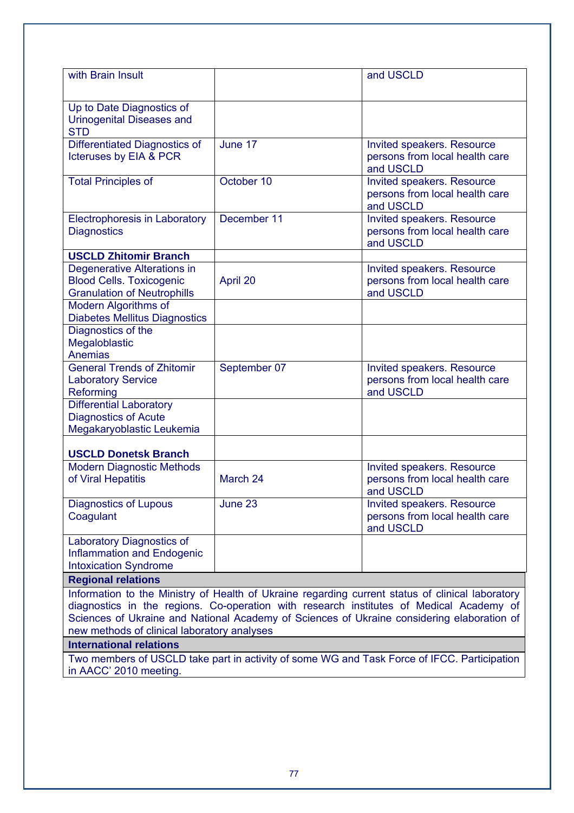|                                                                                                             |                     | Information to the Ministry of Health of Ukraine regarding current status of clinical laboratory |
|-------------------------------------------------------------------------------------------------------------|---------------------|--------------------------------------------------------------------------------------------------|
| <b>Regional relations</b>                                                                                   |                     |                                                                                                  |
| <b>Inflammation and Endogenic</b><br><b>Intoxication Syndrome</b>                                           |                     |                                                                                                  |
| Coagulant<br>Laboratory Diagnostics of                                                                      |                     | Invited speakers. Resource<br>persons from local health care<br>and USCLD                        |
| <b>Modern Diagnostic Methods</b><br>of Viral Hepatitis<br><b>Diagnostics of Lupous</b>                      | March 24<br>June 23 | Invited speakers. Resource<br>persons from local health care<br>and USCLD                        |
| <b>USCLD Donetsk Branch</b>                                                                                 |                     |                                                                                                  |
| <b>Differential Laboratory</b><br><b>Diagnostics of Acute</b><br>Megakaryoblastic Leukemia                  |                     |                                                                                                  |
| <b>General Trends of Zhitomir</b><br><b>Laboratory Service</b><br>Reforming                                 | September 07        | Invited speakers. Resource<br>persons from local health care<br>and USCLD                        |
| Diagnostics of the<br>Megaloblastic<br><b>Anemias</b>                                                       |                     |                                                                                                  |
| Modern Algorithms of<br><b>Diabetes Mellitus Diagnostics</b>                                                |                     |                                                                                                  |
| <b>Degenerative Alterations in</b><br><b>Blood Cells. Toxicogenic</b><br><b>Granulation of Neutrophills</b> | April 20            | Invited speakers. Resource<br>persons from local health care<br>and USCLD                        |
| <b>USCLD Zhitomir Branch</b>                                                                                |                     |                                                                                                  |
| <b>Electrophoresis in Laboratory</b><br><b>Diagnostics</b>                                                  | December 11         | Invited speakers. Resource<br>persons from local health care<br>and USCLD                        |
| <b>Total Principles of</b>                                                                                  | October 10          | Invited speakers. Resource<br>persons from local health care<br>and USCLD                        |
| Differentiated Diagnostics of<br><b>Icteruses by EIA &amp; PCR</b>                                          | June 17             | Invited speakers. Resource<br>persons from local health care<br>and USCLD                        |
| Up to Date Diagnostics of<br><b>Urinogenital Diseases and</b><br><b>STD</b>                                 |                     |                                                                                                  |
| with Brain Insult                                                                                           |                     | and USCLD                                                                                        |

Two members of USCLD take part in activity of some WG and Task Force of IFCC. Participation in AACC' 2010 meeting.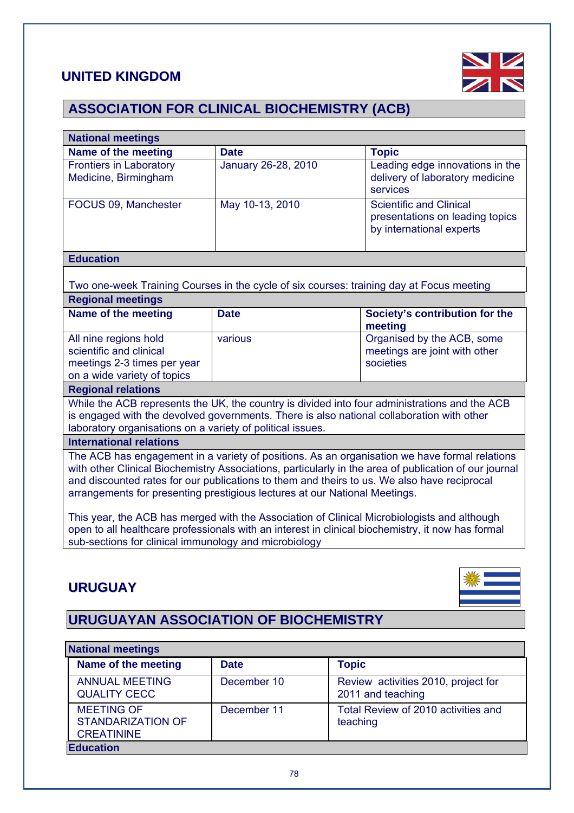# **UNITED KINGDOM**

**CREATININE** 

**Education** 



# **ASSOCIATION FOR CLINICAL BIOCHEMISTRY (ACB)**

| <b>National meetings</b>                                                                                                                                                                               |                     |                                                                                                   |  |  |  |
|--------------------------------------------------------------------------------------------------------------------------------------------------------------------------------------------------------|---------------------|---------------------------------------------------------------------------------------------------|--|--|--|
| <b>Name of the meeting</b>                                                                                                                                                                             | <b>Date</b>         | <b>Topic</b>                                                                                      |  |  |  |
| <b>Frontiers in Laboratory</b>                                                                                                                                                                         | January 26-28, 2010 | Leading edge innovations in the                                                                   |  |  |  |
| Medicine, Birmingham                                                                                                                                                                                   |                     | delivery of laboratory medicine                                                                   |  |  |  |
|                                                                                                                                                                                                        |                     | services                                                                                          |  |  |  |
| FOCUS 09, Manchester                                                                                                                                                                                   | May 10-13, 2010     | <b>Scientific and Clinical</b>                                                                    |  |  |  |
|                                                                                                                                                                                                        |                     | presentations on leading topics                                                                   |  |  |  |
|                                                                                                                                                                                                        |                     | by international experts                                                                          |  |  |  |
|                                                                                                                                                                                                        |                     |                                                                                                   |  |  |  |
| <b>Education</b>                                                                                                                                                                                       |                     |                                                                                                   |  |  |  |
|                                                                                                                                                                                                        |                     |                                                                                                   |  |  |  |
|                                                                                                                                                                                                        |                     | Two one-week Training Courses in the cycle of six courses: training day at Focus meeting          |  |  |  |
| <b>Regional meetings</b>                                                                                                                                                                               |                     |                                                                                                   |  |  |  |
| Name of the meeting                                                                                                                                                                                    | <b>Date</b>         | Society's contribution for the                                                                    |  |  |  |
|                                                                                                                                                                                                        |                     | meeting                                                                                           |  |  |  |
| All nine regions hold                                                                                                                                                                                  | various             | Organised by the ACB, some                                                                        |  |  |  |
| scientific and clinical                                                                                                                                                                                |                     | meetings are joint with other                                                                     |  |  |  |
| meetings 2-3 times per year                                                                                                                                                                            |                     | societies                                                                                         |  |  |  |
| on a wide variety of topics                                                                                                                                                                            |                     |                                                                                                   |  |  |  |
| <b>Regional relations</b>                                                                                                                                                                              |                     |                                                                                                   |  |  |  |
|                                                                                                                                                                                                        |                     | While the ACB represents the UK, the country is divided into four administrations and the ACB     |  |  |  |
| laboratory organisations on a variety of political issues.                                                                                                                                             |                     | is engaged with the devolved governments. There is also national collaboration with other         |  |  |  |
| <b>International relations</b>                                                                                                                                                                         |                     |                                                                                                   |  |  |  |
|                                                                                                                                                                                                        |                     |                                                                                                   |  |  |  |
| The ACB has engagement in a variety of positions. As an organisation we have formal relations<br>with other Clinical Biochemistry Associations, particularly in the area of publication of our journal |                     |                                                                                                   |  |  |  |
| and discounted rates for our publications to them and theirs to us. We also have reciprocal                                                                                                            |                     |                                                                                                   |  |  |  |
| arrangements for presenting prestigious lectures at our National Meetings.                                                                                                                             |                     |                                                                                                   |  |  |  |
|                                                                                                                                                                                                        |                     |                                                                                                   |  |  |  |
|                                                                                                                                                                                                        |                     | This year, the ACB has merged with the Association of Clinical Microbiologists and although       |  |  |  |
|                                                                                                                                                                                                        |                     | open to all healthcare professionals with an interest in clinical biochemistry, it now has formal |  |  |  |
| sub-sections for clinical immunology and microbiology                                                                                                                                                  |                     |                                                                                                   |  |  |  |
|                                                                                                                                                                                                        |                     |                                                                                                   |  |  |  |
|                                                                                                                                                                                                        |                     |                                                                                                   |  |  |  |
| <b>URUGUAY</b>                                                                                                                                                                                         |                     |                                                                                                   |  |  |  |
|                                                                                                                                                                                                        |                     |                                                                                                   |  |  |  |
|                                                                                                                                                                                                        |                     |                                                                                                   |  |  |  |
| <b>URUGUAYAN ASSOCIATION OF BIOCHEMISTRY</b>                                                                                                                                                           |                     |                                                                                                   |  |  |  |
|                                                                                                                                                                                                        |                     |                                                                                                   |  |  |  |
| <b>National meetings</b>                                                                                                                                                                               |                     |                                                                                                   |  |  |  |
| Name of the meeting                                                                                                                                                                                    | <b>Date</b>         | <b>Topic</b>                                                                                      |  |  |  |
| <b>ANNUAL MEETING</b>                                                                                                                                                                                  | December 10         | Review activities 2010, project for                                                               |  |  |  |
| <b>QUALITY CECC</b>                                                                                                                                                                                    |                     | 2011 and teaching                                                                                 |  |  |  |
| <b>MEETING OF</b>                                                                                                                                                                                      | December 11         | Total Review of 2010 activities and                                                               |  |  |  |
| <b>STANDARIZATION OF</b>                                                                                                                                                                               |                     | teaching                                                                                          |  |  |  |

# 78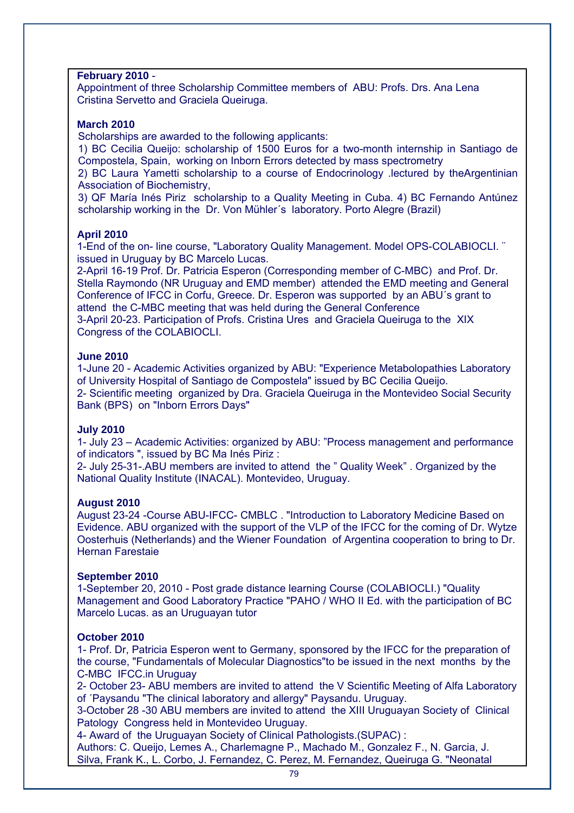#### **February 2010** -

Appointment of three Scholarship Committee members of ABU: Profs. Drs. Ana Lena Cristina Servetto and Graciela Queiruga.

#### **March 2010**

Scholarships are awarded to the following applicants:

1) BC Cecilia Queijo: scholarship of 1500 Euros for a two-month internship in Santiago de Compostela, Spain, working on Inborn Errors detected by mass spectrometry

2) BC Laura Yametti scholarship to a course of Endocrinology .lectured by theArgentinian Association of Biochemistry,

3) QF María Inés Piriz scholarship to a Quality Meeting in Cuba. 4) BC Fernando Antúnez scholarship working in the Dr. Von Mühler´s laboratory. Porto Alegre (Brazil)

#### **April 2010**

1-End of the on- line course, "Laboratory Quality Management. Model OPS-COLABIOCLI. ¨ issued in Uruguay by BC Marcelo Lucas.

2-April 16-19 Prof. Dr. Patricia Esperon (Corresponding member of C-MBC) and Prof. Dr. Stella Raymondo (NR Uruguay and EMD member) attended the EMD meeting and General Conference of IFCC in Corfu, Greece. Dr. Esperon was supported by an ABU´s grant to attend the C-MBC meeting that was held during the General Conference 3-April 20-23. Participation of Profs. Cristina Ures and Graciela Queiruga to the XIX Congress of the COLABIOCLI.

#### **June 2010**

1-June 20 - Academic Activities organized by ABU: "Experience Metabolopathies Laboratory of University Hospital of Santiago de Compostela" issued by BC Cecilia Queijo. 2- Scientific meeting organized by Dra. Graciela Queiruga in the Montevideo Social Security Bank (BPS) on "Inborn Errors Days"

#### **July 2010**

1- July 23 – Academic Activities: organized by ABU: "Process management and performance of indicators ", issued by BC Ma Inés Piriz :

2- July 25-31-.ABU members are invited to attend the " Quality Week" . Organized by the National Quality Institute (INACAL). Montevideo, Uruguay.

#### **August 2010**

August 23-24 -Course ABU-IFCC- CMBLC . "Introduction to Laboratory Medicine Based on Evidence. ABU organized with the support of the VLP of the IFCC for the coming of Dr. Wytze Oosterhuis (Netherlands) and the Wiener Foundation of Argentina cooperation to bring to Dr. Hernan Farestaie

#### **September 2010**

1-September 20, 2010 - Post grade distance learning Course (COLABIOCLI.) "Quality Management and Good Laboratory Practice "PAHO / WHO II Ed. with the participation of BC Marcelo Lucas. as an Uruguayan tutor

## **October 2010**

1- Prof. Dr, Patricia Esperon went to Germany, sponsored by the IFCC for the preparation of the course, "Fundamentals of Molecular Diagnostics"to be issued in the next months by the C-MBC IFCC.in Uruguay

2- October 23- ABU members are invited to attend the V Scientific Meeting of Alfa Laboratory of ´Paysandu "The clinical laboratory and allergy" Paysandu. Uruguay.

3-October 28 -30 ABU members are invited to attend the XIII Uruguayan Society of Clinical Patology Congress held in Montevideo Uruguay.

4- Award of the Uruguayan Society of Clinical Pathologists.(SUPAC) :

Authors: C. Queijo, Lemes A., Charlemagne P., Machado M., Gonzalez F., N. Garcia, J. Silva, Frank K., L. Corbo, J. Fernandez, C. Perez, M. Fernandez, Queiruga G. "Neonatal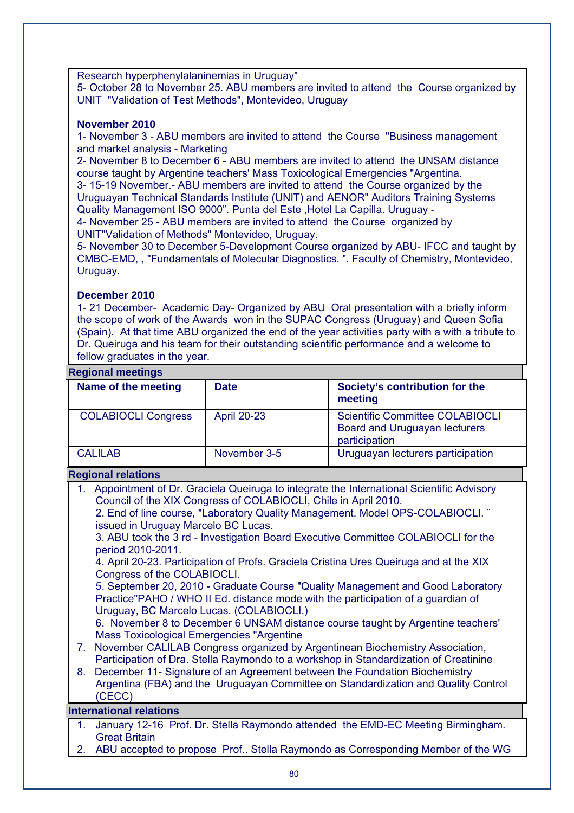Research hyperphenylalaninemias in Uruguay"

5- October 28 to November 25. ABU members are invited to attend the Course organized by UNIT "Validation of Test Methods", Montevideo, Uruguay

#### **November 2010**

1- November 3 - ABU members are invited to attend the Course "Business management and market analysis - Marketing

2- November 8 to December 6 - ABU members are invited to attend the UNSAM distance course taught by Argentine teachers' Mass Toxicological Emergencies "Argentina. 3- 15-19 November.- ABU members are invited to attend the Course organized by the

Uruguayan Technical Standards Institute (UNIT) and AENOR" Auditors Training Systems Quality Management ISO 9000". Punta del Este ,Hotel La Capilla. Uruguay -

4- November 25 - ABU members are invited to attend the Course organized by UNIT"Validation of Methods" Montevideo, Uruguay.

5- November 30 to December 5-Development Course organized by ABU- IFCC and taught by CMBC-EMD, , "Fundamentals of Molecular Diagnostics. ". Faculty of Chemistry, Montevideo, Uruguay.

## **December 2010**

1- 21 December- Academic Day- Organized by ABU Oral presentation with a briefly inform the scope of work of the Awards won in the SUPAC Congress (Uruguay) and Queen Sofia (Spain). At that time ABU organized the end of the year activities party with a with a tribute to Dr. Queiruga and his team for their outstanding scientific performance and a welcome to fellow graduates in the year.

## **Regional meetings**

| Name of the meeting        | <b>Date</b>        | Society's contribution for the<br>meeting                                                |  |
|----------------------------|--------------------|------------------------------------------------------------------------------------------|--|
| <b>COLABIOCLI Congress</b> | <b>April 20-23</b> | <b>Scientific Committee COLABIOCLI</b><br>Board and Uruguayan lecturers<br>participation |  |
| <b>CALILAB</b>             | November 3-5       | Uruguayan lecturers participation                                                        |  |

## **Regional relations**

|    | Appointment of Dr. Graciela Queiruga to integrate the International Scientific Advisory<br>Council of the XIX Congress of COLABIOCLI, Chile in April 2010.                                                      |
|----|-----------------------------------------------------------------------------------------------------------------------------------------------------------------------------------------------------------------|
|    | 2. End of line course, "Laboratory Quality Management. Model OPS-COLABIOCLI."<br>issued in Uruguay Marcelo BC Lucas.                                                                                            |
|    | 3. ABU took the 3 rd - Investigation Board Executive Committee COLABIOCLI for the<br>period 2010-2011.                                                                                                          |
|    | 4. April 20-23. Participation of Profs. Graciela Cristina Ures Queiruga and at the XIX<br>Congress of the COLABIOCLI.                                                                                           |
|    | 5. September 20, 2010 - Graduate Course "Quality Management and Good Laboratory<br>Practice"PAHO / WHO II Ed. distance mode with the participation of a guardian of<br>Uruguay, BC Marcelo Lucas. (COLABIOCLI.) |
|    | 6. November 8 to December 6 UNSAM distance course taught by Argentine teachers'<br><b>Mass Toxicological Emergencies "Argentine</b>                                                                             |
| 7. | November CALILAB Congress organized by Argentinean Biochemistry Association,<br>Participation of Dra. Stella Raymondo to a workshop in Standardization of Creatinine                                            |
| 8. | December 11- Signature of an Agreement between the Foundation Biochemistry<br>Argentina (FBA) and the Uruguayan Committee on Standardization and Quality Control<br>(CECC)                                      |
|    | <b>International relations</b>                                                                                                                                                                                  |
| 1. | January 12-16 Prof. Dr. Stella Raymondo attended the EMD-EC Meeting Birmingham.<br><b>Great Britain</b>                                                                                                         |

2. ABU accepted to propose Prof.. Stella Raymondo as Corresponding Member of the WG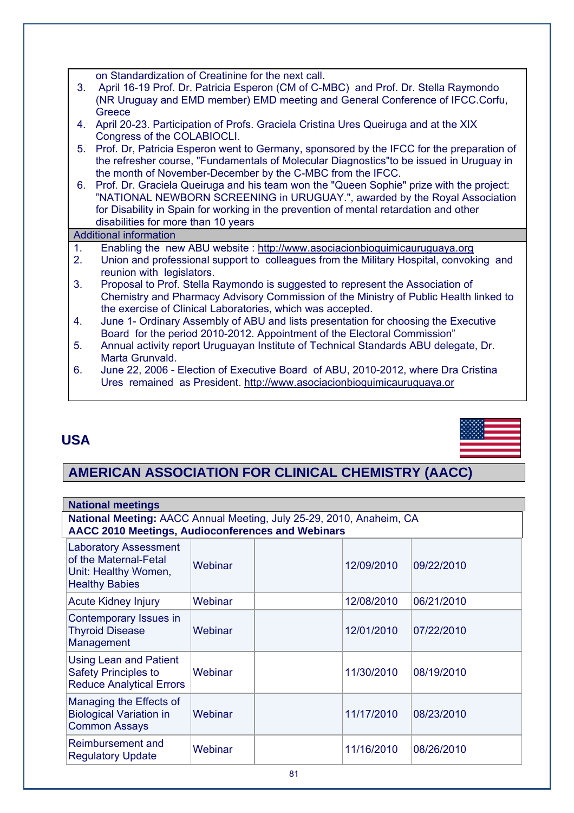on Standardization of Creatinine for the next call.

- 3. April 16-19 Prof. Dr. Patricia Esperon (CM of C-MBC) and Prof. Dr. Stella Raymondo (NR Uruguay and EMD member) EMD meeting and General Conference of IFCC.Corfu, **Greece**
- 4. April 20-23. Participation of Profs. Graciela Cristina Ures Queiruga and at the XIX Congress of the COLABIOCLI.
- 5. Prof. Dr, Patricia Esperon went to Germany, sponsored by the IFCC for the preparation of the refresher course, "Fundamentals of Molecular Diagnostics"to be issued in Uruguay in the month of November-December by the C-MBC from the IFCC.
- 6. Prof. Dr. Graciela Queiruga and his team won the "Queen Sophie" prize with the project: "NATIONAL NEWBORN SCREENING in URUGUAY.", awarded by the Royal Association for Disability in Spain for working in the prevention of mental retardation and other disabilities for more than 10 years

## Additional information

- 1. Enabling the new ABU website : http://www.asociacionbioquimicauruguaya.org
- 2. Union and professional support to colleagues from the Military Hospital, convoking and reunion with legislators.
- 3. Proposal to Prof. Stella Raymondo is suggested to represent the Association of Chemistry and Pharmacy Advisory Commission of the Ministry of Public Health linked to the exercise of Clinical Laboratories, which was accepted.
- 4. June 1- Ordinary Assembly of ABU and lists presentation for choosing the Executive Board for the period 2010-2012. Appointment of the Electoral Commission"
- 5. Annual activity report Uruguayan Institute of Technical Standards ABU delegate, Dr. Marta Grunvald.
- 6. June 22, 2006 Election of Executive Board of ABU, 2010-2012, where Dra Cristina Ures remained as President. http://www.asociacionbioquimicauruguaya.or

# **USA**



# **AMERICAN ASSOCIATION FOR CLINICAL CHEMISTRY (AACC)**

| <b>National meetings</b>                                                                               |                                                                                                                           |  |            |            |
|--------------------------------------------------------------------------------------------------------|---------------------------------------------------------------------------------------------------------------------------|--|------------|------------|
|                                                                                                        | National Meeting: AACC Annual Meeting, July 25-29, 2010, Anaheim, CA<br>AACC 2010 Meetings, Audioconferences and Webinars |  |            |            |
| <b>Laboratory Assessment</b><br>of the Maternal-Fetal<br>Unit: Healthy Women,<br><b>Healthy Babies</b> | Webinar                                                                                                                   |  | 12/09/2010 | 09/22/2010 |
| <b>Acute Kidney Injury</b>                                                                             | Webinar                                                                                                                   |  | 12/08/2010 | 06/21/2010 |
| Contemporary Issues in<br><b>Thyroid Disease</b><br>Management                                         | Webinar                                                                                                                   |  | 12/01/2010 | 07/22/2010 |
| Using Lean and Patient<br><b>Safety Principles to</b><br><b>Reduce Analytical Errors</b>               | Webinar                                                                                                                   |  | 11/30/2010 | 08/19/2010 |
| Managing the Effects of<br><b>Biological Variation in</b><br><b>Common Assays</b>                      | Webinar                                                                                                                   |  | 11/17/2010 | 08/23/2010 |
| Reimbursement and<br><b>Regulatory Update</b>                                                          | Webinar                                                                                                                   |  | 11/16/2010 | 08/26/2010 |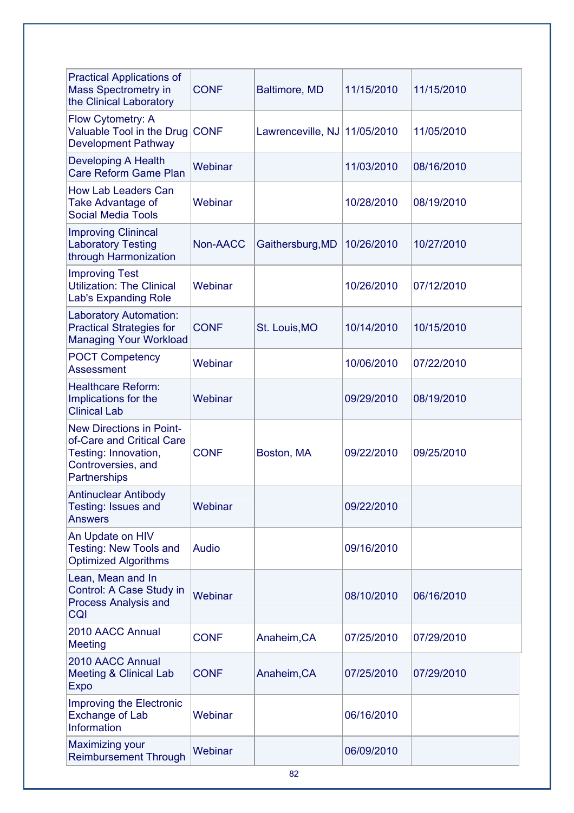| <b>Practical Applications of</b><br><b>Mass Spectrometry in</b><br>the Clinical Laboratory                                 | <b>CONF</b>  | Baltimore, MD     | 11/15/2010 | 11/15/2010 |
|----------------------------------------------------------------------------------------------------------------------------|--------------|-------------------|------------|------------|
| Flow Cytometry: A<br>Valuable Tool in the Drug<br><b>Development Pathway</b>                                               | <b>CONF</b>  | Lawrenceville, NJ | 11/05/2010 | 11/05/2010 |
| <b>Developing A Health</b><br>Care Reform Game Plan                                                                        | Webinar      |                   | 11/03/2010 | 08/16/2010 |
| <b>How Lab Leaders Can</b><br>Take Advantage of<br><b>Social Media Tools</b>                                               | Webinar      |                   | 10/28/2010 | 08/19/2010 |
| <b>Improving Clinincal</b><br><b>Laboratory Testing</b><br>through Harmonization                                           | Non-AACC     | Gaithersburg, MD  | 10/26/2010 | 10/27/2010 |
| <b>Improving Test</b><br><b>Utilization: The Clinical</b><br><b>Lab's Expanding Role</b>                                   | Webinar      |                   | 10/26/2010 | 07/12/2010 |
| <b>Laboratory Automation:</b><br><b>Practical Strategies for</b><br><b>Managing Your Workload</b>                          | <b>CONF</b>  | St. Louis, MO     | 10/14/2010 | 10/15/2010 |
| <b>POCT Competency</b><br><b>Assessment</b>                                                                                | Webinar      |                   | 10/06/2010 | 07/22/2010 |
| <b>Healthcare Reform:</b><br>Implications for the<br><b>Clinical Lab</b>                                                   | Webinar      |                   | 09/29/2010 | 08/19/2010 |
| <b>New Directions in Point-</b><br>of-Care and Critical Care<br>Testing: Innovation,<br>Controversies, and<br>Partnerships | <b>CONF</b>  | Boston, MA        | 09/22/2010 | 09/25/2010 |
| <b>Antinuclear Antibody</b><br>Testing: Issues and<br><b>Answers</b>                                                       | Webinar      |                   | 09/22/2010 |            |
| An Update on HIV<br><b>Testing: New Tools and</b><br><b>Optimized Algorithms</b>                                           | <b>Audio</b> |                   | 09/16/2010 |            |
| Lean, Mean and In<br>Control: A Case Study in<br><b>Process Analysis and</b><br><b>CQI</b>                                 | Webinar      |                   | 08/10/2010 | 06/16/2010 |
| 2010 AACC Annual<br><b>Meeting</b>                                                                                         | <b>CONF</b>  | Anaheim, CA       | 07/25/2010 | 07/29/2010 |
| 2010 AACC Annual<br><b>Meeting &amp; Clinical Lab</b><br><b>Expo</b>                                                       | <b>CONF</b>  | Anaheim, CA       | 07/25/2010 | 07/29/2010 |
| Improving the Electronic<br><b>Exchange of Lab</b><br>Information                                                          | Webinar      |                   | 06/16/2010 |            |
| <b>Maximizing your</b><br><b>Reimbursement Through</b>                                                                     | Webinar      |                   | 06/09/2010 |            |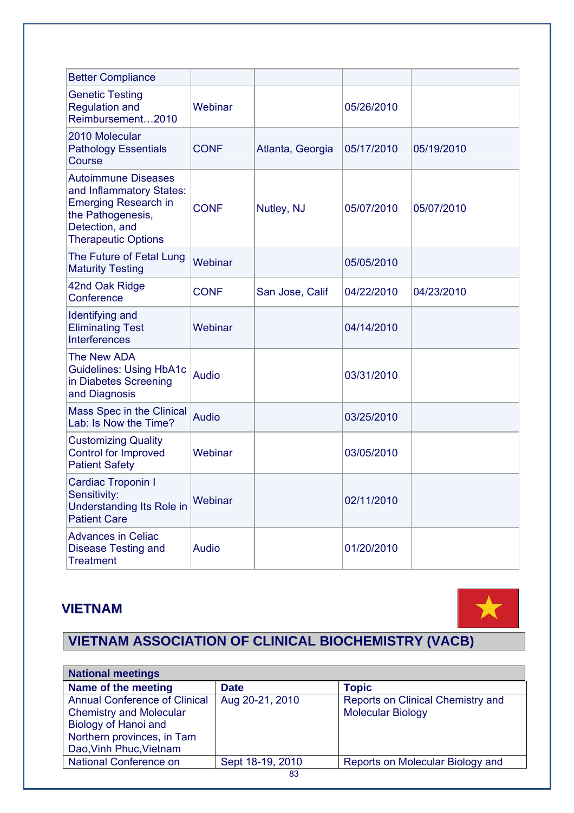| <b>Better Compliance</b>                                                                                                                                   |              |                  |            |            |
|------------------------------------------------------------------------------------------------------------------------------------------------------------|--------------|------------------|------------|------------|
| <b>Genetic Testing</b><br><b>Regulation and</b><br>Reimbursement2010                                                                                       | Webinar      |                  | 05/26/2010 |            |
| 2010 Molecular<br><b>Pathology Essentials</b><br>Course                                                                                                    | <b>CONF</b>  | Atlanta, Georgia | 05/17/2010 | 05/19/2010 |
| <b>Autoimmune Diseases</b><br>and Inflammatory States:<br><b>Emerging Research in</b><br>the Pathogenesis,<br>Detection, and<br><b>Therapeutic Options</b> | <b>CONF</b>  | Nutley, NJ       | 05/07/2010 | 05/07/2010 |
| The Future of Fetal Lung<br><b>Maturity Testing</b>                                                                                                        | Webinar      |                  | 05/05/2010 |            |
| 42nd Oak Ridge<br>Conference                                                                                                                               | <b>CONF</b>  | San Jose, Calif  | 04/22/2010 | 04/23/2010 |
| Identifying and<br><b>Eliminating Test</b><br><b>Interferences</b>                                                                                         | Webinar      |                  | 04/14/2010 |            |
| The New ADA<br><b>Guidelines: Using HbA1c</b><br>in Diabetes Screening<br>and Diagnosis                                                                    | Audio        |                  | 03/31/2010 |            |
| Mass Spec in the Clinical<br>Lab: Is Now the Time?                                                                                                         | Audio        |                  | 03/25/2010 |            |
| <b>Customizing Quality</b><br><b>Control for Improved</b><br><b>Patient Safety</b>                                                                         | Webinar      |                  | 03/05/2010 |            |
| Cardiac Troponin I<br>Sensitivity:<br>Understanding Its Role in<br><b>Patient Care</b>                                                                     | Webinar      |                  | 02/11/2010 |            |
| <b>Advances in Celiac</b><br><b>Disease Testing and</b><br><b>Treatment</b>                                                                                | <b>Audio</b> |                  | 01/20/2010 |            |

# **VIETNAM**



# **VIETNAM ASSOCIATION OF CLINICAL BIOCHEMISTRY (VACB)**

| <b>National meetings</b>             |                  |                                   |
|--------------------------------------|------------------|-----------------------------------|
| Name of the meeting                  | <b>Date</b>      | <b>Topic</b>                      |
| <b>Annual Conference of Clinical</b> | Aug 20-21, 2010  | Reports on Clinical Chemistry and |
| <b>Chemistry and Molecular</b>       |                  | <b>Molecular Biology</b>          |
| Biology of Hanoi and                 |                  |                                   |
| Northern provinces, in Tam           |                  |                                   |
| Dao, Vinh Phuc, Vietnam              |                  |                                   |
| <b>National Conference on</b>        | Sept 18-19, 2010 | Reports on Molecular Biology and  |
|                                      | 83               |                                   |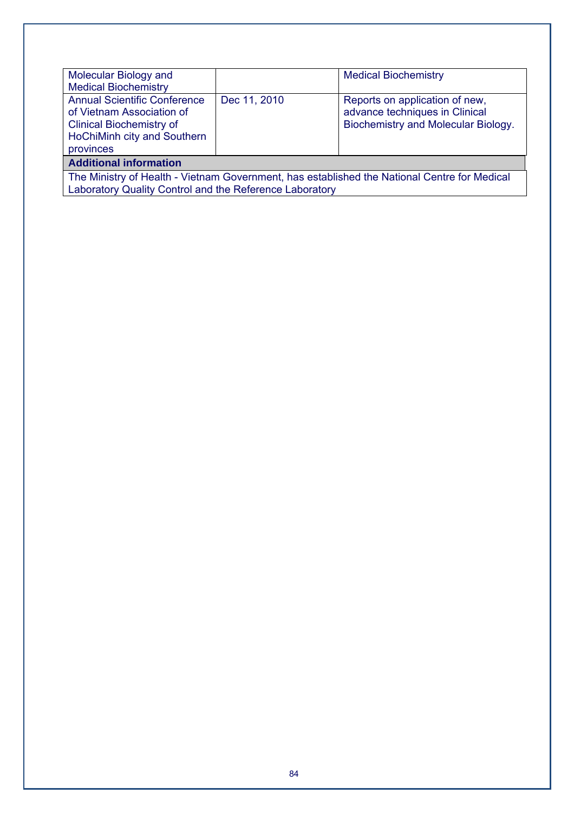| Molecular Biology and<br><b>Medical Biochemistry</b>                                                                                                    |              | <b>Medical Biochemistry</b>                                                                             |  |  |  |
|---------------------------------------------------------------------------------------------------------------------------------------------------------|--------------|---------------------------------------------------------------------------------------------------------|--|--|--|
| <b>Annual Scientific Conference</b><br>of Vietnam Association of<br><b>Clinical Biochemistry of</b><br>HoChiMinh city and Southern<br>provinces         | Dec 11, 2010 | Reports on application of new,<br>advance techniques in Clinical<br>Biochemistry and Molecular Biology. |  |  |  |
| <b>Additional information</b>                                                                                                                           |              |                                                                                                         |  |  |  |
| The Ministry of Health - Vietnam Government, has established the National Centre for Medical<br>Laboratory Quality Control and the Reference Laboratory |              |                                                                                                         |  |  |  |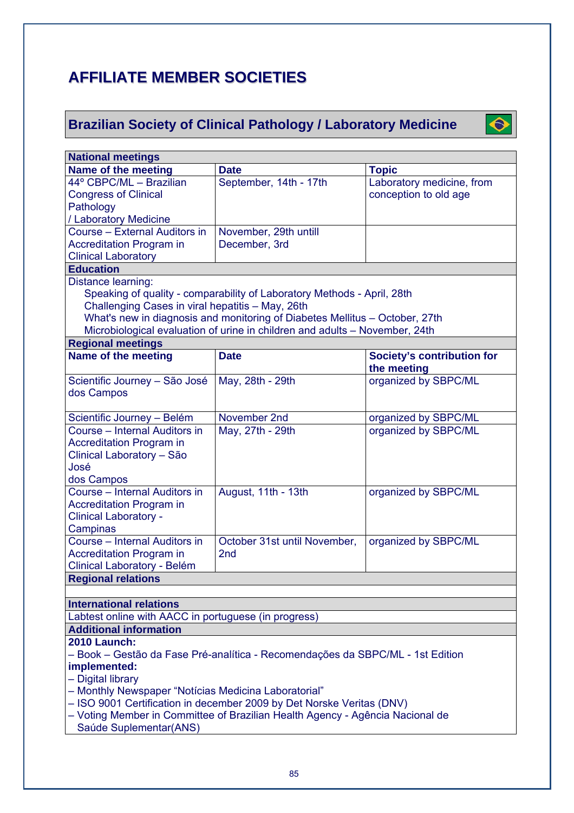# **AFFILIATE MEMBER SOCIETIES**

# **Brazilian Society of Clinical Pathology / Laboratory Medicine**



| <b>National meetings</b>                                                       |                                                                               |                                   |  |  |  |
|--------------------------------------------------------------------------------|-------------------------------------------------------------------------------|-----------------------------------|--|--|--|
| Name of the meeting                                                            | <b>Date</b>                                                                   | <b>Topic</b>                      |  |  |  |
| 44° CBPC/ML - Brazilian                                                        | September, 14th - 17th                                                        | Laboratory medicine, from         |  |  |  |
| <b>Congress of Clinical</b>                                                    |                                                                               | conception to old age             |  |  |  |
| Pathology                                                                      |                                                                               |                                   |  |  |  |
| / Laboratory Medicine                                                          |                                                                               |                                   |  |  |  |
| Course - External Auditors in                                                  | November, 29th untill                                                         |                                   |  |  |  |
| <b>Accreditation Program in</b>                                                | December, 3rd                                                                 |                                   |  |  |  |
| <b>Clinical Laboratory</b>                                                     |                                                                               |                                   |  |  |  |
| <b>Education</b>                                                               |                                                                               |                                   |  |  |  |
| Distance learning:                                                             |                                                                               |                                   |  |  |  |
|                                                                                | Speaking of quality - comparability of Laboratory Methods - April, 28th       |                                   |  |  |  |
| Challenging Cases in viral hepatitis - May, 26th                               |                                                                               |                                   |  |  |  |
|                                                                                | What's new in diagnosis and monitoring of Diabetes Mellitus - October, 27th   |                                   |  |  |  |
|                                                                                | Microbiological evaluation of urine in children and adults - November, 24th   |                                   |  |  |  |
| <b>Regional meetings</b>                                                       |                                                                               |                                   |  |  |  |
| Name of the meeting                                                            | <b>Date</b>                                                                   | <b>Society's contribution for</b> |  |  |  |
|                                                                                |                                                                               | the meeting                       |  |  |  |
| Scientific Journey - São José                                                  | May, 28th - 29th                                                              | organized by SBPC/ML              |  |  |  |
| dos Campos                                                                     |                                                                               |                                   |  |  |  |
|                                                                                |                                                                               |                                   |  |  |  |
| Scientific Journey - Belém                                                     | November 2nd                                                                  | organized by SBPC/ML              |  |  |  |
| Course - Internal Auditors in                                                  | May, 27th - 29th                                                              | organized by SBPC/ML              |  |  |  |
| <b>Accreditation Program in</b>                                                |                                                                               |                                   |  |  |  |
| Clinical Laboratory - São                                                      |                                                                               |                                   |  |  |  |
| José                                                                           |                                                                               |                                   |  |  |  |
| dos Campos                                                                     |                                                                               |                                   |  |  |  |
| Course - Internal Auditors in                                                  | August, 11th - 13th                                                           | organized by SBPC/ML              |  |  |  |
| <b>Accreditation Program in</b>                                                |                                                                               |                                   |  |  |  |
| <b>Clinical Laboratory -</b>                                                   |                                                                               |                                   |  |  |  |
| Campinas                                                                       |                                                                               |                                   |  |  |  |
| Course - Internal Auditors in                                                  | October 31st until November,                                                  | organized by SBPC/ML              |  |  |  |
| <b>Accreditation Program in</b>                                                | 2nd                                                                           |                                   |  |  |  |
| Clinical Laboratory - Belém                                                    |                                                                               |                                   |  |  |  |
| <b>Regional relations</b>                                                      |                                                                               |                                   |  |  |  |
|                                                                                |                                                                               |                                   |  |  |  |
| <b>International relations</b>                                                 |                                                                               |                                   |  |  |  |
| Labtest online with AACC in portuguese (in progress)                           |                                                                               |                                   |  |  |  |
| <b>Additional information</b>                                                  |                                                                               |                                   |  |  |  |
| <b>2010 Launch:</b>                                                            |                                                                               |                                   |  |  |  |
| – Book – Gestão da Fase Pré-analítica - Recomendações da SBPC/ML - 1st Edition |                                                                               |                                   |  |  |  |
| implemented:                                                                   |                                                                               |                                   |  |  |  |
| - Digital library                                                              |                                                                               |                                   |  |  |  |
| - Monthly Newspaper "Notícias Medicina Laboratorial"                           |                                                                               |                                   |  |  |  |
| - ISO 9001 Certification in december 2009 by Det Norske Veritas (DNV)          |                                                                               |                                   |  |  |  |
|                                                                                | - Voting Member in Committee of Brazilian Health Agency - Agência Nacional de |                                   |  |  |  |
| Saúde Suplementar(ANS)                                                         |                                                                               |                                   |  |  |  |
|                                                                                |                                                                               |                                   |  |  |  |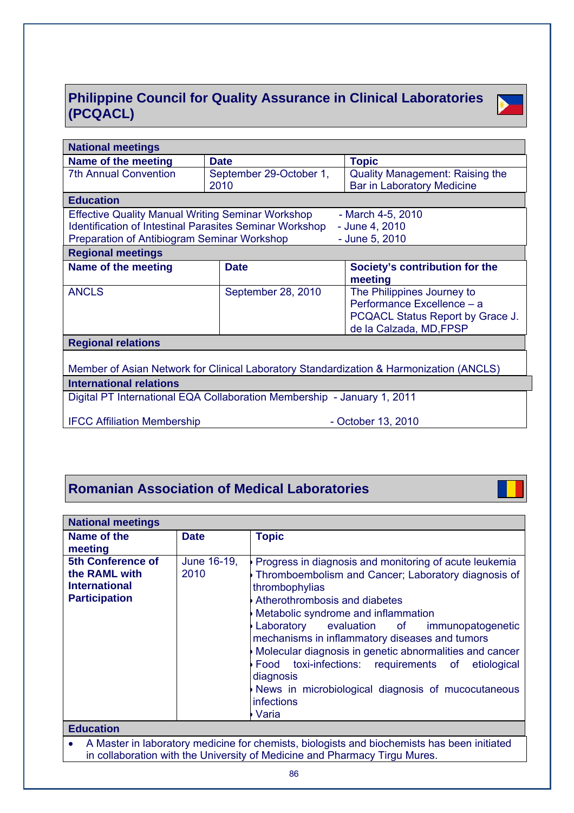# **Philippine Council for Quality Assurance in Clinical Laboratories (PCQACL)**



| <b>National meetings</b>                                                                |                         |                                        |  |  |  |  |
|-----------------------------------------------------------------------------------------|-------------------------|----------------------------------------|--|--|--|--|
| Name of the meeting                                                                     | <b>Date</b>             | <b>Topic</b>                           |  |  |  |  |
| <b>7th Annual Convention</b>                                                            | September 29-October 1, | <b>Quality Management: Raising the</b> |  |  |  |  |
|                                                                                         | 2010                    | <b>Bar in Laboratory Medicine</b>      |  |  |  |  |
| <b>Education</b>                                                                        |                         |                                        |  |  |  |  |
| <b>Effective Quality Manual Writing Seminar Workshop</b>                                |                         | - March 4-5, 2010                      |  |  |  |  |
| <b>Identification of Intestinal Parasites Seminar Workshop</b>                          |                         | - June 4, 2010                         |  |  |  |  |
| Preparation of Antibiogram Seminar Workshop                                             |                         | - June 5, 2010                         |  |  |  |  |
| <b>Regional meetings</b>                                                                |                         |                                        |  |  |  |  |
| Name of the meeting                                                                     | <b>Date</b>             | Society's contribution for the         |  |  |  |  |
|                                                                                         |                         | meeting                                |  |  |  |  |
| <b>ANCLS</b>                                                                            | September 28, 2010      | The Philippines Journey to             |  |  |  |  |
|                                                                                         |                         | Performance Excellence - a             |  |  |  |  |
|                                                                                         |                         | PCQACL Status Report by Grace J.       |  |  |  |  |
|                                                                                         |                         | de la Calzada, MD, FPSP                |  |  |  |  |
| <b>Regional relations</b>                                                               |                         |                                        |  |  |  |  |
|                                                                                         |                         |                                        |  |  |  |  |
| Member of Asian Network for Clinical Laboratory Standardization & Harmonization (ANCLS) |                         |                                        |  |  |  |  |
| <b>International relations</b>                                                          |                         |                                        |  |  |  |  |
| Digital PT International EQA Collaboration Membership - January 1, 2011                 |                         |                                        |  |  |  |  |
| <b>IFCC Affiliation Membership</b>                                                      | - October 13, 2010      |                                        |  |  |  |  |

# **Romanian Association of Medical Laboratories**

| <b>National meetings</b>                                                                                                                                                       |                     |                                                                                                                                                                                                                                                                                                                                                                                                                                                                                                                             |  |  |
|--------------------------------------------------------------------------------------------------------------------------------------------------------------------------------|---------------------|-----------------------------------------------------------------------------------------------------------------------------------------------------------------------------------------------------------------------------------------------------------------------------------------------------------------------------------------------------------------------------------------------------------------------------------------------------------------------------------------------------------------------------|--|--|
| Name of the<br>meeting                                                                                                                                                         | <b>Date</b>         | <b>Topic</b>                                                                                                                                                                                                                                                                                                                                                                                                                                                                                                                |  |  |
| <b>5th Conference of</b><br>the RAML with<br><b>International</b><br><b>Participation</b>                                                                                      | June 16-19,<br>2010 | Progress in diagnosis and monitoring of acute leukemia<br>Thromboembolism and Cancer; Laboratory diagnosis of<br>thrombophylias<br>Atherothrombosis and diabetes<br>Metabolic syndrome and inflammation<br>Laboratory evaluation of<br>immunopatogenetic<br>mechanisms in inflammatory diseases and tumors<br>Molecular diagnosis in genetic abnormalities and cancer<br>Food toxi-infections: requirements of etiological<br>diagnosis<br>News in microbiological diagnosis of mucocutaneous<br><i>infections</i><br>Varia |  |  |
| <b>Education</b>                                                                                                                                                               |                     |                                                                                                                                                                                                                                                                                                                                                                                                                                                                                                                             |  |  |
| A Master in laboratory medicine for chemists, biologists and biochemists has been initiated<br>٠<br>in collaboration with the University of Medicine and Pharmacy Tirgu Mures. |                     |                                                                                                                                                                                                                                                                                                                                                                                                                                                                                                                             |  |  |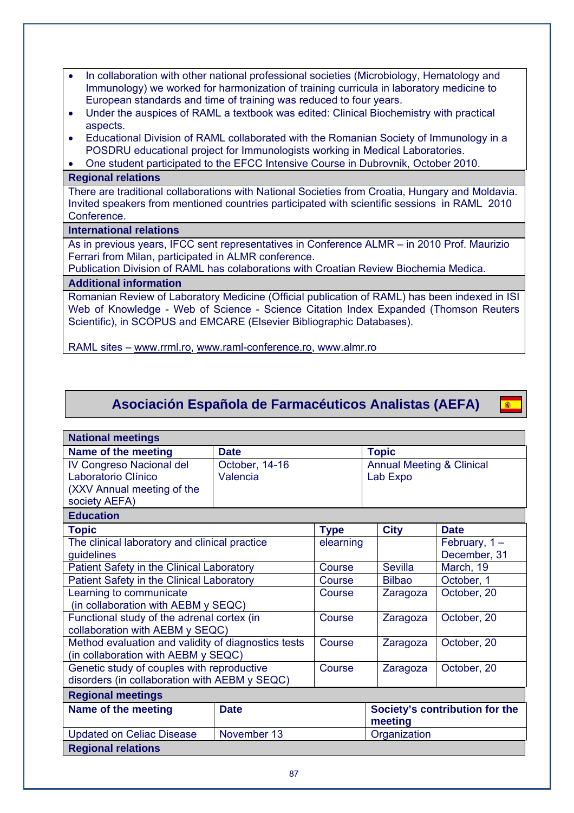- In collaboration with other national professional societies (Microbiology, Hematology and Immunology) we worked for harmonization of training curricula in laboratory medicine to European standards and time of training was reduced to four years.
- Under the auspices of RAML a textbook was edited: Clinical Biochemistry with practical aspects.
- Educational Division of RAML collaborated with the Romanian Society of Immunology in a POSDRU educational project for Immunologists working in Medical Laboratories.
- One student participated to the EFCC Intensive Course in Dubrovnik, October 2010.

#### **Regional relations**

There are traditional collaborations with National Societies from Croatia, Hungary and Moldavia. Invited speakers from mentioned countries participated with scientific sessions in RAML 2010 Conference.

#### **International relations**

As in previous years, IFCC sent representatives in Conference ALMR – in 2010 Prof. Maurizio Ferrari from Milan, participated in ALMR conference.

Publication Division of RAML has colaborations with Croatian Review Biochemia Medica.

# **Additional information**

Romanian Review of Laboratory Medicine (Official publication of RAML) has been indexed in ISI Web of Knowledge - Web of Science - Science Citation Index Expanded (Thomson Reuters Scientific), in SCOPUS and EMCARE (Elsevier Bibliographic Databases).

RAML sites – www.rrml.ro, www.raml-conference.ro, www.almr.ro

# **Asociación Española de Farmacéuticos Analistas (AEFA)**

(参)

| <b>National meetings</b>                            |                |             |                                           |                 |  |  |  |
|-----------------------------------------------------|----------------|-------------|-------------------------------------------|-----------------|--|--|--|
| Name of the meeting                                 | <b>Date</b>    |             | <b>Topic</b>                              |                 |  |  |  |
| IV Congreso Nacional del                            | October, 14-16 |             | <b>Annual Meeting &amp; Clinical</b>      |                 |  |  |  |
| Laboratorio Clínico                                 | Valencia       |             | Lab Expo                                  |                 |  |  |  |
| (XXV Annual meeting of the                          |                |             |                                           |                 |  |  |  |
| society AEFA)                                       |                |             |                                           |                 |  |  |  |
| <b>Education</b>                                    |                |             |                                           |                 |  |  |  |
| <b>Topic</b>                                        |                | <b>Type</b> | <b>City</b>                               | <b>Date</b>     |  |  |  |
| The clinical laboratory and clinical practice       |                | elearning   |                                           | February, $1 -$ |  |  |  |
| guidelines                                          |                |             |                                           | December, 31    |  |  |  |
| Patient Safety in the Clinical Laboratory           |                | Course      | <b>Sevilla</b>                            | March, 19       |  |  |  |
| Patient Safety in the Clinical Laboratory           |                | Course      | <b>Bilbao</b>                             | October, 1      |  |  |  |
| Learning to communicate                             |                | Course      | Zaragoza                                  | October, 20     |  |  |  |
| (in collaboration with AEBM y SEQC)                 |                |             |                                           |                 |  |  |  |
| Functional study of the adrenal cortex (in          |                | Course      | Zaragoza                                  | October, 20     |  |  |  |
| collaboration with AEBM y SEQC)                     |                |             |                                           |                 |  |  |  |
| Method evaluation and validity of diagnostics tests |                | Course      | Zaragoza                                  | October, 20     |  |  |  |
| (in collaboration with AEBM y SEQC)                 |                |             |                                           |                 |  |  |  |
| Genetic study of couples with reproductive          |                | Course      | Zaragoza                                  | October, 20     |  |  |  |
| disorders (in collaboration with AEBM y SEQC)       |                |             |                                           |                 |  |  |  |
| <b>Regional meetings</b>                            |                |             |                                           |                 |  |  |  |
| Name of the meeting                                 | <b>Date</b>    |             | Society's contribution for the<br>meeting |                 |  |  |  |
| <b>Updated on Celiac Disease</b>                    | November 13    |             | Organization                              |                 |  |  |  |
| <b>Regional relations</b>                           |                |             |                                           |                 |  |  |  |